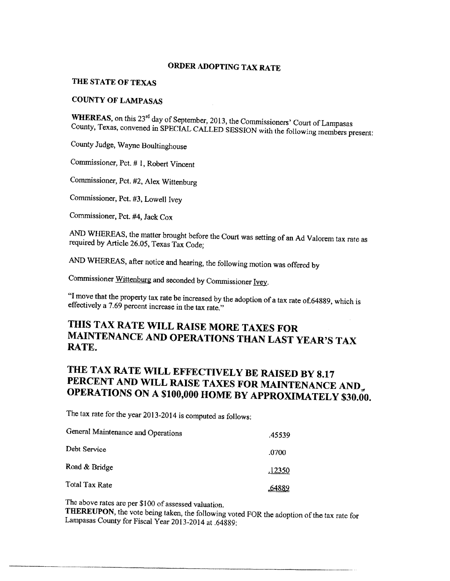# ORDER ADOPTING TAX RATE

## THE STATE OF TEXAS

## **COUNTY OF LAMPASAS**

WHEREAS, on this 23<sup>rd</sup> day of September, 2013, the Commissioners' Court of Lampasas County, Texas, convened in SPECIAL CALLED SESSION with the following members present:

County Judge, Wayne Boultinghouse

Commissioner, Pct. # 1, Robert Vincent

Commissioner, Pct. #2, Alex Wittenburg

Commissioner, Pct. #3, Lowell Ivey

Commissioner, Pct. #4, Jack Cox

AND WHEREAS, the matter brought before the Court was setting of an Ad Valorem tax rate as required by Article 26.05, Texas Tax Code;

AND WHEREAS, after notice and hearing, the following motion was offered by

Commissioner Wittenburg and seconded by Commissioner Ivey.

"I move that the property tax rate be increased by the adoption of a tax rate of 64889, which is effectively a 7.69 percent increase in the tax rate."

# THIS TAX RATE WILL RAISE MORE TAXES FOR MAINTENANCE AND OPERATIONS THAN LAST YEAR'S TAX RATE.

# THE TAX RATE WILL EFFECTIVELY BE RAISED BY 8.17 PERCENT AND WILL RAISE TAXES FOR MAINTENANCE AND **OPERATIONS ON A \$100,000 HOME BY APPROXIMATELY \$30.00.**

The tax rate for the year 2013-2014 is computed as follows:

| General Maintenance and Operations | .45539 |
|------------------------------------|--------|
| Debt Service                       | .0700  |
| Road & Bridge                      | ,12350 |
| Total Tax Rate                     | 64889  |

The above rates are per \$100 of assessed valuation.

THEREUPON, the vote being taken, the following voted FOR the adoption of the tax rate for Lampasas County for Fiscal Year 2013-2014 at .64889: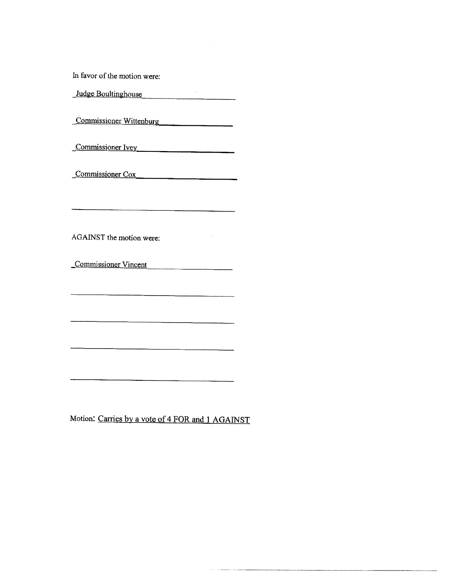In favor of the motion were:

Judge Boultinghouse

Commissioner Wittenburg

Commissioner Ivey

Commissioner Cox

AGAINST the motion were:

Commissioner Vincent

 $\bar{z}$ 

 $\label{eq:reduced} \begin{split} \mathcal{L}_{\mathcal{A}}^{\mathcal{A}}&=\mathcal{L}_{\mathcal{B}}\left(\mathcal{L}_{\mathcal{B}}\right)\mathcal{L}_{\mathcal{B}}\left(\mathcal{L}_{\mathcal{B}}\right)\mathcal{L}_{\mathcal{B}}\left(\mathcal{L}_{\mathcal{B}}\right)\\ &=\mathcal{L}_{\mathcal{B}}\left(\mathcal{L}_{\mathcal{B}}\right)\mathcal{L}_{\mathcal{B}}\left(\mathcal{L}_{\mathcal{B}}\right)\mathcal{L}_{\mathcal{B}}\left(\mathcal{L}_{\mathcal{B}}\right)\\ &=\mathcal{L}_{\mathcal{B}}\$ 

Motion: Carries by a vote of 4 FOR and 1 AGAINST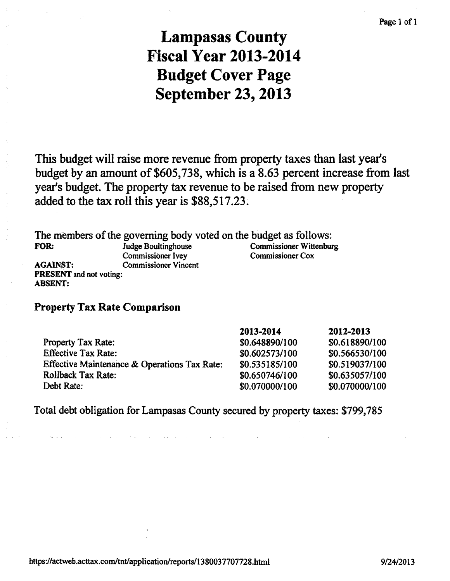# **Lampasas County Fiscal Year 2013-2014 Budget Cover Page September 23, 2013**

This budget will raise more revenue from property taxes than last year's budget by an amount of \$605,738, which is a 8.63 percent increase from last year's budget. The property tax revenue to be raised from new property added to the tax roll this year is \$88,517.23.

The members of the governing body voted on the budget as follows:

FOR:

**ABSENT:** 

**AGAINST:** 

**Judge Boultinghouse** Commissioner Ivev **Commissioner Vincent** PRESENT and not voting:

**Commissioner Wittenburg Commissioner Cox** 

# **Property Tax Rate Comparison**

|                                              | 2013-2014      | 2012-2013      |
|----------------------------------------------|----------------|----------------|
| <b>Property Tax Rate:</b>                    | \$0.648890/100 | \$0.618890/100 |
| <b>Effective Tax Rate:</b>                   | \$0.602573/100 | \$0.566530/100 |
| Effective Maintenance & Operations Tax Rate: | \$0.535185/100 | \$0.519037/100 |
| <b>Rollback Tax Rate:</b>                    | \$0.650746/100 | \$0.635057/100 |
| Debt Rate:                                   | \$0.070000/100 | \$0.070000/100 |

Total debt obligation for Lampasas County secured by property taxes: \$799,785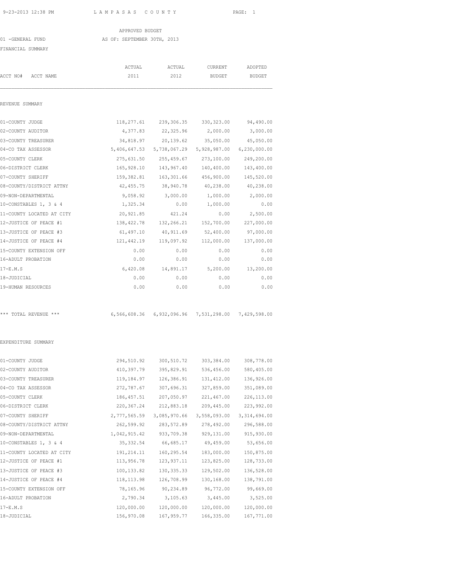#### APPROVED BUDGET 01 -GENERAL FUND AS OF: SEPTEMBER 30TH, 2013

| FINANCIAL SUMMARY                         |                |                                                     |                          |                          |
|-------------------------------------------|----------------|-----------------------------------------------------|--------------------------|--------------------------|
| ACCT NO# ACCT NAME                        | ACTUAL<br>2011 | ACTUAL<br>2012                                      | CURRENT<br><b>BUDGET</b> | ADOPTED<br><b>BUDGET</b> |
| REVENUE SUMMARY                           |                |                                                     |                          |                          |
|                                           |                |                                                     |                          |                          |
| 01-COUNTY JUDGE                           |                | 118, 277.61 239, 306.35 330, 323.00                 |                          | 94,490.00                |
| 02-COUNTY AUDITOR                         | 4,377.83       | 22,325.96                                           | 2,000.00                 | 3,000.00                 |
| 03-COUNTY TREASURER<br>04-CO TAX ASSESSOR | 34,818.97      | 20,139.62<br>5,406,647.53 5,738,067.29 5,928,987.00 | 35,050.00                | 45,050.00                |
|                                           |                | 275,631.50 255,459.67                               |                          | 6,230,000.00             |
| 05-COUNTY CLERK<br>06-DISTRICT CLERK      |                | 165, 928.10 143, 967.40 140, 400.00                 | 273,100.00               | 249,200.00<br>143,400.00 |
|                                           |                |                                                     |                          |                          |
| 07-COUNTY SHERIFF                         | 159,382.81     | 163,301.66                                          | 456,900.00               | 145,520.00               |
| 08-COUNTY/DISTRICT ATTNY                  | 42,455.75      | 38,940.78                                           | 40,238.00                | 40,238.00                |
| 09-NON-DEPARTMENTAL                       | 9,058.92       | 3,000.00                                            | 1,000.00                 | 2,000.00                 |
| 10-CONSTABLES 1, 3 & 4                    | 1,325.34       | 0.00                                                | 1,000.00                 | 0.00                     |
| 11-COUNTY LOCATED AT CITY                 | 20,921.85      | 421.24                                              | 0.00                     | 2,500.00                 |
| 12-JUSTICE OF PEACE #1                    |                | 138, 422.78 132, 266.21 152, 700.00                 |                          | 227,000.00               |
| 13-JUSTICE OF PEACE #3                    | 61,497.10      | 40,911.69                                           | 52,400.00                | 97,000.00                |
| 14-JUSTICE OF PEACE #4                    |                | 121,442.19 119,097.92 112,000.00                    |                          | 137,000.00               |
| 15-COUNTY EXTENSION OFF                   | 0.00           | 0.00                                                | 0.00                     | 0.00                     |
| 16-ADULT PROBATION                        | 0.00           | 0.00                                                | 0.00                     | 0.00                     |
| $17-E.M.S$                                | 6,420.08       | 14,891.17                                           | 5,200.00                 | 13,200.00                |
| 18-JUDICIAL                               | 0.00           | 0.00                                                | 0.00                     | 0.00                     |
| 19-HUMAN RESOURCES                        | 0.00           | 0.00                                                | 0.00                     | 0.00                     |
| *** TOTAL REVENUE ***                     |                | 6,566,608.36 6,932,096.96 7,531,298.00 7,429,598.00 |                          |                          |
| EXPENDITURE SUMMARY                       |                |                                                     |                          |                          |
| 01-COUNTY JUDGE                           |                | 294,510.92 300,510.72 303,384.00                    |                          | 308,778.00               |
| 02-COUNTY AUDITOR                         | 410,397.79     |                                                     | 395,829.91 536,456.00    | 580,405.00               |
| 03-COUNTY TREASURER                       | 119,184.97     | 126,386.91                                          | 131, 412.00              | 136,926.00               |
| 04-CO TAX ASSESSOR                        | 272,787.67     | 307,696.31                                          | 327,859.00               | 351,089.00               |
| 05-COUNTY CLERK                           | 186, 457.51    | 207,050.97                                          | 221,467.00               | 226, 113.00              |
| 06-DISTRICT CLERK                         | 220, 367.24    | 212,883.18                                          | 209,445.00               | 223,992.00               |
| 07-COUNTY SHERIFF                         | 2,777,565.59   | 3,085,970.66                                        | 3,558,093.00             | 3, 314, 694.00           |
| 08-COUNTY/DISTRICT ATTNY                  | 262,599.92     | 283, 572.89                                         | 278,492.00               | 296,588.00               |
| 09-NON-DEPARTMENTAL                       | 1,042,915.42   | 933,709.38                                          | 929,131.00               | 915, 930.00              |
| 10-CONSTABLES 1, 3 & 4                    | 35, 332.54     | 66,685.17                                           | 49,459.00                | 53,656.00                |
| 11-COUNTY LOCATED AT CITY                 | 191, 214.11    | 160,295.54                                          | 183,000.00               | 150,875.00               |
| 12-JUSTICE OF PEACE #1                    | 113,956.78     | 123, 937.11                                         | 123,825.00               | 128,733.00               |
| 13-JUSTICE OF PEACE #3                    | 100, 133.82    | 130, 335.33                                         | 129,502.00               | 136,528.00               |
| 14-JUSTICE OF PEACE #4                    | 118, 113.98    | 126,708.99                                          | 130,168.00               | 138,791.00               |
| 15-COUNTY EXTENSION OFF                   | 78,165.96      | 90,234.89                                           | 96,772.00                | 99,669.00                |
| 16-ADULT PROBATION                        | 2,790.34       | 3, 105.63                                           | 3,445.00                 | 3,525.00                 |
| $17-E.M.S$                                | 120,000.00     | 120,000.00                                          | 120,000.00               | 120,000.00               |
|                                           |                |                                                     |                          |                          |

18-JUDICIAL 156,970.08 167,959.77 166,335.00 167,771.00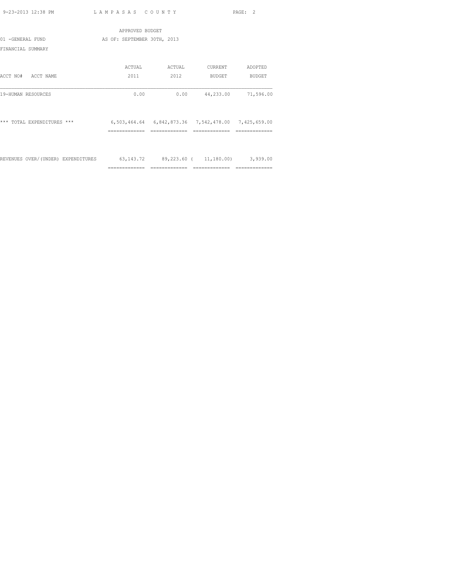|                                    | APPROVED BUDGET                  |        |                                                     |           |
|------------------------------------|----------------------------------|--------|-----------------------------------------------------|-----------|
| 01 -GENERAL FUND                   | AS OF: SEPTEMBER 30TH, 2013      |        |                                                     |           |
| FINANCIAL SUMMARY                  |                                  |        |                                                     |           |
|                                    | ACTUAL                           | ACTUAL | CURRENT                                             | ADOPTED   |
| ACCT NO#<br>ACCT NAME              | 2011                             | 2012   | BUDGET                                              | BUDGET    |
| 19-HUMAN RESOURCES                 | 0.00                             | 0.00   | 44,233.00                                           | 71,596.00 |
| $***$<br>TOTAL EXPENDITURES ***    |                                  |        | 6,503,464.64 6,842,873.36 7,542,478.00 7,425,659.00 |           |
|                                    | ==========                       |        |                                                     |           |
| REVENUES OVER/(UNDER) EXPENDITURES | 63,143.72 89,223.60 ( 11,180.00) |        |                                                     | 3,939.00  |

============= ============= ============= =============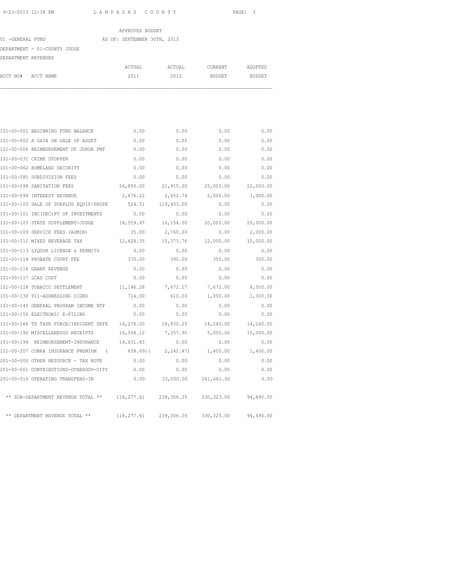|                     |                              | APPROVED BUDGET             |        |         |         |
|---------------------|------------------------------|-----------------------------|--------|---------|---------|
| 01 -GENERAL FUND    |                              | AS OF: SEPTEMBER 30TH, 2013 |        |         |         |
|                     | DEPARTMENT - 01-COUNTY JUDGE |                             |        |         |         |
| DEPARTMENT REVENUES |                              |                             |        |         |         |
|                     |                              | ACTUAL                      | ACTUAL | CURRENT | ADOPTED |
| ACCT NO#            | ACCT NAME                    | 2011                        | 2012   | BUDGET  | BUDGET  |

|                      | 101-00-001 BEGINNING FUND BALANCE                     | 0.00               | 0.00                        | 0.00                         | 0.00      |
|----------------------|-------------------------------------------------------|--------------------|-----------------------------|------------------------------|-----------|
|                      | 101-00-002 A GAIN ON SALE OF ASSET                    | 0.00               | 0.00                        | 0.00                         | 0.00      |
|                      | 101-00-006 REIMBURSEMENT OF JUROR PMT                 | 0.00               | 0.00                        | 0.00                         | 0.00      |
|                      | 101-00-031 CRIME STOPPER                              | 0.00               | 0.00                        | 0.00                         | 0.00      |
|                      | 101-00-062 HOMELAND SECURITY                          | 0.00               | 0.00                        | 0.00                         | 0.00      |
|                      | 101-00-085 SUBDIVISION FEES                           | 0.00               | 0.00                        | 0.00                         | 0.00      |
|                      | 101-00-098 SANITATION FEES                            | 26,850.00          | 21,915.00                   | 25,000.00                    | 22,000.00 |
|                      | 101-00-099 INTEREST REVENUE                           | 2,676.22 2,652.74  |                             | 2,000.00                     | 3,000.00  |
|                      | 101-00-100 SALE OF SURPLUS EQUIP/PROPE 524.51         |                    | 119,933.00                  | 0.00                         | 0.00      |
|                      | 101-00-101 INC(DEC)FV OF INVESTMENTS                  | 0.00               | 0.00                        | 0.00                         | 0.00      |
|                      | 101-00-103 STATE SUPPLEMENT-JUDGE 18,559.97 16,154.00 |                    |                             | 20,000.00                    | 20,000.00 |
|                      | 101-00-109 SERVICE FEES (ADMIN)                       | 35.00              | 2,760.00                    | 0.00                         | 2,000.00  |
|                      | 101-00-112 MIXED BEVERAGE TAX                         | 12,628.35          | 10,373.76                   | 12,000.00                    | 12,000.00 |
|                      | 101-00-113 LIQUOR LICENSE & PERMITS                   | 0.00               | 0.00                        | 0.00                         | 0.00      |
|                      | 101-00-114 PROBATE COURT FEE                          | 370.00             | 390.00                      | 350.00                       | 350.00    |
|                      | 101-00-116 GRANT REVENUE                              | 0.00               | 0.00                        | 0.00                         | 0.00      |
| 101-00-117 LCAD COST |                                                       | 0.00               | 0.00                        | 0.00                         | 0.00      |
|                      | 101-00-118 TOBACCO SETTLEMENT                         | 11, 146.28         | 7,672.17                    | 7,672.00                     | 8,500.00  |
|                      | 101-00-130 911-ADDRESSING SIGNS                       | 714.00             | 610.00                      | 1,000.00                     | 1,000.00  |
|                      | 101-00-140 GENERAL PROGRAM INCOME NTF                 | 0.00               | 0.00                        | 0.00                         | 0.00      |
|                      | 101-00-150 ELECTRONIC E-FILING                        | 0.00               | 0.00                        | 0.00                         | 0.00      |
|                      | 101-00-166 TX TASK FORCE/INDIGENT DEFE 14,276.00      |                    | 18,830.25                   | 14,240.00                    | 14,240.00 |
|                      | 101-00-190 MISCELLANEOUS RECEIPTS                     | 16,504.12 7,257.90 |                             | 5,000.00                     | 10,000.00 |
|                      | 101-00-194 REIMBURSEMENT-INSURANCE                    | 14,631.85          | 0.00                        | 0.00                         | 0.00      |
|                      | 101-00-207 COBRA INSURANCE PREMIUM (                  |                    |                             | 638.69) ( 2,242.47) 1,400.00 | 1,400.00  |
|                      | 201-00-000 OTHER RESOURCE - TAX NOTE                  | 0.00               | 0.00                        | 0.00                         | 0.00      |
|                      | 201-00-001 CONTRIBUTIONS-OTHERGOV-CITY 0.00           |                    | 0.00                        | 0.00                         | 0.00      |
|                      | 201-00-010 OPERATING TRANSFERS-IN                     |                    | $0.00$ 33,000.00 241,661.00 |                              | 0.00      |
|                      | ** SUB-DEPARTMENT REVENUE TOTAL ** 118,277.61         |                    | 239,306.35                  | 330, 323.00                  | 94,490.00 |
|                      | ** DEPARTMENT REVENUE TOTAL **                        | 118,277.61         | 239,306.35                  | 330,323.00                   | 94,490.00 |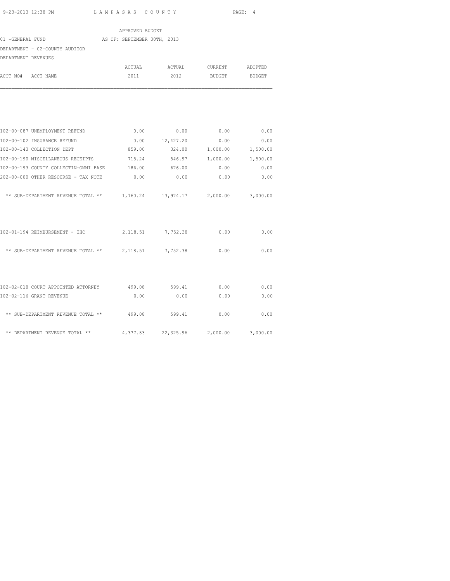| APPROVED BUDGET                                                         |                   |                    |                 |          |  |  |  |
|-------------------------------------------------------------------------|-------------------|--------------------|-----------------|----------|--|--|--|
| AS OF: SEPTEMBER 30TH, 2013<br>01 -GENERAL FUND                         |                   |                    |                 |          |  |  |  |
| DEPARTMENT - 02-COUNTY AUDITOR                                          |                   |                    |                 |          |  |  |  |
| DEPARTMENT REVENUES                                                     |                   |                    |                 |          |  |  |  |
|                                                                         | ACTUAL            | ACTUAL             | CURRENT ADOPTED |          |  |  |  |
| ACCT NO# ACCT NAME                                                      | 2011              | 2012               | BUDGET BUDGET   |          |  |  |  |
|                                                                         |                   |                    |                 |          |  |  |  |
| 102-00-087 UNEMPLOYMENT REFUND                                          | 0.00              | 0.00               | 0.00            | 0.00     |  |  |  |
| 102-00-102 INSURANCE REFUND                                             |                   | $0.00$ $12,427.20$ | 0.00            | 0.00     |  |  |  |
| 102-00-143 COLLECTION DEPT                                              | 859.00            | 324.00             | 1,000.00        | 1,500.00 |  |  |  |
| 102-00-190 MISCELLANEOUS RECEIPTS                                       | 715.24            |                    | 546.97 1,000.00 | 1,500.00 |  |  |  |
| 102-00-193 COUNTY COLLECTIN-OMNI BASE 186.00 676.00                     |                   |                    | 0.00            | 0.00     |  |  |  |
| 202-00-000 OTHER RESOURSE - TAX NOTE                                    | 0.00              | 0.00               | 0.00            | 0.00     |  |  |  |
| ** SUB-DEPARTMENT REVENUE TOTAL ** 1,760.24 13,974.17 2,000.00 3,000.00 |                   |                    |                 |          |  |  |  |
| 102-01-194 REIMBURSEMENT - IHC                                          | 2,118.51 7,752.38 |                    | 0.00            | 0.00     |  |  |  |
| ** SUB-DEPARTMENT REVENUE TOTAL ** $2,118.51$ 7,752.38                  |                   |                    | 0.00            | 0.00     |  |  |  |
| 102-02-018 COURT APPOINTED ATTORNEY                                     | 499.08            | 599.41             | 0.00            | 0.00     |  |  |  |
| 102-02-116 GRANT REVENUE                                                | 0.00              | 0.00               | 0.00            | 0.00     |  |  |  |
|                                                                         |                   |                    |                 |          |  |  |  |
| ** SUB-DEPARTMENT REVENUE TOTAL ** 499.08 599.41                        |                   |                    | 0.00            | 0.00     |  |  |  |

\*\* DEPARTMENT REVENUE TOTAL \*\* 4,377.83 22,325.96 2,000.00 3,000.00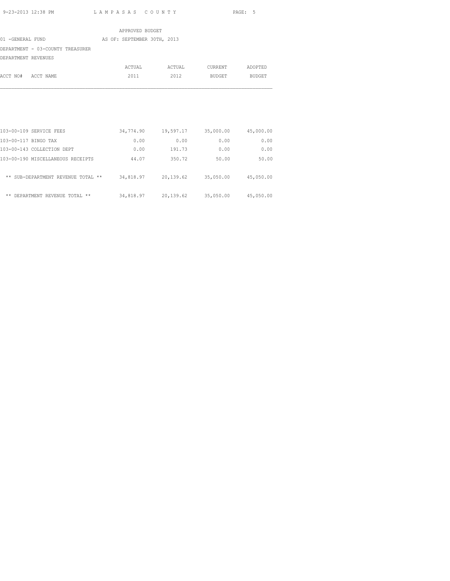|                                  | APPROVED BUDGET             |        |         |               |
|----------------------------------|-----------------------------|--------|---------|---------------|
| 01 -GENERAL FUND                 | AS OF: SEPTEMBER 30TH, 2013 |        |         |               |
| DEPARTMENT - 03-COUNTY TREASURER |                             |        |         |               |
| DEPARTMENT REVENUES              |                             |        |         |               |
|                                  | ACTUAL                      | ACTUAL | CURRENT | ADOPTED       |
| ACCT NO#<br>ACCT NAME            | 2011                        | 2012   | BUDGET  | <b>BUDGET</b> |

| 103-00-109 SERVICE FEES            | 34,774.90 | 19,597.17 | 35,000.00 | 45,000.00 |
|------------------------------------|-----------|-----------|-----------|-----------|
| 103-00-117 BINGO TAX               | 0.00      | 0.00      | 0.00      | 0.00      |
| 103-00-143 COLLECTION DEPT         | 0.00      | 191.73    | 0.00      | 0.00      |
| 103-00-190 MISCELLANEOUS RECEIPTS  | 44.07     | 350.72    | 50.00     | 50.00     |
|                                    |           |           |           |           |
| ** SUB-DEPARTMENT REVENUE TOTAL ** | 34,818.97 | 20,139.62 | 35,050.00 | 45,050.00 |
|                                    |           |           |           |           |
| ** DEPARTMENT REVENUE TOTAL **     | 34,818.97 | 20,139.62 | 35,050.00 | 45,050.00 |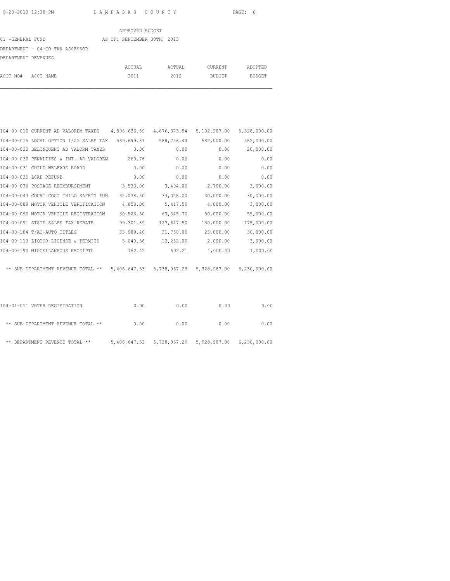|                                 | APPROVED BUDGET             |        |         |         |
|---------------------------------|-----------------------------|--------|---------|---------|
| 01 -GENERAL FUND                | AS OF: SEPTEMBER 30TH, 2013 |        |         |         |
| DEPARTMENT - 04-CO TAX ASSESSOR |                             |        |         |         |
| DEPARTMENT REVENUES             |                             |        |         |         |
|                                 | ACTUAL                      | ACTUAL | CURRENT | ADOPTED |
| ACCT NO#<br>ACCT NAME           | 2011                        | 2012   | BUDGET  | BUDGET  |

| 104-00-010 CURRENT AD VALOREM TAXES    | 4,596,636.89 | 4,876,373.94              | 5,102,287.00 | 5,328,000.00 |
|----------------------------------------|--------------|---------------------------|--------------|--------------|
| 104-00-015 LOCAL OPTION 1/2% SALES TAX | 569,699.81   | 588,256.44                | 582,000.00   | 582,000.00   |
| 104-00-020 DELINQUENT AD VALORM TAXES  | 0.00         | 0.00                      | 0.00         | 20,000.00    |
| 104-00-030 PENALTIES & INT. AD VALOREM | 260.76       | 0.00                      | 0.00         | 0.00         |
| 104-00-031 CHILD WELFARE BOARD         | 0.00         | 0.00                      | 0.00         | 0.00         |
| 104-00-035 LCAD REFUND                 | 0.00         | 0.00                      | 0.00         | 0.00         |
| 104-00-036 POSTAGE REIMBURSEMENT       | 3,533.00     | 3,494.00                  | 2,700.00     | 3,000.00     |
| 104-00-043 COURT COST CHILD SAFETY FUN | 32,038.50    | 33,028.00                 | 30,000.00    | 30,000.00    |
| 104-00-089 MOTOR VEHICLE VERIFICATION  | 4,858.00     | 5,417.50                  | 4,000.00     | 3,000.00     |
| 104-00-090 MOTOR VEHICLE REGISTRATION  | 60,526.30    | 63, 345.70                | 50,000.00    | 55,000.00    |
| 104-00-091 STATE SALES TAX REBATE      | 99,301.89    | 123,647.50                | 130,000.00   | 175,000.00   |
| 104-00-104 T/AC-AUTO TITLES            | 33,989.40    | 31,750.00                 | 25,000.00    | 30,000.00    |
| 104-00-113 LIQUOR LICENSE & PERMITS    | 5,040.56     | 12,252.00                 | 2,000.00     | 3,000.00     |
| 104-00-190 MISCELLANEOUS RECEIPTS      | 762.42       | 502.21                    | 1,000.00     | 1,000.00     |
| ** SUB-DEPARTMENT REVENUE TOTAL **     |              | 5,406,647.53 5,738,067.29 | 5,928,987.00 | 6,230,000.00 |
|                                        |              |                           |              |              |

| 104-01-011 VOTER REGISTRATION      | 0.00 | 0.00 | 0.00                                                | 0.00 |
|------------------------------------|------|------|-----------------------------------------------------|------|
| ** SUB-DEPARTMENT REVENUE TOTAL ** | 0.00 | 0.00 | 0.00                                                | 0.00 |
| ** DEPARTMENT REVENUE TOTAL **     |      |      | 5,406,647.53 5,738,067.29 5,928,987.00 6,230,000.00 |      |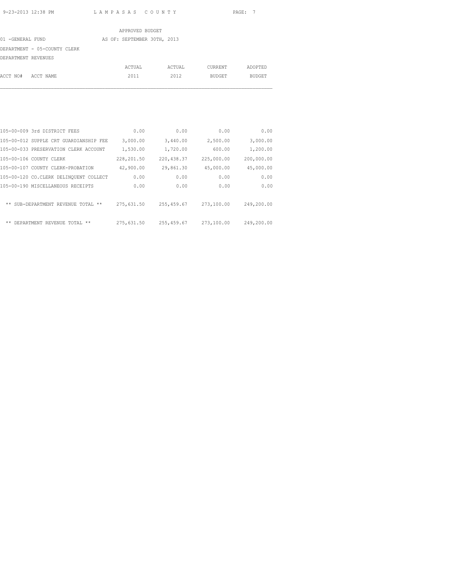|                              | APPROVED BUDGET             |        |               |               |
|------------------------------|-----------------------------|--------|---------------|---------------|
| 01 -GENERAL FUND             | AS OF: SEPTEMBER 30TH, 2013 |        |               |               |
| DEPARTMENT - 05-COUNTY CLERK |                             |        |               |               |
| DEPARTMENT REVENUES          |                             |        |               |               |
|                              | ACTUAL                      | ACTUAL | CURRENT       | ADOPTED       |
| ACCT NO#<br>ACCT NAME        | 2011                        | 2012   | <b>BUDGET</b> | <b>BUDGET</b> |

| 105-00-009 3rd DISTRICT FEES           | 0.00       | 0.00        | 0.00       | 0.00       |
|----------------------------------------|------------|-------------|------------|------------|
| 105-00-012 SUPPLE CRT GUARDIANSHIP FEE | 3,000.00   | 3,440.00    | 2,500.00   | 3,000.00   |
| 105-00-033 PRESERVATION CLERK ACCOUNT  | 1,530.00   | 1,720.00    | 600.00     | 1,200.00   |
| 105-00-106 COUNTY CLERK                | 228,201.50 | 220, 438.37 | 225,000.00 | 200,000.00 |
| 105-00-107 COUNTY CLERK-PROBATION      | 42,900.00  | 29,861.30   | 45,000.00  | 45,000.00  |
| 105-00-120 CO.CLERK DELINQUENT COLLECT | 0.00       | 0.00        | 0.00       | 0.00       |
| 105-00-190 MISCELLANEOUS RECEIPTS      | 0.00       | 0.00        | 0.00       | 0.00       |
|                                        |            |             |            |            |
| ** SUB-DEPARTMENT REVENUE TOTAL **     | 275,631.50 | 255, 459.67 | 273,100.00 | 249,200.00 |
|                                        |            |             |            |            |
| $* *$<br>DEPARTMENT REVENUE TOTAL **   | 275,631.50 | 255, 459.67 | 273,100.00 | 249,200.00 |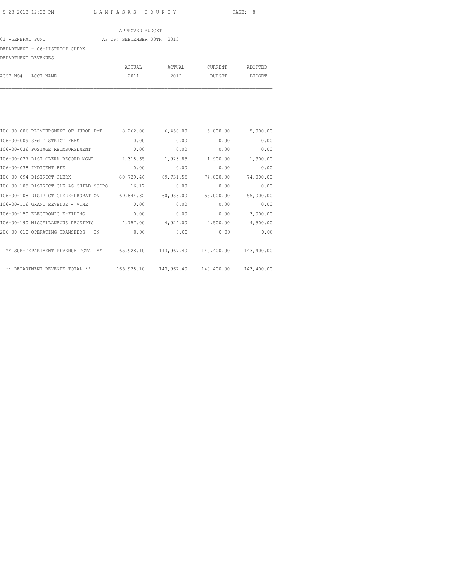### APPROVED BUDGET 01 -GENERAL FUND AS OF: SEPTEMBER 30TH, 2013 DEPARTMENT - 06-DISTRICT CLERK DEPARTMENT REVENUES ACTUAL ACTUAL CURRENT ADOPTED

ACCT NO# ACCT NAME 2011 2012 BUDGET BUDGET

| 106-00-006 REIMBURSMENT OF JUROR PMT   | 8,262.00   | 6,450.00              | 5,000.00   | 5,000.00   |
|----------------------------------------|------------|-----------------------|------------|------------|
| 106-00-009 3rd DISTRICT FEES           | 0.00       | 0.00                  | 0.00       | 0.00       |
| 106-00-036 POSTAGE REIMBURSEMENT       | 0.00       | 0.00                  | 0.00       | 0.00       |
| 106-00-037 DIST CLERK RECORD MGMT      | 2,318.65   | 1,923.85              | 1,900.00   | 1,900.00   |
| 106-00-038 INDIGENT FEE                | 0.00       | 0.00                  | 0.00       | 0.00       |
| 106-00-094 DISTRICT CLERK              | 80,729.46  | 69,731.55             | 74,000.00  | 74,000.00  |
| 106-00-105 DISTRICT CLK AG CHILD SUPPO | 16.17      | 0.00                  | 0.00       | 0.00       |
| 106-00-108 DISTRICT CLERK-PROBATION    | 69,844.82  | 60,938.00             | 55,000.00  | 55,000.00  |
| 106-00-116 GRANT REVENUE - VINE        | 0.00       | 0.00                  | 0.00       | 0.00       |
| 106-00-150 ELECTRONIC E-FILING         | 0.00       | 0.00                  | 0.00       | 3,000.00   |
| 106-00-190 MISCELLANEOUS RECEIPTS      | 4,757.00   | 4,924.00              | 4,500.00   | 4,500.00   |
| 206-00-010 OPERATING TRANSFERS - IN    | 0.00       | 0.00                  | 0.00       | 0.00       |
| ** SUB-DEPARTMENT REVENUE TOTAL **     |            | 165,928.10 143,967.40 | 140,400.00 | 143,400.00 |
| ** DEPARTMENT REVENUE TOTAL **         | 165,928.10 | 143,967.40            | 140,400.00 | 143,400.00 |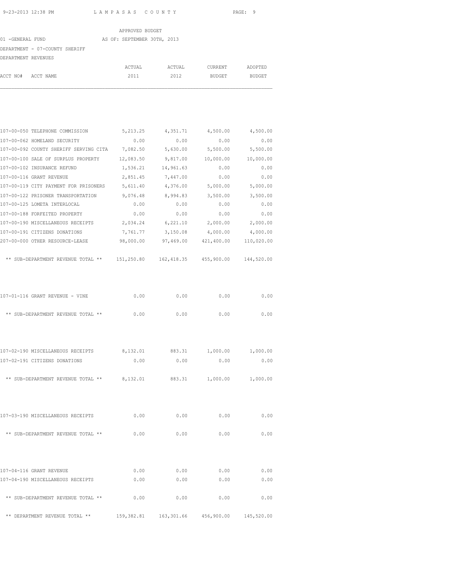|                     | 9-23-2013 12:38 PM                                                             | LAMPASAS COUNTY             |                                   |                                  | PAGE: 9                |
|---------------------|--------------------------------------------------------------------------------|-----------------------------|-----------------------------------|----------------------------------|------------------------|
|                     |                                                                                | APPROVED BUDGET             |                                   |                                  |                        |
| 01 - GENERAL FUND   |                                                                                | AS OF: SEPTEMBER 30TH, 2013 |                                   |                                  |                        |
|                     | DEPARTMENT - 07-COUNTY SHERIFF                                                 |                             |                                   |                                  |                        |
| DEPARTMENT REVENUES |                                                                                |                             |                                   |                                  |                        |
|                     |                                                                                |                             |                                   |                                  |                        |
| ACCT NO#            | ACCT NAME                                                                      | 2011                        | 2012                              | BUDGET                           | BUDGET                 |
|                     |                                                                                |                             |                                   |                                  |                        |
|                     | 107-00-050 TELEPHONE COMMISSION                                                | 5, 213. 25                  | 4,351.71                          | 4,500.00                         | 4,500.00               |
|                     | 107-00-062 HOMELAND SECURITY                                                   | 0.00                        | 0.00                              | 0.00                             | 0.00                   |
|                     | 107-00-092 COUNTY SHERIFF SERVING CITA 7,082.50                                |                             | 5,630.00                          | 5,500.00                         | 5,500.00               |
|                     | 107-00-100 SALE OF SURPLUS PROPERTY 12,083.50                                  |                             |                                   | 9,817.00 10,000.00               | 10,000.00              |
|                     | 107-00-102 INSURANCE REFUND                                                    |                             | 1,536.21 14,961.63                | 0.00                             | 0.00                   |
|                     | 107-00-116 GRANT REVENUE                                                       | 2,851.45                    | 7,447.00                          | 0.00                             | 0.00                   |
|                     | 107-00-119 CITY PAYMENT FOR PRISONERS 5,611.40 4,376.00                        |                             |                                   | 5,000.00                         | 5,000.00               |
|                     | 107-00-122 PRISONER TRANSPORTATION 9,076.48 8,994.83                           |                             |                                   | 3,500.00                         | 3,500.00               |
|                     | 107-00-125 LOMETA INTERLOCAL                                                   | 0.00                        | 0.00                              | 0.00                             | 0.00                   |
|                     | 107-00-188 FORFEITED PROPERTY                                                  | 0.00                        | 0.00                              | 0.00                             | 0.00                   |
|                     | 107-00-190 MISCELLANEOUS RECEIPTS                                              | 2,034.24                    | 6,221.10                          | 2,000.00                         | 2,000.00               |
|                     | 107-00-191 CITIZENS DONATIONS<br>207-00-000 OTHER RESOURCE-LEASE               | 7,761.77<br>98,000.00       | 3,150.08                          | 4,000.00<br>97,469.00 421,400.00 | 4,000.00<br>110,020.00 |
|                     |                                                                                |                             |                                   |                                  |                        |
|                     | ** SUB-DEPARTMENT REVENUE TOTAL ** 151,250.80 162,418.35 455,900.00 144,520.00 |                             |                                   |                                  |                        |
|                     | 107-01-116 GRANT REVENUE - VINE                                                | 0.00                        | 0.00                              | 0.00                             | 0.00                   |
|                     | ** SUB-DEPARTMENT REVENUE TOTAL **                                             | 0.00                        | 0.00                              | 0.00                             | 0.00                   |
|                     | 107-02-190 MISCELLANEOUS RECEIPTS                                              |                             | 8,132.01 883.31 1,000.00 1,000.00 |                                  |                        |
|                     | 107-02-191 CITIZENS DONATIONS                                                  | 0.00                        | 0.00                              | 0.00                             | 0.00                   |
|                     |                                                                                |                             |                                   |                                  |                        |
|                     | ** SUB-DEPARTMENT REVENUE TOTAL ** $8,132.01$ 883.31 $1,000.00$                |                             |                                   |                                  | 1,000.00               |
|                     | 107-03-190 MISCELLANEOUS RECEIPTS                                              | 0.00                        | 0.00                              | 0.00                             | 0.00                   |
|                     | ** SUB-DEPARTMENT REVENUE TOTAL **                                             | 0.00                        | 0.00                              | 0.00                             | 0.00                   |
|                     | 107-04-116 GRANT REVENUE                                                       | 0.00                        | 0.00                              | 0.00                             | 0.00                   |
|                     | 107-04-190 MISCELLANEOUS RECEIPTS                                              | 0.00                        | 0.00                              | 0.00                             | 0.00                   |

 $\star\star$  SUB-DEPARTMENT REVENUE TOTAL  $\star\star$  0.00 0.00 0.00 0.00 0.00

\*\* DEPARTMENT REVENUE TOTAL \*\* 159,382.81 163,301.66 456,900.00 145,520.00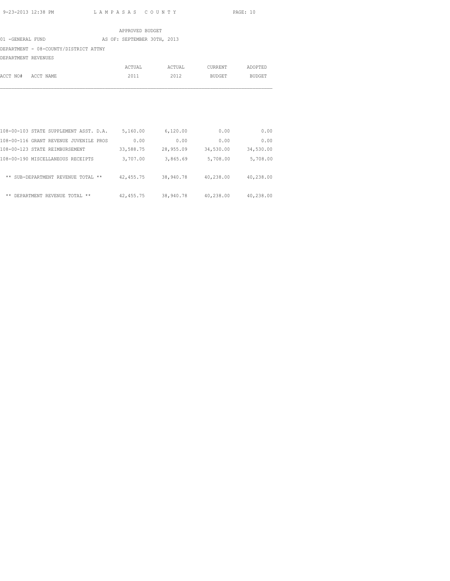|                     |                                       |  | APPROVED BUDGET             |        |                |               |
|---------------------|---------------------------------------|--|-----------------------------|--------|----------------|---------------|
| 01 -GENERAL FUND    |                                       |  | AS OF: SEPTEMBER 30TH, 2013 |        |                |               |
|                     | DEPARTMENT - 08-COUNTY/DISTRICT ATTNY |  |                             |        |                |               |
| DEPARTMENT REVENUES |                                       |  |                             |        |                |               |
|                     |                                       |  | ACTUAL                      | ACTUAL | <b>CURRENT</b> | ADOPTED       |
| ACCT NO#            | ACCT NAME                             |  | 2011                        | 2012   | <b>BUDGET</b>  | <b>BUDGET</b> |
|                     |                                       |  |                             |        |                |               |
|                     |                                       |  |                             |        |                |               |

| 108-00-103 STATE SUPPLEMENT ASST. D.A. | 5,160.00   | 6,120.00  | 0.00      | 0.00      |
|----------------------------------------|------------|-----------|-----------|-----------|
| 108-00-116 GRANT REVENUE JUVENILE PROS | 0.00       | 0.00      | 0.00      | 0.00      |
| 108-00-123 STATE REIMBURSEMENT         | 33,588.75  | 28,955.09 | 34,530.00 | 34,530.00 |
| 108-00-190 MISCELLANEOUS RECEIPTS      | 3,707.00   | 3,865.69  | 5,708.00  | 5,708.00  |
| ** SUB-DEPARTMENT REVENUE TOTAL **     | 42, 455.75 | 38,940.78 | 40,238.00 | 40,238.00 |
| ** DEPARTMENT REVENUE TOTAL **         | 42, 455.75 | 38,940.78 | 40,238.00 | 40,238.00 |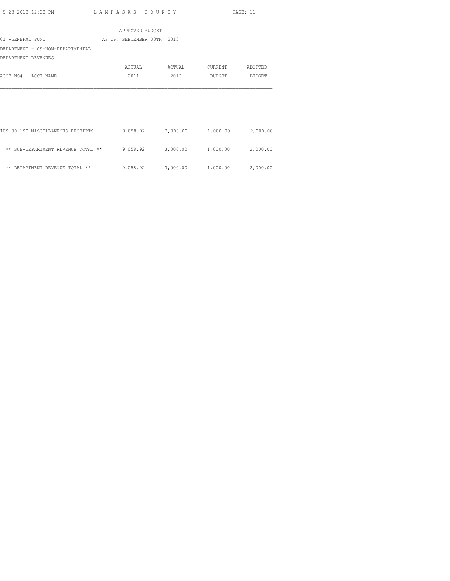|                                    | APPROVED BUDGET             |          |                   |          |
|------------------------------------|-----------------------------|----------|-------------------|----------|
| 01 -GENERAL FUND                   | AS OF: SEPTEMBER 30TH, 2013 |          |                   |          |
| DEPARTMENT - 09-NON-DEPARTMENTAL   |                             |          |                   |          |
| DEPARTMENT REVENUES                |                             |          |                   |          |
|                                    | ACTUAL                      | ACTUAL   | CURRENT           | ADOPTED  |
| ACCT NO#<br>ACCT NAME              | 2011                        | 2012     | BUDGET            | BUDGET   |
|                                    |                             |          |                   |          |
|                                    |                             |          |                   |          |
|                                    |                             |          |                   |          |
|                                    |                             |          |                   |          |
|                                    |                             |          |                   |          |
| 109-00-190 MISCELLANEOUS RECEIPTS  | 9,058.92                    | 3,000.00 | 1,000.00          | 2,000.00 |
|                                    |                             |          |                   |          |
| ** SUB-DEPARTMENT REVENUE TOTAL ** | 9,058.92                    | 3,000.00 | 1,000.00          | 2,000.00 |
|                                    |                             |          |                   |          |
| ** DEPARTMENT REVENUE TOTAL **     | 9,058.92                    |          | 3,000.00 1,000.00 | 2,000.00 |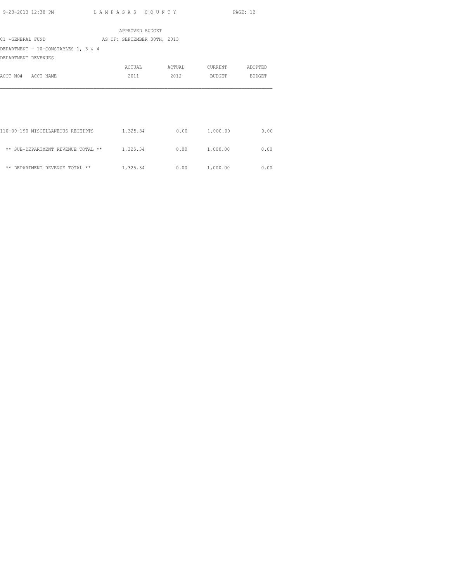|                                     | APPROVED BUDGET             |        |               |         |
|-------------------------------------|-----------------------------|--------|---------------|---------|
| 01 -GENERAL FUND                    | AS OF: SEPTEMBER 30TH, 2013 |        |               |         |
| DEPARTMENT - 10-CONSTABLES 1, 3 & 4 |                             |        |               |         |
| DEPARTMENT REVENUES                 |                             |        |               |         |
|                                     | ACTUAL                      | ACTUAL | CURRENT       | ADOPTED |
| ACCT NO# ACCT NAME                  | 2011                        | 2012   | BUDGET        | BUDGET  |
|                                     |                             |        |               |         |
|                                     |                             |        |               |         |
|                                     |                             |        |               |         |
|                                     |                             |        |               |         |
|                                     |                             |        |               |         |
| 110-00-190 MISCELLANEOUS RECEIPTS   | 1,325.34                    | 0.00   | 1,000.00      | 0.00    |
|                                     |                             |        |               |         |
| ** SUB-DEPARTMENT REVENUE TOTAL **  | 1,325.34                    |        | 0.00 1,000.00 | 0.00    |

\*\* DEPARTMENT REVENUE TOTAL \*\*  $1,325.34$  0.00  $1,000.00$  0.00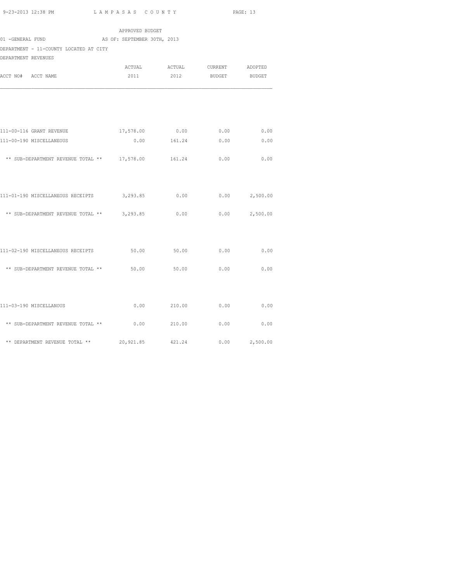|                                              | APPROVED BUDGET             |                               |               |                 |
|----------------------------------------------|-----------------------------|-------------------------------|---------------|-----------------|
| 01 -GENERAL FUND                             | AS OF: SEPTEMBER 30TH, 2013 |                               |               |                 |
| DEPARTMENT - 11-COUNTY LOCATED AT CITY       |                             |                               |               |                 |
| DEPARTMENT REVENUES                          |                             |                               |               |                 |
|                                              |                             | ACTUAL ACTUAL CURRENT ADOPTED |               |                 |
| ACCT NO# ACCT NAME                           | 2011                        | 2012                          | BUDGET BUDGET |                 |
|                                              |                             |                               |               |                 |
| 111-00-116 GRANT REVENUE                     | 17,578.00                   | 0.00                          | 0.00          | 0.00            |
| 111-00-190 MISCELLANEOUS                     |                             | $0.00$ 161.24                 | 0.00          | 0.00            |
| ** SUB-DEPARTMENT REVENUE TOTAL ** 17,578.00 |                             | 161.24                        | 0.00          | 0.00            |
| 111-01-190 MISCELLANEOUS RECEIPTS 3,293.85   |                             | 0.00                          |               | $0.00$ 2,500.00 |
| ** SUB-DEPARTMENT REVENUE TOTAL **           | 3,293.85                    | 0.00                          | 0.00          | 2,500.00        |
| 111-02-190 MISCELLANEOUS RECEIPTS            | 50.00 50.00                 |                               | 0.00          | 0.00            |
|                                              |                             |                               |               |                 |
| ** SUB-DEPARTMENT REVENUE TOTAL ** 50.00     |                             | 50.00                         | 0.00          | 0.00            |
|                                              |                             |                               |               |                 |
| 111-03-190 MISCELLANOUS                      | 0.00                        | 210.00                        | 0.00          | 0.00            |
| ** SUB-DEPARTMENT REVENUE TOTAL **           | 0.00                        | 210.00                        | 0.00          | 0.00            |
| ** DEPARTMENT REVENUE TOTAL **               | 20,921.85                   | 421.24                        | 0.00          | 2,500.00        |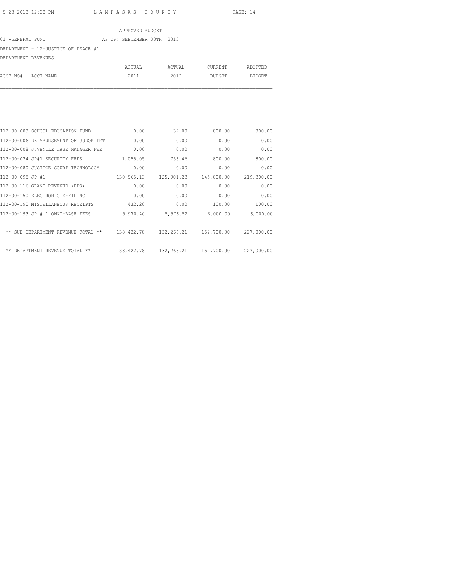#### APPROVED BUDGET 01 -GENERAL FUND AS OF: SEPTEMBER 30TH, 2013 DEPARTMENT - 12-JUSTICE OF PEACE #1 DEPARTMENT REVENUES ACTUAL ACTUAL CURRENT ADOPTED

ACCT NO# ACCT NAME 2011 2012 BUDGET BUDGET

| 112-00-003 SCHOOL EDUCATION FUND      | 0.00       | 32.00      | 800.00     | 800.00     |
|---------------------------------------|------------|------------|------------|------------|
| 112-00-006 REIMBURSEMENT OF JUROR PMT | 0.00       | 0.00       | 0.00       | 0.00       |
| 112-00-008 JUVENILE CASE MANAGER FEE  | 0.00       | 0.00       | 0.00       | 0.00       |
| 112-00-034 JP#1 SECURITY FEES         | 1,055.05   | 756.46     | 800.00     | 800.00     |
| 112-00-080 JUSTICE COURT TECHNOLOGY   | 0.00       | 0.00       | 0.00       | 0.00       |
| 112-00-095 JP #1                      | 130,965.13 | 125,901.23 | 145,000.00 | 219,300.00 |
| 112-00-116 GRANT REVENUE (DPS)        | 0.00       | 0.00       | 0.00       | 0.00       |
| 112-00-150 ELECTRONIC E-FILING        | 0.00       | 0.00       | 0.00       | 0.00       |
| 112-00-190 MISCELLANEOUS RECEIPTS     | 432.20     | 0.00       | 100.00     | 100.00     |
| 112-00-193 JP # 1 OMNI-BASE FEES      | 5,970.40   | 5,576.52   | 6,000.00   | 6,000.00   |
| ** SUB-DEPARTMENT REVENUE TOTAL **    | 138,422.78 | 132,266.21 | 152,700.00 | 227,000.00 |
| ** DEPARTMENT REVENUE TOTAL **        | 138,422.78 | 132,266.21 | 152,700.00 | 227,000.00 |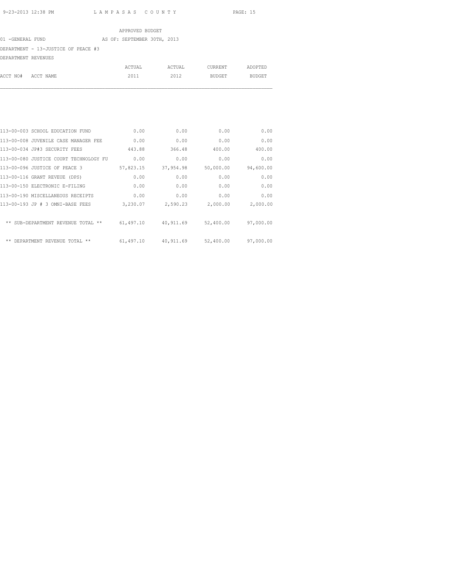#### APPROVED BUDGET

#### 01 -GENERAL FUND AS OF: SEPTEMBER 30TH, 2013

DEPARTMENT - 13-JUSTICE OF PEACE #3

DEPARTMENT REVENUES

|                    | ACTUAL | ACTUAL | CURRENT | ADOPTED |
|--------------------|--------|--------|---------|---------|
| ACCT NO# ACCT NAME | 2011   | 2012   | BUDGET  | BUDGET  |
|                    |        |        |         |         |

| 113-00-003 SCHOOL EDUCATION FUND       | 0.00      | 0.00      | 0.00      | 0.00      |
|----------------------------------------|-----------|-----------|-----------|-----------|
| 113-00-008 JUVENILE CASE MANAGER FEE   | 0.00      | 0.00      | 0.00      | 0.00      |
| 113-00-034 JP#3 SECURITY FEES          | 443.88    | 366.48    | 400.00    | 400.00    |
| 113-00-080 JUSTICE COURT TECHNOLOGY FU | 0.00      | 0.00      | 0.00      | 0.00      |
| 113-00-096 JUSTICE OF PEACE 3          | 57,823.15 | 37,954.98 | 50,000.00 | 94,600.00 |
| 113-00-116 GRANT REVEUE (DPS)          | 0.00      | 0.00      | 0.00      | 0.00      |
| 113-00-150 ELECTRONIC E-FILING         | 0.00      | 0.00      | 0.00      | 0.00      |
| 113-00-190 MISCELLANEOUS RECEIPTS      | 0.00      | 0.00      | 0.00      | 0.00      |
| 113-00-193 JP # 3 OMNI-BASE FEES       | 3,230.07  | 2,590.23  | 2,000.00  | 2,000.00  |
| ** SUB-DEPARTMENT REVENUE TOTAL **     | 61,497.10 | 40,911.69 | 52,400.00 | 97,000.00 |
| ** DEPARTMENT REVENUE TOTAL **         | 61,497.10 | 40,911.69 | 52,400.00 | 97,000.00 |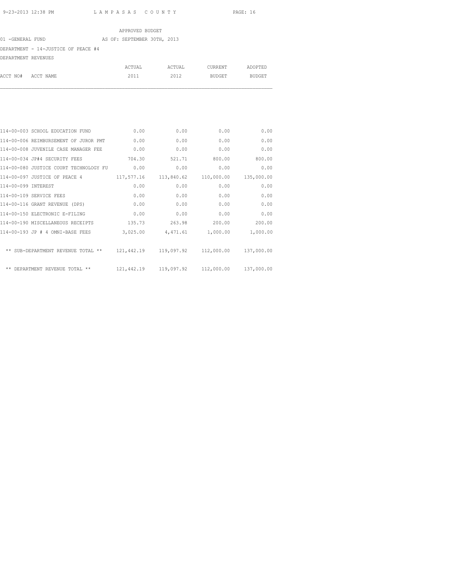|                     |                                     |  | APPROVED BUDGET             |        |         |         |
|---------------------|-------------------------------------|--|-----------------------------|--------|---------|---------|
| 01 -GENERAL FUND    |                                     |  | AS OF: SEPTEMBER 30TH, 2013 |        |         |         |
|                     | DEPARTMENT - 14-JUSTICE OF PEACE #4 |  |                             |        |         |         |
| DEPARTMENT REVENUES |                                     |  |                             |        |         |         |
|                     |                                     |  | ACTUAL                      | ACTUAL | CURRENT | ADOPTED |
| ACCT NO#            | ACCT NAME                           |  | 2011                        | 2012   | BUDGET  | BUDGET  |

|                     | 114-00-003 SCHOOL EDUCATION FUND       | 0.00       | 0.00       | 0.00                                           | 0.00       |
|---------------------|----------------------------------------|------------|------------|------------------------------------------------|------------|
|                     | 114-00-006 REIMBURSEMENT OF JUROR PMT  | 0.00       | 0.00       | 0.00                                           | 0.00       |
|                     | 114-00-008 JUVENILE CASE MANAGER FEE   | 0.00       | 0.00       | 0.00                                           | 0.00       |
|                     | 114-00-034 JP#4 SECURITY FEES          | 704.30     | 521.71     | 800.00                                         | 800.00     |
|                     | 114-00-080 JUSTICE COURT TECHNOLOGY FU | 0.00       | 0.00       | 0.00                                           | 0.00       |
|                     | 114-00-097 JUSTICE OF PEACE 4          | 117,577.16 | 113,840.62 | 110,000.00                                     | 135,000.00 |
| 114-00-099 INTEREST |                                        | 0.00       | 0.00       | 0.00                                           | 0.00       |
|                     | 114-00-109 SERVICE FEES                | 0.00       | 0.00       | 0.00                                           | 0.00       |
|                     | 114-00-116 GRANT REVENUE (DPS)         | 0.00       | 0.00       | 0.00                                           | 0.00       |
|                     | 114-00-150 ELECTRONIC E-FILING         | 0.00       | 0.00       | 0.00                                           | 0.00       |
|                     | 114-00-190 MISCELLANEOUS RECEIPTS      | 135.73     | 263.98     | 200.00                                         | 200.00     |
|                     | 114-00-193 JP # 4 OMNI-BASE FEES       | 3,025.00   | 4,471.61   | 1,000.00                                       | 1,000.00   |
|                     | ** SUB-DEPARTMENT REVENUE TOTAL **     |            |            | 121,442.19   119,097.92   112,000.00           | 137,000.00 |
|                     | ** DEPARTMENT REVENUE TOTAL **         |            |            | 121,442.19  119,097.92  112,000.00  137,000.00 |            |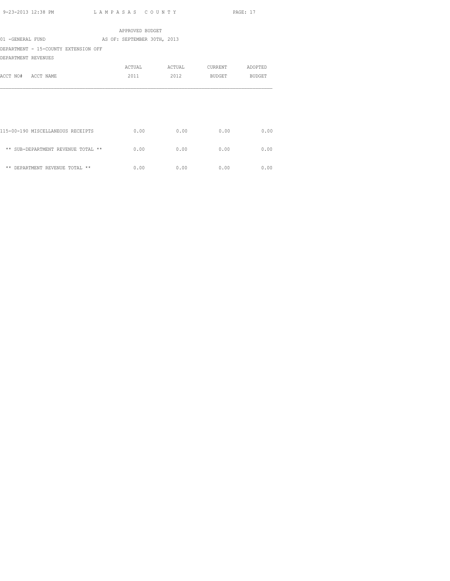|                                      | APPROVED BUDGET             |        |         |         |
|--------------------------------------|-----------------------------|--------|---------|---------|
| 01 -GENERAL FUND                     | AS OF: SEPTEMBER 30TH, 2013 |        |         |         |
| DEPARTMENT - 15-COUNTY EXTENSION OFF |                             |        |         |         |
| DEPARTMENT REVENUES                  |                             |        |         |         |
|                                      | <b>ACTUAL</b>               | ACTUAL | CURRENT | ADOPTED |
| ACCT NO# ACCT NAME                   | 2011                        | 2012   | BUDGET  | BUDGET  |
|                                      |                             |        |         |         |
|                                      |                             |        |         |         |
|                                      |                             |        |         |         |
|                                      |                             |        |         |         |
|                                      |                             |        |         |         |
| 115-00-190 MISCELLANEOUS RECEIPTS    | 0.00                        | 0.00   | 0.00    | 0.00    |
|                                      |                             |        |         |         |
| ** SUB-DEPARTMENT REVENUE TOTAL **   | 0.00                        | 0.00   | 0.00    | 0.00    |
|                                      |                             |        |         |         |
| ** DEPARTMENT REVENUE TOTAL **       | 0.00                        | 0.00   | 0.00    | 0.00    |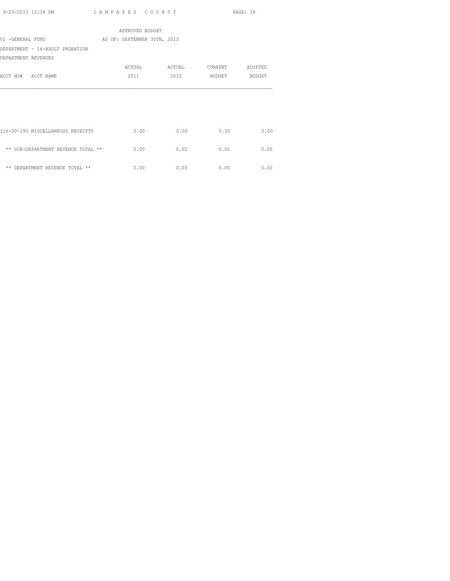|                                              | APPROVED BUDGET |      |                       |         |
|----------------------------------------------|-----------------|------|-----------------------|---------|
| 01 -GENERAL FUND AS OF: SEPTEMBER 30TH, 2013 |                 |      |                       |         |
| DEPARTMENT - 16-ADULT PROBATION              |                 |      |                       |         |
| DEPARTMENT REVENUES                          |                 |      |                       |         |
|                                              |                 |      | ACTUAL ACTUAL CURRENT | ADOPTED |
| ACCT NO# ACCT NAME                           | 2011            | 2012 | BUDGET BUDGET         |         |
|                                              |                 |      |                       |         |
|                                              |                 |      |                       |         |
|                                              |                 |      |                       |         |
|                                              |                 |      |                       |         |
|                                              |                 |      |                       |         |
| 116-00-190 MISCELLANEOUS RECEIPTS            | 0.00            | 0.00 | 0.00                  | 0.00    |
|                                              |                 |      |                       |         |
| ** SUB-DEPARTMENT REVENUE TOTAL **           | 0.00            | 0.00 | 0.00                  | 0.00    |
|                                              |                 |      |                       |         |
| ** DEPARTMENT REVENUE TOTAL **               | 0.00            | 0.00 | 0.00                  | 0.00    |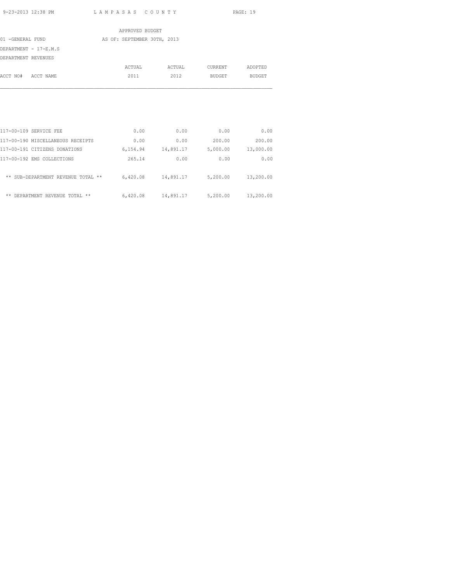|                     |                                   | APPROVED BUDGET             |                      |          |               |
|---------------------|-----------------------------------|-----------------------------|----------------------|----------|---------------|
| 01 -GENERAL FUND    |                                   | AS OF: SEPTEMBER 30TH, 2013 |                      |          |               |
|                     | DEPARTMENT - 17-E.M.S             |                             |                      |          |               |
| DEPARTMENT REVENUES |                                   |                             |                      |          |               |
|                     |                                   | ACTUAL                      | ACTUAL               | CURRENT  | ADOPTED       |
| ACCT NO#            | ACCT NAME                         | 2011                        | 2012                 | BUDGET   | <b>BUDGET</b> |
|                     |                                   |                             |                      |          |               |
|                     |                                   |                             |                      |          |               |
|                     |                                   |                             |                      |          |               |
|                     |                                   |                             |                      |          |               |
|                     | 117-00-109 SERVICE FEE            | 0.00                        | 0.00                 | 0.00     | 0.00          |
|                     | 117-00-190 MISCELLANEOUS RECEIPTS | 0.00                        | 0.00                 | 200.00   | 200.00        |
|                     | 117-00-191 CITIZENS DONATIONS     |                             | 6, 154.94 14, 891.17 | 5,000.00 | 13,000.00     |
|                     | 117-00-192 EMS COLLECTIONS        | 265.14                      | 0.00                 | 0.00     | 0.00          |
|                     |                                   |                             |                      |          |               |

| ** SUB-DEPARTMENT REVENUE TOTAL ** | 6,420.08 | 14,891.17 | 5,200.00 | 13,200.00 |
|------------------------------------|----------|-----------|----------|-----------|
| ** DEPARTMENT REVENUE TOTAL **     | 6,420.08 | 14,891.17 | 5,200.00 | 13,200.00 |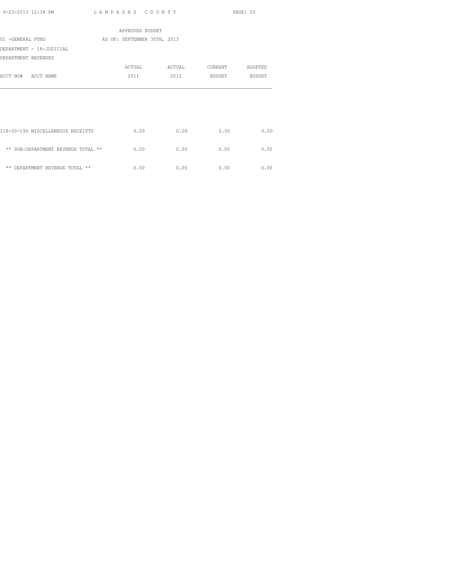|                                    | APPROVED BUDGET             |      |                               |      |
|------------------------------------|-----------------------------|------|-------------------------------|------|
| 01 -GENERAL FUND                   | AS OF: SEPTEMBER 30TH, 2013 |      |                               |      |
| DEPARTMENT - 18-JUDICIAL           |                             |      |                               |      |
| DEPARTMENT REVENUES                |                             |      |                               |      |
|                                    |                             |      | ACTUAL ACTUAL CURRENT ADOPTED |      |
| ACCT NO# ACCT NAME                 | 2011                        | 2012 | BUDGET BUDGET                 |      |
|                                    |                             |      |                               |      |
|                                    |                             |      |                               |      |
|                                    |                             |      |                               |      |
|                                    |                             |      |                               |      |
|                                    |                             |      |                               |      |
| 118-00-190 MISCELLANEOUS RECEIPTS  | 0.00                        | 0.00 | 0.00                          | 0.00 |
|                                    |                             |      |                               |      |
| ** SUB-DEPARTMENT REVENUE TOTAL ** | 0.00                        | 0.00 | 0.00                          | 0.00 |
| ** DEPARTMENT REVENUE TOTAL **     | 0.00                        | 0.00 | 0.00                          | 0.00 |
|                                    |                             |      |                               |      |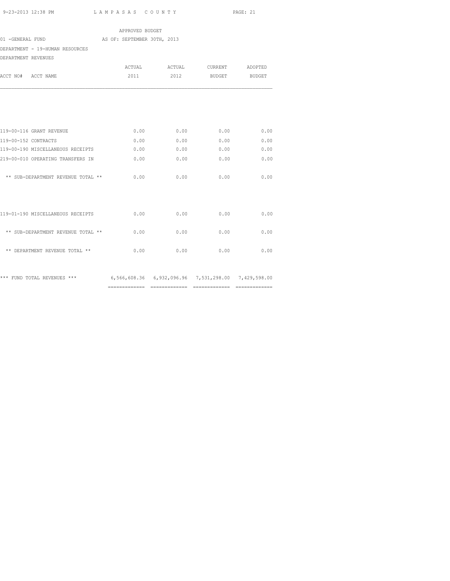============= ============= ============= =============

|                                                                                 | APPROVED BUDGET             |               |                    |      |
|---------------------------------------------------------------------------------|-----------------------------|---------------|--------------------|------|
| 01 -GENERAL FUND                                                                | AS OF: SEPTEMBER 30TH, 2013 |               |                    |      |
| DEPARTMENT - 19-HUMAN RESOURCES                                                 |                             |               |                    |      |
| DEPARTMENT REVENUES                                                             |                             |               |                    |      |
|                                                                                 |                             | ACTUAL ACTUAL | CURRENT ADOPTED    |      |
| ACCT NO# ACCT NAME                                                              | 2011                        |               | 2012 BUDGET BUDGET |      |
|                                                                                 |                             |               |                    |      |
| 119-00-116 GRANT REVENUE                                                        | 0.00                        | 0.00          | 0.00               | 0.00 |
| 119-00-152 CONTRACTS                                                            | 0.00                        | 0.00          | 0.00               | 0.00 |
| 119-00-190 MISCELLANEOUS RECEIPTS                                               | 0.00                        | 0.00          | 0.00               | 0.00 |
| 219-00-010 OPERATING TRANSFERS IN                                               | 0.00                        | 0.00          | 0.00               | 0.00 |
| ** SUB-DEPARTMENT REVENUE TOTAL **                                              | 0.00                        | 0.00          | 0.00               | 0.00 |
| 119-01-190 MISCELLANEOUS RECEIPTS                                               | 0.00                        | 0.00          | 0.00               | 0.00 |
| ** SUB-DEPARTMENT REVENUE TOTAL **                                              | 0.00                        | 0.00          | 0.00               | 0.00 |
| ** DEPARTMENT REVENUE TOTAL **                                                  | 0.00                        | 0.00          | 0.00               | 0.00 |
| *** FUND TOTAL REVENUES *** 6,566,608.36 6,932,096.96 7,531,298.00 7,429,598.00 |                             |               |                    |      |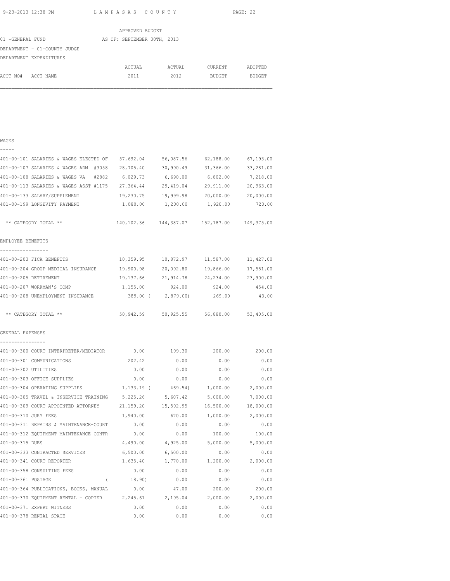|                  |                              |  | APPROVED BUDGET             |        |                |               |  |
|------------------|------------------------------|--|-----------------------------|--------|----------------|---------------|--|
| 01 -GENERAL FUND |                              |  | AS OF: SEPTEMBER 30TH, 2013 |        |                |               |  |
|                  | DEPARTMENT - 01-COUNTY JUDGE |  |                             |        |                |               |  |
|                  | DEPARTMENT EXPENDITURES      |  |                             |        |                |               |  |
|                  |                              |  | ACTUAL                      | ACTUAL | <b>CURRENT</b> | ADOPTED       |  |
| ACCT NO#         | ACCT NAME                    |  | 2011                        | 2012   | BUDGET         | <b>BUDGET</b> |  |
|                  |                              |  |                             |        |                |               |  |
|                  |                              |  |                             |        |                |               |  |
|                  |                              |  |                             |        |                |               |  |

#### WAGES -----

| 401-00-101 SALARIES & WAGES ELECTED OF           | 57,692.04  | 56,087.56                                          | 62,188.00           | 67,193.00 |
|--------------------------------------------------|------------|----------------------------------------------------|---------------------|-----------|
| 401-00-107 SALARIES & WAGES ADM #3058            | 28,705.40  | 30,990.49                                          | 31,366.00           | 33,281.00 |
| 401-00-108 SALARIES & WAGES VA #2882             | 6,029.73   | 6,690.00                                           | 6,802.00            | 7,218.00  |
| 401-00-113 SALARIES & WAGES ASST #1175 27,364.44 |            | 29,419.04                                          | 29,911.00           | 20,963.00 |
| 401-00-133 SALARY/SUPPLEMENT                     |            | 19,230.75 19,999.98 20,000.00                      |                     | 20,000.00 |
| 401-00-199 LONGEVITY PAYMENT                     |            | 1,080.00  1,200.00  1,920.00                       |                     | 720.00    |
| ** CATEGORY TOTAL **                             |            | 140, 102.36  144, 387.07  152, 187.00  149, 375.00 |                     |           |
| EMPLOYEE BENEFITS                                |            |                                                    |                     |           |
| -----------------<br>401-00-203 FICA BENEFITS    |            | 10,359.95    10,872.97    11,587.00                |                     | 11,427.00 |
| 401-00-204 GROUP MEDICAL INSURANCE 19,900.98     |            |                                                    | 20,092.80 19,866.00 | 17,581.00 |
| 401-00-205 RETIREMENT                            |            | 19,137.66 21,914.78 24,234.00                      |                     | 23,900.00 |
| 401-00-207 WORKMAN'S COMP                        | 1,155.00   | 924.00                                             | 924.00              | 454.00    |
| 401-00-208 UNEMPLOYMENT INSURANCE                |            | 389.00 ( 2,879.00)                                 | 269.00              | 43.00     |
| ** CATEGORY TOTAL **                             |            | 50,942.59 50,925.55 56,880.00 53,405.00            |                     |           |
| GENERAL EXPENSES                                 |            |                                                    |                     |           |
| ----------------                                 |            |                                                    |                     |           |
| 401-00-301 COMMUNICATIONS                        | 202.42     | 0.00                                               | 0.00                | 0.00      |
| 401-00-302 UTILITIES                             | 0.00       | 0.00                                               | 0.00                | 0.00      |
| 401-00-303 OFFICE SUPPLIES                       | 0.00       | 0.00                                               | 0.00                | 0.00      |
| 401-00-304 OPERATING SUPPLIES                    | 1,133.19 ( | 469.54)                                            | 1,000.00            | 2,000.00  |
| 401-00-305 TRAVEL & INSERVICE TRAINING           | 5,225.26   | 5,607.42                                           | 5,000.00            | 7,000.00  |
| 401-00-309 COURT APPOINTED ATTORNEY              | 21,159.20  | 15,592.95                                          | 16,500.00           | 18,000.00 |
| 401-00-310 JURY FEES                             | 1,940.00   | 670.00                                             | 1,000.00            | 2,000.00  |
| 401-00-311 REPAIRS & MAINTENANCE-COURT           | 0.00       | 0.00                                               | 0.00                | 0.00      |
| 401-00-312 EQUIPMENT MAINTENANCE CONTR           | 0.00       | 0.00                                               | 100.00              | 100.00    |
| 401-00-315 DUES                                  |            | 4,490.00 4,925.00                                  | 5,000.00            | 5,000.00  |
| 401-00-333 CONTRACTED SERVICES                   |            | 6,500.00 6,500.00                                  | 0.00                | 0.00      |
| 401-00-341 COURT REPORTER                        | 1,635.40   | 1,770.00                                           | 1,200.00            | 2,000.00  |
| 401-00-358 CONSULTING FEES                       | 0.00       | 0.00                                               | 0.00                | 0.00      |
| 401-00-361 POSTAGE<br>$\sqrt{2}$                 | 18.90)     | 0.00                                               | 0.00                | 0.00      |
| 401-00-364 PUBLICATIONS, BOOKS, MANUAL           | 0.00       | 47.00                                              | 200.00              | 200.00    |
| $401-00-370$ EQUIPMENT RENTAL - COPIER 2,245.61  |            | 2,195.04                                           | 2,000.00            | 2,000.00  |
| 401-00-371 EXPERT WITNESS                        | 0.00       | 0.00                                               | 0.00                | 0.00      |
| 401-00-378 RENTAL SPACE                          | 0.00       | 0.00                                               | 0.00                | 0.00      |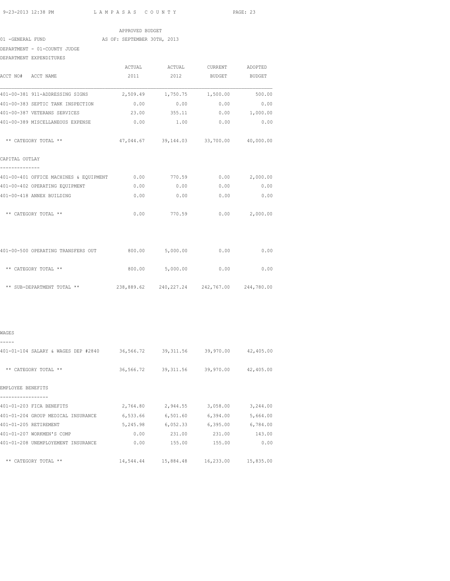|                  | APPROVED BUDGET             |  |
|------------------|-----------------------------|--|
| 01 -GENERAL FUND | AS OF: SEPTEMBER 30TH, 2013 |  |

DEPARTMENT - 01-COUNTY JUDGE

| DEPARTMENT EXPENDITURES                                                |                 |                 |                                                                                                                                                                            |               |
|------------------------------------------------------------------------|-----------------|-----------------|----------------------------------------------------------------------------------------------------------------------------------------------------------------------------|---------------|
|                                                                        |                 | ACTUAL ACTUAL   |                                                                                                                                                                            | ADOPTED       |
| ACCT NO# ACCT NAME                                                     | 2011            | 2012            | CURRENT<br><b>BUDGET</b><br>2,509.49 1,750.75 1,500.00<br>0.00<br>23.00 355.11<br>47,044.67 39,144.03 33,700.00 40,000.00<br>$0.00$ 770.59<br>0.00<br>0.00<br>0.00<br>0.00 | <b>BUDGET</b> |
| 401-00-381 911-ADDRESSING SIGNS                                        |                 |                 |                                                                                                                                                                            | 500.00        |
| 401-00-383 SEPTIC TANK INSPECTION                                      | 0.00            |                 |                                                                                                                                                                            | 0.00<br>0.00  |
| 401-00-387 VETERANS SERVICES                                           |                 |                 |                                                                                                                                                                            | 0.00 1,000.00 |
| 401-00-389 MISCELLANEOUS EXPENSE                                       | 0.00            | 1.00            | 0.00                                                                                                                                                                       | 0.00          |
| ** CATEGORY TOTAL **                                                   |                 |                 |                                                                                                                                                                            |               |
| CAPITAL OUTLAY                                                         |                 |                 |                                                                                                                                                                            |               |
| 401-00-401 OFFICE MACHINES & EQUIPMENT                                 |                 |                 | 0.00                                                                                                                                                                       | 2,000.00      |
| 401-00-402 OPERATING EQUIPMENT                                         | 0.00            | 0.00            | 0.00                                                                                                                                                                       | 0.00          |
| 401-00-418 ANNEX BUILDING                                              | 0.00            |                 |                                                                                                                                                                            | 0.00          |
| ** CATEGORY TOTAL **                                                   |                 | $0.00$ 770.59   |                                                                                                                                                                            | 0.00 2,000.00 |
|                                                                        |                 |                 |                                                                                                                                                                            |               |
| 401-00-500 OPERATING TRANSFERS OUT                                     | 800.00 5,000.00 |                 |                                                                                                                                                                            | 0.00          |
| ** CATEGORY TOTAL **                                                   |                 | 800.00 5,000.00 |                                                                                                                                                                            | 0.00          |
| ** SUB-DEPARTMENT TOTAL ** 238,889.62 240,227.24 242,767.00 244,780.00 |                 |                 |                                                                                                                                                                            |               |

| œ<br>. |  |
|--------|--|

| 401-01-104 SALARY & WAGES DEP #2840 | 36,566.72 | 39, 311.56 | 39,970.00 | 42,405.00 |
|-------------------------------------|-----------|------------|-----------|-----------|
| ** CATEGORY TOTAL **                | 36,566.72 | 39, 311.56 | 39,970.00 | 42,405.00 |
| EMPLOYEE BENEFITS                   |           |            |           |           |
| 401-01-203 FICA BENEFITS            | 2,764.80  | 2,944.55   | 3,058.00  | 3,244.00  |
| 401-01-204 GROUP MEDICAL INSURANCE  |           | 6,501.60   | 6,394.00  | 5,664.00  |
|                                     | 6,533.66  |            |           |           |
| 401-01-205 RETIREMENT               | 5,245.98  | 6,052.33   | 6, 395.00 | 6,784.00  |
| 401-01-207 WORKMEN'S COMP           | 0.00      | 231.00     | 231.00    | 143.00    |
| 401-01-208 UNEMPLOYEMENT INSURANCE  | 0.00      | 155.00     | 155.00    | 0.00      |
| ** CATEGORY TOTAL **                | 14,544.44 | 15,884.48  | 16,233.00 | 15,835.00 |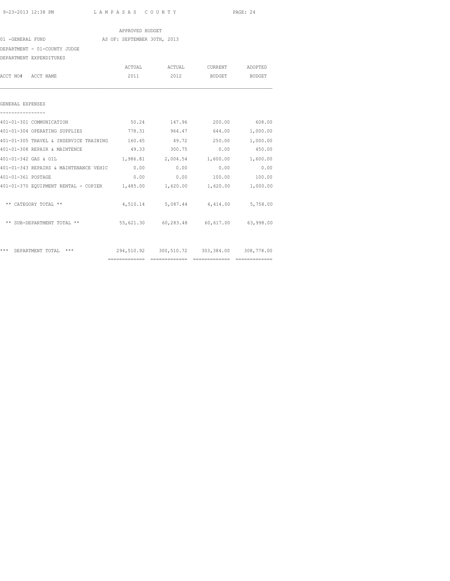|                                                                          | APPROVED BUDGET |                                             |                      |        |
|--------------------------------------------------------------------------|-----------------|---------------------------------------------|----------------------|--------|
| 01 -GENERAL FUND AS OF: SEPTEMBER 30TH, 2013                             |                 |                                             |                      |        |
| DEPARTMENT - 01-COUNTY JUDGE                                             |                 |                                             |                      |        |
| DEPARTMENT EXPENDITURES                                                  |                 |                                             |                      |        |
|                                                                          |                 | ACTUAL ACTUAL CURRENT ADOPTED               |                      |        |
| ACCT NO# ACCT NAME                                                       |                 | 2011 2012 BUDGET BUDGET                     |                      |        |
| GENERAL EXPENSES                                                         |                 |                                             |                      |        |
| 401-01-301 COMMUNICATION                                                 |                 | $50.24$ 147.96 200.00 608.00                |                      |        |
| 401-01-304 OPERATING SUPPLIES<br>778.31 964.47 644.00 1,000.00           |                 |                                             |                      |        |
| 401-01-305 TRAVEL & INSERVICE TRAINING $160.45$ 49.72 250.00 1,000.00    |                 |                                             |                      |        |
| 401-01-308 REPAIR & MAINTENCE                                            |                 | 49.33 300.75 0.00                           |                      | 450.00 |
| 401-01-342 GAS & OIL                                                     |                 | $1,986.81$ $2,004.54$ $1,600.00$ $1,600.00$ |                      |        |
| 401-01-343 REPAIRS & MAINTENANCE VEHIC 0.00                              |                 | 0.00                                        | 0.00                 | 0.00   |
| 401-01-361 POSTAGE                                                       | 0.00            |                                             | $0.00$ 100.00 100.00 |        |
| 401-01-370 EQUIPMENT RENTAL - COPIER 1,485.00 1,620.00 1,620.00 1,000.00 |                 |                                             |                      |        |
| ** CATEGORY TOTAL **                                                     |                 | 4,510.14 5,087.44 4,414.00 5,758.00         |                      |        |
| ** SUB-DEPARTMENT TOTAL ** 55,621.30 60,283.48 60,617.00 63,998.00       |                 |                                             |                      |        |
| *** DEPARTMENT TOTAL ***                                                 |                 | 294,510.92 300,510.72 303,384.00 308,778.00 |                      |        |

============= ============= ============= =============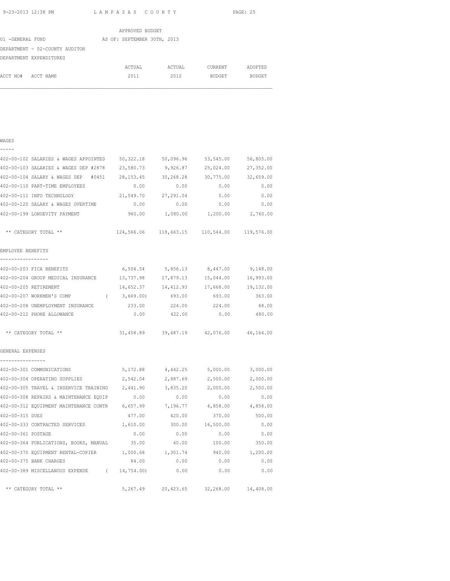WAGES

9-23-2013 12:38 PM L A M P A S A S C O U N T Y PAGE: 25

|                                | APPROVED BUDGET             |        |         |               |
|--------------------------------|-----------------------------|--------|---------|---------------|
| 01 -GENERAL FUND               | AS OF: SEPTEMBER 30TH, 2013 |        |         |               |
| DEPARTMENT - 02-COUNTY AUDITOR |                             |        |         |               |
| DEPARTMENT EXPENDITURES        |                             |        |         |               |
|                                | ACTUAL                      | ACTUAL | CURRENT | ADOPTED       |
| ACCT NO#<br>ACCT NAME          | 2011                        | 2012   | BUDGET  | <b>BUDGET</b> |
|                                |                             |        |         |               |

## ----- 402-00-102 SALARIES & WAGES APPOINTED 50,322.18 50,096.96 53,545.00 56,805.00 402-00-103 SALARIES & WAGES DEP #2878 23,580.73 9,926.87 25,024.00 27,352.00 402-00-104 SALARY & WAGES DEP #0451 28,153.45 30,268.28 30,775.00 32,659.00 402-00-110 PART-TIME EMPLOYEES 0.00 0.00 0.00 0.00 402-00-111 INFO TECHNOLOGY 21,549.70 27,291.04 0.00 0.00 402-00-120 SALARY & WAGES OVERTIME 0.00 0.00 0.00 0.00 402-00-199 LONGEVITY PAYMENT 960.00 1,080.00 1,200.00 2,760.00 \*\* CATEGORY TOTAL \*\* 124,566.06 118,663.15 110,544.00 119,576.00 EMPLOYEE BENEFITS ----------------- 402-00-203 FICA BENEFITS 6,504.54 5,856.13 8,447.00 9,148.00 402-00-204 GROUP MEDICAL INSURANCE 13,737.98 17,879.13 15,044.00 16,993.00 402-00-205 RETIREMENT 14,652.37 14,412.93 17,668.00 19,132.00 402-00-207 WORKMEN'S COMP ( 3,669.00) 693.00 693.00 363.00 402-00-208 UNEMPLOYMENT INSURANCE 233.00 224.00 224.00 48.00 402-00-212 PHONE ALLOWANCE 0.00 422.00 0.00 480.00 \*\* CATEGORY TOTAL \*\* 31,458.89 39,487.19 42,076.00 46,164.00 GENERAL EXPENSES ---------------- 402-00-301 COMMUNICATIONS 5,172.88 4,442.25 5,000.00 3,000.00 402-00-304 OPERATING SUPPLIES 2,542.04 2,887.69 2,500.00 2,000.00 402-00-305 TRAVEL & INSERVICE TRAINING 2,441.90 3,835.20 2,000.00 2,500.00 402-00-308 REPAIRS & MAINTENANCE EQUIP 0.00 0.00 0.00 0.00 402-00-312 EQUIPMENT MAINTENANCE CONTR 6,657.99 7,196.77 4,858.00 4,858.00 402-00-315 DUES 477.00 420.00 370.00 500.00 402-00-333 CONTRACTED SERVICES 1,610.00 300.00 16,500.00 0.00 402-00-361 POSTAGE 0.00 0.00 0.00 0.00 402-00-364 PUBLICATIONS, BOOKS, MANUAL 35.00 40.00 100.00 350.00 402-00-370 EQUIPMENT RENTAL-COPIER 1,000.68 1,301.74 940.00 1,200.00 402-00-375 BANK CHARGES 84.00 0.00 0.00 0.00 402-00-389 MISCELLANOUS EXPENSE ( 14,754.00) 0.00 0.00 0.00 \*\* CATEGORY TOTAL \*\* 5,267.49 20,423.65 32,268.00 14,408.00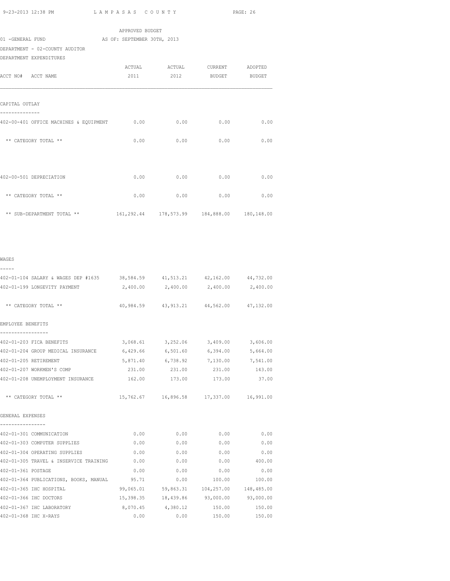| 9-23-2013 12:38 PM                                                                   | LAMPASAS COUNTY                                |          |                                         | PAGE: 26 |
|--------------------------------------------------------------------------------------|------------------------------------------------|----------|-----------------------------------------|----------|
|                                                                                      | APPROVED BUDGET                                |          |                                         |          |
| 01 -GENERAL FUND                                                                     | AS OF: SEPTEMBER 30TH, 2013                    |          |                                         |          |
| DEPARTMENT - 02-COUNTY AUDITOR                                                       |                                                |          |                                         |          |
| DEPARTMENT EXPENDITURES                                                              |                                                |          |                                         |          |
|                                                                                      | ACTUAL                                         | ACTUAL   | CURRENT                                 | ADOPTED  |
| ACCT NO# ACCT NAME                                                                   | 2011                                           | 2012     | <b>BUDGET</b>                           | BUDGET   |
| CAPITAL OUTLAY<br>--------------                                                     |                                                |          |                                         |          |
| 402-00-401 OFFICE MACHINES & EQUIPMENT                                               | 0.00                                           | 0.00     | 0.00                                    | 0.00     |
| ** CATEGORY TOTAL **                                                                 | 0.00                                           | 0.00     | 0.00                                    | 0.00     |
| 402-00-501 DEPRECIATION                                                              | 0.00                                           | 0.00     | 0.00                                    | 0.00     |
| ** CATEGORY TOTAL **                                                                 | 0.00                                           | 0.00     | 0.00                                    | 0.00     |
| ** SUB-DEPARTMENT TOTAL **                                                           | 161,292.44  178,573.99  184,888.00  180,148.00 |          |                                         |          |
| WAGES                                                                                |                                                |          |                                         |          |
| -----<br>402-01-104 SALARY & WAGES DEP #1635 38,584.59 41,513.21 42,162.00 44,732.00 |                                                |          |                                         |          |
| 402-01-199 LONGEVITY PAYMENT                                                         | 2,400.00                                       | 2,400.00 | 2,400.00                                | 2,400.00 |
| ** CATEGORY TOTAL **                                                                 |                                                |          | 40,984.59 43,913.21 44,562.00 47,132.00 |          |
| EMPLOYEE BENEFITS<br>-----------------                                               |                                                |          |                                         |          |
| 402-01-203 FICA BENEFITS                                                             | 3,068.61                                       | 3,252.06 | 3,409.00                                | 3,606.00 |
| 402-01-204 GROUP MEDICAL INSURANCE                                                   | 6,429.66                                       | 6,501.60 | 6,394.00                                | 5,664.00 |
| 402-01-205 RETIREMENT                                                                | 5,871.40                                       | 6,738.92 | 7,130.00                                | 7,541.00 |
| 402-01-207 WORKMEN'S COMP                                                            | 231.00                                         | 231.00   | 231.00                                  | 143.00   |
| 402-01-208 UNEMPLOYMENT INSURANCE                                                    | 162.00                                         | 173.00   | 173.00                                  | 37.00    |

| GENERAL EXPENSES              |      |      |      |      |
|-------------------------------|------|------|------|------|
| 402-01-301 COMMUNICATION      | 0.00 | 0.00 | 0.00 | 0.00 |
| 402-01-303 COMPUTER SUPPLIES  | 0.00 | 0.00 | 0.00 | 0.00 |
| 402-01-304 OPERATING SUPPLIES | 0.00 | 0.00 | 0.00 | 0.00 |
|                               |      |      |      |      |

|                    | 402-01-303 COMPUTER SUPPLIES           | 0.00      | 0.00      | 0.00       | 0.00       |
|--------------------|----------------------------------------|-----------|-----------|------------|------------|
|                    | 402-01-304 OPERATING SUPPLIES          | 0.00      | 0.00      | 0.00       | 0.00       |
|                    | 402-01-305 TRAVEL & INSERVICE TRAINING | 0.00      | 0.00      | 0.00       | 400.00     |
| 402-01-361 POSTAGE |                                        | 0.00      | 0.00      | 0.00       | 0.00       |
|                    | 402-01-364 PUBLICATIONS, BOOKS, MANUAL | 95.71     | 0.00      | 100.00     | 100.00     |
|                    | 402-01-365 IHC HOSPITAL                | 99,065.01 | 59,863.31 | 104,257.00 | 148,485.00 |
|                    | 402-01-366 IHC DOCTORS                 | 15,398.35 | 18,439.86 | 93,000.00  | 93,000.00  |
|                    | 402-01-367 IHC LABORATORY              | 8,070.45  | 4,380.12  | 150.00     | 150.00     |
|                    | 402-01-368 IHC X-RAYS                  | 0.00      | 0.00      | 150.00     | 150.00     |

\*\* CATEGORY TOTAL \*\* 15,762.67 16,896.58 17,337.00 16,991.00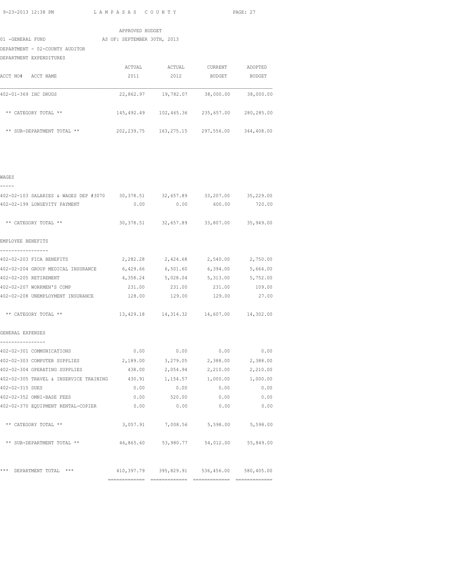|                                | APPROVED BUDGET             |            |            |            |
|--------------------------------|-----------------------------|------------|------------|------------|
|                                |                             |            |            |            |
| 01 -GENERAL FUND               | AS OF: SEPTEMBER 30TH, 2013 |            |            |            |
| DEPARTMENT - 02-COUNTY AUDITOR |                             |            |            |            |
| DEPARTMENT EXPENDITURES        |                             |            |            |            |
|                                | ACTUAL                      | ACTUAL     | CURRENT    | ADOPTED    |
| ACCT NO#<br>ACCT NAME          | 2011                        | 2012       | BUDGET     | BUDGET     |
| 402-01-369 IHC DRUGS           | 22,862.97                   | 19,782.07  | 38,000.00  | 38,000.00  |
| ** CATEGORY TOTAL **           | 145,492.49                  | 102,465.36 | 235,657.00 | 280,285.00 |
| ** SUB-DEPARTMENT TOTAL **     | 202, 239.75                 | 163,275.15 | 297,556.00 | 344,408.00 |
|                                |                             |            |            |            |

| ۰,<br>٠<br>۰, |  |
|---------------|--|

| 402-02-103 SALARIES & WAGES DEP #3070 30,378.51 32,657.89 33,207.00 35,229.00   |        |          |                                             |                   |
|---------------------------------------------------------------------------------|--------|----------|---------------------------------------------|-------------------|
| 402-02-199 LONGEVITY PAYMENT                                                    |        |          | $0.00$ $0.00$ $600.00$ $720.00$             |                   |
| ** CATEGORY TOTAL **                                                            |        |          | 30, 378.51 32, 657.89 33, 807.00 35, 949.00 |                   |
| EMPLOYEE BENEFITS                                                               |        |          |                                             |                   |
| -----------------                                                               |        |          |                                             |                   |
| 402-02-203 FICA BENEFITS                                                        |        |          | $2,282.28$ $2,424.68$ $2,540.00$ $2,750.00$ |                   |
| 402-02-204 GROUP MEDICAL INSURANCE 6,429.66 6,501.60 6,394.00 5,664.00          |        |          |                                             |                   |
| 402-02-205 RETIREMENT                                                           |        |          | 4, 358.24 5, 028.04 5, 313.00 5, 752.00     |                   |
| 402-02-207 WORKMEN'S COMP                                                       |        |          | 231.00  231.00  231.00  109.00              |                   |
| 402-02-208 UNEMPLOYMENT INSURANCE 128.00 129.00 129.00 27.00                    |        |          |                                             |                   |
| ** CATEGORY TOTAL **                                                            |        |          | 13,429.18  14,314.32  14,607.00  14,302.00  |                   |
| GENERAL EXPENSES                                                                |        |          |                                             |                   |
| ----------------<br>402-02-301 COMMUNICATIONS                                   |        |          | $0.00$ $0.00$ $0.00$ $0.00$ $0.00$          |                   |
| 402-02-303 COMPUTER SUPPLIES                                                    |        |          | 2,189.00 3,279.05 2,388.00 2,388.00         |                   |
| 402-02-304 OPERATING SUPPLIES                                                   | 438.00 | 2,054.94 |                                             | 2,210.00 2,210.00 |
| 402-02-305 TRAVEL & INSERVICE TRAINING $430.91$ 1, $154.57$ 1, 000.00 1, 000.00 |        |          |                                             |                   |
| 402-02-315 DUES                                                                 |        |          | $0.00$ $0.00$ $0.00$ $0.00$ $0.00$          |                   |
| 402-02-352 OMNI-BASE FEES                                                       | 0.00   | 520.00   | 0.00                                        | 0.00              |
| 402-02-370 EQUIPMENT RENTAL-COPIER                                              | 0.00   | 0.00     | 0.00                                        | 0.00              |
| ** CATEGORY TOTAL **                                                            |        |          | 3,057.91 7,008.56 5,598.00 5,598.00         |                   |
| ** SUB-DEPARTMENT TOTAL ** 46,865.60 53,980.77 54,012.00 55,849.00              |        |          |                                             |                   |
| *** DEPARTMENT TOTAL *** 410,397.79 395,829.91 536,456.00 580,405.00            |        |          |                                             |                   |
|                                                                                 |        |          |                                             |                   |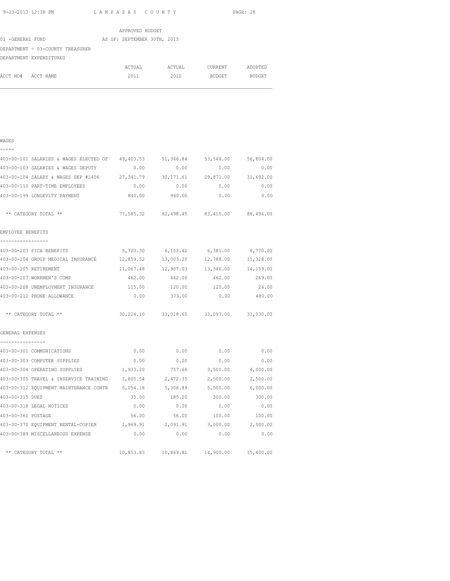|                                  | APPROVED BUDGET             |        |               |         |
|----------------------------------|-----------------------------|--------|---------------|---------|
| 01 -GENERAL FUND                 | AS OF: SEPTEMBER 30TH, 2013 |        |               |         |
| DEPARTMENT - 03-COUNTY TREASURER |                             |        |               |         |
| DEPARTMENT EXPENDITURES          |                             |        |               |         |
|                                  | ACTUAL                      | ACTUAL | CURRENT       | ADOPTED |
| ACCT NO#<br>ACCT NAME            | 2011                        | 2012   | <b>BUDGET</b> | BUDGET  |

| $\overline{\phantom{0}}$ | - | - | - |  |
|--------------------------|---|---|---|--|
|                          |   |   |   |  |

| 403-00-101 SALARIES & WAGES ELECTED OF                                      | 49,403.53 | 51,366.84                                  | 53,544.00 | 56,804.00     |
|-----------------------------------------------------------------------------|-----------|--------------------------------------------|-----------|---------------|
| 403-00-103 SALARIES & WAGES DEPUTY                                          | 0.00      | 0.00                                       | 0.00      | 0.00          |
| 403-00-104 SALARY & WAGES DEP #1406 27,341.79 30,171.61 29,871.00 31,692.00 |           |                                            |           |               |
| 403-00-110 PART-TIME EMPLOYEES                                              |           | $0.00$ 0.00                                |           | $0.00$ 0.00   |
| 403-00-199 LONGEVITY PAYMENT                                                | 840.00    | 960.00                                     | 0.00      | 0.00          |
| ** CATEGORY TOTAL **                                                        |           | 77,585.32 82,498.45 83,415.00 88,496.00    |           |               |
| EMPLOYEE BENEFITS                                                           |           |                                            |           |               |
| 403-00-203 FICA BENEFITS                                                    |           | 5,720.30 6,153.42 6,381.00 6,770.00        |           |               |
| 403-00-204 GROUP MEDICAL INSURANCE 12,859.32 13,003.20 12,788.00 11,328.00  |           |                                            |           |               |
| 403-00-205 RETIREMENT                                                       |           | 11,067.48 12,907.03 13,346.00 14,159.00    |           |               |
| 403-00-207 WORKMEN'S COMP                                                   |           | 462.00  462.00  462.00  269.00             |           |               |
| 403-00-208 UNEMPLOYMENT INSURANCE                                           | 115.00    | 120.00                                     | 120.00    | 24.00         |
| 403-00-212 PHONE ALLOWANCE                                                  | 0.00      | 373.00                                     | 0.00      | 480.00        |
| ** CATEGORY TOTAL **                                                        |           | 30,224.10 33,018.65 33,097.00 33,030.00    |           |               |
| GENERAL EXPENSES                                                            |           |                                            |           |               |
| ----------------<br>403-00-301 COMMUNICATIONS                               | 0.00      | 0.00                                       | 0.00      | 0.00          |
| 403-00-303 COMPUTER SUPPLIES                                                | 0.00      | 0.00                                       | 0.00      | 0.00          |
| 403-00-304 OPERATING SUPPLIES $1,933.20$ 757.66 3,500.00 4,000.00           |           |                                            |           |               |
| 403-00-305 TRAVEL & INSERVICE TRAINING                                      |           | 1,805.54 2,472.35                          | 2,500.00  | 2,500.00      |
| 403-00-312 EQUIPMENT MAINTENANCE CONTR 5,054.18 5,306.89 5,500.00 6,000.00  |           |                                            |           |               |
| 403-00-315 DUES                                                             |           | 35.00 185.00                               |           | 300.00 300.00 |
| 403-00-318 LEGAL NOTICES                                                    | 0.00      | 0.00                                       | 0.00      | 0.00          |
| 403-00-361 POSTAGE                                                          | 56.00     | 56.00                                      | 100.00    | 100.00        |
| 403-00-370 EQUIPMENT RENTAL-COPIER 1,969.91 2,091.91 3,000.00 2,500.00      |           |                                            |           |               |
| 403-00-389 MISCELLANEOUS EXPENSE                                            | 0.00      | 0.00                                       | 0.00      | 0.00          |
| ** CATEGORY TOTAL **                                                        |           | 10,853.83  10,869.81  14,900.00  15,400.00 |           |               |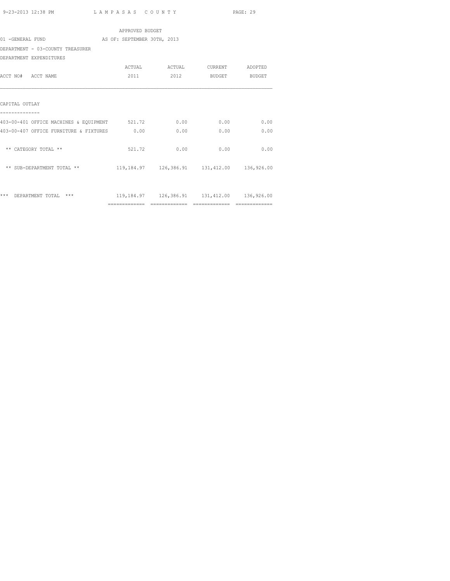|                                               | APPROVED BUDGET |                                                           |      |               |
|-----------------------------------------------|-----------------|-----------------------------------------------------------|------|---------------|
| 01 -GENERAL FUND AS OF: SEPTEMBER 30TH, 2013  |                 |                                                           |      |               |
| DEPARTMENT - 03-COUNTY TREASURER              |                 |                                                           |      |               |
| DEPARTMENT EXPENDITURES                       |                 |                                                           |      |               |
|                                               |                 |                                                           |      |               |
| ACCT NO# ACCT NAME                            | 2011            | 2012                                                      |      | BUDGET BUDGET |
|                                               |                 |                                                           |      |               |
| CAPITAL OUTLAY                                |                 |                                                           |      |               |
| 403-00-401 OFFICE MACHINES & EOUIPMENT 521.72 |                 | 0.00                                                      | 0.00 | 0.00          |
| 403-00-407 OFFICE FURNITURE & FIXTURES 0.00   |                 | 0.00                                                      | 0.00 | 0.00          |
| ** CATEGORY TOTAL **                          | 521.72          | 0.00                                                      | 0.00 | 0.00          |
| ** SUB-DEPARTMENT TOTAL **                    |                 | 119,184.97   126,386.91   131,412.00   136,926.00         |      |               |
|                                               |                 |                                                           |      |               |
| *** DEPARTMENT TOTAL ***                      |                 | 119, 184. 97   126, 386. 91   131, 412. 00   136, 926. 00 |      |               |
|                                               |                 |                                                           |      |               |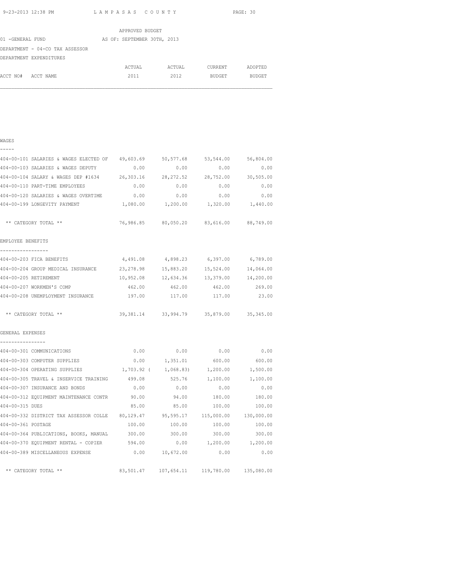WAGES

9-23-2013 12:38 PM L A M P A S A S C O U N T Y PAGE: 30

|                                 | APPROVED BUDGET             |        |         |         |
|---------------------------------|-----------------------------|--------|---------|---------|
| 01 -GENERAL FUND                | AS OF: SEPTEMBER 30TH, 2013 |        |         |         |
| DEPARTMENT - 04-CO TAX ASSESSOR |                             |        |         |         |
| DEPARTMENT EXPENDITURES         |                             |        |         |         |
|                                 | ACTUAL                      | ACTUAL | CURRENT | ADOPTED |
| ACCT NO#<br>ACCT NAME           | 2011                        | 2012   | BUDGET  | BUDGET  |

# ----- 404-00-101 SALARIES & WAGES ELECTED OF 49,603.69 50,577.68 53,544.00 56,804.00 404-00-103 SALARIES & WAGES DEPUTY 0.00 0.00 0.00 0.00 404-00-104 SALARY & WAGES DEP #1634 26,303.16 28,272.52 28,752.00 30,505.00 404-00-110 PART-TIME EMPLOYEES 0.00 0.00 0.00 0.00 404-00-120 SALARIES & WAGES OVERTIME 0.00 0.00 0.00 0.00 404-00-199 LONGEVITY PAYMENT 1,080.00 1,200.00 1,320.00 1,440.00 \*\* CATEGORY TOTAL \*\* 76,986.85 80,050.20 83,616.00 88,749.00 EMPLOYEE BENEFITS ----------------- 404-00-203 FICA BENEFITS 4,491.08 4,898.23 6,397.00 6,789.00 404-00-204 GROUP MEDICAL INSURANCE 23,278.98 15,883.20 15,524.00 14,064.00 404-00-205 RETIREMENT 10,952.08 12,634.36 13,379.00 14,200.00 404-00-207 WORKMEN'S COMP 462.00 462.00 462.00 269.00 404-00-208 UNEMPLOYMENT INSURANCE 197.00 117.00 117.00 23.00 \*\* CATEGORY TOTAL \*\* 39,381.14 33,994.79 35,879.00 35,345.00 GENERAL EXPENSES ---------------- 404-00-301 COMMUNICATIONS 0.00 0.00 0.00 0.00 404-00-303 COMPUTER SUPPLIES 0.00 1,351.01 600.00 600.00 404-00-304 OPERATING SUPPLIES 1,703.92 ( 1,068.83) 1,200.00 1,500.00 404-00-305 TRAVEL & INSERVICE TRAINING 499.08 525.76 1,100.00 1,100.00 404-00-307 INSURANCE AND BONDS 0.00 0.00 0.00 0.00 404-00-312 EQUIPMENT MAINTENANCE CONTR 90.00 94.00 180.00 180.00 404-00-315 DUES 85.00 85.00 100.00 100.00 404-00-332 DISTRICT TAX ASSESSOR COLLE 80,129.47 95,595.17 115,000.00 130,000.00 404-00-361 POSTAGE 100.00 100.00 100.00 100.00 404-00-364 PUBLICATIONS, BOOKS, MANUAL 300.00 300.00 300.00 300.00 404-00-370 EQUIPMENT RENTAL - COPIER 594.00 0.00 1,200.00 1,200.00 404-00-389 MISCELLANEOUS EXPENSE 0.00 10,672.00 0.00 0.00 \*\* CATEGORY TOTAL \*\* 83,501.47 107,654.11 119,780.00 135,080.00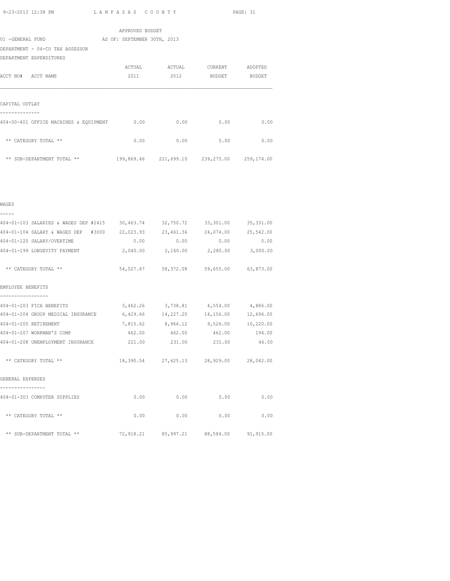|                                        | APPROVED BUDGET                             |      |                 |        |
|----------------------------------------|---------------------------------------------|------|-----------------|--------|
| 01 -GENERAL FUND                       | AS OF: SEPTEMBER 30TH, 2013                 |      |                 |        |
| DEPARTMENT - 04-CO TAX ASSESSOR        |                                             |      |                 |        |
| DEPARTMENT EXPENDITURES                |                                             |      |                 |        |
|                                        | ACTUAL ACTUAL                               |      | CURRENT ADOPTED |        |
| ACCT NO# ACCT NAME                     | 2011                                        | 2012 | BUDGET          | BUDGET |
|                                        |                                             |      |                 |        |
|                                        |                                             |      |                 |        |
| CAPITAL OUTLAY                         |                                             |      |                 |        |
|                                        |                                             |      |                 |        |
| 404-00-401 OFFICE MACHINES & EQUIPMENT | 0.00                                        | 0.00 | 0.00            | 0.00   |
|                                        |                                             |      |                 |        |
| ** CATEGORY TOTAL **                   | 0.00                                        | 0.00 | 0.00            | 0.00   |
|                                        |                                             |      |                 |        |
| ** SUB-DEPARTMENT TOTAL **             | 199,869.46 221,699.10 239,275.00 259,174.00 |      |                 |        |
|                                        |                                             |      |                 |        |

|  | × | ٠<br>۰. |
|--|---|---------|
|  |   |         |

404-01-103 SALARIES & WAGES DEP #2415 30,463.74 32,750.72 33,301.00 35,331.00 404-01-104 SALARY & WAGES DEP #3000 22,023.93 23,461.36 24,074.00 25,542.00 404-01-120 SALARY/OVERTIME 0.00 0.00 0.00 0.00 404-01-199 LONGEVITY PAYMENT 2,040.00 2,160.00 2,280.00 3,000.00 \*\* CATEGORY TOTAL \*\* 54,527.67 58,372.08 59,655.00 63,873.00 EMPLOYEE BENEFITS ----------------- 404-01-203 FICA BENEFITS 3,462.26 3,738.81 4,554.00 4,886.00 404-01-204 GROUP MEDICAL INSURANCE 6,429.66 14,227.20 14,156.00 12,696.00 404-01-205 RETIREMENT 7,815.62 8,966.12 9,526.00 10,220.00 404-01-207 WORKMAN'S COMP 462.00 462.00 462.00 194.00 404-01-208 UNEMPLOYMENT INSURANCE 221.00 231.00 231.00 46.00 \*\* CATEGORY TOTAL \*\* 18,390.54 27,625.13 28,929.00 28,042.00 GENERAL EXPENSES ---------------- 404-01-303 COMPUTER SUPPLIES 0.00 0.00 0.00 0.00  $**$  CATEGORY TOTAL  $**$  0.00 0.00 0.00 0.00 0.00 0.00 \*\* SUB-DEPARTMENT TOTAL \*\* 72,918.21 85,997.21 88,584.00 91,915.00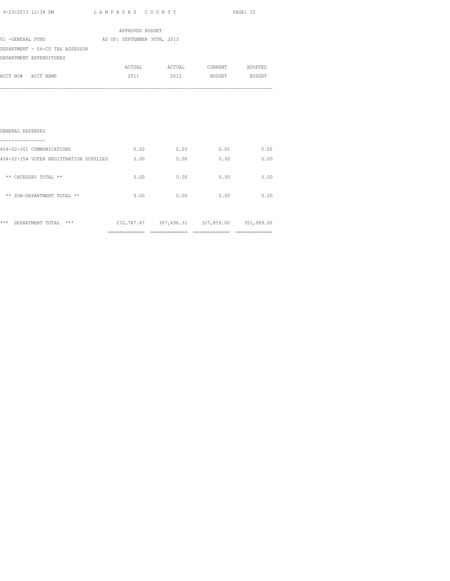| 9-23-2013 12:38 PM                     | LAMPASAS COUNTY             |                                             |                    | PAGE: 32 |
|----------------------------------------|-----------------------------|---------------------------------------------|--------------------|----------|
|                                        | APPROVED BUDGET             |                                             |                    |          |
| 01 -GENERAL FUND                       | AS OF: SEPTEMBER 30TH, 2013 |                                             |                    |          |
| DEPARTMENT - 04-CO TAX ASSESSOR        |                             |                                             |                    |          |
| DEPARTMENT EXPENDITURES                |                             |                                             |                    |          |
|                                        |                             |                                             |                    |          |
| ACCT NO# ACCT NAME                     | 2011                        |                                             | 2012 BUDGET BUDGET |          |
|                                        |                             |                                             |                    |          |
|                                        |                             |                                             |                    |          |
|                                        |                             |                                             |                    |          |
|                                        |                             |                                             |                    |          |
|                                        |                             |                                             |                    |          |
| GENERAL EXPENSES                       |                             |                                             |                    |          |
| 404-02-301 COMMUNICATIONS              | 0.00                        | 0.00                                        | 0.00               | 0.00     |
| 404-02-354 VOTER REGISTRATION SUPPLIES | 0.00                        | 0.00                                        | 0.00               | 0.00     |
|                                        |                             |                                             |                    |          |
| ** CATEGORY TOTAL **                   | 0.00                        | 0.00                                        | 0.00               | 0.00     |
|                                        |                             |                                             |                    |          |
| ** SUB-DEPARTMENT TOTAL **             | 0.00                        | 0.00                                        | 0.00               | 0.00     |
|                                        |                             |                                             |                    |          |
|                                        |                             |                                             |                    |          |
| *** DEPARTMENT TOTAL ***               |                             | 272,787.67 307,696.31 327,859.00 351,089.00 |                    |          |

============= ============= ============= =============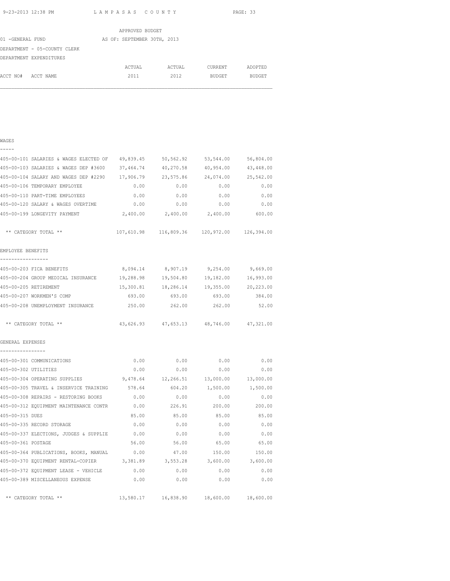WAGES -----

9-23-2013 12:38 PM L A M P A S A S C O U N T Y PAGE: 33

|                              | APPROVED BUDGET             |        |               |               |
|------------------------------|-----------------------------|--------|---------------|---------------|
| 01 -GENERAL FUND             | AS OF: SEPTEMBER 30TH, 2013 |        |               |               |
| DEPARTMENT - 05-COUNTY CLERK |                             |        |               |               |
| DEPARTMENT EXPENDITURES      |                             |        |               |               |
|                              | ACTUAL                      | ACTUAL | CURRENT       | ADOPTED       |
| ACCT NO#<br>ACCT NAME        | 2011                        | 2012   | <b>BUDGET</b> | <b>BUDGET</b> |

| 405-00-101 SALARIES & WAGES ELECTED OF 49,839.45 |           | 50,562.92                                      | 53,544.00 | 56,804.00 |
|--------------------------------------------------|-----------|------------------------------------------------|-----------|-----------|
| 405-00-103 SALARIES & WAGES DEP #3600            |           | 37,464.74 40,270.58                            | 40,954.00 | 43,448.00 |
| 405-00-104 SALARY AND WAGES DEP #2290            |           | 17,906.79 23,575.86                            | 24,074.00 | 25,542.00 |
| 405-00-106 TEMPORARY EMPLOYEE                    | 0.00      | 0.00                                           | 0.00      | 0.00      |
| 405-00-110 PART-TIME EMPLOYEES                   | 0.00      | 0.00                                           | 0.00      | 0.00      |
| 405-00-120 SALARY & WAGES OVERTIME               | 0.00      | 0.00                                           | 0.00      | 0.00      |
| 405-00-199 LONGEVITY PAYMENT                     |           | 2,400.00 2,400.00 2,400.00                     |           | 600.00    |
| ** CATEGORY TOTAL **                             |           | 107,610.98  116,809.36  120,972.00  126,394.00 |           |           |
| EMPLOYEE BENEFITS                                |           |                                                |           |           |
| 405-00-203 FICA BENEFITS                         |           | 8,094.14 8,907.19 9,254.00                     |           | 9,669.00  |
| 405-00-204 GROUP MEDICAL INSURANCE               | 19,288.98 | 19,504.80                                      | 19,182.00 | 16,993.00 |
| 405-00-205 RETIREMENT                            | 15,300.81 | 18,286.14                                      | 19,355.00 | 20,223.00 |
| 405-00-207 WORKMEN'S COMP                        | 693.00    | 693.00                                         | 693.00    | 384.00    |
| 405-00-208 UNEMPLOYMENT INSURANCE                | 250.00    | 262.00                                         | 262.00    | 52.00     |
| ** CATEGORY TOTAL **                             |           | 43,626.93 47,653.13 48,746.00 47,321.00        |           |           |

| GENERAL EXPENSES |  |
|------------------|--|
|                  |  |

|                      | 405-00-301 COMMUNICATIONS                     | 0.00     | 0.00                                       | 0.00      | 0.00      |
|----------------------|-----------------------------------------------|----------|--------------------------------------------|-----------|-----------|
| 405-00-302 UTILITIES |                                               | 0.00     | 0.00                                       | 0.00      | 0.00      |
|                      | 405-00-304 OPERATING SUPPLIES                 | 9,478.64 | 12,266.51                                  | 13,000.00 | 13,000.00 |
|                      | 405-00-305 TRAVEL & INSERVICE TRAINING 578.64 |          | 604.20                                     | 1,500.00  | 1,500.00  |
|                      | 405-00-308 REPAIRS - RESTORING BOOKS          | 0.00     | 0.00                                       | 0.00      | 0.00      |
|                      | 405-00-312 EQUIPMENT MAINTENANCE CONTR        | 0.00     | 226.91                                     | 200.00    | 200.00    |
| 405-00-315 DUES      |                                               | 85.00    | 85.00                                      | 85.00     | 85.00     |
|                      | 405-00-335 RECORD STORAGE                     | 0.00     | 0.00                                       | 0.00      | 0.00      |
|                      | 405-00-337 ELECTIONS, JUDGES & SUPPLIE        | 0.00     | 0.00                                       | 0.00      | 0.00      |
| 405-00-361 POSTAGE   |                                               | 56.00    | 56.00                                      | 65.00     | 65.00     |
|                      | 405-00-364 PUBLICATIONS, BOOKS, MANUAL        | 0.00     | 47.00                                      | 150.00    | 150.00    |
|                      | 405-00-370 EQUIPMENT RENTAL-COPIER 3,381.89   |          | 3,553.28                                   | 3,600.00  | 3,600.00  |
|                      | 405-00-372 EQUIPMENT LEASE - VEHICLE          | 0.00     | 0.00                                       | 0.00      | 0.00      |
|                      | 405-00-389 MISCELLANEOUS EXPENSE              | 0.00     | 0.00                                       | 0.00      | 0.00      |
|                      |                                               |          |                                            |           |           |
|                      | ** CATEGORY TOTAL **                          |          | 13,580.17  16,838.90  18,600.00  18,600.00 |           |           |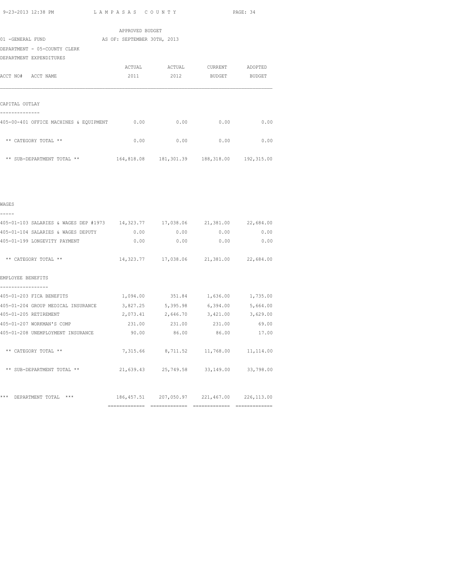|                                        | APPROVED BUDGET             |        |                                                |         |
|----------------------------------------|-----------------------------|--------|------------------------------------------------|---------|
| 01 -GENERAL FUND                       | AS OF: SEPTEMBER 30TH, 2013 |        |                                                |         |
| DEPARTMENT - 05-COUNTY CLERK           |                             |        |                                                |         |
| DEPARTMENT EXPENDITURES                |                             |        |                                                |         |
|                                        | ACTUAL                      | ACTUAL | CURRENT                                        | ADOPTED |
| ACCT NO# ACCT NAME                     | 2011                        | 2012   | BUDGET                                         | BUDGET  |
|                                        |                             |        |                                                |         |
|                                        |                             |        |                                                |         |
| CAPITAL OUTLAY                         |                             |        |                                                |         |
|                                        |                             |        |                                                |         |
| 405-00-401 OFFICE MACHINES & EQUIPMENT | 0.00                        | 0.00   | 0.00                                           | 0.00    |
|                                        |                             |        |                                                |         |
| ** CATEGORY TOTAL **                   | 0.00                        | 0.00   | 0.00                                           | 0.00    |
|                                        |                             |        |                                                |         |
| ** SUB-DEPARTMENT TOTAL **             |                             |        | 164,818.08  181,301.39  188,318.00  192,315.00 |         |

|  | ۰, |  |  |
|--|----|--|--|
|  |    |  |  |

| 405-01-103 SALARIES & WAGES DEP #1973 14,323.77 17,038.06 21,381.00 22,684.00 |        |                                                       |              |          |
|-------------------------------------------------------------------------------|--------|-------------------------------------------------------|--------------|----------|
|                                                                               |        |                                                       |              |          |
| 405-01-104 SALARIES & WAGES DEPUTY                                            | 0.00   |                                                       | 0.00<br>0.00 | 0.00     |
| 405-01-199 LONGEVITY PAYMENT                                                  |        | 0.00<br>0.00                                          | 0.00         | 0.00     |
|                                                                               |        |                                                       |              |          |
| ** CATEGORY TOTAL **                                                          |        | 14, 323, 77   17, 038, 06   21, 381, 00   22, 684, 00 |              |          |
|                                                                               |        |                                                       |              |          |
|                                                                               |        |                                                       |              |          |
| EMPLOYEE BENEFITS                                                             |        |                                                       |              |          |
|                                                                               |        |                                                       |              |          |
| 405-01-203 FICA BENEFITS                                                      |        | 1,094.00 351.84                                       | 1,636.00     | 1,735.00 |
| 405-01-204 GROUP MEDICAL INSURANCE                                            |        | 3,827.25 5,395.98                                     | 6,394.00     | 5,664.00 |
| 405-01-205 RETIREMENT                                                         |        | 2,073.41 2,646.70                                     | 3,421.00     | 3,629.00 |
| 405-01-207 WORKMAN'S COMP                                                     | 231.00 | 231.00                                                | 231.00       | 69.00    |
| 405-01-208 UNEMPLOYMENT INSURANCE                                             | 90.00  | 86.00                                                 | 86.00        | 17.00    |
|                                                                               |        |                                                       |              |          |
| ** CATEGORY TOTAL **                                                          |        | 7,315.66 8,711.52 11,768.00 11,114.00                 |              |          |
|                                                                               |        |                                                       |              |          |
| ** SUB-DEPARTMENT TOTAL **                                                    |        | 21,639.43 25,749.58 33,149.00 33,798.00               |              |          |
|                                                                               |        |                                                       |              |          |
|                                                                               |        |                                                       |              |          |
|                                                                               |        |                                                       |              |          |
| ***<br>$***$<br>DEPARTMENT TOTAL                                              |        | 186, 457.51 207, 050.97 221, 467.00 226, 113.00       |              |          |
|                                                                               |        |                                                       |              |          |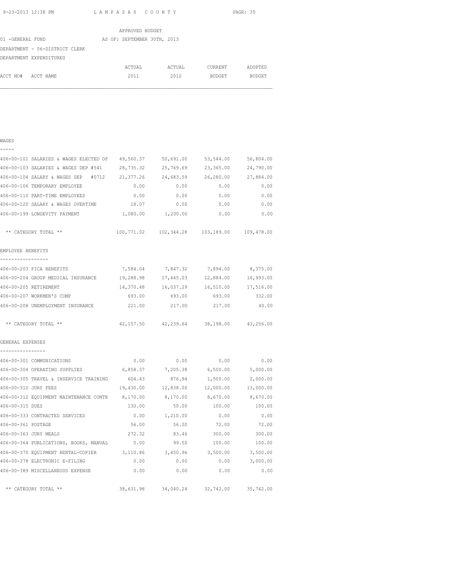|                  |                                | APPROVED BUDGET             |        |               |               |
|------------------|--------------------------------|-----------------------------|--------|---------------|---------------|
| 01 -GENERAL FUND |                                | AS OF: SEPTEMBER 30TH, 2013 |        |               |               |
|                  | DEPARTMENT - 06-DISTRICT CLERK |                             |        |               |               |
|                  | DEPARTMENT EXPENDITURES        |                             |        |               |               |
|                  |                                | ACTUAL                      | ACTUAL | CURRENT       | ADOPTED       |
| ACCT NO#         | ACCT NAME                      | 2011                        | 2012   | <b>BUDGET</b> | <b>BUDGET</b> |
|                  |                                |                             |        |               |               |

| WAGES            |  |
|------------------|--|
|                  |  |
| $406 - 00 - 101$ |  |
| 1000000000       |  |

|                                      | 406-00-101 SALARIES & WAGES ELECTED OF          | 49,560.37         | 50,691.00           | 53,544.00                                      | 56,804.00         |
|--------------------------------------|-------------------------------------------------|-------------------|---------------------|------------------------------------------------|-------------------|
|                                      | 406-00-103 SALARIES & WAGES DEP #541            | 28,735.32         | 25,769.69           | 23,365.00                                      | 24,790.00         |
|                                      | 406-00-104 SALARY & WAGES DEP #0712 21,377.26   |                   | 24,683.59 26,280.00 |                                                | 27,884.00         |
|                                      | 406-00-106 TEMPORARY EMPLOYEE                   | 0.00              | 0.00                | 0.00                                           | 0.00              |
|                                      | 406-00-110 PART-TIME EMPLOYEES                  | 0.00              | 0.00                | 0.00                                           | 0.00              |
|                                      | 406-00-120 SALARY & WAGES OVERTIME              | 18.07             | 0.00                | 0.00                                           | 0.00              |
|                                      | 406-00-199 LONGEVITY PAYMENT                    | 1,080.00 1,200.00 |                     | 0.00                                           | 0.00              |
|                                      | ** CATEGORY TOTAL **                            |                   |                     | 100,771.02  102,344.28  103,189.00  109,478.00 |                   |
| EMPLOYEE BENEFITS                    |                                                 |                   |                     |                                                |                   |
|                                      |                                                 |                   |                     |                                                |                   |
|                                      | 406-00-203 FICA BENEFITS                        |                   |                     | 7,584.04 7,847.32 7,894.00 8,375.00            |                   |
|                                      | 406-00-204 GROUP MEDICAL INSURANCE 19,288.98    |                   |                     | 17,445.03 12,884.00 16,993.00                  |                   |
| 406-00-205 RETIREMENT                |                                                 |                   |                     | 14,370.48  16,037.29  16,510.00  17,516.00     |                   |
|                                      | 406-00-207 WORKMEN'S COMP                       | 693.00            | 693.00              | 693.00                                         | 332.00            |
|                                      | 406-00-208 UNEMPLOYMENT INSURANCE               | 221.00            | 217.00              | 217.00                                         | 40.00             |
|                                      | ** CATEGORY TOTAL **                            |                   |                     | 42, 157.50 42, 239.64 38, 198.00 43, 256.00    |                   |
| GENERAL EXPENSES<br>---------------- |                                                 |                   |                     |                                                |                   |
|                                      | 406-00-301 COMMUNICATIONS                       | 0.00              | 0.00                | 0.00                                           | 0.00              |
|                                      | 406-00-304 OPERATING SUPPLIES                   |                   |                     | $6,858.37$ $7,205.38$ $6,500.00$ $5,000.00$    |                   |
|                                      | 406-00-305 TRAVEL & INSERVICE TRAINING          | 604.43            | 876.94              |                                                | 1,500.00 2,000.00 |
| 406-00-310 JURY FEES                 |                                                 | 19,430.00         |                     | 12,838.00  12,000.00  13,000.00                |                   |
|                                      | 406-00-312 EQUIPMENT MAINTENANCE CONTR 8,170.00 |                   |                     | 8,170.00 8,670.00                              | 8,670.00          |
| 406-00-315 DUES                      |                                                 | 130.00            | 50.00               | 100.00                                         | 100.00            |
|                                      | 406-00-333 CONTRACTED SERVICES                  | 0.00              | 1,210.00            | 0.00                                           | 0.00              |
| 406-00-361 POSTAGE                   |                                                 | 56.00             | 56.00               | 72.00                                          | 72.00             |
| 406-00-363 JURY MEALS                |                                                 | 272.32            | 83.46               | 300.00                                         | 300.00            |
|                                      | 406-00-364 PUBLICATIONS, BOOKS, MANUAL          | 0.00              | 99.50               | 100.00                                         | 100.00            |
|                                      | 406-00-370 EQUIPMENT RENTAL-COPIER 3,110.86     |                   | 3,450.96            | 3,500.00                                       | 3,500.00          |
|                                      | 406-00-378 ELECTRONIC E-FILING                  | 0.00              | 0.00                | 0.00                                           | 3,000.00          |
|                                      | 406-00-389 MISCELLANEOUS EXPENSE                | 0.00              | 0.00                | 0.00                                           | 0.00              |
|                                      | ** CATEGORY TOTAL **                            |                   |                     | 38,631.98 34,040.24 32,742.00 35,742.00        |                   |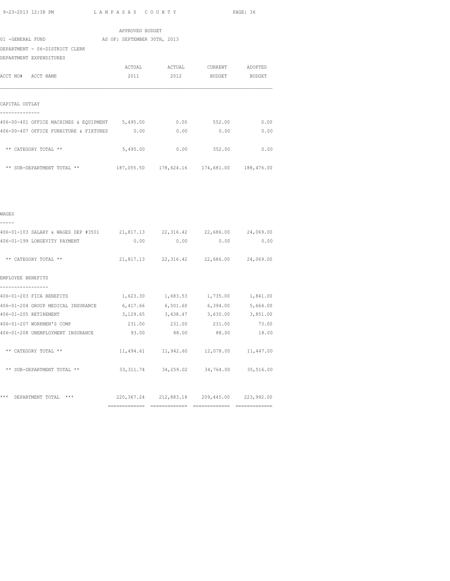|                                                             | APPROVED BUDGET |                      |                                                |      |
|-------------------------------------------------------------|-----------------|----------------------|------------------------------------------------|------|
| 01 -GENERAL FUND AS OF: SEPTEMBER 30TH, 2013                |                 |                      |                                                |      |
| DEPARTMENT - 06-DISTRICT CLERK                              |                 |                      |                                                |      |
| DEPARTMENT EXPENDITURES                                     |                 |                      |                                                |      |
|                                                             |                 |                      | ACTUAL ACTUAL CURRENT ADOPTED                  |      |
| ACCT NO# ACCT NAME                                          |                 |                      | 2011 2012 BUDGET BUDGET                        |      |
|                                                             |                 |                      |                                                |      |
| CAPITAL OUTLAY                                              |                 |                      |                                                |      |
| 406-00-401 OFFICE MACHINES & EQUIPMENT 5,495.00 0.00 552.00 |                 |                      |                                                | 0.00 |
| 406-00-407 OFFICE FURNITURE & FIXTURES 0.00                 |                 | 0.00                 | 0.00                                           | 0.00 |
| ** CATEGORY TOTAL **                                        |                 | 5,495.00 0.00 552.00 |                                                | 0.00 |
| ** SUB-DEPARTMENT TOTAL **                                  |                 |                      | 187,055.50  178,624.16  174,681.00  188,476.00 |      |
|                                                             |                 |                      |                                                |      |
|                                                             |                 |                      |                                                |      |
| WAGES                                                       |                 |                      |                                                |      |

| 406-01-103 SALARY & WAGES DEP #3501 21,817.13 22,316.42 22,686.00 24,069.00 |                            |                                                 |      |              |
|-----------------------------------------------------------------------------|----------------------------|-------------------------------------------------|------|--------------|
| 406-01-199 LONGEVITY PAYMENT                                                |                            | 0.00                                            | 0.00 | 0.00<br>0.00 |
| ** CATEGORY TOTAL **                                                        |                            | 21,817.13 22,316.42 22,686.00 24,069.00         |      |              |
| EMPLOYEE BENEFITS                                                           |                            |                                                 |      |              |
|                                                                             |                            |                                                 |      |              |
| 406-01-203 FICA BENEFITS                                                    |                            | 1,623.30 1,683.53 1,735.00                      |      | 1,841.00     |
| 406-01-204 GROUP MEDICAL INSURANCE                                          | 6,417.66 6,501.60 6,394.00 |                                                 |      | 5,664.00     |
| 406-01-205 RETIREMENT                                                       |                            | 3, 129.65 3, 438.47 3, 630.00                   |      | 3,851.00     |
| 406-01-207 WORKMEN'S COMP                                                   | 231.00 231.00 231.00 73.00 |                                                 |      |              |
| 406-01-208 UNEMPLOYMENT INSURANCE                                           | 93.00 88.00 88.00          |                                                 |      | 18.00        |
| ** CATEGORY TOTAL **                                                        |                            | 11,494.61  11,942.60  12,078.00  11,447.00      |      |              |
| ** SUB-DEPARTMENT TOTAL **                                                  |                            | 33, 311, 74 34, 259, 02 34, 764, 00 35, 516, 00 |      |              |
|                                                                             |                            |                                                 |      |              |
| ***<br>$***$<br>DEPARTMENT TOTAL                                            |                            | 220,367.24 212,883.18 209,445.00 223,992.00     |      |              |
|                                                                             |                            |                                                 |      |              |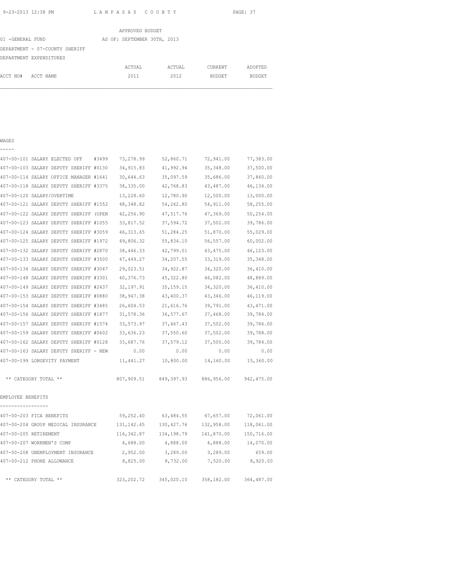|                  |                                | APPROVED BUDGET             |        |               |               |
|------------------|--------------------------------|-----------------------------|--------|---------------|---------------|
| 01 -GENERAL FUND |                                | AS OF: SEPTEMBER 30TH, 2013 |        |               |               |
|                  | DEPARTMENT - 07-COUNTY SHERIFF |                             |        |               |               |
|                  | DEPARTMENT EXPENDITURES        |                             |        |               |               |
|                  |                                | ACTUAL                      | ACTUAL | CURRENT       | ADOPTED       |
| ACCT NO#         | ACCT NAME                      | 2011                        | 2012   | <b>BUDGET</b> | <b>BUDGET</b> |
|                  |                                |                             |        |               |               |

## WAGES

-----

|                   | 407-00-101 SALARY ELECTED OFF          | #3499 | 73,278.99   | 52,860.71   | 72,941.00  | 77,383.00   |
|-------------------|----------------------------------------|-------|-------------|-------------|------------|-------------|
|                   | 407-00-103 SALARY DEPUTY SHERIFF #0130 |       | 34, 915.83  | 41,992.94   | 35, 348.00 | 37,500.00   |
|                   | 407-00-114 SALARY OFFICE MANAGER #1641 |       | 30,644.63   | 35,097.59   | 35,686.00  | 37,860.00   |
|                   | 407-00-118 SALARY DEPUTY SHERIFF #3375 |       | 38, 335.00  | 42,768.83   | 43,487.00  | 46,134.00   |
|                   | 407-00-120 SALARY/OVERTIME             |       | 13,228.60   | 12,780.90   | 12,500.00  | 13,000.00   |
|                   | 407-00-121 SALARY DEPUTY SHERIFF #1552 |       | 48,348.82   | 54,262.80   | 54, 911.00 | 58,255.00   |
|                   | 407-00-122 SALARY DEPUTY SHERIFF (OPEN |       | 42,256.90   | 47,517.76   | 47,369.00  | 50,254.00   |
|                   | 407-00-123 SALARY DEPUTY SHERIFF #1055 |       | 33,817.52   | 37,594.72   | 37,502.00  | 39,786.00   |
|                   | 407-00-124 SALARY DEPUTY SHERIFF #3059 |       | 46, 313.65  | 51,284.25   | 51,870.00  | 55,029.00   |
|                   | 407-00-125 SALARY DEPUTY SHERIFF #1972 |       | 49,806.32   | 55,834.10   | 56,557.00  | 60,002.00   |
|                   | 407-00-132 SALARY DEPUTY SHERIFF #2870 |       | 38,446.33   | 42,799.01   | 43,475.00  | 46,123.00   |
|                   | 407-00-133 SALARY DEPUTY SHERIFF #3500 |       | 47,449.27   | 34,207.55   | 33, 319.00 | 35, 348.00  |
|                   | 407-00-134 SALARY DEPUTY SHERIFF #3047 |       | 29,023.51   | 34,922.87   | 34,320.00  | 36,410.00   |
|                   | 407-00-148 SALARY DEPUTY SHERIFF #3301 |       | 40,376.73   | 45,322.80   | 46,082.00  | 48,889.00   |
|                   | 407-00-149 SALARY DEPUTY SHERIFF #2437 |       | 32, 197.91  | 35, 159. 15 | 34,320.00  | 36,410.00   |
|                   | 407-00-153 SALARY DEPUTY SHERIFF #0880 |       | 38,947.38   | 43,400.37   | 43,346.00  | 46,119.00   |
|                   | 407-00-154 SALARY DEPUTY SHERIFF #3485 |       | 26,604.53   | 21,616.76   | 39,791.00  | 43, 471.00  |
|                   | 407-00-156 SALARY DEPUTY SHERIFF #1877 |       | 31,578.36   | 36,577.67   | 37,468.00  | 39,784.00   |
|                   | 407-00-157 SALARY DEPUTY SHERIFF #1574 |       | 33,573.97   | 37, 467. 43 | 37,502.00  | 39,786.00   |
|                   | 407-00-159 SALARY DEPUTY SHERIFF #0602 |       | 33,636.23   | 37,550.60   | 37,502.00  | 39,788.00   |
|                   | 407-00-162 SALARY DEPUTY SHERIFF #0128 |       | 33,687.76   | 37,579.12   | 37,500.00  | 39,784.00   |
|                   | 407-00-163 SALARY DEPUTY SHERIFF - NEW |       | 0.00        | 0.00        | 0.00       | 0.00        |
|                   | 407-00-199 LONGEVITY PAYMENT           |       | 11,441.27   | 10,800.00   | 14,160.00  | 15,360.00   |
|                   | ** CATEGORY TOTAL **                   |       | 807,909.51  | 849, 397.93 | 886,956.00 | 942, 475.00 |
| EMPLOYEE BENEFITS |                                        |       |             |             |            |             |
|                   | 407-00-203 FICA BENEFITS               |       | 59,252.40   | 63,484.55   | 67,657.00  | 72,061.00   |
|                   | 407-00-204 GROUP MEDICAL INSURANCE     |       | 131, 142.45 | 130, 427.76 | 132,958.00 | 118,061.00  |
|                   | 407-00-205 RETIREMENT                  |       | 116,342.87  | 134,198.79  | 141,870.00 | 150,716.00  |
|                   | 407-00-207 WORKMEN'S COMP              |       | 4,688.00    | 4,888.00    | 4,888.00   | 14,070.00   |
|                   | 407-00-208 UNEMPLOYMENT INSURANCE      |       | 2,952.00    | 3,289.00    | 3,289.00   | 659.00      |
|                   | 407-00-212 PHONE ALLOWANCE             |       | 8,825.00    | 8,732.00    | 7,520.00   | 8,920.00    |
|                   | ** CATEGORY TOTAL **                   |       | 323, 202.72 | 345,020.10  | 358,182.00 | 364,487.00  |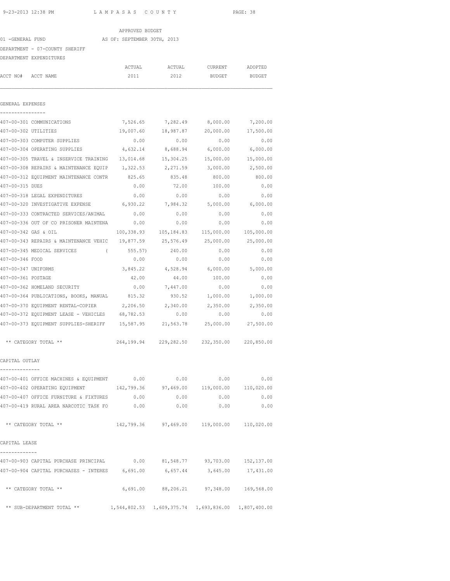### APPROVED BUDGET

### 01 -GENERAL FUND AS OF: SEPTEMBER 30TH, 2013

DEPARTMENT - 07-COUNTY SHERIFF

DEPARTMENT EXPENDITURES

| DEPARTMENT EXPENDITURES                                                  |           |                       |                                                     |            |
|--------------------------------------------------------------------------|-----------|-----------------------|-----------------------------------------------------|------------|
|                                                                          | ACTUAL    | ACTUAL                | CURRENT                                             | ADOPTED    |
| ACCT NO# ACCT NAME                                                       | 2011      | 2012                  | BUDGET                                              | BUDGET     |
|                                                                          |           |                       |                                                     |            |
| GENERAL EXPENSES                                                         |           |                       |                                                     |            |
| 407-00-301 COMMUNICATIONS                                                | 7,526.65  |                       | 7,282.49 8,000.00                                   | 7,200.00   |
| 407-00-302 UTILITIES                                                     | 19,007.60 | 18,987.87             | 20,000.00                                           | 17,500.00  |
| 407-00-303 COMPUTER SUPPLIES                                             | 0.00      | 0.00                  | 0.00                                                | 0.00       |
| 407-00-304 OPERATING SUPPLIES                                            | 4,632.14  | 8,688.94              | 6,000.00                                            | 6,000.00   |
| 407-00-305 TRAVEL & INSERVICE TRAINING                                   |           | 13,014.68 15,304.25   | 15,000.00                                           | 15,000.00  |
| 407-00-308 REPAIRS & MAINTENANCE EQUIP 1,322.53                          |           | 2,271.59              | 3,000.00                                            | 2,500.00   |
| 407-00-312 EQUIPMENT MAINTENANCE CONTR 825.65                            |           | 835.48                | 800.00                                              | 800.00     |
| 407-00-315 DUES                                                          | 0.00      | 72.00                 | 100.00                                              | 0.00       |
| 407-00-318 LEGAL EXPENDITURES                                            | 0.00      | 0.00                  | 0.00                                                | 0.00       |
| 407-00-320 INVESTIGATIVE EXPENSE 6,930.22                                |           | 7,984.32              | 5,000.00 6,000.00                                   |            |
| 407-00-333 CONTRACTED SERVICES/ANIMAL                                    | 0.00      | 0.00                  | 0.00                                                | 0.00       |
| 407-00-336 OUT OF CO PRISONER MAINTENA                                   | 0.00      | 0.00                  | 0.00                                                | 0.00       |
| 407-00-342 GAS & OIL                                                     |           | 100,338.93 105,184.83 | 115,000.00                                          | 105,000.00 |
| 407-00-343 REPAIRS & MAINTENANCE VEHIC 19,877.59                         |           | 25,576.49             | 25,000.00                                           | 25,000.00  |
| 407-00-345 MEDICAL SERVICES (                                            | 555.57)   | 240.00                | 0.00                                                | 0.00       |
| 407-00-346 FOOD                                                          | 0.00      | 0.00                  | 0.00                                                | 0.00       |
| 407-00-347 UNIFORMS                                                      | 3,845.22  | 4,528.94              | 6,000.00                                            | 5,000.00   |
| 407-00-361 POSTAGE                                                       | 42.00     | 44.00                 | 100.00                                              | 0.00       |
| 407-00-362 HOMELAND SECURITY                                             | 0.00      | 7,447.00              | 0.00                                                | 0.00       |
| 407-00-364 PUBLICATIONS, BOOKS, MANUAL 815.32                            |           | 930.52                | 1,000.00                                            | 1,000.00   |
| 407-00-370 EQUIPMENT RENTAL-COPIER 2,206.50 2,340.00                     |           |                       | 2,350.00                                            | 2,350.00   |
| 407-00-372 EQUIPMENT LEASE - VEHICLES 68,782.53                          |           | 0.00                  | 0.00                                                | 0.00       |
| 407-00-373 EQUIPMENT SUPPLIES-SHERIFF 15,587.95 21,563.78                |           |                       | 25,000.00                                           | 27,500.00  |
| ** CATEGORY TOTAL **                                                     |           |                       | 264,199.94 229,282.50 232,350.00 220,850.00         |            |
| CAPITAL OUTLAY                                                           |           |                       |                                                     |            |
| 407-00-401 OFFICE MACHINES & EQUIPMENT 0.00                              |           | 0.00                  | 0.00                                                | 0.00       |
| 407-00-402 OPERATING EQUIPMENT 42,799.36 97,469.00 119,000.00 110,020.00 |           |                       |                                                     |            |
| 407-00-407 OFFICE FURNITURE & FIXTURES 0.00                              |           | 0.00                  | 0.00                                                | 0.00       |
| 407-00-419 RURAL AREA NARCOTIC TASK FO 0.00                              |           | 0.00                  | 0.00                                                | 0.00       |
| ** CATEGORY TOTAL **                                                     |           |                       | 142,799.36 97,469.00 119,000.00 110,020.00          |            |
| CAPITAL LEASE                                                            |           |                       |                                                     |            |
| 407-00-903 CAPITAL PURCHASE PRINCIPAL                                    |           |                       | $0.00$ $81,548.77$ $93,703.00$ $152,137.00$         |            |
| 407-00-904 CAPITAL PURCHASES - INTERES 6,691.00                          |           |                       | 6,657.44 3,645.00 17,431.00                         |            |
| ** CATEGORY TOTAL **                                                     |           |                       | 6,691.00 88,206.21 97,348.00 169,568.00             |            |
| ** SUB-DEPARTMENT TOTAL **                                               |           |                       | 1,544,802.53 1,609,375.74 1,693,836.00 1,807,400.00 |            |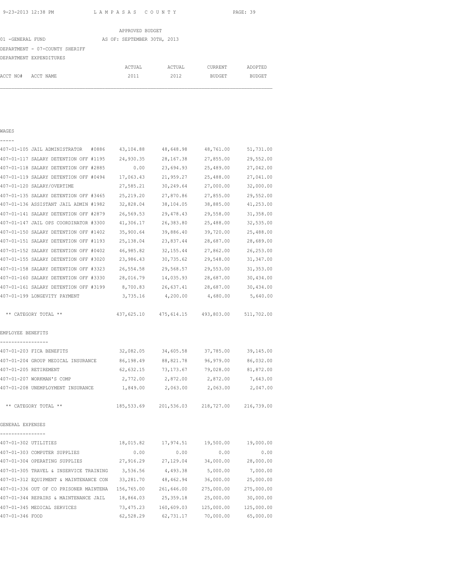|                                | APPROVED BUDGET             |        |               |               |
|--------------------------------|-----------------------------|--------|---------------|---------------|
| 01 -GENERAL FUND               | AS OF: SEPTEMBER 30TH, 2013 |        |               |               |
| DEPARTMENT - 07-COUNTY SHERIFF |                             |        |               |               |
| DEPARTMENT EXPENDITURES        |                             |        |               |               |
|                                | ACTUAL                      | ACTUAL | CURRENT       | ADOPTED       |
| ACCT NO#<br>ACCT NAME          | 2011                        | 2012   | <b>BUDGET</b> | <b>BUDGET</b> |
|                                |                             |        |               |               |

# WAGES -----

| 407-01-105 JAIL ADMINISTRATOR<br>#0886                         | 43,104.88  | 48,648.98  | 48,761.00  | 51,731.00  |
|----------------------------------------------------------------|------------|------------|------------|------------|
| 407-01-117 SALARY DETENTION OFF #1195                          | 24,930.35  | 28, 167.38 | 27,855.00  | 29,552.00  |
| 407-01-118 SALARY DETENTION OFF #2885                          | 0.00       | 23,694.93  | 25,489.00  | 27,042.00  |
| 407-01-119 SALARY DETENTION OFF #0494                          | 17,063.43  | 21,959.27  | 25,488.00  | 27,041.00  |
| 407-01-120 SALARY/OVERTIME                                     | 27,585.21  | 30,249.64  | 27,000.00  | 32,000.00  |
| 407-01-135 SALARY DETENTION OFF #3465                          | 25, 219.20 | 27,870.86  | 27,855.00  | 29,552.00  |
| 407-01-136 ASSISTANT JAIL ADMIN #1982                          | 32,828.04  | 38,104.05  | 38,885.00  | 41, 253.00 |
| 407-01-141 SALARY DETENTION OFF #2879                          | 26,569.53  | 29, 478.43 | 29,558.00  | 31,358.00  |
| 407-01-147 JAIL OPS COORDINATOR #3300                          | 41,306.17  | 26,383.80  | 25,488.00  | 32,535.00  |
| 407-01-150 SALARY DETENTION OFF #1402                          | 35,900.64  | 39,886.40  | 39,720.00  | 25,488.00  |
| 407-01-151 SALARY DETENTION OFF #1193                          | 25,138.04  | 23,837.44  | 28,687.00  | 28,689.00  |
| 407-01-152 SALARY DETENTION OFF #0402                          | 46,985.82  | 32, 155.44 | 27,862.00  | 26,253.00  |
| 407-01-155 SALARY DETENTION OFF #3020                          | 23,986.43  | 30,735.62  | 29,548.00  | 31, 347.00 |
| 407-01-158 SALARY DETENTION OFF #3323                          | 26,554.58  | 29,568.57  | 29,553.00  | 31, 353.00 |
| 407-01-160 SALARY DETENTION OFF #3330                          | 28,016.79  | 14,035.93  | 28,687.00  | 30,434.00  |
| 407-01-161 SALARY DETENTION OFF #3199                          | 8,700.83   | 26,637.41  | 28,687.00  | 30,434.00  |
| 407-01-199 LONGEVITY PAYMENT                                   | 3,735.16   | 4,200.00   | 4,680.00   | 5,640.00   |
| ** CATEGORY TOTAL **<br>EMPLOYEE BENEFITS<br>----------------- | 437,625.10 | 475,614.15 | 493,803.00 | 511,702.00 |
| 407-01-203 FICA BENEFITS                                       | 32,082.05  | 34,605.58  | 37,785.00  | 39,145.00  |
| 407-01-204 GROUP MEDICAL INSURANCE                             | 86,198.49  | 88, 821.78 | 96,979.00  | 86,032.00  |
| 407-01-205 RETIREMENT                                          | 62,632.15  | 73,173.67  | 79,028.00  | 81,872.00  |
| 407-01-207 WORKMAN'S COMP                                      | 2,772.00   | 2,872.00   | 2,872.00   | 7,643.00   |
| 407-01-208 UNEMPLOYMENT INSURANCE                              | 1,849.00   | 2,063.00   | 2,063.00   | 2,047.00   |
| ** CATEGORY TOTAL **                                           | 185,533.69 | 201,536.03 | 218,727.00 | 216,739.00 |
| GENERAL EXPENSES                                               |            |            |            |            |
| ----------------<br>407-01-302 UTILITIES                       | 18,015.82  | 17,974.51  | 19,500.00  | 19,000.00  |
| 407-01-303 COMPUTER SUPPLIES                                   | 0.00       | 0.00       | 0.00       | 0.00       |
| 407-01-304 OPERATING SUPPLIES                                  | 27,916.29  | 27,129.04  | 34,000.00  | 28,000.00  |
| 407-01-305 TRAVEL & INSERVICE TRAINING                         | 3,536.56   | 4,493.38   | 5,000.00   | 7,000.00   |
| 407-01-312 EQUIPMENT & MAINTENANCE CON                         | 33,281.70  | 48,462.94  | 36,000.00  | 25,000.00  |
| 407-01-336 OUT OF CO PRISONER MAINTENA                         | 156,765.00 | 261,646.00 | 275,000.00 | 275,000.00 |
| 407-01-344 REPAIRS & MAINTENANCE JAIL                          | 18,864.03  | 25, 359.18 | 25,000.00  | 30,000.00  |
| 407-01-345 MEDICAL SERVICES                                    | 73, 475.23 | 160,609.03 | 125,000.00 | 125,000.00 |
| 407-01-346 FOOD                                                | 62,528.29  | 62,731.17  | 70,000.00  | 65,000.00  |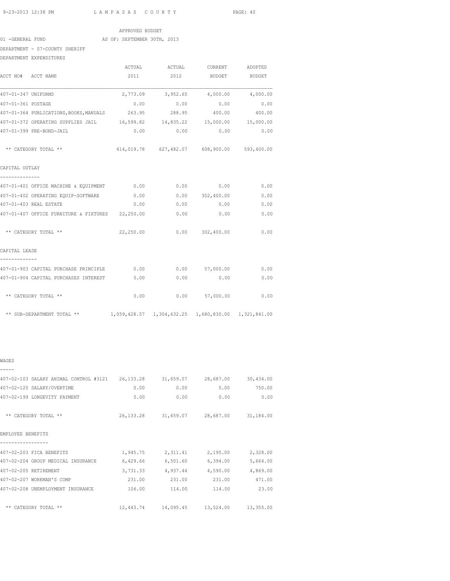# APPROVED BUDGET

01 -GENERAL FUND AS OF: SEPTEMBER 30TH, 2013

DEPARTMENT - 07-COUNTY SHERIFF

DEPARTMENT EXPENDITURES

| ACCT NO# ACCT NAME                                                             |      | 2011 2012 BUDGET BUDGET                     |                  |      |
|--------------------------------------------------------------------------------|------|---------------------------------------------|------------------|------|
|                                                                                |      |                                             |                  |      |
| 407-01-347 UNIFORMS                                                            |      | 2,773.09 3,952.65 4,000.00 4,000.00         |                  |      |
| 407-01-361 POSTAGE                                                             |      | $0.00$ $0.00$ $0.00$ $0.00$ $0.00$          |                  |      |
| 407-01-364 PUBLICATIONS, BOOKS, MANUALS 263.95 288.95 400.00 400.00            |      |                                             |                  |      |
| 407-01-372 OPERATING SUPPLIES JAIL 16,599.82 14,835.22 15,000.00 15,000.00     |      |                                             |                  |      |
| 407-01-399 PRE-BOND-JAIL                                                       |      | $0.00$ $0.00$ $0.00$ $0.00$ $0.00$          |                  |      |
| ** CATEGORY TOTAL **                                                           |      | 414,019.78 627,482.07 608,900.00 593,400.00 |                  |      |
| CAPITAL OUTLAY<br>______________                                               |      |                                             |                  |      |
| 407-01-401 OFFICE MACHINE & EQUIPMENT 0.00 0.00 0.00 0.00                      |      |                                             |                  | 0.00 |
| 407-01-402 OPERATING EQUIP-SOFTWARE 0.00                                       |      |                                             | 0.0000302,400.00 | 0.00 |
| 407-01-403 REAL ESTATE                                                         | 0.00 | 0.00                                        | 0.00             | 0.00 |
| 407-01-407 OFFICE FURNITURE & FIXTURES 22,250.00                               |      |                                             | $0.00$ 0.00      | 0.00 |
| ** CATEGORY TOTAL **                                                           |      | 22,250.00   0.00   302,400.00               |                  | 0.00 |
| CAPITAL LEASE<br>-------------                                                 |      |                                             |                  |      |
| 407-01-903 CAPITAL PURCHASE PRINCIPLE $0.00$ 0.00 0.00 57,000.00               |      |                                             |                  | 0.00 |
| 407-01-904 CAPITAL PURCHASES INTEREST                                          | 0.00 | 0.00                                        | 0.00             | 0.00 |
| ** CATEGORY TOTAL **                                                           |      | 0.00                                        | $0.00$ 57,000.00 | 0.00 |
| ** SUB-DEPARTMENT TOTAL ** 1,059,428.57 1,304,632.25 1,680,830.00 1,321,841.00 |      |                                             |                  |      |

### WAGES

| 407-02-103 SALARY ANIMAL CONTROL #3121 |             | 26,133.28 31,659.07 28,687.00 |                     | 30,434.00 |
|----------------------------------------|-------------|-------------------------------|---------------------|-----------|
| 407-02-120 SALARY/OVERTIME             | 0.00        | 0.00                          | 0.00                | 750.00    |
| 407-02-199 LONGEVITY PAYMENT           | 0.00        | 0.00                          | 0.00                | 0.00      |
| ** CATEGORY TOTAL **                   | 26, 133. 28 |                               | 31,659.07 28,687.00 | 31,184.00 |
| EMPLOYEE BENEFITS                      |             |                               |                     |           |
|                                        |             |                               |                     |           |
| 407-02-203 FICA BENEFITS               | 1,945.75    | 2,311.41                      | 2,195.00            | 2,328.00  |
| 407-02-204 GROUP MEDICAL INSURANCE     | 6,429.66    | 6,501.60                      | 6,394.00            | 5,664.00  |
| 407-02-205 RETIREMENT                  | 3,731.33    | 4,937.44                      | 4,590.00            | 4,869.00  |
| 407-02-207 WORKMAN'S COMP              | 231.00      | 231.00                        | 231.00              | 471.00    |
| 407-02-208 UNEMPLOYMENT INSURANCE      | 106.00      | 114.00                        | 114.00              | 23.00     |
| $***$<br>CATEGORY TOTAL **             |             | 12,443.74 14,095.45           | 13,524.00           | 13,355.00 |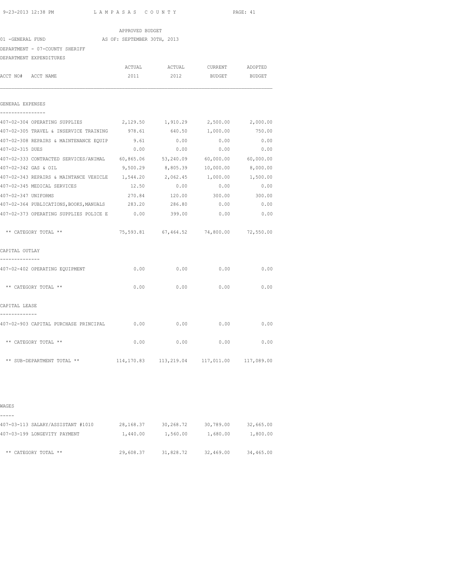| 9-23-2013 12:38 PM                               | LAMPASAS COUNTY |                 |                             | PAGE: 41                                |           |
|--------------------------------------------------|-----------------|-----------------|-----------------------------|-----------------------------------------|-----------|
|                                                  |                 | APPROVED BUDGET |                             |                                         |           |
| 01 -GENERAL FUND                                 |                 |                 | AS OF: SEPTEMBER 30TH, 2013 |                                         |           |
| DEPARTMENT - 07-COUNTY SHERIFF                   |                 |                 |                             |                                         |           |
| DEPARTMENT EXPENDITURES                          |                 |                 |                             |                                         |           |
|                                                  |                 | ACTUAL          | ACTUAL                      | CURRENT                                 | ADOPTED   |
| ACCT NO# ACCT NAME                               |                 | 2011            | 2012                        | BUDGET                                  | BUDGET    |
| GENERAL EXPENSES                                 |                 |                 |                             |                                         |           |
| 407-02-304 OPERATING SUPPLIES                    |                 | 2,129.50        | 1,910.29                    | 2,500.00                                | 2,000.00  |
| 407-02-305 TRAVEL & INSERVICE TRAINING           |                 | 978.61          | 640.50                      | 1,000.00                                | 750.00    |
| 407-02-308 REPAIRS & MAINTENANCE EQUIP           |                 | 9.61            | 0.00                        | 0.00                                    | 0.00      |
| 407-02-315 DUES                                  |                 | 0.00            | 0.00                        | 0.00                                    | 0.00      |
| 407-02-333 CONTRACTED SERVICES/ANIMAL 60,865.06  |                 |                 | 53,240.09                   | 60,000.00                               | 60,000.00 |
| 407-02-342 GAS & OIL                             |                 | 9,500.29        | 8,805.39                    | 10,000.00                               | 8,000.00  |
| 407-02-343 REPAIRS & MAINTANCE VEHICLE           |                 | 1,544.20        | 2,062.45                    | 1,000.00                                | 1,500.00  |
| 407-02-345 MEDICAL SERVICES                      |                 | 12.50           | 0.00                        | 0.00                                    | 0.00      |
| 407-02-347 UNIFORMS                              |                 | 270.84          | 120.00                      | 300.00                                  | 300.00    |
| 407-02-364 PUBLICATIONS, BOOKS, MANUALS          |                 | 283.20          | 286.80                      | 0.00                                    | 0.00      |
| 407-02-373 OPERATING SUPPLIES POLICE E           |                 | 0.00            | 399.00                      | 0.00                                    | 0.00      |
| ** CATEGORY TOTAL **                             |                 |                 |                             | 75,593.81 67,464.52 74,800.00 72,550.00 |           |
| CAPITAL OUTLAY                                   |                 |                 |                             |                                         |           |
| --------------<br>407-02-402 OPERATING EQUIPMENT |                 | 0.00            | 0.00                        | 0.00                                    | 0.00      |
| ** CATEGORY TOTAL **                             |                 | 0.00            | 0.00                        | 0.00                                    | 0.00      |
| CAPITAL LEASE                                    |                 |                 |                             |                                         |           |
| 407-02-903 CAPITAL PURCHASE PRINCIPAL            |                 | 0.00            | 0.00                        | 0.00                                    | 0.00      |
| ** CATEGORY TOTAL **                             |                 | 0.00            | 0.00                        | 0.00                                    | 0.00      |

| WAGES                             |             |           |           |           |
|-----------------------------------|-------------|-----------|-----------|-----------|
| 407-03-113 SALARY/ASSISTANT #1010 | 28, 168. 37 | 30,268.72 | 30,789.00 | 32,665.00 |
| 407-03-199 LONGEVITY PAYMENT      | 1,440.00    | 1,560.00  | 1,680.00  | 1,800.00  |
| ** CATEGORY TOTAL **              | 29,608.37   | 31,828.72 | 32,469.00 | 34,465.00 |

\*\* SUB-DEPARTMENT TOTAL \*\* 114,170.83 113,219.04 117,011.00 117,089.00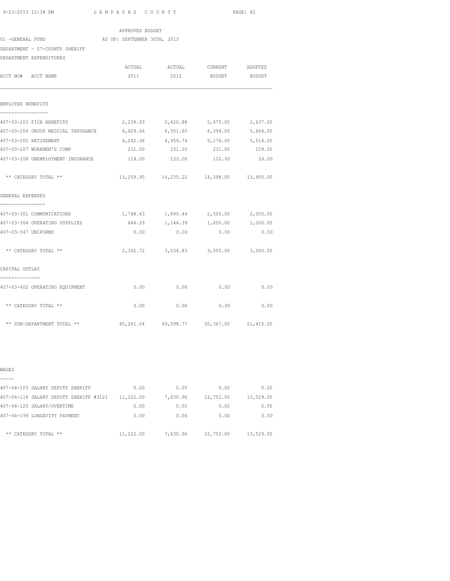| 9-23-2013 12:38 PM | LAMPASAS COUNTY | PAGE: 42 |
|--------------------|-----------------|----------|
|                    |                 |          |

| APPROVED BUDGET                                                        |                             |                                                |          |          |  |  |  |  |
|------------------------------------------------------------------------|-----------------------------|------------------------------------------------|----------|----------|--|--|--|--|
| 01 -GENERAL FUND                                                       | AS OF: SEPTEMBER 30TH, 2013 |                                                |          |          |  |  |  |  |
| DEPARTMENT - 07-COUNTY SHERIFF                                         |                             |                                                |          |          |  |  |  |  |
| DEPARTMENT EXPENDITURES                                                |                             |                                                |          |          |  |  |  |  |
|                                                                        |                             | ACTUAL ACTUAL CURRENT ADOPTED                  |          |          |  |  |  |  |
| ACCT NO# ACCT NAME                                                     | 2011                        | 2012                                           | BUDGET   | BUDGET   |  |  |  |  |
| EMPLOYEE BENEFITS<br>-----------------                                 |                             |                                                |          |          |  |  |  |  |
| 407-03-203 FICA BENEFITS                                               | 2,238.93                    | 2,420.88                                       | 2,475.00 | 2,637.00 |  |  |  |  |
| 407-03-204 GROUP MEDICAL INSURANCE 6,429.66 6,501.60 6,394.00 5,664.00 |                             |                                                |          |          |  |  |  |  |
| 407-03-205 RETIREMENT                                                  |                             | 4, 242.36 4, 959.74 5, 176.00 5, 514.00        |          |          |  |  |  |  |
| 407-03-207 WORKMEN'S COMP                                              | 231.00                      | 231.00                                         | 231.00   | 109.00   |  |  |  |  |
| 407-03-208 UNEMPLOYMENT INSURANCE                                      | 118.00                      | 122.00                                         | 122.00   | 26.00    |  |  |  |  |
| ** CATEGORY TOTAL **                                                   |                             | 13, 259.95  14, 235.22  14, 398.00  13, 950.00 |          |          |  |  |  |  |
| GENERAL EXPENSES                                                       |                             |                                                |          |          |  |  |  |  |
| 407-03-301 COMMUNICATIONS                                              |                             | 1,748.43 1,890.44 2,500.00 2,000.00            |          |          |  |  |  |  |
| 407-03-304 OPERATING SUPPLIES                                          |                             | 644.29 1,144.39 1,000.00 1,000.00              |          |          |  |  |  |  |
| 407-03-347 UNIFORMS                                                    | 0.00                        | 0.00                                           | 0.00     | 0.00     |  |  |  |  |
| ** CATEGORY TOTAL **                                                   |                             | 2,392.72 3,034.83 3,500.00 3,000.00            |          |          |  |  |  |  |
| CAPITAL OUTLAY                                                         |                             |                                                |          |          |  |  |  |  |
| 407-03-402 OPERATING EOUIPMENT                                         |                             | $0.00$ $0.00$ $0.00$ $0.00$ $0.00$             |          |          |  |  |  |  |
| ** CATEGORY TOTAL **                                                   | 0.00                        | 0.00                                           | 0.00     | 0.00     |  |  |  |  |
| ** SUB-DEPARTMENT TOTAL **                                             |                             | 45, 261.04  49, 098.77  50, 367.00  51, 415.00 |          |          |  |  |  |  |

| ۰,<br>۰, |  |
|----------|--|

| 407-04-103 SALARY DEPUTY SHERIFF       | 0.00      | 0.00     | 0.00      | 0.00      |
|----------------------------------------|-----------|----------|-----------|-----------|
| 407-04-118 SALARY DEPUTY SHERIFF #3121 | 11,222.00 | 7,630.96 | 12,752.00 | 13,529.00 |
| 407-04-120 SALARY/OVERTIME             | 0.00      | 0.00     | 0.00      | 0.00      |
| 407-04-199 LONGEVITY PAYMENT           | 0.00      | 0.00     | 0.00      | 0.00      |
| ** CATEGORY TOTAL **                   | 11,222.00 | 7,630.96 | 12,752.00 | 13,529.00 |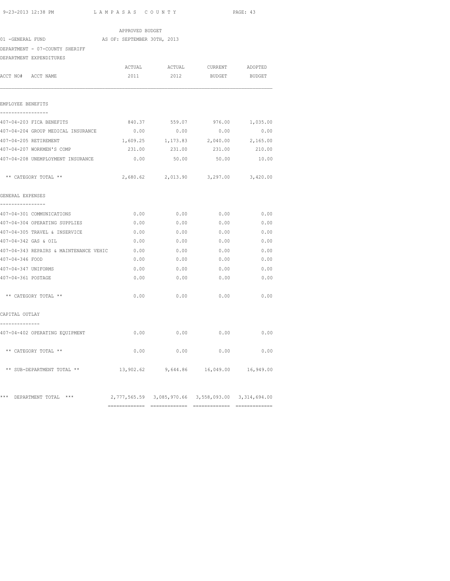============= ============= ============= =============

| APPROVED BUDGET                               |                             |                                                     |                              |          |  |  |  |  |
|-----------------------------------------------|-----------------------------|-----------------------------------------------------|------------------------------|----------|--|--|--|--|
| 01 -GENERAL FUND                              | AS OF: SEPTEMBER 30TH, 2013 |                                                     |                              |          |  |  |  |  |
| DEPARTMENT - 07-COUNTY SHERIFF                |                             |                                                     |                              |          |  |  |  |  |
| DEPARTMENT EXPENDITURES                       |                             |                                                     |                              |          |  |  |  |  |
|                                               | ACTUAL                      |                                                     | ACTUAL CURRENT ADOPTED       |          |  |  |  |  |
| ACCT NO# ACCT NAME                            | 2011                        | 2012                                                | BUDGET                       | BUDGET   |  |  |  |  |
| EMPLOYEE BENEFITS                             |                             |                                                     |                              |          |  |  |  |  |
| -----------------<br>407-04-203 FICA BENEFITS | 840.37                      | 559.07                                              | 976.00                       | 1,035.00 |  |  |  |  |
| 407-04-204 GROUP MEDICAL INSURANCE            | 0.00                        | 0.00                                                | 0.00                         | 0.00     |  |  |  |  |
| 407-04-205 RETIREMENT                         | 1,609.25                    | 1,173.83                                            | 2,040.00                     | 2,165.00 |  |  |  |  |
| 407-04-207 WORKMEN'S COMP                     | 231.00                      | 231.00                                              | 231.00                       | 210.00   |  |  |  |  |
| 407-04-208 UNEMPLOYMENT INSURANCE             | 0.00                        | 50.00                                               | 50.00                        | 10.00    |  |  |  |  |
| ** CATEGORY TOTAL **                          | 2,680.62                    | 2,013.90                                            | 3,297.00                     | 3,420.00 |  |  |  |  |
| GENERAL EXPENSES                              |                             |                                                     |                              |          |  |  |  |  |
| ----------------<br>407-04-301 COMMUNICATIONS | 0.00                        | 0.00                                                | 0.00                         | 0.00     |  |  |  |  |
| 407-04-304 OPERATING SUPPLIES                 | 0.00                        | 0.00                                                | 0.00                         | 0.00     |  |  |  |  |
| 407-04-305 TRAVEL & INSERVICE                 | 0.00                        | 0.00                                                | 0.00                         | 0.00     |  |  |  |  |
| 407-04-342 GAS & OIL                          | 0.00                        | 0.00                                                | 0.00                         | 0.00     |  |  |  |  |
| 407-04-343 REPAIRS & MAINTENANCE VEHIC        | 0.00                        | 0.00                                                | 0.00                         | 0.00     |  |  |  |  |
| 407-04-346 FOOD                               | 0.00                        | 0.00                                                | 0.00                         | 0.00     |  |  |  |  |
| 407-04-347 UNIFORMS                           | 0.00                        | 0.00                                                | 0.00                         | 0.00     |  |  |  |  |
| 407-04-361 POSTAGE                            | 0.00                        | 0.00                                                | 0.00                         | 0.00     |  |  |  |  |
| ** CATEGORY TOTAL **                          |                             | 0.00<br>0.00                                        | 0.00                         | 0.00     |  |  |  |  |
| CAPITAL OUTLAY                                |                             |                                                     |                              |          |  |  |  |  |
| 407-04-402 OPERATING EQUIPMENT                | 0.00                        | 0.00                                                | 0.00                         | 0.00     |  |  |  |  |
| ** CATEGORY TOTAL **                          | 0.00                        | 0.00                                                | 0.00                         | 0.00     |  |  |  |  |
| ** SUB-DEPARTMENT TOTAL **                    | 13,902.62                   |                                                     | 9,644.86 16,049.00 16,949.00 |          |  |  |  |  |
| *** DEPARTMENT TOTAL ***                      |                             | 2,777,565.59 3,085,970.66 3,558,093.00 3,314,694.00 |                              |          |  |  |  |  |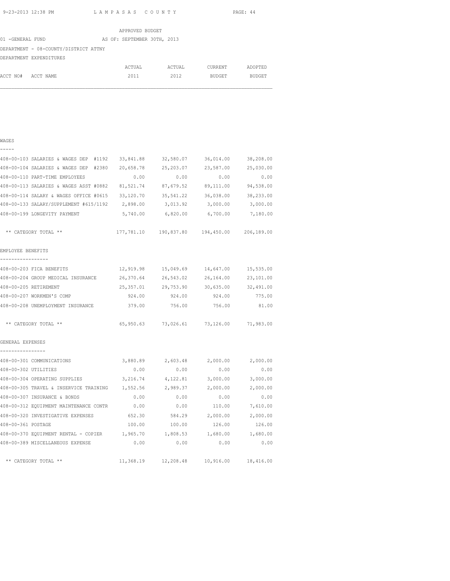WAGES -----

9-23-2013 12:38 PM L A M P A S A S C O U N T Y PAGE: 44

|                                       |  | APPROVED BUDGET             |        |               |               |
|---------------------------------------|--|-----------------------------|--------|---------------|---------------|
| 01 -GENERAL FUND                      |  | AS OF: SEPTEMBER 30TH, 2013 |        |               |               |
| DEPARTMENT - 08-COUNTY/DISTRICT ATTNY |  |                             |        |               |               |
| DEPARTMENT EXPENDITURES               |  |                             |        |               |               |
|                                       |  | ACTUAL                      | ACTUAL | CURRENT       | ADOPTED       |
| ACCT NO#<br>ACCT NAME                 |  | 2011                        | 2012   | <b>BUDGET</b> | <b>BUDGET</b> |

| 408-00-103 SALARIES & WAGES DEP<br>#1192 | 33,841.88  | 32,580.07  | 36,014.00  | 38,208.00  |
|------------------------------------------|------------|------------|------------|------------|
| 408-00-104 SALARIES & WAGES DEP<br>#2380 | 20,658.78  | 25, 203.07 | 23,587.00  | 25,030.00  |
| 408-00-110 PART-TIME EMPLOYEES           | 0.00       | 0.00       | 0.00       | 0.00       |
| 408-00-113 SALARIES & WAGES ASST #0882   | 81,521.74  | 87,679.52  | 89,111.00  | 94,538.00  |
| 408-00-114 SALARY & WAGES OFFICE #0615   | 33,120.70  | 35, 541.22 | 36,038.00  | 38,233.00  |
| 408-00-133 SALARY/SUPPLEMENT #615/1192   | 2,898.00   | 3,013.92   | 3,000.00   | 3,000.00   |
| 408-00-199 LONGEVITY PAYMENT             | 5,740.00   | 6,820.00   | 6,700.00   | 7,180.00   |
| CATEGORY TOTAL **                        | 177,781.10 | 190,837.80 | 194,450.00 | 206,189.00 |
| EMPLOYEE BENEFITS                        |            |            |            |            |
| 109-00-203 FTCA PENFFTTC                 | 12 010 00  | 15.019.69  | 14 647 00  | 15 535 AA  |

| 408-00-203 FICA BENEFITS                                            | 12,919.98 |                                            | 15,049.69 14,647.00           | 15,535.00 |
|---------------------------------------------------------------------|-----------|--------------------------------------------|-------------------------------|-----------|
| 408-00-204 GROUP MEDICAL INSURANCE 26,370.64                        |           |                                            | 26,543.02 26,164.00 23,101.00 |           |
| 408-00-205 RETIREMENT                                               | 25,357.01 |                                            | 29,753.90 30,635.00           | 32,491.00 |
| 408-00-207 WORKMEN'S COMP                                           |           | 924.00 924.00                              | 924.00                        | 775.00    |
| 408-00-208 UNEMPLOYMENT INSURANCE                                   | 379.00    | 756.00                                     | 756.00                        | 81.00     |
| ** CATEGORY TOTAL **                                                |           | 65,950.63 73,026.61 73,126.00 71,983.00    |                               |           |
| GENERAL EXPENSES<br>----------------                                |           |                                            |                               |           |
| 408-00-301 COMMUNICATIONS 60.89 3,880.89 2,603.48 2,000.00 2,000.00 |           |                                            |                               |           |
| 408-00-302 UTILITIES                                                |           | $0.00$ 0.00 0.00 0.00                      |                               | 0.00      |
| 408-00-304 OPERATING SUPPLIES 3,216.74 4,122.81 3,000.00            |           |                                            |                               | 3,000.00  |
| 408-00-305 TRAVEL & INSERVICE TRAINING 1,552.56 2,989.37 2,000.00   |           |                                            |                               | 2,000.00  |
| 408-00-307 INSURANCE & BONDS                                        | 0.00      |                                            | $0.00$ 0.00                   | 0.00      |
| 408-00-312 EQUIPMENT MAINTENANCE CONTR 0.00                         |           | 0.00                                       | 110.00                        | 7,610.00  |
| 408-00-320 INVESTIGATIVE EXPENSES 652.30                            |           | 584.29 2,000.00                            |                               | 2,000.00  |
| 408-00-361 POSTAGE                                                  | 100.00    | 100.00 126.00                              |                               | 126.00    |
| $408-00-370$ EQUIPMENT RENTAL - COPIER $1,965.70$ 1,808.53 1,680.00 |           |                                            |                               | 1,680.00  |
| 408-00-389 MISCELLANEOUS EXPENSE 0.00                               |           |                                            | 0.00<br>0.00                  | 0.00      |
| ** CATEGORY TOTAL **                                                |           | 11,368.19  12,208.48  10,916.00  18,416.00 |                               |           |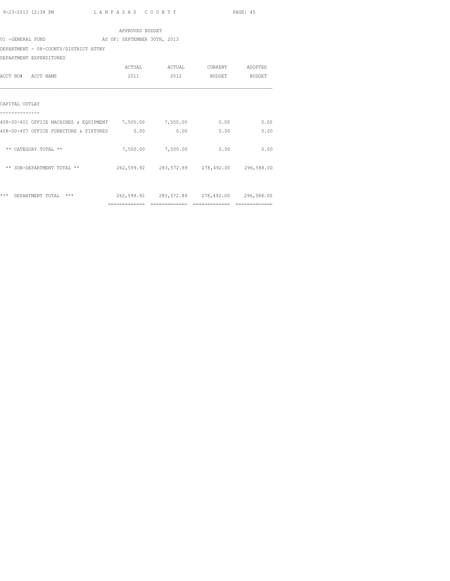APPROVED BUDGET 01 -GENERAL FUND AS OF: SEPTEMBER 30TH, 2013 DEPARTMENT - 08-COUNTY/DISTRICT ATTNY DEPARTMENT EXPENDITURES ACTUAL ACTUAL CURRENT ADOPTED ACCT NO# ACCT NAME 2011 2012 BUDGET BUDGET CAPITAL OUTLAY -------------- 408-00-401 OFFICE MACHINES & EQUIPMENT 7,500.00 7,500.00 0.00 0.00 408-00-407 OFFICE FURNITURE & FIXTURES 0.00 0.00 0.00 0.00 \*\* CATEGORY TOTAL \*\*  $7,500.00$   $7,500.00$  0.00 0.00 \*\* SUB-DEPARTMENT TOTAL \*\* 262,599.92 283,572.89 278,492.00 296,588.00 \*\*\* DEPARTMENT TOTAL \*\*\* 262,599.92 283,572.89 278,492.00 296,588.00

============= ============= ============= =============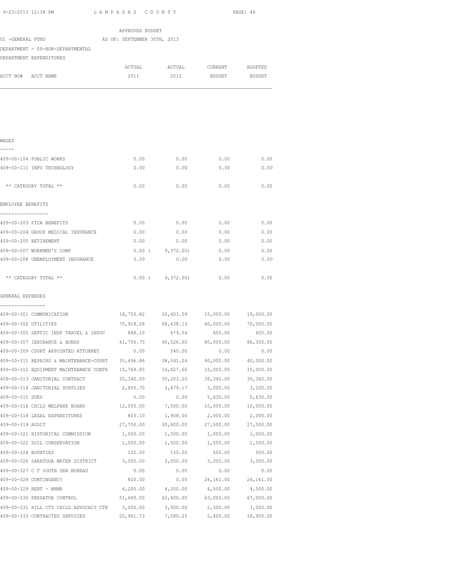| 01 -GENERAL FUND            | DEPARTMENT - 09-NON-DEPARTMENTAL<br>DEPARTMENT EXPENDITURES | AS OF: SEPTEMBER 30TH, 2013<br>ACTUAL<br>2011 | 2012                                            | ACTUAL CURRENT<br><b>BUDGET</b> | ADOPTED<br>BUDGET     |
|-----------------------------|-------------------------------------------------------------|-----------------------------------------------|-------------------------------------------------|---------------------------------|-----------------------|
|                             |                                                             |                                               |                                                 |                                 |                       |
|                             |                                                             |                                               |                                                 |                                 |                       |
| ACCT NO# ACCT NAME<br>WAGES |                                                             |                                               |                                                 |                                 |                       |
|                             |                                                             |                                               |                                                 |                                 |                       |
|                             |                                                             |                                               |                                                 |                                 |                       |
|                             |                                                             |                                               |                                                 |                                 |                       |
|                             |                                                             |                                               |                                                 |                                 |                       |
|                             |                                                             |                                               |                                                 |                                 |                       |
|                             | 409-00-104 PUBLIC WORKS                                     | 0.00                                          | 0.00                                            | 0.00                            | 0.00                  |
|                             | 409-00-111 INFO TECHNOLOGY                                  | 0.00                                          | 0.00                                            | 0.00                            | 0.00                  |
|                             |                                                             |                                               |                                                 |                                 |                       |
|                             | ** CATEGORY TOTAL **                                        | 0.00                                          | 0.00                                            | 0.00                            | 0.00                  |
|                             |                                                             |                                               |                                                 |                                 |                       |
| EMPLOYEE BENEFITS           |                                                             |                                               |                                                 |                                 |                       |
|                             | 409-00-203 FICA BENEFITS                                    |                                               | $0.00$ 0.00 0.00                                |                                 | 0.00                  |
|                             | 409-00-204 GROUP MEDICAL INSURANCE                          |                                               | $0.00$ $0.00$ $0.00$ $0.00$                     |                                 | 0.00                  |
| 409-00-205 RETIREMENT       |                                                             |                                               | $0.00$ 0.00 0.00                                |                                 | 0.00                  |
|                             | 409-00-207 WORKMEN'S COMP                                   |                                               | 0.00(9,372.00)                                  | 0.00                            | 0.00                  |
|                             | 409-00-208 UNEMPLOYMENT INSURANCE                           | 0.00                                          | 0.00                                            | 0.00                            | 0.00                  |
|                             |                                                             |                                               |                                                 |                                 |                       |
|                             | ** CATEGORY TOTAL **                                        |                                               | $0.00$ ( $9,372.00$ )                           | 0.00                            | 0.00                  |
|                             |                                                             |                                               |                                                 |                                 |                       |
| GENERAL EXPENSES            |                                                             |                                               |                                                 |                                 |                       |
|                             | 409-00-301 COMMUNICATION                                    |                                               | 18,750.82 20,603.59 15,000.00                   |                                 | 19,000.00             |
| 409-00-302 UTILITIES        |                                                             |                                               | 70,918.28 68,438.13 60,000.00                   |                                 | 70,000.00             |
|                             | 409-00-305 SEPTIC INSP TRAVEL & INSVC                       | 848.10                                        |                                                 | 679.54 600.00                   | 600.00                |
|                             | 409-00-307 INSURANCE & BONDS                                |                                               | $41,750.75$ $90,526.00$ $80,000.00$ $86,350.00$ |                                 |                       |
|                             | 409-00-309 COURT APPOINTED ATTORNEY                         | 0.00                                          | 540.00                                          | 0.00                            | 0.00                  |
|                             | 409-00-311 REPAIRS & MAINTENANCE-COURT                      | 35,496.86                                     | 38,041.24                                       | 40,000.00                       | 40,000.00             |
|                             | 409-00-312 EQUIPMENT MAINTENANCE CONTR                      | 15,769.85                                     | 16,427.66                                       | 15,000.00                       | 15,000.00             |
|                             | 409-00-313 JANITORIAL CONTRACT                              | 35,340.00                                     | 35,203.20                                       | 35,340.00                       | 35,340.00             |
|                             | 409-00-314 JANITORIAL SUPPLIES                              | 2,855.70                                      | 3,679.17                                        | 3,000.00                        | 3,200.00              |
| 409-00-315 DUES             |                                                             | 0.00                                          | 0.00                                            | 5,630.00                        | 5,630.00              |
|                             | 409-00-316 CHILD WELFARE BOARD                              | 12,500.00                                     | 7,500.00                                        | 10,000.00                       | 10,000.00             |
|                             | 409-00-318 LEGAL EXPENDITURES                               | 803.10                                        | 1,908.00                                        | 2,000.00                        | 2,000.00              |
| 409-00-319 AUDIT            |                                                             | 27,750.00                                     | 30,400.00                                       | 27,500.00                       | 27,500.00             |
|                             | 409-00-321 HISTORICAL COMMISSION                            | 1,000.00                                      | 1,000.00                                        | 1,000.00                        | 1,000.00              |
|                             | 409-00-322 SOIL CONSERVATION                                | 1,500.00                                      | 1,500.00                                        | 1,500.00                        | 1,500.00              |
| 409-00-324 BOUNTIES         |                                                             | 132.00                                        | 155.00                                          | 500.00                          | 500.00                |
|                             | 409-00-326 SARATOGA WATER DISTRICT                          | 3,000.00                                      | 3,000.00                                        | 3,000.00                        | 3,000.00              |
|                             | 409-00-327 C T YOUTH SER BUREAU                             | 0.00                                          | 0.00                                            | 0.00                            | 0.00                  |
| 409-00-328 CONTINGENCY      |                                                             | 820.00                                        | 0.00                                            | 26,161.00                       | 26,161.00             |
| 409-00-329 RENT - MHMR      |                                                             | 4,200.00                                      | 4,200.00                                        | 4,500.00                        | 4,500.00              |
|                             | 409-00-330 PREDATOR CONTROL                                 | 51,600.00                                     | 62,400.00                                       | 63,000.00                       | 67,000.00             |
|                             | 409-00-331 HILL CTY CHILD ADVOCACY CTR                      | 3,000.00<br>20,961.73                         | 3,000.00<br>7,080.25                            | 2,500.00<br>2,400.00            | 3,000.00<br>18,900.00 |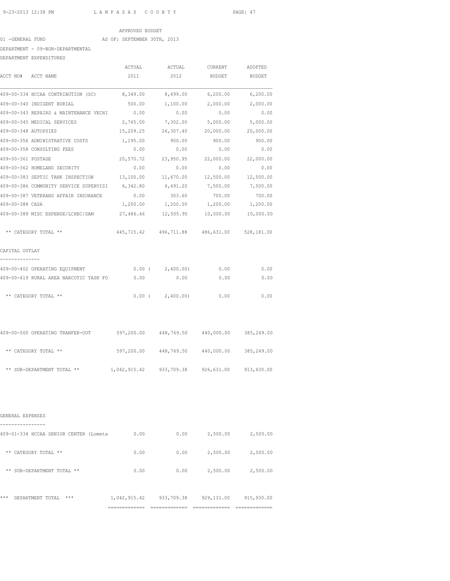#### APPROVED BUDGET

# 01 -GENERAL FUND AS OF: SEPTEMBER 30TH, 2013

# DEPARTMENT - 09-NON-DEPARTMENTAL

DEPARTMENT EXPENDITURES

| DEPARTMENT EXPENDITURES                                                      |                                                  |                                             |                          |           |
|------------------------------------------------------------------------------|--------------------------------------------------|---------------------------------------------|--------------------------|-----------|
|                                                                              |                                                  |                                             |                          |           |
| ACCT NO# ACCT NAME                                                           | 2011 2012                                        |                                             | 2012 BUDGET BUDGET       |           |
| 409-00-334 HCCAA CONTRIBUTION (SC) 8,349.00 8,699.00 6,200.00 6,200.00       |                                                  |                                             |                          |           |
| 409-00-340 INDIGENT BURIAL                                                   | 500.00                                           | 1,100.00                                    | 2,000.00                 | 2,000.00  |
| 409-00-343 REPAIRS & MAINTENANCE VECHI                                       | 0.00                                             | 0.00                                        | 0.00                     | 0.00      |
| 409-00-345 MEDICAL SERVICES                                                  | 2,765.00                                         | 7,302.00                                    | 5,000.00                 | 5,000.00  |
| 409-00-348 AUTOPSIES                                                         | 15,209.25                                        | 26,307.40                                   | 20,000.00                | 20,000.00 |
| 409-00-356 ADMINISTRATIVE COSTS                                              | 1,195.00                                         | 900.00                                      | 900.00                   | 900.00    |
| 409-00-358 CONSULTING FEES                                                   | 0.00                                             | 0.00                                        | 0.00                     | 0.00      |
| 409-00-361 POSTAGE                                                           |                                                  |                                             |                          |           |
| 409-00-362 HOMELAND SECURITY                                                 | 0.00                                             | 0.00                                        | 0.00                     | 0.00      |
|                                                                              |                                                  |                                             |                          |           |
| 409-00-386 COMMUNITY SERVICE SUPERVISI 6,342.80 6,491.20 7,500.00 7,500.00   |                                                  |                                             |                          |           |
| 409-00-387 VETERANS AFFAIR INSURANCE                                         | 0.00                                             | 303.60                                      | 700.00                   | 700.00    |
| 409-00-388 CASA                                                              |                                                  | 1,200.00  1,200.00  1,200.00  1,200.00      |                          |           |
| 409-00-389 MISC EXPENSE/LCHEC/DAM                                            | 27,486.46                                        | 12,505.95  10,000.00  10,000.00             |                          |           |
| ** CATEGORY TOTAL **                                                         |                                                  | 445,715.42 496,711.88 486,631.00 528,181.00 |                          |           |
| CAPITAL OUTLAY                                                               |                                                  |                                             |                          |           |
|                                                                              |                                                  |                                             |                          | 0.00      |
| 409-00-419 RURAL AREA NARCOTIC TASK FO $0.00$ 0.00 0.00 0.00                 |                                                  |                                             |                          | 0.00      |
| ** CATEGORY TOTAL **                                                         |                                                  | $0.00$ ( $2,400.00$ ) 0.00 0.00             |                          |           |
| 409-00-500 OPERATING TRANFER-OUT 597,200.00 448,769.50 440,000.00 385,249.00 |                                                  |                                             |                          |           |
| ** CATEGORY TOTAL **                                                         |                                                  | 597,200.00 448,769.50 440,000.00 385,249.00 |                          |           |
| ** SUB-DEPARTMENT TOTAL ** 1,042,915.42 933,709.38 926,631.00 913,430.00     |                                                  |                                             |                          |           |
| GENERAL EXPENSES                                                             |                                                  |                                             |                          |           |
| 409-01-334 HCCAA SENIOR CENTER (Lometa                                       | 0.00                                             |                                             | $0.00$ 2,500.00          | 2,500.00  |
| ** CATEGORY TOTAL **                                                         | 0.00                                             | 0.00                                        | 2,500.00                 | 2,500.00  |
| ** SUB-DEPARTMENT TOTAL **                                                   | 0.00                                             |                                             | $0.00$ 2,500.00 2,500.00 |           |
| *** DEPARTMENT TOTAL ***                                                     | 1,042,915.42  933,709.38  929,131.00  915,930.00 |                                             |                          |           |
|                                                                              |                                                  |                                             |                          |           |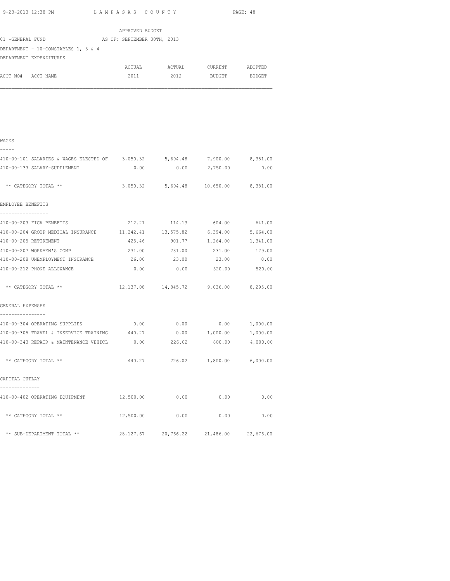| 9-23-2013 12:38 PM                                                           | LAMPASAS COUNTY             | PAGE: 48                                 |                          |          |
|------------------------------------------------------------------------------|-----------------------------|------------------------------------------|--------------------------|----------|
|                                                                              | APPROVED BUDGET             |                                          |                          |          |
| 01 - GENERAL FUND                                                            | AS OF: SEPTEMBER 30TH, 2013 |                                          |                          |          |
| DEPARTMENT - 10-CONSTABLES 1, 3 & 4                                          |                             |                                          |                          |          |
| DEPARTMENT EXPENDITURES                                                      |                             |                                          |                          |          |
|                                                                              |                             | ACTUAL ACTUAL CURRENT ADOPTED            |                          |          |
| ACCT NO# ACCT NAME                                                           |                             | 2011 2012 BUDGET BUDGET                  |                          |          |
|                                                                              |                             |                                          |                          |          |
| WAGES                                                                        |                             |                                          |                          |          |
| 410-00-101 SALARIES & WAGES ELECTED OF 3,050.32 5,694.48 7,900.00 8,381.00   |                             |                                          |                          |          |
| 410-00-133 SALARY-SUPPLEMENT                                                 | 0.00                        | 0.00                                     | 2,750.00                 | 0.00     |
| ** CATEGORY TOTAL **                                                         |                             | 3,050.32 5,694.48 10,650.00 8,381.00     |                          |          |
| EMPLOYEE BENEFITS                                                            |                             |                                          |                          |          |
| ------------------<br>410-00-203 FICA BENEFITS                               |                             | 212.21 114.13 604.00 641.00              |                          |          |
| 410-00-204 GROUP MEDICAL INSURANCE 11, 242.41 13, 575.82 6, 394.00 5, 664.00 |                             |                                          |                          |          |
| 410-00-205 RETIREMENT                                                        | 425.46                      | 901.77                                   | 1,264.00                 | 1,341.00 |
| 410-00-207 WORKMEN'S COMP                                                    | 231.00                      | 231.00                                   | 231.00                   | 129.00   |
| 410-00-208 UNEMPLOYMENT INSURANCE                                            | 26.00                       | 23.00                                    | 23.00                    | 0.00     |
| 410-00-212 PHONE ALLOWANCE                                                   | 0.00                        | 0.00                                     | 520.00                   | 520.00   |
| ** CATEGORY TOTAL **                                                         |                             | 12,137.08  14,845.72  9,036.00  8,295.00 |                          |          |
| GENERAL EXPENSES                                                             |                             |                                          |                          |          |
| 410-00-304 OPERATING SUPPLIES                                                |                             | $0.00$ $0.00$ $0.00$ $1,000.00$          |                          |          |
| 410-00-305 TRAVEL & INSERVICE TRAINING $440.27$ 0.00 1,000.00 1,000.00       |                             |                                          |                          |          |
| 410-00-343 REPAIR & MAINTENANCE VEHICL 0.00                                  |                             |                                          | 226.02 800.00 4,000.00   |          |
| ** CATEGORY TOTAL **                                                         | 440.27                      |                                          | 226.02 1,800.00 6,000.00 |          |
| CAPITAL OUTLAY                                                               |                             |                                          |                          |          |
| 410-00-402 OPERATING EQUIPMENT 12,500.00                                     |                             | 0.00                                     | 0.00                     | 0.00     |
| ** CATEGORY TOTAL **                                                         | 12,500.00                   | 0.00                                     | 0.00                     | 0.00     |

\*\* SUB-DEPARTMENT TOTAL \*\* 28,127.67 20,766.22 21,486.00 22,676.00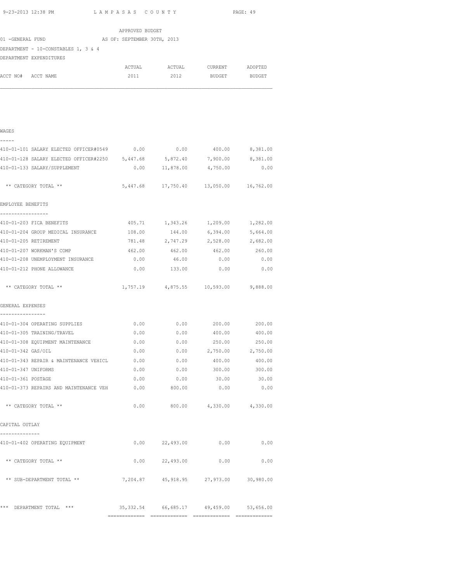| 9-23-2013 12:38 PM                                                         | LAMPASAS COUNTY |                                             | PAGE: 49                 |          |  |
|----------------------------------------------------------------------------|-----------------|---------------------------------------------|--------------------------|----------|--|
|                                                                            | APPROVED BUDGET |                                             |                          |          |  |
| 01 -GENERAL FUND AS OF: SEPTEMBER 30TH, 2013                               |                 |                                             |                          |          |  |
| DEPARTMENT - 10-CONSTABLES 1, 3 & 4                                        |                 |                                             |                          |          |  |
| DEPARTMENT EXPENDITURES                                                    |                 |                                             |                          |          |  |
|                                                                            |                 | ACTUAL ACTUAL CURRENT ADOPTED               |                          |          |  |
| ACCT NO# ACCT NAME                                                         | 2011            | 2012                                        | BUDGET BUDGET            |          |  |
| WAGES                                                                      |                 |                                             |                          |          |  |
| 410-01-101 SALARY ELECTED OFFICER#0549 0.00 0.00 0.00 400.00 8,381.00      |                 |                                             |                          |          |  |
| 410-01-128 SALARY ELECTED OFFICER#2250 5,447.68 5,872.40 7,900.00 8,381.00 |                 |                                             |                          |          |  |
| 410-01-133 SALARY/SUPPLEMENT                                               |                 | $0.00$ 11,878.00 4,750.00                   |                          | 0.00     |  |
| ** CATEGORY TOTAL **                                                       |                 | 5,447.68 17,750.40 13,050.00 16,762.00      |                          |          |  |
| EMPLOYEE BENEFITS                                                          |                 |                                             |                          |          |  |
| 410-01-203 FICA BENEFITS                                                   |                 | 405.71 1,343.26                             | 1,209.00                 | 1,282.00 |  |
| 410-01-204 GROUP MEDICAL INSURANCE                                         | 108.00          | 144.00                                      | 6,394.00                 | 5,664.00 |  |
| 410-01-205 RETIREMENT                                                      | 781.48          |                                             | 2,747.29 2,528.00        | 2,682.00 |  |
| 410-01-207 WORKMAN'S COMP                                                  | 462.00          |                                             | 462.00 462.00 260.00     |          |  |
| 410-01-208 UNEMPLOYMENT INSURANCE                                          |                 | $0.00$ 46.00                                | 0.00                     | 0.00     |  |
| 410-01-212 PHONE ALLOWANCE                                                 |                 | $0.00$ 133.00 0.00                          |                          | 0.00     |  |
| ** CATEGORY TOTAL **                                                       |                 | 1,757.19 4,875.55 10,593.00 9,888.00        |                          |          |  |
| GENERAL EXPENSES                                                           |                 |                                             |                          |          |  |
| 410-01-304 OPERATING SUPPLIES                                              | 0.00            | 0.00                                        | 200.00                   | 200.00   |  |
| 410-01-305 TRAINING/TRAVEL                                                 | 0.00            | 0.00                                        | 400.00                   | 400.00   |  |
| 410-01-308 EQUIPMENT MAINTENANCE                                           | 0.00            | 0.00                                        | 250.00                   | 250.00   |  |
| 410-01-342 GAS/OIL                                                         | 0.00            | 0.00                                        | 2,750.00 2,750.00        |          |  |
| 410-01-343 REPAIR & MAINTENANCE VEHICL                                     | 0.00            | 0.00                                        | 400.00                   | 400.00   |  |
| 410-01-347 UNIFORMS                                                        | 0.00            |                                             | $0.00$ 300.00 300.00     |          |  |
| 410-01-361 POSTAGE                                                         |                 | $0.00$ 0.00 30.00 30.00                     |                          |          |  |
| 410-01-373 REPAIRS AND MAINTENANCE VEH 0.00 800.00                         |                 |                                             | 0.00                     | 0.00     |  |
| ** CATEGORY TOTAL **                                                       | 0.00            |                                             | 800.00 4,330.00 4,330.00 |          |  |
| CAPITAL OUTLAY                                                             |                 |                                             |                          |          |  |
| 410-01-402 OPERATING EQUIPMENT                                             |                 | 0.00 22,493.00                              | 0.00                     | 0.00     |  |
| ** CATEGORY TOTAL **                                                       | 0.00            | 22,493.00                                   | 0.00                     | 0.00     |  |
| ** SUB-DEPARTMENT TOTAL **                                                 |                 | 7,204.87 45,918.95 27,973.00 30,980.00      |                          |          |  |
| *** DEPARTMENT TOTAL ***                                                   |                 | 35, 332.54 66, 685.17 49, 459.00 53, 656.00 |                          |          |  |

============= ============= ============= =============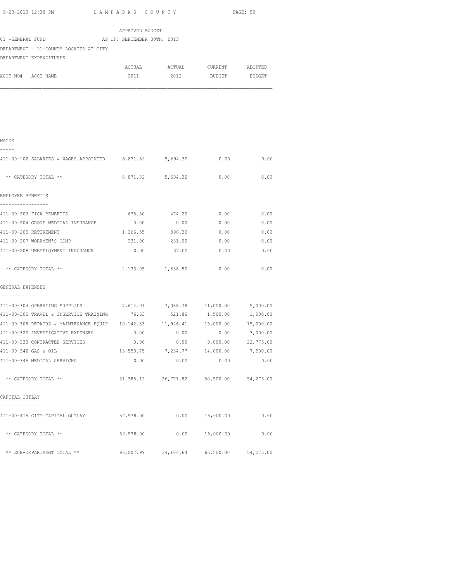| 9-23-2013 12:38 PM $L$ AMPASAS COUNTY                                          |                 |                        |                               | PAGE: 50  |
|--------------------------------------------------------------------------------|-----------------|------------------------|-------------------------------|-----------|
|                                                                                | APPROVED BUDGET |                        |                               |           |
| AS OF: SEPTEMBER 30TH, 2013<br>01 -GENERAL FUND                                |                 |                        |                               |           |
| DEPARTMENT - 11-COUNTY LOCATED AT CITY                                         |                 |                        |                               |           |
| DEPARTMENT EXPENDITURES                                                        |                 |                        |                               |           |
|                                                                                | ACTUAL          | <b>ACTUAL</b>          | CURRENT                       | ADOPTED   |
| ACCT NO# ACCT NAME                                                             | 2011            | 2012                   | BUDGET                        | BUDGET    |
|                                                                                |                 |                        |                               |           |
| WAGES<br>-----                                                                 |                 |                        |                               |           |
| 411-00-102 SALARIES & WAGES APPOINTED 8,871.82 5,694.32                        |                 |                        | 0.00                          | 0.00      |
| ** CATEGORY TOTAL **                                                           |                 | 8,871.82 5,694.32 0.00 |                               | 0.00      |
| EMPLOYEE BENEFITS                                                              |                 |                        |                               |           |
| --------------                                                                 |                 |                        |                               |           |
| 411-00-203 FICA BENEFITS                                                       |                 | 675.50 474.20          | 0.00                          | 0.00      |
| 411-00-204 GROUP MEDICAL INSURANCE                                             | 0.00            | 0.00                   | 0.00                          | 0.00      |
| 411-00-205 RETIREMENT                                                          | 1,266.55        | 896.30                 | 0.00                          | 0.00      |
| 411-00-207 WORKMEN'S COMP                                                      | 231.00          | 231.00                 | 0.00                          | 0.00      |
| 411-00-208 UNEMPLOYMENT INSURANCE                                              | 0.00            | 37.00                  | 0.00                          | 0.00      |
| ** CATEGORY TOTAL **                                                           |                 | 2,173.05 1,638.50      | 0.00                          | 0.00      |
| GENERAL EXPENSES                                                               |                 |                        |                               |           |
| ----------------                                                               |                 |                        |                               |           |
| 411-00-304 OPERATING SUPPLIES<br>7,614.91<br>7,088.78<br>11,000.00<br>5,000.00 |                 |                        |                               |           |
| 411-00-305 TRAVEL & INSERVICE TRAINING                                         | 76.63           | 521.86                 | 1,500.00                      | 1,000.00  |
| 411-00-308 REPAIRS & MAINTENANCE EQUIP  10,142.83  11,926.41                   |                 |                        | 15,000.00                     | 15,000.00 |
| 411-00-320 INVESTIGATIVE EXPENSES                                              | 0.00            | 0.00                   | 0.00                          | 3,000.00  |
| 411-00-333 CONTRACTED SERVICES                                                 | 0.00            |                        | $0.00$ $9,000.00$ $22,775.00$ |           |
|                                                                                |                 |                        |                               |           |

411-00-342 GAS & OIL 13,550.75 7,234.77 14,000.00 7,500.00 411-00-345 MEDICAL SERVICES 0.00 0.00 0.00 0.00

\*\* CATEGORY TOTAL \*\* 31,385.12 26,771.82 50,500.00 54,275.00

411-00-415 CITY CAPITAL OUTLAY 52,578.00 0.00 15,000.00 0.00

\*\* CATEGORY TOTAL \*\* <br>52,578.00 0.00 15,000.00 0.00

\*\* SUB-DEPARTMENT TOTAL \*\* 95,007.99 34,104.64 65,500.00 54,275.00

CAPITAL OUTLAY --------------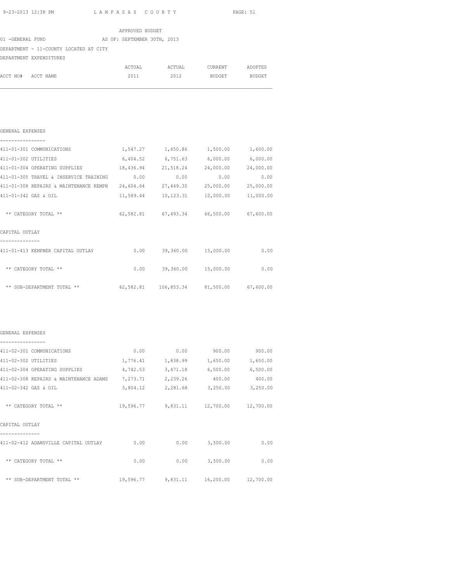|                         |                                        |  | APPROVED BUDGET             |  |                               |  |
|-------------------------|----------------------------------------|--|-----------------------------|--|-------------------------------|--|
| 01 -GENERAL FUND        |                                        |  | AS OF: SEPTEMBER 30TH, 2013 |  |                               |  |
|                         | DEPARTMENT - 11-COUNTY LOCATED AT CITY |  |                             |  |                               |  |
| DEPARTMENT EXPENDITURES |                                        |  |                             |  |                               |  |
|                         |                                        |  |                             |  | ACTUAL ACTUAL CURRENT ADOPTED |  |
| ACCT NO# ACCT NAME      |                                        |  | 2011 2012                   |  | BUDGET BUDGET                 |  |
|                         |                                        |  |                             |  |                               |  |
|                         |                                        |  |                             |  |                               |  |
|                         |                                        |  |                             |  |                               |  |
|                         |                                        |  |                             |  |                               |  |
|                         |                                        |  |                             |  |                               |  |
| GENERAL EXPENSES        |                                        |  |                             |  |                               |  |
| --------------          |                                        |  |                             |  |                               |  |

| 411-01-301 COMMUNICATIONS              | 1,547.27  | 1,650.86                                    | 1,500.00  | 1,600.00  |
|----------------------------------------|-----------|---------------------------------------------|-----------|-----------|
| 411-01-302 UTILITIES                   | 6,404.52  | 6,751.63                                    | 6,000.00  | 6,000.00  |
| 411-01-304 OPERATING SUPPLIES          | 18,436.94 | 21,518.24                                   | 24,000.00 | 24,000.00 |
| 411-01-305 TRAVEL & INSERVICE TRAINING | 0.00      | 0.00                                        | 0.00      | 0.00      |
| 411-01-308 REPAIRS & MAINTENANCE KEMPN | 24,604.64 | 27,449.30                                   | 25,000.00 | 25,000.00 |
| 411-01-342 GAS & OIL                   | 11,589.44 | 10,123.31                                   | 10,000.00 | 11,000.00 |
|                                        |           |                                             |           |           |
| ** CATEGORY TOTAL **                   |           | 62,582.81 67,493.34 66,500.00               |           | 67,600.00 |
| CAPITAL OUTLAY                         |           |                                             |           |           |
| 411-01-413 KEMPNER CAPITAL OUTLAY      | 0.00      | 39,360.00                                   | 15,000.00 | 0.00      |
| ** CATEGORY TOTAL **                   | 0.00      | 39,360.00                                   | 15,000.00 | 0.00      |
| ** SUB-DEPARTMENT TOTAL **             |           | 62,582.81  106,853.34  81,500.00  67,600.00 |           |           |

### GENERAL EXPENSES

| 411-02-301 COMMUNICATIONS              | 0.00      | 0.00     | 900.00                       | 900.00    |
|----------------------------------------|-----------|----------|------------------------------|-----------|
| 411-02-302 UTILITIES                   | 1,776.41  | 1,838.99 | 1,650.00                     | 1,650.00  |
| 411-02-304 OPERATING SUPPLIES          | 4,742.53  | 3,471.18 | 6,500.00                     | 6,500.00  |
| 411-02-308 REPAIRS & MAINTENANCE ADAMS | 7,273.71  | 2,239.26 | 400.00                       | 400.00    |
| 411-02-342 GAS & OIL                   | 5,804.12  | 2,281.68 | 3,250.00                     | 3,250.00  |
| ** CATEGORY TOTAL **                   |           |          | 19,596.77 9,831.11 12,700.00 | 12,700.00 |
| CAPITAL OUTLAY                         |           |          |                              |           |
| 411-02-412 ADAMSVILLE CAPITAL OUTLAY   | 0.00      | 0.00     | 3,500.00                     | 0.00      |
| ** CATEGORY TOTAL **                   | 0.00      | 0.00     | 3,500.00                     | 0.00      |
| ** SUB-DEPARTMENT TOTAL **             | 19,596.77 | 9,831.11 | 16,200.00                    | 12,700.00 |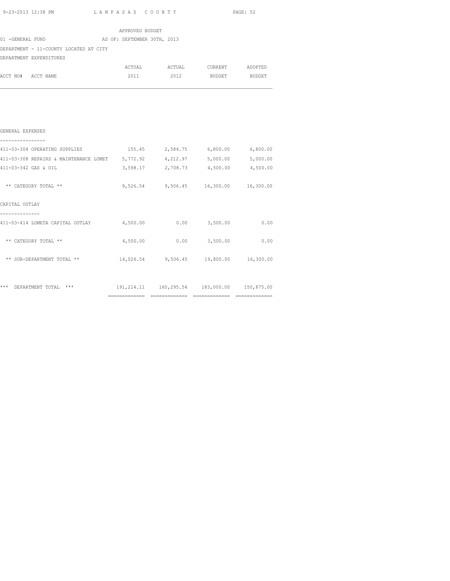|  | 9-23-2013 12:38 PM |  |
|--|--------------------|--|
|  |                    |  |

L A M P A S A S C O U N T Y PAGE: 52

|                                                                             | APPROVED BUDGET |                                        |      |
|-----------------------------------------------------------------------------|-----------------|----------------------------------------|------|
| 01 -GENERAL FUND<br>AS OF: SEPTEMBER 30TH, 2013                             |                 |                                        |      |
| DEPARTMENT - 11-COUNTY LOCATED AT CITY                                      |                 |                                        |      |
| DEPARTMENT EXPENDITURES                                                     |                 |                                        |      |
|                                                                             |                 | ACTUAL ACTUAL CURRENT ADOPTED          |      |
| ACCT NO# ACCT NAME                                                          |                 | 2011 2012 BUDGET BUDGET                |      |
|                                                                             |                 |                                        |      |
| GENERAL EXPENSES<br>------------                                            |                 |                                        |      |
| 411-03-304 OPERATING SUPPLIES                                               |                 | 155.45 2,584.75 6,800.00 6,800.00      |      |
| 411-03-308 REPAIRS & MAINTENANCE LOMET 5,772.92 4,212.97 5,000.00 5,000.00  |                 |                                        |      |
| 411-03-342 GAS & OIL                                                        |                 | 3,598.17 2,708.73 4,500.00 4,500.00    |      |
| ** CATEGORY TOTAL **                                                        |                 | 9,526.54 9,506.45 16,300.00 16,300.00  |      |
| CAPITAL OUTLAY                                                              |                 |                                        |      |
| --------------<br>411-03-414 LOMETA CAPITAL OUTLAY $4,500.00$ 0.00 3,500.00 |                 |                                        | 0.00 |
| ** CATEGORY TOTAL **                                                        | 4,500.00        | $0.00$ 3,500.00                        | 0.00 |
| ** SUB-DEPARTMENT TOTAL **                                                  |                 | 14,026.54 9,506.45 19,800.00 16,300.00 |      |
|                                                                             |                 |                                        |      |

\*\*\* DEPARTMENT TOTAL \*\*\* 191,214.11 160,295.54 183,000.00 150,875.00 ============= ============= ============= =============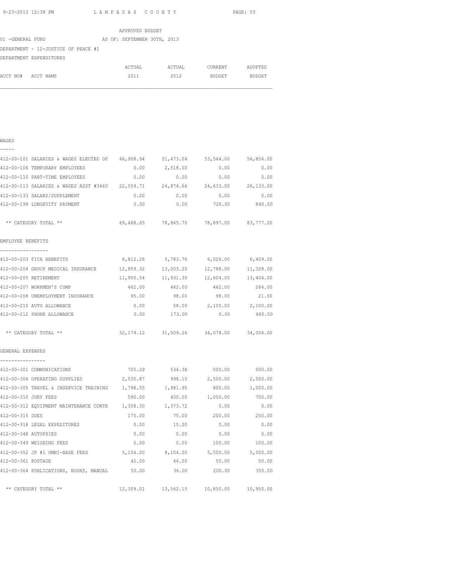|                                     | APPROVED BUDGET             |        |         |               |
|-------------------------------------|-----------------------------|--------|---------|---------------|
| 01 -GENERAL FUND                    | AS OF: SEPTEMBER 30TH, 2013 |        |         |               |
| DEPARTMENT - 12-JUSTICE OF PEACE #1 |                             |        |         |               |
| DEPARTMENT EXPENDITURES             |                             |        |         |               |
|                                     | ACTUAL                      | ACTUAL | CURRENT | ADOPTED       |
| ACCT NO#<br>ACCT NAME               | 2011                        | 2012   | BUDGET  | <b>BUDGET</b> |

| $\overline{\phantom{0}}$ | - | - | - |  |
|--------------------------|---|---|---|--|
|                          |   |   |   |  |

| 412-00-101 SALARIES & WAGES ELECTED OF                   | 46,908.94 | 51, 473.04                              | 53, 544.00                    | 56,804.00       |
|----------------------------------------------------------|-----------|-----------------------------------------|-------------------------------|-----------------|
| 412-00-106 TEMPORARY EMPLOYEES                           | 0.00      | 2,518.00                                | 0.00                          | 0.00            |
| 412-00-110 PART-TIME EMPLOYEES                           | 0.00      | 0.00                                    | 0.00                          | 0.00            |
| 412-00-113 SALARIES & WAGES ASST #3460 22,559.71         |           |                                         | 24,874.66 24,633.00 26,133.00 |                 |
| 412-00-133 SALARY/SUPPLEMENT                             | 0.00      | 0.00                                    | 0.00                          | 0.00            |
| 412-00-199 LONGEVITY PAYMENT                             | 0.00      | 0.00                                    | 720.00                        | 840.00          |
| ** CATEGORY TOTAL **                                     |           | 69,468.65 78,865.70 78,897.00 83,777.00 |                               |                 |
| EMPLOYEE BENEFITS                                        |           |                                         |                               |                 |
| 412-00-203 FICA BENEFITS                                 | 6,812.26  | 5,783.76                                | 6,026.00                      | 6,409.00        |
| 412-00-204 GROUP MEDICAL INSURANCE 12,859.32             |           |                                         | 13,003.20 12,788.00           | 11,328.00       |
| 412-00-205 RETIREMENT                                    |           | 11,950.54 11,931.30                     | 12,604.00                     | 13,404.00       |
| 412-00-207 WORKMEN'S COMP                                | 462.00    | 462.00                                  | 462.00                        | 264.00          |
| 412-00-208 UNEMPLOYMENT INSURANCE                        | 95.00     | 98.00                                   | 98.00                         | 21.00           |
| 412-00-210 AUTO ALLOWANCE                                | 0.00      |                                         | 58.00 2,100.00 2,100.00       |                 |
| 412-00-212 PHONE ALLOWANCE                               | 0.00      | 173.00                                  |                               | $0.00$ 480.00   |
| ** CATEGORY TOTAL **                                     |           | 32,179.12 31,509.26 34,078.00 34,006.00 |                               |                 |
| GENERAL EXPENSES                                         |           |                                         |                               |                 |
| ---------------<br>412-00-301 COMMUNICATIONS             |           | 705.29 534.38 500.00 500.00             |                               |                 |
| 412-00-304 OPERATING SUPPLIES 2,535.87 998.10 2,500.00   |           |                                         |                               | 2,500.00        |
| 412-00-305 TRAVEL & INSERVICE TRAINING 1,798.55 1,981.95 |           |                                         |                               | 800.00 1,000.00 |
| 412-00-310 JURY FEES                                     | 590.00    | 400.00                                  | 1,000.00                      | 700.00          |
| 412-00-312 EQUIPMENT MAINTENANCE CONTR 1,308.30          |           | 1,373.72                                | 0.00                          | 0.00            |
| 412-00-315 DUES                                          | 175.00    | 75.00                                   | 200.00                        | 250.00          |
| 412-00-318 LEGAL EXPEDITURES                             | 0.00      | 15.00                                   | 0.00                          | 0.00            |
| 412-00-348 AUTOPSIES                                     | 0.00      | 0.00                                    | 0.00                          | 0.00            |
| 412-00-349 WEIGHING FEES                                 | 0.00      | 0.00                                    | 100.00                        | 100.00          |
| 412-00-352 JP #1 OMNI-BASE FEES                          | 5,104.00  | 8,104.00                                | 5,500.00                      | 5,500.00        |
| 412-00-361 POSTAGE                                       | 42.00     | 44.00                                   | 50.00                         | 50.00           |
| 412-00-364 PUBLICATIONS, BOOKS, MANUAL                   | 50.00     | 36.00                                   | 200.00                        | 350.00          |
| ** CATEGORY TOTAL **                                     |           | 12,309.01 13,562.15                     | 10,850.00                     | 10,950.00       |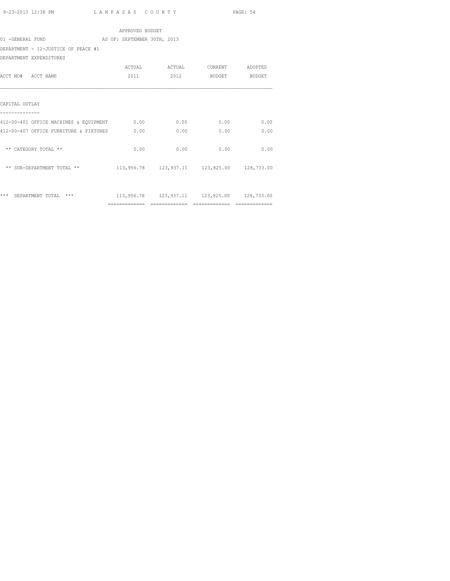| APPROVED BUDGET                             |                             |      |                                                |      |  |  |  |  |
|---------------------------------------------|-----------------------------|------|------------------------------------------------|------|--|--|--|--|
| 01 -GENERAL FUND                            | AS OF: SEPTEMBER 30TH, 2013 |      |                                                |      |  |  |  |  |
| DEPARTMENT - 12-JUSTICE OF PEACE #1         |                             |      |                                                |      |  |  |  |  |
| DEPARTMENT EXPENDITURES                     |                             |      |                                                |      |  |  |  |  |
|                                             |                             |      |                                                |      |  |  |  |  |
| ACCT NO# ACCT NAME                          | 2011                        |      | 2012 BUDGET BUDGET                             |      |  |  |  |  |
| CAPITAL OUTLAY                              |                             |      |                                                |      |  |  |  |  |
| 412-00-401 OFFICE MACHINES & EQUIPMENT 0.00 |                             | 0.00 | 0.00                                           | 0.00 |  |  |  |  |
| 412-00-407 OFFICE FURNITURE & FIXTURES      | 0.00                        | 0.00 | 0.00                                           | 0.00 |  |  |  |  |
| ** CATEGORY TOTAL **                        | 0.00                        | 0.00 | 0.00                                           | 0.00 |  |  |  |  |
| ** SUB-DEPARTMENT TOTAL **                  |                             |      | 113,956.78  123,937.11  123,825.00  128,733.00 |      |  |  |  |  |
| *** DEPARTMENT TOTAL<br>***                 |                             |      | 113,956.78 123,937.11 123,825.00 128,733.00    |      |  |  |  |  |
|                                             |                             |      |                                                |      |  |  |  |  |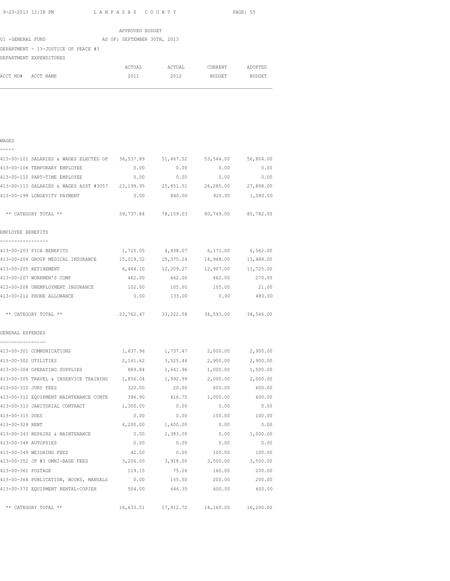|                  |                                     |  | APPROVED BUDGET             |        |         |               |
|------------------|-------------------------------------|--|-----------------------------|--------|---------|---------------|
| 01 -GENERAL FUND |                                     |  | AS OF: SEPTEMBER 30TH, 2013 |        |         |               |
|                  | DEPARTMENT - 13-JUSTICE OF PEACE #3 |  |                             |        |         |               |
|                  | DEPARTMENT EXPENDITURES             |  |                             |        |         |               |
|                  |                                     |  | ACTUAL                      | ACTUAL | CURRENT | ADOPTED       |
| ACCT NO#         | ACCT NAME                           |  | 2011                        | 2012   | BUDGET  | <b>BUDGET</b> |
|                  |                                     |  |                             |        |         |               |

| $\sim$<br>- 3 |  |
|---------------|--|

| - | - | - | _ |  |
|---|---|---|---|--|
|   |   |   |   |  |

| 413-00-101 SALARIES & WAGES ELECTED OF 36,537.89                               |           | 51,467.52                                   | 53,544.00 | 56,804.00 |
|--------------------------------------------------------------------------------|-----------|---------------------------------------------|-----------|-----------|
| 413-00-106 TEMPORARY EMPLOYEE                                                  | 0.00      | 0.00                                        | 0.00      | 0.00      |
| 413-00-110 PART-TIME EMPLOYEE                                                  | 0.00      | 0.00                                        | 0.00      | 0.00      |
| 413-00-113 SALARIES & WAGES ASST #3057 23,199.95 25,851.51 26,285.00 27,898.00 |           |                                             |           |           |
| 413-00-199 LONGEVITY PAYMENT                                                   |           | $0.00$ 840.00 920.00 1,080.00               |           |           |
| ** CATEGORY TOTAL **                                                           |           | 59,737.84 78,159.03 80,749.00 85,782.00     |           |           |
| EMPLOYEE BENEFITS<br>_________________                                         |           |                                             |           |           |
| 413-00-203 FICA BENEFITS                                                       | 1,715.05  | 4,938.07                                    | 6,171.00  | 6,562.00  |
| 413-00-204 GROUP MEDICAL INSURANCE                                             | 15,019.32 | 15,375.24                                   | 14,948.00 | 13,488.00 |
| 413-00-205 RETIREMENT                                                          | 6,464.10  | 12,209.27                                   | 12,907.00 | 13,725.00 |
| 413-00-207 WORKMEN'S COMP                                                      | 462.00    | 462.00                                      | 462.00    | 270.00    |
| 413-00-208 UNEMPLOYMENT INSURANCE 102.00                                       |           | 105.00                                      | 105.00    | 21.00     |
| 413-00-212 PHONE ALLOWANCE                                                     |           | $0.00$ 133.00                               | 0.00      | 480.00    |
| ** CATEGORY TOTAL **                                                           |           | 23, 762.47 33, 222.58 34, 593.00 34, 546.00 |           |           |
| GENERAL EXPENSES                                                               |           |                                             |           |           |
| ----------------<br>413-00-301 COMMUNICATIONS                                  | 1,637.96  | 1,737.47                                    | 2,000.00  | 2,900.00  |
| 413-00-302 UTILITIES                                                           | 2,161.62  | 3,525.44                                    | 2,900.00  | 2,900.00  |
| 413-00-304 OPERATING SUPPLIES                                                  | 889.84    | 1,641.96                                    | 1,000.00  | 1,500.00  |
| 413-00-305 TRAVEL & INSERVICE TRAINING 1,856.04                                |           | 1,992.99                                    | 2,000.00  | 2,000.00  |
| 413-00-310 JURY FEES                                                           | 320.00    | 20.00                                       | 600.00    | 600.00    |
| 413-00-312 EQUIPMENT MAINTENANCE CONTR                                         | 396.90    | 416.75                                      | 1,000.00  | 600.00    |
| 413-00-313 JANITORIAL CONTRACT                                                 | 1,300.00  | 0.00                                        | 0.00      | 0.00      |
| 413-00-315 DUES                                                                | 0.00      | 0.00                                        | 100.00    | 100.00    |
| 413-00-329 RENT                                                                |           | 4,200.00 1,400.00                           | 0.00      | 0.00      |
| 413-00-343 REPAIRS & MAINTENANCE                                               |           | $0.00$ 2,383.00                             | 0.00      | 1,000.00  |
| 413-00-348 AUTOPSIES                                                           | 0.00      | 0.00                                        | 0.00      | 0.00      |
| 413-00-349 WEIGHING FEES                                                       | 42.00     | 0.00                                        | 100.00    | 100.00    |
| 413-00-352 JP #3 OMNI-BASE FEES 3,206.00 3,918.00 3,500.00 3,500.00            |           |                                             |           |           |
| 413-00-361 POSTAGE                                                             | 119.15    | 75.26                                       | 160.00    | 200.00    |
| 413-00-364 PUBLICATION, BOOKS, MANUALS                                         | 0.00      | 155.50                                      | 200.00    | 200.00    |
| 413-00-370 EQUIPMENT RENTAL-COPIER 504.00                                      |           | 646.35                                      | 600.00    | 600.00    |
| ** CATEGORY TOTAL **                                                           |           | 16,633.51  17,912.72  14,160.00  16,200.00  |           |           |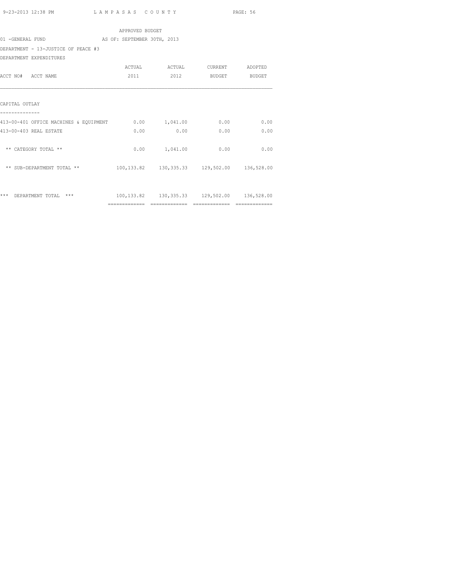| 9-23-2013 12:38 PM<br>. | LAMPASAS COUNTY | PAGE: 56 |
|-------------------------|-----------------|----------|
|-------------------------|-----------------|----------|

|                                                      | APPROVED BUDGET |                                                        |               |      |  |
|------------------------------------------------------|-----------------|--------------------------------------------------------|---------------|------|--|
| AS OF: SEPTEMBER 30TH, 2013<br>01 -GENERAL FUND      |                 |                                                        |               |      |  |
| DEPARTMENT - 13-JUSTICE OF PEACE #3                  |                 |                                                        |               |      |  |
| DEPARTMENT EXPENDITURES                              |                 |                                                        |               |      |  |
|                                                      |                 | ACTUAL ACTUAL CURRENT ADOPTED                          |               |      |  |
| ACCT NO# ACCT NAME                                   | 2011            | 2012                                                   | BUDGET BUDGET |      |  |
|                                                      |                 |                                                        |               |      |  |
| CAPITAL OUTLAY                                       |                 |                                                        |               |      |  |
|                                                      |                 |                                                        |               |      |  |
| 413-00-401 OFFICE MACHINES & EOUIPMENT 0.00 1,041.00 |                 |                                                        | 0.00          | 0.00 |  |
| 413-00-403 REAL ESTATE                               | 0.00            | 0.00                                                   | 0.00          | 0.00 |  |
|                                                      |                 |                                                        |               |      |  |
| ** CATEGORY TOTAL **                                 |                 | 0.00 1,041.00                                          | 0.00          | 0.00 |  |
| ** SUB-DEPARTMENT TOTAL **                           |                 | 100,133.82 130,335.33 129,502.00 136,528.00            |               |      |  |
|                                                      |                 |                                                        |               |      |  |
|                                                      |                 |                                                        |               |      |  |
| *** DEPARTMENT TOTAL ***                             |                 | 100, 133, 82  130, 335, 33  129, 502, 00  136, 528, 00 |               |      |  |
|                                                      |                 |                                                        |               |      |  |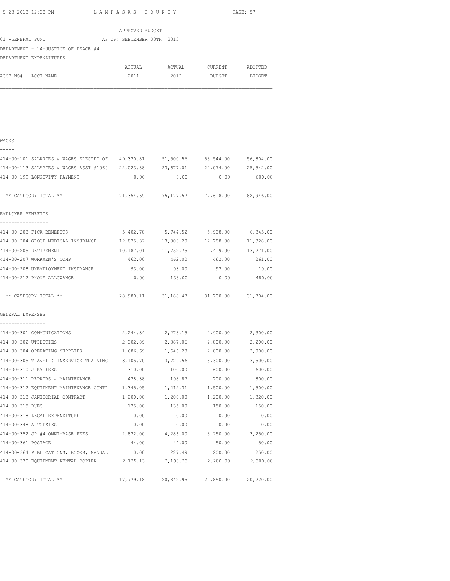|                    | 9-23-2013 12:38 PM LAMPASAS COUNTY                                             |                 |                                         | PAGE: 57 |
|--------------------|--------------------------------------------------------------------------------|-----------------|-----------------------------------------|----------|
|                    |                                                                                | APPROVED BUDGET |                                         |          |
|                    | 01 -GENERAL FUND AS OF: SEPTEMBER 30TH, 2013                                   |                 |                                         |          |
|                    | DEPARTMENT - 14-JUSTICE OF PEACE #4                                            |                 |                                         |          |
|                    | DEPARTMENT EXPENDITURES                                                        |                 |                                         |          |
|                    |                                                                                |                 | ACTUAL ACTUAL CURRENT ADOPTED           |          |
| ACCT NO# ACCT NAME |                                                                                | 2011            | 2012 BUDGET BUDGET                      |          |
|                    |                                                                                |                 |                                         |          |
| WAGES              |                                                                                |                 |                                         |          |
|                    | 414-00-101 SALARIES & WAGES ELECTED OF 49,330.81 51,500.56 53,544.00 56,804.00 |                 |                                         |          |
|                    | 414-00-113 SALARIES & WAGES ASST #1060 22,023.88 23,677.01 24,074.00 25,542.00 |                 |                                         |          |
|                    | 414-00-199 LONGEVITY PAYMENT                                                   |                 | $0.00$ 0.00 0.00                        | 600.00   |
|                    | ** CATEGORY TOTAL **                                                           |                 | 71,354.69 75,177.57 77,618.00 82,946.00 |          |

| EMPLOYEE BENEFITS                  |           |           |                                         |           |
|------------------------------------|-----------|-----------|-----------------------------------------|-----------|
| 414-00-203 FICA BENEFITS           |           |           | 5,402.78 5,744.52 5,938.00              | 6,345.00  |
| 414-00-204 GROUP MEDICAL INSURANCE | 12,835.32 | 13,003.20 | 12,788.00                               | 11,328.00 |
| 414-00-205 RETIREMENT              | 10,187.01 | 11,752.75 | 12,419.00                               | 13,271.00 |
| 414-00-207 WORKMEN'S COMP          | 462.00    | 462.00    | 462.00                                  | 261.00    |
| 414-00-208 UNEMPLOYMENT INSURANCE  | 93.00     | 93.00     | 93.00                                   | 19.00     |
| 414-00-212 PHONE ALLOWANCE         | 0.00      | 133.00    | 0.00                                    | 480.00    |
| ** CATEGORY TOTAL **               |           |           | 28,980.11 31,188.47 31,700.00 31,704.00 |           |
| GENERAL EXPENSES                   |           |           |                                         |           |
| 414-00-301 COMMUNICATIONS          |           |           | 2,244.34 2,278.15 2,900.00              | 2,300.00  |
| 414-00-302 UTILITIES               |           |           | 2,302.89 2,887.06 2,800.00              | 2,200.00  |
|                                    |           |           |                                         |           |

| 414-00-302 UTILITIES |                                        | 2,302.89 | 2,887.06 | 2,800.00                      | 2,200.00  |
|----------------------|----------------------------------------|----------|----------|-------------------------------|-----------|
|                      | 414-00-304 OPERATING SUPPLIES          | 1,686.69 | 1,646.28 | 2,000.00                      | 2,000.00  |
|                      | 414-00-305 TRAVEL & INSERVICE TRAINING | 3,105.70 | 3,729.56 | 3,300.00                      | 3,500.00  |
| 414-00-310 JURY FEES |                                        | 310.00   | 100.00   | 600.00                        | 600.00    |
|                      | 414-00-311 REPAIRS & MAINTENANCE       | 438.38   | 198.87   | 700.00                        | 800.00    |
|                      | 414-00-312 EQUIPMENT MAINTENANCE CONTR | 1,345.05 | 1,412.31 | 1,500.00                      | 1,500.00  |
|                      | 414-00-313 JANITORIAL CONTRACT         | 1,200.00 | 1,200.00 | 1,200.00                      | 1,320.00  |
| 414-00-315 DUES      |                                        | 135.00   | 135.00   | 150.00                        | 150.00    |
|                      | 414-00-318 LEGAL EXPENDITURE           | 0.00     | 0.00     | 0.00                          | 0.00      |
| 414-00-348 AUTOPSIES |                                        | 0.00     | 0.00     | 0.00                          | 0.00      |
|                      | 414-00-352 JP #4 OMNI-BASE FEES        | 2,832.00 | 4,286.00 | 3,250.00                      | 3,250.00  |
| 414-00-361 POSTAGE   |                                        | 44.00    | 44.00    | 50.00                         | 50.00     |
|                      | 414-00-364 PUBLICATIONS, BOOKS, MANUAL | 0.00     | 227.49   | 200.00                        | 250.00    |
|                      | 414-00-370 EQUIPMENT RENTAL-COPIER     | 2,135.13 | 2,198.23 | 2,200.00                      | 2,300.00  |
|                      |                                        |          |          |                               |           |
|                      | ** CATEGORY TOTAL **                   |          |          | 17,779.18 20,342.95 20,850.00 | 20,220.00 |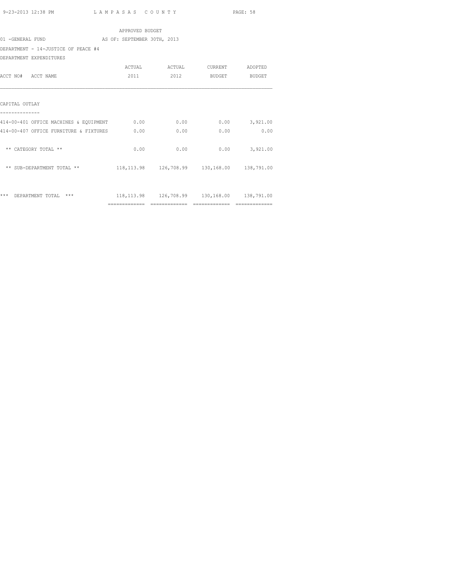|                                        | APPROVED BUDGET             |                                                       |               |                               |  |
|----------------------------------------|-----------------------------|-------------------------------------------------------|---------------|-------------------------------|--|
| 01 -GENERAL FUND                       | AS OF: SEPTEMBER 30TH, 2013 |                                                       |               |                               |  |
| DEPARTMENT - 14-JUSTICE OF PEACE #4    |                             |                                                       |               |                               |  |
| DEPARTMENT EXPENDITURES                |                             |                                                       |               |                               |  |
|                                        |                             | ACTUAL ACTUAL CURRENT ADOPTED                         |               |                               |  |
| ACCT NO# ACCT NAME                     | 2011                        | 2012                                                  | BUDGET BUDGET |                               |  |
| CAPITAL OUTLAY                         |                             |                                                       |               |                               |  |
| 414-00-401 OFFICE MACHINES & EQUIPMENT | 0.00                        | 0.00                                                  |               | $0.00$ 3,921.00               |  |
| 414-00-407 OFFICE FURNITURE & FIXTURES | 0.00                        | 0.00                                                  | 0.00          | 0.00                          |  |
| ** CATEGORY TOTAL **                   | 0.00                        | 0.00                                                  |               | $0.00$ $3,921.00$             |  |
| ** SUB-DEPARTMENT TOTAL **             |                             | 118, 113.98  126, 708.99  130, 168.00  138, 791.00    |               |                               |  |
|                                        |                             |                                                       |               |                               |  |
| *** DEPARTMENT TOTAL ***               |                             | 118, 113.98   126, 708.99   130, 168.00   138, 791.00 |               |                               |  |
|                                        |                             |                                                       |               | $=$ = = = = = = = = = = = = = |  |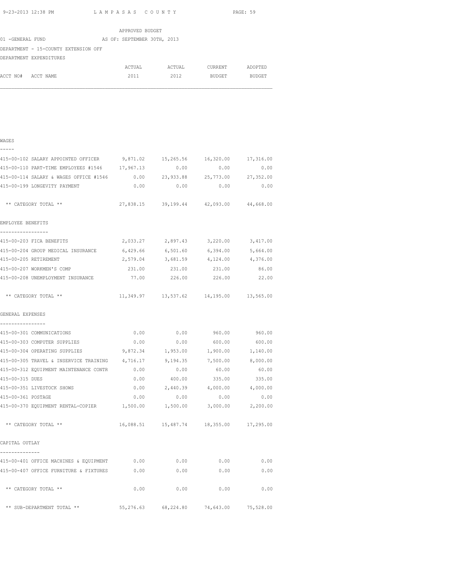|                    | 9-23-2013 12:38 PM LAMPASAS COUNTY                                         |                 |                                         |      | PAGE: 59     |
|--------------------|----------------------------------------------------------------------------|-----------------|-----------------------------------------|------|--------------|
|                    |                                                                            | APPROVED BUDGET |                                         |      |              |
|                    | 01 -GENERAL FUND AS OF: SEPTEMBER 30TH, 2013                               |                 |                                         |      |              |
|                    | DEPARTMENT - 15-COUNTY EXTENSION OFF                                       |                 |                                         |      |              |
|                    | DEPARTMENT EXPENDITURES                                                    |                 |                                         |      |              |
|                    |                                                                            |                 | ACTUAL ACTUAL CURRENT ADOPTED           |      |              |
| ACCT NO# ACCT NAME |                                                                            |                 | 2011 2012 BUDGET BUDGET                 |      |              |
| <b>WAGES</b>       |                                                                            |                 |                                         |      |              |
|                    | 415-00-102 SALARY APPOINTED OFFICER 9,871.02 15,265.56 16,320.00 17,316.00 |                 |                                         |      |              |
|                    | 415-00-110 PART-TIME EMPLOYEES #1546 17,967.13 0.00                        |                 |                                         |      | 0.00<br>0.00 |
|                    | 415-00-114 SALARY & WAGES OFFICE #1546 0.00 23,933.88 25,773.00            |                 |                                         |      | 27,352.00    |
|                    | 415-00-199 LONGEVITY PAYMENT                                               |                 | $0.00$ 0.00                             | 0.00 | 0.00         |
|                    | ** CATEGORY TOTAL **                                                       |                 | 27,838.15 39,199.44 42,093.00 44,668.00 |      |              |
| EMPLOYEE BENEFITS  |                                                                            |                 |                                         |      |              |

| 415-00-203 FICA BENEFITS                    | 2,033.27  | 2,897.43  | 3,220.00  | 3,417.00  |
|---------------------------------------------|-----------|-----------|-----------|-----------|
| $415 - 00 - 204$<br>GROUP MEDICAL INSURANCE | 6,429.66  | 6,501.60  | 6,394.00  | 5,664.00  |
| 415-00-205 RETIREMENT                       | 2,579.04  | 3,681.59  | 4,124.00  | 4,376.00  |
| 415-00-207 WORKMEN'S COMP                   | 231.00    | 231.00    | 231.00    | 86.00     |
| 415-00-208 UNEMPLOYMENT INSURANCE           | 77.00     | 226.00    | 226.00    | 22.00     |
|                                             |           |           |           |           |
| CATEGORY TOTAL **<br>**                     | 11,349.97 | 13,537.62 | 14,195.00 | 13,565.00 |

| GENERAL EXPENSES |
|------------------|
|                  |

|  |  |  |  |  |  |  | ---------------- |  |
|--|--|--|--|--|--|--|------------------|--|

| 415-00-301 COMMUNICATIONS              | 0.00     | 0.00                                       | 960.00   | 960.00   |
|----------------------------------------|----------|--------------------------------------------|----------|----------|
| 415-00-303 COMPUTER SUPPLIES           | 0.00     | 0.00                                       | 600.00   | 600.00   |
| 415-00-304 OPERATING SUPPLIES          | 9,872.34 | 1,953.00                                   | 1,900.00 | 1,140.00 |
| 415-00-305 TRAVEL & INSERVICE TRAINING | 4,716.17 | 9,194.35                                   | 7,500.00 | 8,000.00 |
| 415-00-312 EQUIPMENT MAINTENANCE CONTR | 0.00     | 0.00                                       | 60.00    | 60.00    |
| 415-00-315 DUES                        | 0.00     | 400.00                                     | 335.00   | 335.00   |
| 415-00-351 LIVESTOCK SHOWS             | 0.00     | 2,440.39                                   | 4,000.00 | 4,000.00 |
| 415-00-361 POSTAGE                     | 0.00     | 0.00                                       | 0.00     | 0.00     |
| 415-00-370 EQUIPMENT RENTAL-COPIER     | 1,500.00 | 1,500.00                                   | 3,000.00 | 2,200.00 |
| ** CATEGORY TOTAL **                   |          | 16,088.51  15,487.74  18,355.00  17,295.00 |          |          |
| CAPITAL OUTLAY                         |          |                                            |          |          |
|                                        |          |                                            |          |          |
| 415-00-401 OFFICE MACHINES & EQUIPMENT | 0.00     | 0.00                                       | 0.00     | 0.00     |
| 415-00-407 OFFICE FURNITURE & FIXTURES | 0.00     | 0.00                                       | 0.00     | 0.00     |
| ** CATEGORY TOTAL **                   | 0.00     | 0.00                                       | 0.00     | 0.00     |

\*\* SUB-DEPARTMENT TOTAL \*\* 55,276.63 68,224.80 74,643.00 75,528.00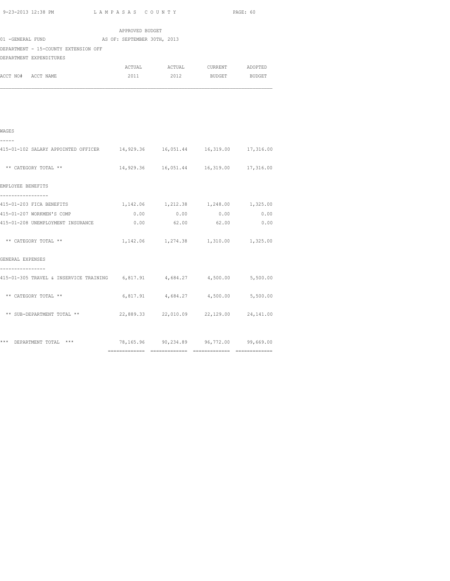|  | 9-23-2013 12:38 PM |  |
|--|--------------------|--|

| 9-23-2013 12:38 PM LAMPASAS COUNTY                                                         |                 |                                            |                        | PAGE: 60 |  |  |  |
|--------------------------------------------------------------------------------------------|-----------------|--------------------------------------------|------------------------|----------|--|--|--|
|                                                                                            | APPROVED BUDGET |                                            |                        |          |  |  |  |
| 01 -GENERAL FUND AS OF: SEPTEMBER 30TH, 2013                                               |                 |                                            |                        |          |  |  |  |
| DEPARTMENT - 15-COUNTY EXTENSION OFF                                                       |                 |                                            |                        |          |  |  |  |
| DEPARTMENT EXPENDITURES                                                                    |                 |                                            |                        |          |  |  |  |
|                                                                                            | ACTUAL          |                                            | ACTUAL CURRENT ADOPTED |          |  |  |  |
| ACCT NO# ACCT NAME                                                                         | 2011            | 2012                                       | <b>BUDGET</b>          | BUDGET   |  |  |  |
|                                                                                            |                 |                                            |                        |          |  |  |  |
|                                                                                            |                 |                                            |                        |          |  |  |  |
| WAGES                                                                                      |                 |                                            |                        |          |  |  |  |
| -----                                                                                      |                 |                                            |                        |          |  |  |  |
| 415-01-102 SALARY APPOINTED OFFICER 14,929.36 16,051.44 16,319.00 17,316.00                |                 |                                            |                        |          |  |  |  |
| ** CATEGORY TOTAL **                                                                       |                 | 14,929.36  16,051.44  16,319.00  17,316.00 |                        |          |  |  |  |
| EMPLOYEE BENEFITS                                                                          |                 |                                            |                        |          |  |  |  |
| -----------------<br>415-01-203 FICA BENEFITS                                              |                 | 1, 142.06 1, 212.38 1, 248.00 1, 325.00    |                        |          |  |  |  |
| 415-01-207 WORKMEN'S COMP                                                                  | 0.00            | 0.00                                       | 0.00                   | 0.00     |  |  |  |
| 415-01-208 UNEMPLOYMENT INSURANCE                                                          | 0.00            | 62.00                                      | 62.00                  | 0.00     |  |  |  |
| ** CATEGORY TOTAL **                                                                       |                 | 1, 142.06 1, 274.38 1, 310.00 1, 325.00    |                        |          |  |  |  |
| GENERAL EXPENSES                                                                           |                 |                                            |                        |          |  |  |  |
| ------------<br>415-01-305 TRAVEL & INSERVICE TRAINING 6,817.91 4,684.27 4,500.00 5,500.00 |                 |                                            |                        |          |  |  |  |
| ** CATEGORY TOTAL **                                                                       |                 | 6,817.91 4,684.27 4,500.00 5,500.00        |                        |          |  |  |  |
| ** SUB-DEPARTMENT TOTAL **                                                                 |                 | 22,889.33 22,010.09 22,129.00 24,141.00    |                        |          |  |  |  |
|                                                                                            |                 |                                            |                        |          |  |  |  |

\*\*\* DEPARTMENT TOTAL \*\*\* 78,165.96 90,234.89 96,772.00 99,669.00 ============= ============= ============= =============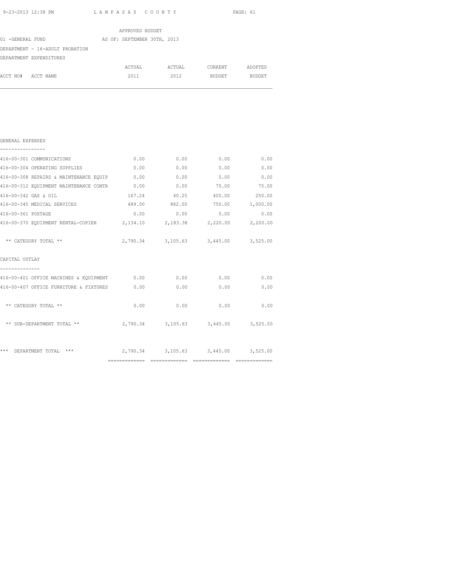|                                 | APPROVED BUDGET             |        |         |               |
|---------------------------------|-----------------------------|--------|---------|---------------|
| 01 -GENERAL FUND                | AS OF: SEPTEMBER 30TH, 2013 |        |         |               |
| DEPARTMENT - 16-ADULT PROBATION |                             |        |         |               |
| DEPARTMENT EXPENDITURES         |                             |        |         |               |
|                                 | ACTUAL                      | ACTUAL | CURRENT | ADOPTED       |
| ACCT NO# ACCT NAME              | 2011                        | 2012   | BUDGET  | <b>BUDGET</b> |
|                                 |                             |        |         |               |
|                                 |                             |        |         |               |
|                                 |                             |        |         |               |
|                                 |                             |        |         |               |

| 416-00-301 COMMUNICATIONS                                     | 0.00   | 0.00   | 0.00                                | 0.00         |
|---------------------------------------------------------------|--------|--------|-------------------------------------|--------------|
| 416-00-304 OPERATING SUPPLIES                                 | 0.00   | 0.00   | 0.00                                | 0.00         |
| 416-00-308 REPAIRS & MAINTENANCE EQUIP                        | 0.00   | 0.00   | 0.00                                | 0.00         |
| 416-00-312 EQUIPMENT MAINTENANCE CONTR 0.00                   |        | 0.00   | 75.00                               | 75.00        |
| 416-00-342 GAS & OIL                                          | 167.24 | 40.25  | 400.00                              | 250.00       |
| 416-00-345 MEDICAL SERVICES                                   | 489.00 | 882.00 | 750.00                              | 1,000.00     |
| 416-00-361 POSTAGE                                            | 0.00   | 0.00   | 0.00                                | 0.00         |
| 416-00-370 EQUIPMENT RENTAL-COPIER 2,134.10 2,183.38 2,220.00 |        |        |                                     | 2,200.00     |
| ** CATEGORY TOTAL **                                          |        |        | 2,790.34 3,105.63 3,445.00          | 3,525.00     |
| CAPITAL OUTLAY                                                |        |        |                                     |              |
| 416-00-401 OFFICE MACHINES & EQUIPMENT 0.00                   |        | 0.00   |                                     | 0.00<br>0.00 |
| 416-00-407 OFFICE FURNITURE & FIXTURES                        | 0.00   | 0.00   | 0.00                                | 0.00         |
| ** CATEGORY TOTAL **                                          | 0.00   | 0.00   | 0.00                                | 0.00         |
| ** SUB-DEPARTMENT TOTAL **                                    |        |        | 2,790.34 3,105.63 3,445.00 3,525.00 |              |
| ***<br>$***$<br>DEPARTMENT TOTAL                              |        |        | 2,790.34 3,105.63 3,445.00 3,525.00 |              |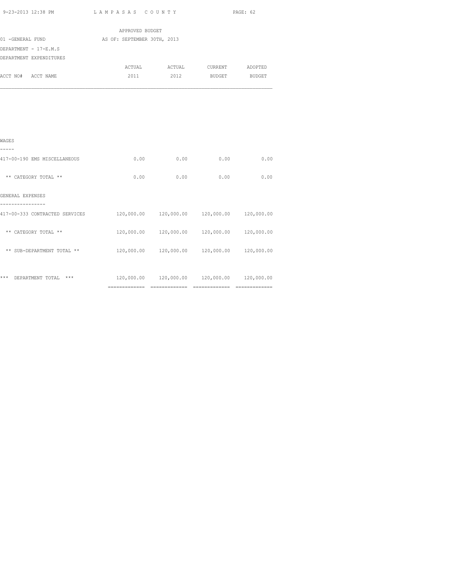| . | 9-23-2013 12:38 PM | LAMPASAS COUNTY | PAGE: 62 |
|---|--------------------|-----------------|----------|
|---|--------------------|-----------------|----------|

|                  |                         | APPROVED BUDGET             |        |         |               |
|------------------|-------------------------|-----------------------------|--------|---------|---------------|
| 01 -GENERAL FUND |                         | AS OF: SEPTEMBER 30TH, 2013 |        |         |               |
|                  | DEPARTMENT - 17-E.M.S   |                             |        |         |               |
|                  | DEPARTMENT EXPENDITURES |                             |        |         |               |
|                  |                         | ACTUAL                      | ACTUAL | CURRENT | ADOPTED       |
| ACCT NO#         | ACCT NAME               | 2011                        | 2012   | BUDGET  | <b>BUDGET</b> |
|                  |                         |                             |        |         |               |
|                  |                         |                             |        |         |               |

| WAGES                            |                           |            |            |            |
|----------------------------------|---------------------------|------------|------------|------------|
| 417-00-190 EMS MISCELLANEOUS     | 0.00                      | 0.00       | 0.00       | 0.00       |
| ** CATEGORY TOTAL **             | 0.00                      | 0.00       | 0.00       | 0.00       |
| GENERAL EXPENSES                 |                           |            |            |            |
| 417-00-333 CONTRACTED SERVICES   | 120,000.00                | 120,000.00 | 120,000.00 | 120,000.00 |
| ** CATEGORY TOTAL **             | 120,000.00                | 120,000.00 | 120,000.00 | 120,000.00 |
| ** SUB-DEPARTMENT TOTAL **       | 120,000.00                | 120,000.00 | 120,000.00 | 120,000.00 |
|                                  |                           |            |            |            |
| ***<br>$***$<br>DEPARTMENT TOTAL | 120,000.00<br>=========== | 120,000.00 | 120,000.00 | 120,000.00 |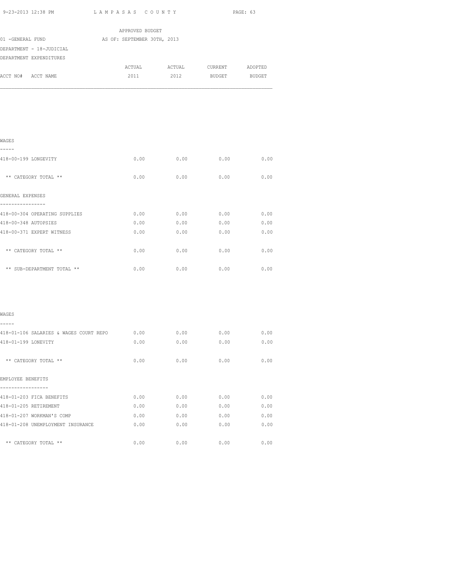| 9-23-2013 12:38 PM LAMPASAS COUNTY          |                             |      |                                                                                                      | PAGE: 63 |
|---------------------------------------------|-----------------------------|------|------------------------------------------------------------------------------------------------------|----------|
|                                             | APPROVED BUDGET             |      |                                                                                                      |          |
| 01 - GENERAL FUND                           | AS OF: SEPTEMBER 30TH, 2013 |      |                                                                                                      |          |
| DEPARTMENT - 18-JUDICIAL                    |                             |      |                                                                                                      |          |
| DEPARTMENT EXPENDITURES                     |                             |      |                                                                                                      |          |
|                                             |                             |      | ${\tt ACTUAL} \hspace{2.3cm} {\tt ACTUAL} \hspace{2.3cm} {\tt CURRENT} \hspace{2.3cm} {\tt ADOPTED}$ |          |
| ACCT NO# ACCT NAME                          | 2011                        |      | 2012 BUDGET BUDGET                                                                                   |          |
|                                             |                             |      |                                                                                                      |          |
| WAGES                                       |                             |      |                                                                                                      |          |
| ----<br>418-00-199 LONGEVITY                | 0.00                        | 0.00 | 0.00                                                                                                 | 0.00     |
| ** CATEGORY TOTAL **                        | 0.00                        | 0.00 | 0.00                                                                                                 | 0.00     |
| GENERAL EXPENSES<br>----------------        |                             |      |                                                                                                      |          |
| 418-00-304 OPERATING SUPPLIES               | 0.00                        |      | $0.00$ 0.00                                                                                          | 0.00     |
| 418-00-348 AUTOPSIES                        | 0.00                        |      | $0.00$ 0.00 0.00                                                                                     |          |
| 418-00-371 EXPERT WITNESS                   | 0.00                        |      | $0.00$ $0.00$                                                                                        | 0.00     |
| ** CATEGORY TOTAL **                        | 0.00                        | 0.00 | 0.00                                                                                                 | 0.00     |
| ** SUB-DEPARTMENT TOTAL **                  | 0.00                        | 0.00 | 0.00                                                                                                 | 0.00     |
| WAGES                                       |                             |      |                                                                                                      |          |
| -----                                       |                             |      |                                                                                                      |          |
| 418-01-106 SALARIES & WAGES COURT REPO 0.00 |                             | 0.00 | 0.00                                                                                                 | 0.00     |
| 418-01-199 LONEVITY                         | 0.00                        | 0.00 | 0.00                                                                                                 | 0.00     |
| ** CATEGORY TOTAL **                        | 0.00                        | 0.00 | 0.00                                                                                                 | 0.00     |
| EMPLOYEE BENEFITS                           |                             |      |                                                                                                      |          |
| 418-01-203 FICA BENEFITS                    | 0.00                        | 0.00 | 0.00                                                                                                 | 0.00     |
| 418-01-205 RETIREMENT                       | 0.00                        | 0.00 | 0.00                                                                                                 | 0.00     |
| 418-01-207 WORKMAN'S COMP                   | 0.00                        | 0.00 | 0.00                                                                                                 | 0.00     |
| 418-01-208 UNEMPLOYMENT INSURANCE           | 0.00                        | 0.00 | 0.00                                                                                                 | 0.00     |
| ** CATEGORY TOTAL **                        | 0.00                        | 0.00 | 0.00                                                                                                 | 0.00     |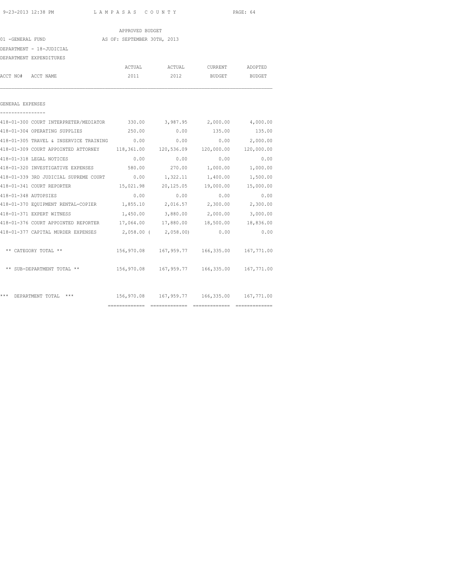|                                                                                 | APPROVED BUDGET             |                                                |          |                 |
|---------------------------------------------------------------------------------|-----------------------------|------------------------------------------------|----------|-----------------|
| 01 -GENERAL FUND                                                                | AS OF: SEPTEMBER 30TH, 2013 |                                                |          |                 |
| DEPARTMENT - 18-JUDICIAL                                                        |                             |                                                |          |                 |
| DEPARTMENT EXPENDITURES                                                         |                             |                                                |          |                 |
|                                                                                 |                             |                                                |          |                 |
| ACCT NO# ACCT NAME                                                              |                             | 2011 2012 BUDGET BUDGET                        |          |                 |
| GENERAL EXPENSES                                                                |                             |                                                |          |                 |
|                                                                                 |                             |                                                |          |                 |
| 418-01-300 COURT INTERPRETER/MEDIATOR 330.00 3,987.95 2,000.00 4,000.00         |                             |                                                |          |                 |
| 418-01-304 OPERATING SUPPLIES                                                   |                             | 250.00 0.00 135.00                             |          | 135.00          |
| 418-01-305 TRAVEL & INSERVICE TRAINING 0.00                                     |                             | 0.00                                           |          | $0.00$ 2,000.00 |
| 418-01-309 COURT APPOINTED ATTORNEY 118,361.00 120,536.09 120,000.00 120,000.00 |                             |                                                |          |                 |
| 418-01-318 LEGAL NOTICES                                                        | 0.00                        | 0.00                                           | 0.00     | 0.00            |
| 418-01-320 INVESTIGATIVE EXPENSES                                               | 580.00                      | 270.00                                         | 1,000.00 | 1,000.00        |
| 418-01-339 3RD JUDICIAL SUPREME COURT 0.00 1,322.11 1,400.00 1,500.00           |                             |                                                |          |                 |
| 418-01-341 COURT REPORTER                                                       |                             | 15,021.98  20,125.05  19,000.00  15,000.00     |          |                 |
| 418-01-348 AUTOPSIES                                                            | 0.00                        | 0.00                                           | 0.00     | 0.00            |
| 418-01-370 EQUIPMENT RENTAL-COPIER 1,855.10 2,016.57 2,300.00 2,300.00          |                             |                                                |          |                 |
| 418-01-371 EXPERT WITNESS                                                       |                             | 1,450.00 3,880.00 2,000.00 3,000.00            |          |                 |
| 418-01-376 COURT APPOINTED REPORTER 17,064.00 17,880.00 18,500.00 18,836.00     |                             |                                                |          |                 |
| 418-01-377 CAPITAL MURDER EXPENSES 2,058.00 (2,058.00) 0.00                     |                             |                                                |          | 0.00            |
| ** CATEGORY TOTAL **                                                            |                             | 156,970.08  167,959.77  166,335.00  167,771.00 |          |                 |
| ** SUB-DEPARTMENT TOTAL **                                                      |                             | 156,970.08  167,959.77  166,335.00  167,771.00 |          |                 |
| *** DEPARTMENT TOTAL ***                                                        |                             | 156,970.08  167,959.77  166,335.00  167,771.00 |          |                 |
|                                                                                 |                             |                                                |          |                 |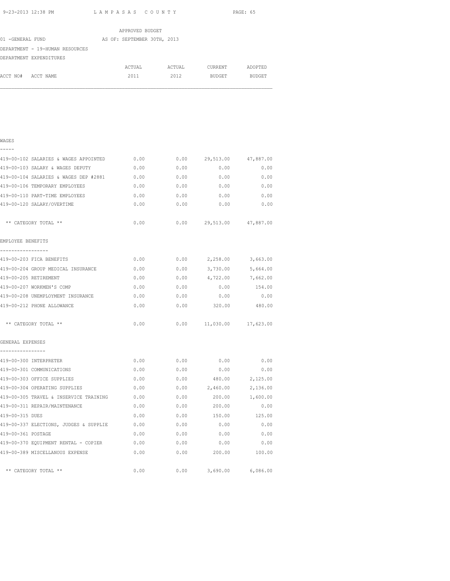|                                 | APPROVED BUDGET             |        |         |               |
|---------------------------------|-----------------------------|--------|---------|---------------|
| 01 - GENERAL FUND               | AS OF: SEPTEMBER 30TH, 2013 |        |         |               |
| DEPARTMENT - 19-HUMAN RESOURCES |                             |        |         |               |
| DEPARTMENT EXPENDITURES         |                             |        |         |               |
|                                 | ACTUAL                      | ACTUAL | CURRENT | ADOPTED       |
| ACCT NO# ACCT NAME              | 2011                        | 2012   | BUDGET  | <b>BUDGET</b> |
|                                 |                             |        |         |               |
|                                 |                             |        |         |               |
|                                 |                             |        |         |               |

### WAGES

| -<br>—<br>_<br>$\overline{\phantom{a}}$ |
|-----------------------------------------|
|-----------------------------------------|

| 419-00-102 SALARIES & WAGES APPOINTED         | 0.00 | 0.00 | 29,513.00                  | 47,887.00         |
|-----------------------------------------------|------|------|----------------------------|-------------------|
| 419-00-103 SALARY & WAGES DEPUTY              | 0.00 | 0.00 | 0.00                       | 0.00              |
| 419-00-104 SALARIES & WAGES DEP #2881         | 0.00 | 0.00 | 0.00                       | 0.00              |
| 419-00-106 TEMPORARY EMPLOYEES                | 0.00 | 0.00 | 0.00                       | 0.00              |
| 419-00-110 PART-TIME EMPLOYEES                | 0.00 | 0.00 | 0.00                       | 0.00              |
| 419-00-120 SALARY/OVERTIME                    | 0.00 | 0.00 | 0.00                       | 0.00              |
| ** CATEGORY TOTAL **                          | 0.00 |      | $0.00$ 29,513.00 47,887.00 |                   |
| EMPLOYEE BENEFITS                             |      |      |                            |                   |
| -----------------<br>419-00-203 FICA BENEFITS | 0.00 |      | $0.00$ 2,258.00 3,663.00   |                   |
| 419-00-204 GROUP MEDICAL INSURANCE            | 0.00 | 0.00 |                            | 3,730.00 5,664.00 |
| 419-00-205 RETIREMENT                         | 0.00 | 0.00 | 4,722.00                   | 7,662.00          |
| 419-00-207 WORKMEN'S COMP                     | 0.00 | 0.00 | 0.00                       | 154.00            |
| 419-00-208 UNEMPLOYMENT INSURANCE             | 0.00 | 0.00 | 0.00                       | 0.00              |
| 419-00-212 PHONE ALLOWANCE                    | 0.00 | 0.00 | 320.00 480.00              |                   |
| ** CATEGORY TOTAL **                          | 0.00 |      | $0.00$ 11,030.00 17,623.00 |                   |
| GENERAL EXPENSES<br>---------------           |      |      |                            |                   |
| 419-00-300 INTERPRETER                        | 0.00 | 0.00 | 0.00                       | 0.00              |
| 419-00-301 COMMUNICATIONS                     | 0.00 |      | $0.00$ 0.00                | 0.00              |
| 419-00-303 OFFICE SUPPLIES                    | 0.00 |      | $0.00$ 480.00              | 2,125.00          |
| 419-00-304 OPERATING SUPPLIES                 | 0.00 |      | $0.00$ 2,460.00            | 2,136.00          |
| 419-00-305 TRAVEL & INSERVICE TRAINING        | 0.00 | 0.00 | 200.00                     | 1,600.00          |
| 419-00-311 REPAIR/MAINTENANCE                 | 0.00 | 0.00 | 200.00                     | 0.00              |
| 419-00-315 DUES                               | 0.00 | 0.00 | 150.00                     | 125.00            |
| 419-00-337 ELECTIONS, JUDGES & SUPPLIE        | 0.00 | 0.00 | 0.00                       | 0.00              |
| 419-00-361 POSTAGE                            | 0.00 |      | $0.00$ 0.00                | 0.00              |
| 419-00-370 EQUIPMENT RENTAL - COPIER          | 0.00 | 0.00 | 0.00                       | 0.00              |
| 419-00-389 MISCELLANOUS EXPENSE               | 0.00 | 0.00 | 200.00                     | 100.00            |
| ** CATEGORY TOTAL **                          | 0.00 | 0.00 | 3,690.00                   | 6,086.00          |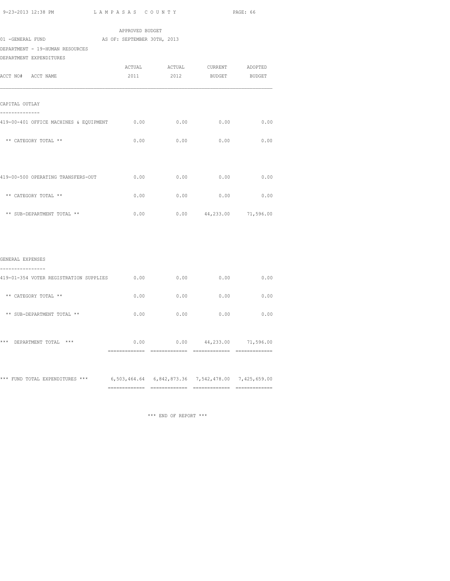| 9-23-2013 12:38 PM                                                             | LAMPASAS COUNTY                                |                                   |                                          | PAGE: 66      |
|--------------------------------------------------------------------------------|------------------------------------------------|-----------------------------------|------------------------------------------|---------------|
| 01 -GENERAL FUND<br>DEPARTMENT - 19-HUMAN RESOURCES<br>DEPARTMENT EXPENDITURES | APPROVED BUDGET<br>AS OF: SEPTEMBER 30TH, 2013 |                                   |                                          |               |
| ACCT NO# ACCT NAME                                                             | ACTUAL<br>2011                                 | 2012                              | ACTUAL CURRENT ADOPTED                   | BUDGET BUDGET |
| CAPITAL OUTLAY<br>-------------                                                |                                                |                                   |                                          |               |
| 419-00-401 OFFICE MACHINES & EQUIPMENT                                         | 0.00                                           | 0.00                              | 0.00                                     | 0.00          |
| ** CATEGORY TOTAL **                                                           | 0.00                                           | 0.00                              | 0.00                                     | 0.00          |
| 419-00-500 OPERATING TRANSFERS-OUT                                             | 0.00                                           | 0.00                              | 0.00                                     | 0.00          |
| ** CATEGORY TOTAL **                                                           | 0.00                                           | 0.00                              | 0.00                                     | 0.00          |
| ** SUB-DEPARTMENT TOTAL **                                                     | 0.00                                           |                                   | $0.00 \qquad 44,233.00 \qquad 71,596.00$ |               |
| GENERAL EXPENSES                                                               |                                                |                                   |                                          |               |
| .<br>419-01-354 VOTER REGISTRATION SUPPLIES 0.00                               |                                                | 0.00                              | 0.00                                     | 0.00          |
| ** CATEGORY TOTAL **                                                           | 0.00                                           | 0.00                              | 0.00                                     | 0.00          |
| ** SUB-DEPARTMENT TOTAL **                                                     | 0.00                                           | 0.00                              | 0.00                                     | 0.00          |
| *** DEPARTMENT TOTAL ***                                                       |                                                | $0.00$ 0.00 $44,233.00$ 71,596.00 |                                          |               |
|                                                                                |                                                |                                   |                                          |               |

\*\*\* FUND TOTAL EXPENDITURES \*\*\* 6,503,464.64 6,842,873.36 7,542,478.00 7,425,659.00

============= ============= ============= =============

\*\*\* END OF REPORT \*\*\*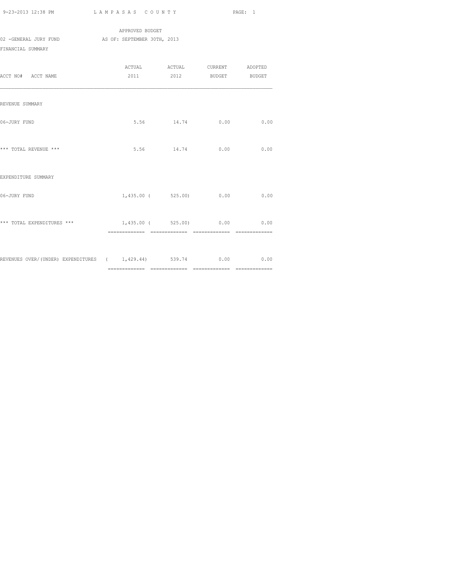|                       | APPROVED BUDGET             |  |  |  |  |
|-----------------------|-----------------------------|--|--|--|--|
| 02 -GENERAL JURY FUND | AS OF: SEPTEMBER 30TH, 2013 |  |  |  |  |
| FINANCIAL SUMMARY     |                             |  |  |  |  |
|                       |                             |  |  |  |  |

|                                                                  | ACTUAL                         | ACTUAL                  | CURRENT | ADOPTED                      |
|------------------------------------------------------------------|--------------------------------|-------------------------|---------|------------------------------|
| ACCT NO# ACCT NAME                                               |                                | 2011 2012 BUDGET BUDGET |         |                              |
|                                                                  |                                |                         |         |                              |
|                                                                  |                                |                         |         |                              |
| REVENUE SUMMARY                                                  |                                |                         |         |                              |
|                                                                  |                                |                         |         |                              |
| 06-JURY FUND                                                     |                                | 5.56 14.74              | 0.00    | 0.00                         |
|                                                                  |                                |                         |         |                              |
|                                                                  |                                |                         |         |                              |
| *** TOTAL REVENUE ***                                            |                                | 5.56 14.74 0.00         |         | 0.00                         |
|                                                                  |                                |                         |         |                              |
|                                                                  |                                |                         |         |                              |
| EXPENDITURE SUMMARY                                              |                                |                         |         |                              |
|                                                                  |                                |                         |         |                              |
| 06-JURY FUND                                                     |                                | 1,435.00 (525.00) 0.00  |         | 0.00                         |
|                                                                  |                                |                         |         |                              |
|                                                                  |                                |                         |         |                              |
| *** TOTAL EXPENDITURES ***                                       | $1,435.00$ ( 525.00) 0.00 0.00 |                         |         |                              |
|                                                                  | ============= =============    |                         |         | ============================ |
|                                                                  |                                |                         |         |                              |
| REVENUES OVER/(UNDER) EXPENDITURES ( 1,429.44) 539.74 0.00 00 00 |                                |                         |         |                              |
|                                                                  |                                |                         |         |                              |
|                                                                  |                                |                         |         |                              |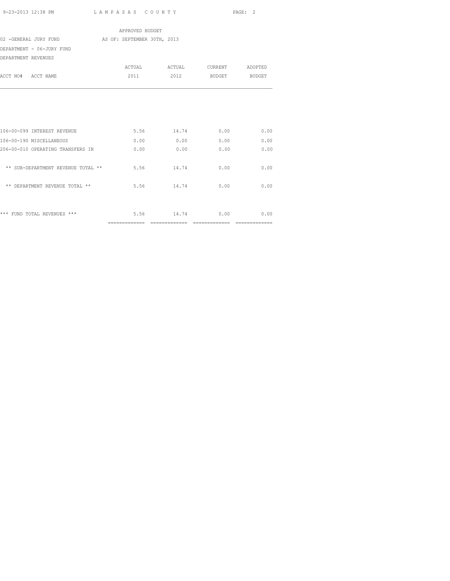|                                    | APPROVED BUDGET             |               |                    |                |
|------------------------------------|-----------------------------|---------------|--------------------|----------------|
| 02 -GENERAL JURY FUND              | AS OF: SEPTEMBER 30TH, 2013 |               |                    |                |
| DEPARTMENT - 06-JURY FUND          |                             |               |                    |                |
| DEPARTMENT REVENUES                |                             |               |                    |                |
|                                    |                             | ACTUAL ACTUAL | CURRENT ADOPTED    |                |
| ACCT NO# ACCT NAME                 | 2011                        |               | 2012 BUDGET BUDGET |                |
|                                    |                             |               |                    |                |
| 106-00-099 INTEREST REVENUE        |                             | 5.56 14.74    | 0.00               | 0.00           |
| 106-00-190 MISCELLANEOUS           | 0.00                        | 0.00          | 0.00               | 0.00           |
| 206-00-010 OPERATING TRANSFERS IN  | 0.00                        | 0.00          | 0.00               | 0.00           |
| ** SUB-DEPARTMENT REVENUE TOTAL ** | 5.56                        | 14.74         | 0.00               | 0.00           |
| ** DEPARTMENT REVENUE TOTAL **     | 5.56                        | 14.74         | 0.00               | 0.00           |
| *** FUND TOTAL REVENUES ***        |                             | 5.56 14.74    | 0.00               | 0.00           |
|                                    |                             |               |                    | ============== |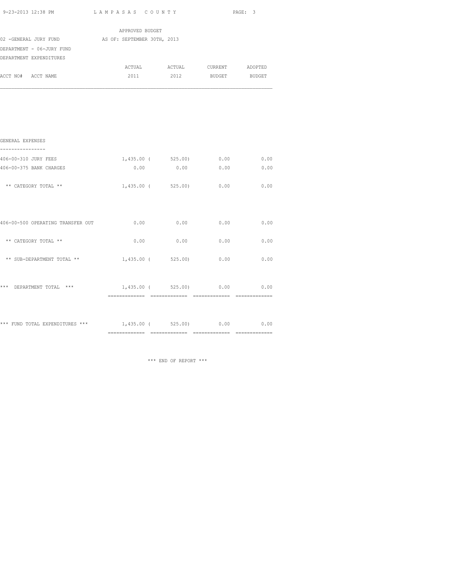| 9-23-2013 12:38 PM                    | LAMPASAS COUNTY              |  | PAGE: 3              |                               |               |
|---------------------------------------|------------------------------|--|----------------------|-------------------------------|---------------|
|                                       | APPROVED BUDGET              |  |                      |                               |               |
| 02 -GENERAL JURY FUND                 | AS OF: SEPTEMBER 30TH, 2013  |  |                      |                               |               |
| DEPARTMENT - 06-JURY FUND             |                              |  |                      |                               |               |
| DEPARTMENT EXPENDITURES               |                              |  |                      |                               |               |
|                                       |                              |  |                      | ACTUAL ACTUAL CURRENT ADOPTED |               |
| ACCT NO# ACCT NAME                    | 2011                         |  | 2012                 | BUDGET BUDGET                 |               |
|                                       |                              |  |                      |                               |               |
| GENERAL EXPENSES<br>----------------- |                              |  |                      |                               |               |
| 406-00-310 JURY FEES                  |                              |  |                      | $1,435.00$ ( 525.00) 0.00     | 0.00          |
| 406-00-375 BANK CHARGES               | 0.00                         |  | 0.00                 | 0.00                          | 0.00          |
| ** CATEGORY TOTAL **                  |                              |  | $1,435.00$ ( 525.00) | 0.00                          | 0.00          |
| 406-00-500 OPERATING TRANSFER OUT     | 0.00                         |  | 0.00                 | 0.00                          | 0.00          |
| ** CATEGORY TOTAL **                  | 0.00                         |  | 0.00                 | 0.00                          | 0.00          |
| ** SUB-DEPARTMENT TOTAL **            | 1,435.00 (525.00)            |  |                      | 0.00                          | 0.00          |
| *** DEPARTMENT TOTAL ***              |                              |  |                      | 1,435.00 ( 525.00) 0.00 0.00  | ============= |
| *** FUND TOTAL EXPENDITURES ***       | $1,435.00$ ( $525.00$ ) 0.00 |  |                      |                               | 0.00          |

\*\*\* END OF REPORT \*\*\*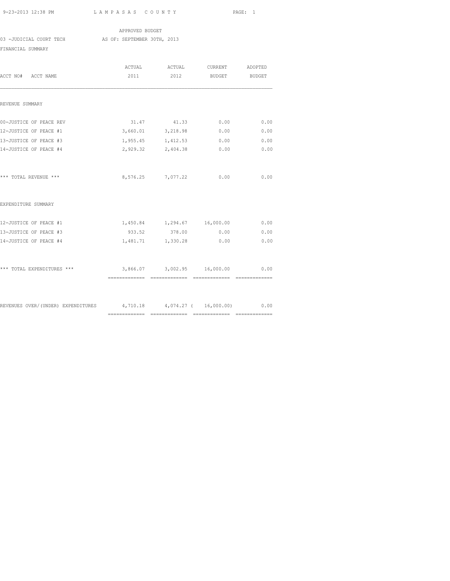APPROVED BUDGET 03 -JUDICIAL COURT TECH AS OF: SEPTEMBER 30TH, 2013 FINANCIAL SUMMARY

| ACCT NO# ACCT NAME                                                     | 2011 | ACTUAL ACTUAL<br>2012            | <b>CURRENT</b><br><b>BUDGET</b> | ADOPTED<br>BUDGET |
|------------------------------------------------------------------------|------|----------------------------------|---------------------------------|-------------------|
|                                                                        |      |                                  |                                 |                   |
| REVENUE SUMMARY                                                        |      |                                  |                                 |                   |
| 00-JUSTICE OF PEACE REV                                                |      | 31.47 41.33 0.00                 |                                 | 0.00              |
| 12-JUSTICE OF PEACE #1                                                 |      | 3,660.01 3,218.98                | 0.00                            | 0.00              |
| 13-JUSTICE OF PEACE #3                                                 |      | 1,955.45 1,412.53                | 0.00                            | 0.00              |
| 14-JUSTICE OF PEACE #4                                                 |      | 2,929.32 2,404.38                | 0.00                            | 0.00              |
| *** TOTAL REVENUE ***                                                  |      | 8,576.25 7,077.22                | 0.00                            | 0.00              |
| EXPENDITURE SUMMARY                                                    |      |                                  |                                 |                   |
| 12-JUSTICE OF PEACE #1                                                 |      | 1,450.84 1,294.67 16,000.00      |                                 | 0.00              |
| 13-JUSTICE OF PEACE #3                                                 |      | 933.52 378.00 0.00               |                                 | 0.00              |
| 14-JUSTICE OF PEACE #4                                                 |      | 1,481.71 1,330.28                | 0.00                            | 0.00              |
| *** TOTAL EXPENDITURES ***                                             |      | 3,866.07 3,002.95 16,000.00 0.00 |                                 |                   |
|                                                                        |      |                                  |                                 |                   |
| REVENUES OVER/(UNDER) EXPENDITURES 4,710.18 4,074.27 ( 16,000.00) 0.00 |      |                                  |                                 |                   |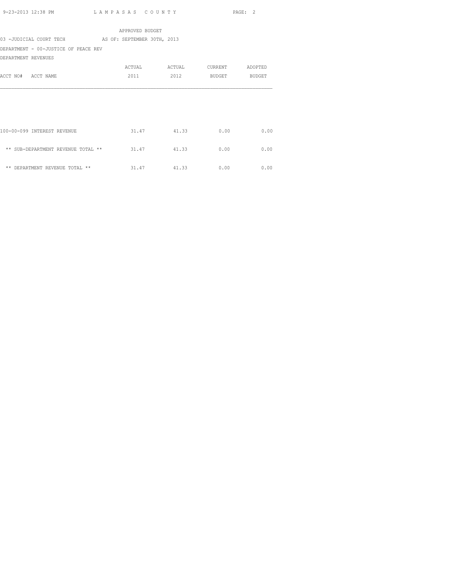|                                                     | APPROVED BUDGET |             |               |         |
|-----------------------------------------------------|-----------------|-------------|---------------|---------|
| 03 -JUDICIAL COURT TECH AS OF: SEPTEMBER 30TH, 2013 |                 |             |               |         |
| DEPARTMENT - 00-JUSTICE OF PEACE REV                |                 |             |               |         |
| DEPARTMENT REVENUES                                 |                 |             |               |         |
|                                                     | ACTUAL          | ACTUAL      | CURRENT       | ADOPTED |
| ACCT NO# ACCT NAME                                  | 2011            | 2012        | BUDGET BUDGET |         |
|                                                     |                 |             |               |         |
|                                                     |                 |             |               |         |
|                                                     |                 |             |               |         |
|                                                     |                 |             |               |         |
|                                                     |                 |             |               |         |
| 100-00-099 INTEREST REVENUE                         |                 | 31.47 41.33 | 0.00          | 0.00    |
|                                                     |                 |             |               |         |
| ** SUB-DEPARTMENT REVENUE TOTAL **                  | 31.47           | 41.33       | 0.00          | 0.00    |
|                                                     |                 |             |               |         |
| ** DEPARTMENT REVENUE TOTAL **                      |                 | 31.47 41.33 | 0.00          | 0.00    |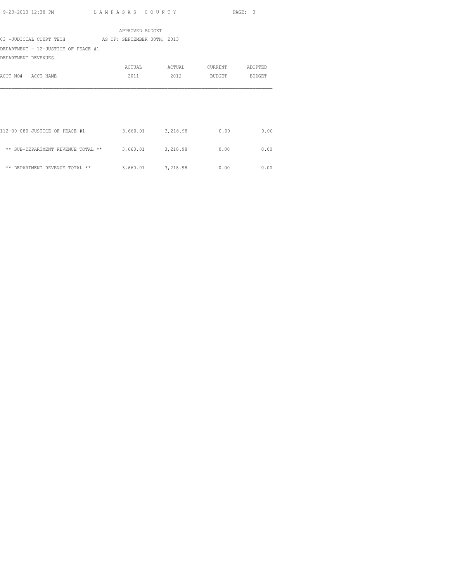|                                     | APPROVED BUDGET             |        |         |         |
|-------------------------------------|-----------------------------|--------|---------|---------|
| 03 -JUDICIAL COURT TECH             | AS OF: SEPTEMBER 30TH, 2013 |        |         |         |
| DEPARTMENT - 12-JUSTICE OF PEACE #1 |                             |        |         |         |
| DEPARTMENT REVENUES                 |                             |        |         |         |
|                                     | ACTUAL                      | ACTUAL | CURRENT | ADOPTED |
| ACCT NO# ACCT NAME                  | 2011                        | 2012   | BUDGET  | BUDGET  |
|                                     |                             |        |         |         |
|                                     |                             |        |         |         |
|                                     |                             |        |         |         |
|                                     |                             |        |         |         |
|                                     |                             |        |         |         |
| 112-00-080 JUSTICE OF PEACE #1      | 3,660.01 3,218.98           |        | 0.00    | 0.00    |
|                                     |                             |        |         |         |
| ** SUB-DEPARTMENT REVENUE TOTAL **  | 3,660.01 3,218.98           |        | 0.00    | 0.00    |
|                                     |                             |        |         |         |
| ** DEPARTMENT REVENUE TOTAL **      | 3,660.01 3,218.98           |        | 0.00    | 0.00    |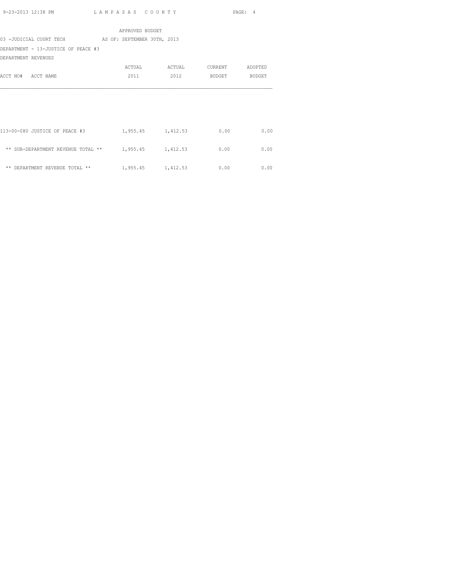|                                                          | APPROVED BUDGET |                   |               |         |
|----------------------------------------------------------|-----------------|-------------------|---------------|---------|
| 03 -JUDICIAL COURT TECH AS OF: SEPTEMBER 30TH, 2013      |                 |                   |               |         |
| DEPARTMENT - 13-JUSTICE OF PEACE #3                      |                 |                   |               |         |
| DEPARTMENT REVENUES                                      |                 |                   |               |         |
|                                                          | ACTUAL          | ACTUAL            | CURRENT       | ADOPTED |
| ACCT NO# ACCT NAME                                       | 2011            | 2012              | BUDGET BUDGET |         |
|                                                          |                 |                   |               |         |
|                                                          |                 |                   |               |         |
|                                                          |                 |                   |               |         |
|                                                          |                 |                   |               |         |
|                                                          |                 |                   |               |         |
| 113-00-080 JUSTICE OF PEACE #3                           |                 | 1,955.45 1,412.53 | 0.00          | 0.00    |
|                                                          |                 |                   |               |         |
| ** SUB-DEPARTMENT REVENUE TOTAL ** $1,955.45$ $1,412.53$ |                 |                   | 0.00          | 0.00    |
|                                                          |                 |                   |               |         |
| ** DEPARTMENT REVENUE TOTAL **                           |                 | 1,955.45 1,412.53 | 0.00          | 0.00    |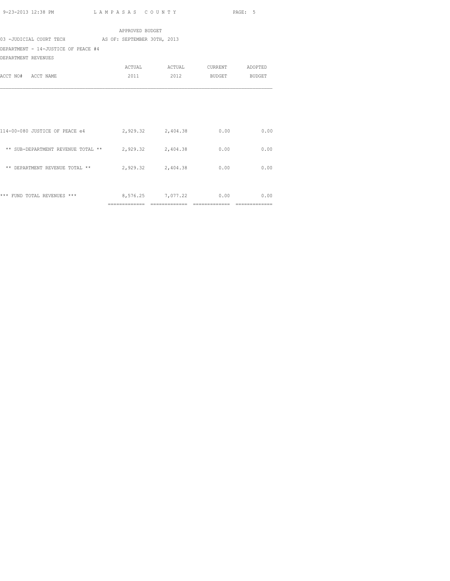|                                                          | APPROVED BUDGET   |                   |                    |      |
|----------------------------------------------------------|-------------------|-------------------|--------------------|------|
| 03 -JUDICIAL COURT TECH AS OF: SEPTEMBER 30TH, 2013      |                   |                   |                    |      |
| DEPARTMENT - 14-JUSTICE OF PEACE #4                      |                   |                   |                    |      |
| DEPARTMENT REVENUES                                      |                   |                   |                    |      |
|                                                          |                   | ACTUAL ACTUAL     | CURRENT ADOPTED    |      |
| ACCT NO# ACCT NAME                                       | 2011              |                   | 2012 BUDGET BUDGET |      |
|                                                          |                   |                   |                    |      |
| 114-00-080 JUSTICE OF PEACE e4                           | 2,929.32 2,404.38 |                   | 0.00               | 0.00 |
| ** SUB-DEPARTMENT REVENUE TOTAL ** $2,929.32$ $2,404.38$ |                   |                   | 0.00               | 0.00 |
| ** DEPARTMENT REVENUE TOTAL **                           |                   | 2,929.32 2,404.38 | 0.00               | 0.00 |
| *** FUND TOTAL REVENUES ***                              |                   | 8,576.25 7,077.22 | 0.00               | 0.00 |

============= ============= ============= =============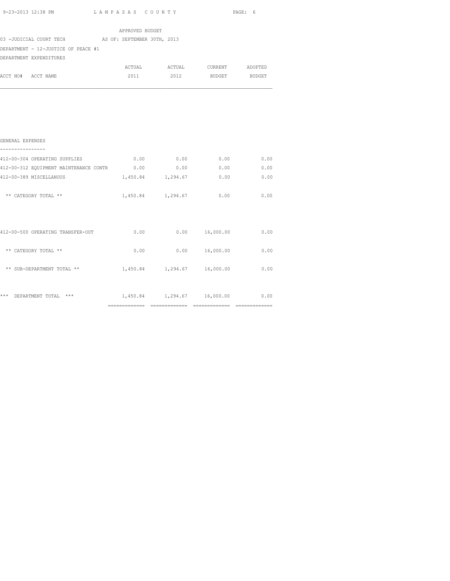| 9-23-2013 12:38 PM                                  | LAMPASAS COUNTY |                   |      |                         | PAGE: 6 |
|-----------------------------------------------------|-----------------|-------------------|------|-------------------------|---------|
|                                                     |                 | APPROVED BUDGET   |      |                         |         |
| 03 -JUDICIAL COURT TECH AS OF: SEPTEMBER 30TH, 2013 |                 |                   |      |                         |         |
| DEPARTMENT - 12-JUSTICE OF PEACE #1                 |                 |                   |      |                         |         |
| DEPARTMENT EXPENDITURES                             |                 |                   |      |                         |         |
|                                                     |                 | ACTUAL ACTUAL     |      | CURRENT ADOPTED         |         |
| ACCT NO# ACCT NAME                                  |                 |                   |      | 2011 2012 BUDGET BUDGET |         |
|                                                     |                 |                   |      |                         |         |
|                                                     |                 |                   |      |                         |         |
|                                                     |                 |                   |      |                         |         |
| GENERAL EXPENSES                                    |                 |                   |      |                         |         |
| 412-00-304 OPERATING SUPPLIES                       |                 | 0.00              | 0.00 | 0.00                    | 0.00    |
| 412-00-312 EQUIPMENT MAINTENANCE CONTR 0.00         |                 |                   |      | 0.00<br>0.00            | 0.00    |
| 412-00-389 MISCELLANOUS                             |                 | 1,450.84 1,294.67 |      | 0.00                    | 0.00    |
| ** CATEGORY TOTAL **                                |                 | 1,450.84 1,294.67 |      | 0.00                    | 0.00    |
|                                                     |                 |                   |      |                         |         |

|     |                                   | ============== | ============= | ______________<br>------------- | --------------<br>------------- |
|-----|-----------------------------------|----------------|---------------|---------------------------------|---------------------------------|
| *** | ***<br>DEPARTMENT TOTAL           | 1,450.84       | 1,294.67      | 16,000.00                       | 0.00                            |
|     | ** SUB-DEPARTMENT TOTAL **        | 1,450.84       | 1,294.67      | 16,000.00                       | 0.00                            |
| **  | CATEGORY TOTAL **                 | 0.00           | 0.00          | 16,000.00                       | 0.00                            |
|     | 412-00-500 OPERATING TRANSFER-OUT | 0.00           | 0.00          | 16,000.00                       | 0.00                            |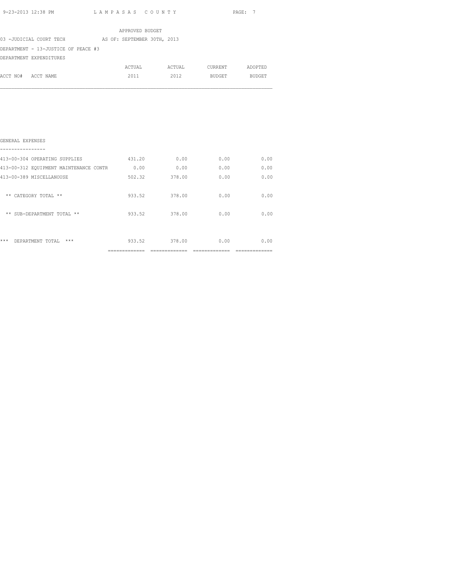|                                     |  | APPROVED BUDGET             |        |         |               |
|-------------------------------------|--|-----------------------------|--------|---------|---------------|
| 03 -JUDICIAL COURT TECH             |  | AS OF: SEPTEMBER 30TH, 2013 |        |         |               |
| DEPARTMENT - 13-JUSTICE OF PEACE #3 |  |                             |        |         |               |
| DEPARTMENT EXPENDITURES             |  |                             |        |         |               |
|                                     |  | ACTUAL                      | ACTUAL | CURRENT | ADOPTED       |
| ACCT NO# ACCT NAME                  |  | 2011                        | 2012   | BUDGET  | <b>BUDGET</b> |
|                                     |  |                             |        |         |               |
|                                     |  |                             |        |         |               |
|                                     |  |                             |        |         |               |

| ***<br>***<br>DEPARTMENT TOTAL         | 933.52 | 378.00 | 0.00 | 0.00 |
|----------------------------------------|--------|--------|------|------|
| ** SUB-DEPARTMENT TOTAL **             | 933.52 | 378.00 | 0.00 | 0.00 |
| ** CATEGORY TOTAL **                   | 933.52 | 378.00 | 0.00 | 0.00 |
| 413-00-389 MISCELLANOUSE               | 502.32 | 378.00 | 0.00 | 0.00 |
| 413-00-312 EQUIPMENT MAINTENANCE CONTR | 0.00   | 0.00   | 0.00 | 0.00 |
| 413-00-304 OPERATING SUPPLIES          | 431.20 | 0.00   | 0.00 | 0.00 |
| GENERAL EXPENSES                       |        |        |      |      |
|                                        |        |        |      |      |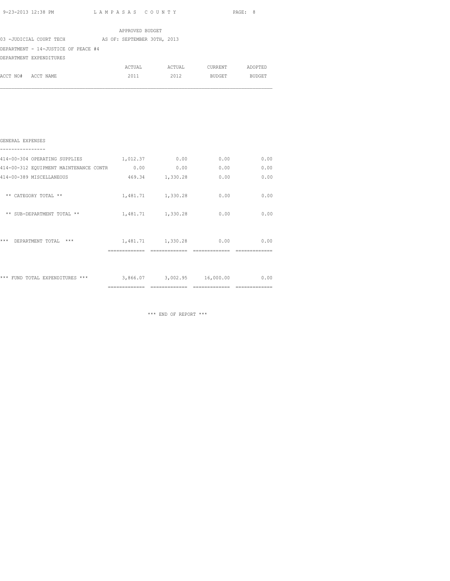|                                     | APPROVED BUDGET             |        |                |               |
|-------------------------------------|-----------------------------|--------|----------------|---------------|
| 03 -JUDICIAL COURT TECH             | AS OF: SEPTEMBER 30TH, 2013 |        |                |               |
| DEPARTMENT - 14-JUSTICE OF PEACE #4 |                             |        |                |               |
| DEPARTMENT EXPENDITURES             |                             |        |                |               |
|                                     | ACTUAL                      | ACTUAL | <b>CURRENT</b> | ADOPTED       |
| ACCT NO#<br>ACCT NAME               | 2011                        | 2012   | BUDGET         | <b>BUDGET</b> |
|                                     |                             |        |                |               |
|                                     |                             |        |                |               |

| GENERAL EXPENSES                       |                |                             |      |      |
|----------------------------------------|----------------|-----------------------------|------|------|
| 414-00-304 OPERATING SUPPLIES          |                | 0.00                        | 0.00 | 0.00 |
|                                        | 1,012.37       |                             |      |      |
| 414-00-312 EQUIPMENT MAINTENANCE CONTR | 0.00           | 0.00                        | 0.00 | 0.00 |
| 414-00-389 MISCELLANEOUS               | 469.34         | 1,330.28                    | 0.00 | 0.00 |
|                                        |                |                             |      |      |
| ** CATEGORY TOTAL **                   |                | 1,481.71 1,330.28           | 0.00 | 0.00 |
|                                        |                |                             |      |      |
| ** SUB-DEPARTMENT TOTAL **             |                | 1,481.71 1,330.28           | 0.00 | 0.00 |
|                                        |                |                             |      |      |
|                                        |                |                             |      |      |
| ***<br>$***$<br>DEPARTMENT TOTAL       |                | 1,481.71 1,330.28           | 0.00 | 0.00 |
|                                        |                |                             |      |      |
|                                        |                |                             |      |      |
|                                        |                |                             |      |      |
| *** FUND TOTAL EXPENDITURES ***        |                | 3,866.07 3,002.95 16,000.00 |      | 0.00 |
|                                        | -------------- |                             |      |      |

\*\*\* END OF REPORT \*\*\*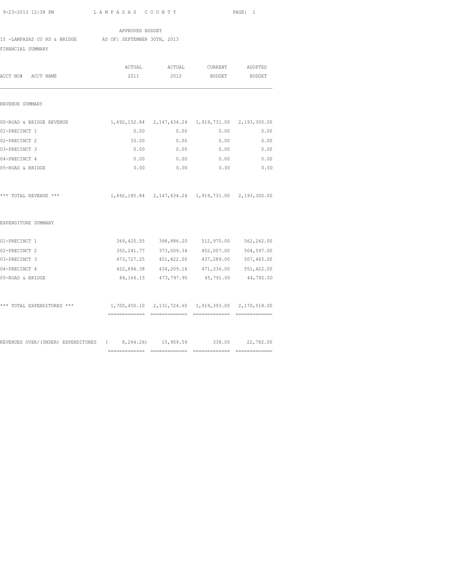APPROVED BUDGET

15 -LAMPASAS CO RD & BRIDGE AS OF: SEPTEMBER 30TH, 2013

FINANCIAL SUMMARY

| ACCT NO#<br>ACCT NAME                                                    | ACTUAL<br>2011                                      | ACTUAL<br>2012                                         | <b>CURRENT</b><br>BUDGET | ADOPTED<br><b>BUDGET</b> |
|--------------------------------------------------------------------------|-----------------------------------------------------|--------------------------------------------------------|--------------------------|--------------------------|
|                                                                          |                                                     |                                                        |                          |                          |
| REVENUE SUMMARY                                                          |                                                     |                                                        |                          |                          |
| 00-ROAD & BRIDGE REVENUE                                                 | 1,692,152.84 2,147,634.24 1,919,731.00 2,193,300.00 |                                                        |                          |                          |
| 01-PRECINCT 1                                                            | 0.00                                                | 0.00                                                   | 0.00                     | 0.00                     |
| 02-PRECINCT 2                                                            | 33.00                                               | 0.00                                                   | 0.00                     | 0.00                     |
| 03-PRECINCT 3                                                            | 0.00                                                | 0.00                                                   | 0.00                     | 0.00                     |
| 04-PRECINCT 4                                                            | 0.00                                                | 0.00                                                   | 0.00                     | 0.00                     |
| 05-ROAD & BRIDGE                                                         | 0.00                                                | 0.00                                                   | 0.00                     | 0.00                     |
| *** TOTAL REVENUE ***                                                    |                                                     | 1,692,185.84  2,147,634.24  1,919,731.00  2,193,300.00 |                          |                          |
| EXPENDITURE SUMMARY                                                      |                                                     |                                                        |                          |                          |
| 01-PRECINCT 1                                                            |                                                     | 369,420.55 398,886.20 512,970.00                       |                          | 562,242.00               |
| 02-PRECINCT 2                                                            |                                                     | 350, 241.77 373, 009.34                                | 452,007.00               | 504,597.00               |
| 03-PRECINCT 3                                                            |                                                     | 473, 727.25 451, 822.00 437, 289.00                    |                          | 507,465.00               |
| 04-PRECINCT 4                                                            |                                                     | 422,894.38 434,209.16 471,336.00 551,422.00            |                          |                          |
| 05-ROAD & BRIDGE                                                         |                                                     | 84, 166. 15 473, 797. 95                               | 45,791.00                | 44,792.00                |
| *** TOTAL EXPENDITURES ***                                               |                                                     | 1,700,450.10 2,131,724.65 1,919,393.00 2,170,518.00    |                          |                          |
|                                                                          |                                                     |                                                        |                          |                          |
| REVENUES OVER/(UNDER) EXPENDITURES (8,264.26) 15,909.59 338.00 22,782.00 |                                                     |                                                        |                          |                          |
|                                                                          |                                                     | =============================                          |                          |                          |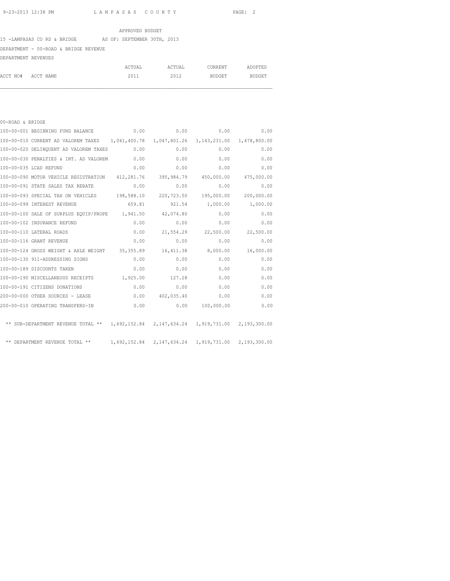### APPROVED BUDGET

### 15 -LAMPASAS CO RD & BRIDGE AS OF: SEPTEMBER 30TH, 2013

# DEPARTMENT - 00-ROAD & BRIDGE REVENUE

| DEPARTMENT REVENUES |  |
|---------------------|--|
|                     |  |

|                    | ACTUAL | ACTUAL | CURRENT | ADOPTED |
|--------------------|--------|--------|---------|---------|
| ACCT NO# ACCT NAME | 2011   | 2012   | BUDGET  | BUDGET  |

| 00-ROAD & BRIDGE |                                                                                         |        |                  |                     |              |
|------------------|-----------------------------------------------------------------------------------------|--------|------------------|---------------------|--------------|
|                  | 100-00-001 BEGINNING FUND BALANCE                                                       |        | 0.00             | 0.00                | 0.00<br>0.00 |
|                  | 100-00-010 CURRENT AD VALOREM TAXES 1,041,400.78 1,047,801.26 1,143,231.00 1,478,800.00 |        |                  |                     |              |
|                  | 100-00-020 DELINQUENT AD VALOREM TAXES 0.00                                             |        | 0.00             | 0.00                | 0.00         |
|                  | 100-00-030 PENALTIES & INT. AD VALOREM 0.00                                             |        | 0.00             | 0.00                | 0.00         |
|                  | 100-00-035 LCAD REFUND                                                                  | 0.00   | 0.00             | 0.00                | 0.00         |
|                  | 100-00-090 MOTOR VEHICLE REGISTRATION 412,281.76 395,984.79 450,000.00 475,000.00       |        |                  |                     |              |
|                  | 100-00-091 STATE SALES TAX REBATE                                                       | 0.00   | 0.00             | 0.00                | 0.00         |
|                  | 100-00-093 SPECIAL TAX ON VEHICLES 198,588.10 220,723.50 195,000.00                     |        |                  |                     | 200,000.00   |
|                  | 100-00-099 INTEREST REVENUE                                                             | 659.81 |                  | 921.54 1,000.00     | 1,000.00     |
|                  | 100-00-100 SALE OF SURPLUS EOUIP/PROPE 1,941.50 42,074.80                               |        |                  | 0.00                | 0.00         |
|                  | 100-00-102 INSURANCE REFUND                                                             | 0.00   | 0.00             | 0.00                | 0.00         |
|                  | 100-00-110 LATERAL ROADS                                                                | 0.00   |                  | 21,554.29 22,500.00 | 22,500.00    |
|                  | 100-00-116 GRANT REVENUE                                                                | 0.00   | 0.00             | 0.00                | 0.00         |
|                  | 100-00-124 GROSS WEIGHT & AXLE WEIGHT 35,355.89                                         |        |                  | 16,411.38 8,000.00  | 16,000.00    |
|                  | 100-00-130 911-ADDRESSING SIGNS                                                         | 0.00   | 0.00             | 0.00                | 0.00         |
|                  | 100-00-189 DISCOUNTS TAKEN                                                              | 0.00   | 0.00             | 0.00                | 0.00         |
|                  | 100-00-190 MISCELLANEOUS RECEIPTS 1,925.00                                              |        | 127.28           | 0.00                | 0.00         |
|                  | 100-00-191 CITIZENS DONATIONS                                                           | 0.00   | 0.00             | 0.00                | 0.00         |
|                  | 200-00-000 OTHER SOURCES - LEASE                                                        |        | 0.0000402,035.40 | 0.00                | 0.00         |
|                  | 200-00-010 OPERATING TRANSFERS-IN                                                       | 0.00   |                  | 0.00 100,000.00     | 0.00         |
|                  | ** SUB-DEPARTMENT REVENUE TOTAL ** 1,692,152.84 2,147,634.24 1,919,731.00 2,193,300.00  |        |                  |                     |              |
|                  | ** DEPARTMENT REVENUE TOTAL ** 1,692,152.84 2,147,634.24 1,919,731.00 2,193,300.00      |        |                  |                     |              |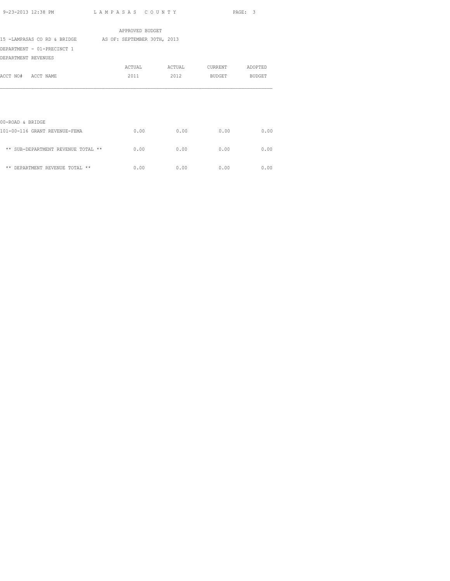|                                                         | APPROVED BUDGET |        |         |         |
|---------------------------------------------------------|-----------------|--------|---------|---------|
| 15 -LAMPASAS CO RD & BRIDGE AS OF: SEPTEMBER 30TH, 2013 |                 |        |         |         |
| DEPARTMENT - 01-PRECINCT 1                              |                 |        |         |         |
| DEPARTMENT REVENUES                                     |                 |        |         |         |
|                                                         | ACTUAL          | ACTUAL | CURRENT | ADOPTED |
| ACCT NO# ACCT NAME                                      | 2011            | 2012   | BUDGET  | BUDGET  |
|                                                         |                 |        |         |         |
| 00-ROAD & BRIDGE                                        |                 |        |         |         |
| 101-00-116 GRANT REVENUE-FEMA                           | 0.00            | 0.00   | 0.00    | 0.00    |
| ** SUB-DEPARTMENT REVENUE TOTAL **                      | 0.00            | 0.00   | 0.00    | 0.00    |
| ** DEPARTMENT REVENUE TOTAL **                          | 0.00            | 0.00   | 0.00    | 0.00    |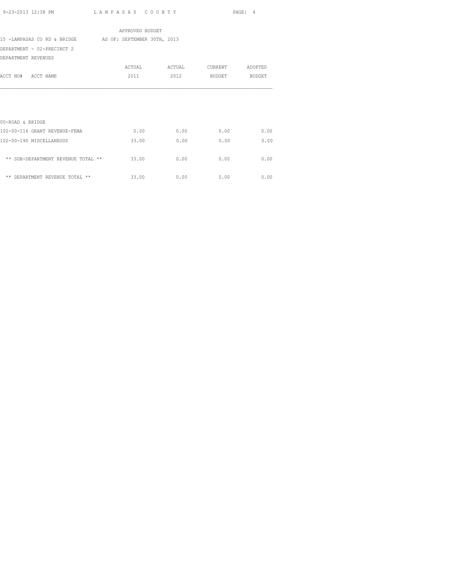|                                                         | APPROVED BUDGET |        |         |               |
|---------------------------------------------------------|-----------------|--------|---------|---------------|
| 15 -LAMPASAS CO RD & BRIDGE AS OF: SEPTEMBER 30TH, 2013 |                 |        |         |               |
| DEPARTMENT - 02-PRECINCT 2                              |                 |        |         |               |
| DEPARTMENT REVENUES                                     |                 |        |         |               |
|                                                         | ACTUAL          | ACTUAL | CURRENT | ADOPTED       |
| ACCT NO# ACCT NAME                                      | 2011            | 2012   | BUDGET  | <b>BUDGET</b> |
| 00-ROAD & BRIDGE                                        |                 |        |         |               |
| 102-00-116 GRANT REVENUE-FEMA                           | 0.00            | 0.00   | 0.00    | 0.00          |
| 102-00-190 MISCELLANEOUS                                | 33.00           | 0.00   | 0.00    | 0.00          |
| ** SUB-DEPARTMENT REVENUE TOTAL **                      | 33.00           | 0.00   | 0.00    | 0.00          |
| ** DEPARTMENT REVENUE TOTAL **                          | 33.00           | 0.00   | 0.00    | 0.00          |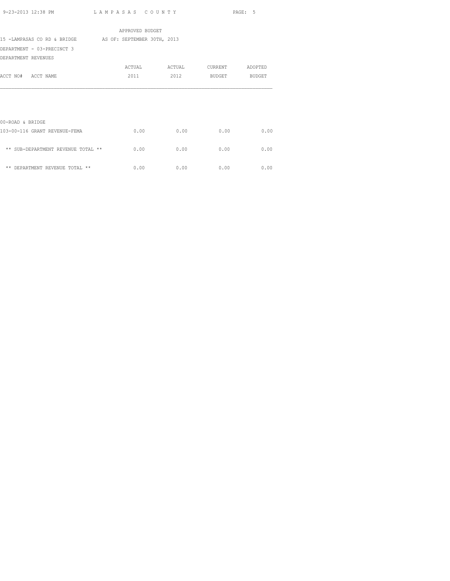|                                                         | APPROVED BUDGET |        |                 |      |
|---------------------------------------------------------|-----------------|--------|-----------------|------|
| 15 -LAMPASAS CO RD & BRIDGE AS OF: SEPTEMBER 30TH, 2013 |                 |        |                 |      |
| DEPARTMENT - 03-PRECINCT 3                              |                 |        |                 |      |
| DEPARTMENT REVENUES                                     |                 |        |                 |      |
|                                                         | ACTUAL          | ACTUAL | CURRENT ADOPTED |      |
| ACCT NO# ACCT NAME                                      | 2011            | 2012   | BUDGET BUDGET   |      |
|                                                         |                 |        |                 |      |
|                                                         |                 |        |                 |      |
|                                                         |                 |        |                 |      |
|                                                         |                 |        |                 |      |
| 00-ROAD & BRIDGE                                        |                 |        |                 |      |
| 103-00-116 GRANT REVENUE-FEMA                           | 0.00            | 0.00   | 0.00            | 0.00 |
|                                                         |                 |        |                 |      |
| ** SUB-DEPARTMENT REVENUE TOTAL **                      | 0.00            | 0.00   | 0.00            | 0.00 |
|                                                         |                 |        |                 |      |
| ** DEPARTMENT REVENUE TOTAL **                          | 0.00            | 0.00   | 0.00            | 0.00 |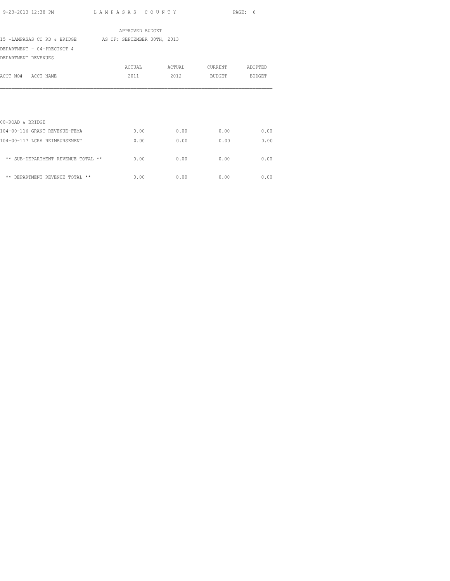|                                    | APPROVED BUDGET             |        |         |         |
|------------------------------------|-----------------------------|--------|---------|---------|
| 15 -LAMPASAS CO RD & BRIDGE        | AS OF: SEPTEMBER 30TH, 2013 |        |         |         |
| DEPARTMENT - 04-PRECINCT 4         |                             |        |         |         |
| DEPARTMENT REVENUES                |                             |        |         |         |
|                                    | ACTUAL                      | ACTUAL | CURRENT | ADOPTED |
| ACCT NO# ACCT NAME                 | 2011                        | 2012   | BUDGET  | BUDGET  |
| 00-ROAD & BRIDGE                   |                             |        |         |         |
| 104-00-116 GRANT REVENUE-FEMA      | 0.00                        | 0.00   | 0.00    | 0.00    |
| 104-00-117 LCRA REIMBURSEMENT      | 0.00                        | 0.00   | 0.00    | 0.00    |
| ** SUB-DEPARTMENT REVENUE TOTAL ** | 0.00                        | 0.00   | 0.00    | 0.00    |
| ** DEPARTMENT REVENUE TOTAL **     | 0.00                        | 0.00   | 0.00    | 0.00    |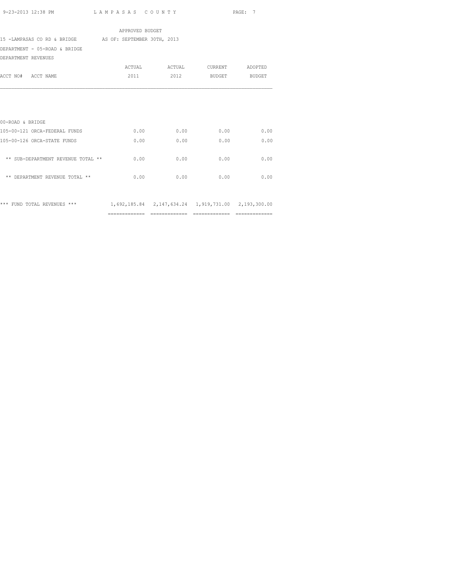| APPROVED BUDGET                                                                 |                          |                               |                    |      |  |  |  |  |  |
|---------------------------------------------------------------------------------|--------------------------|-------------------------------|--------------------|------|--|--|--|--|--|
| 15 -LAMPASAS CO RD & BRIDGE AS OF: SEPTEMBER 30TH, 2013                         |                          |                               |                    |      |  |  |  |  |  |
| DEPARTMENT - 05-ROAD & BRIDGE                                                   |                          |                               |                    |      |  |  |  |  |  |
| DEPARTMENT REVENUES                                                             |                          |                               |                    |      |  |  |  |  |  |
|                                                                                 |                          | ACTUAL ACTUAL CURRENT ADOPTED |                    |      |  |  |  |  |  |
| ACCT NO# ACCT NAME                                                              | 2011 - 2011 - 2012 12:20 |                               | 2012 BUDGET BUDGET |      |  |  |  |  |  |
|                                                                                 |                          |                               |                    |      |  |  |  |  |  |
|                                                                                 |                          |                               |                    |      |  |  |  |  |  |
|                                                                                 |                          |                               |                    |      |  |  |  |  |  |
|                                                                                 |                          |                               |                    |      |  |  |  |  |  |
| 00-ROAD & BRIDGE                                                                |                          |                               |                    |      |  |  |  |  |  |
| 105-00-121 ORCA-FEDERAL FUNDS                                                   |                          | $0.00$ $0.00$ $0.00$          |                    | 0.00 |  |  |  |  |  |
| 105-00-126 ORCA-STATE FUNDS                                                     | 0.00                     | 0.00                          | 0.00               | 0.00 |  |  |  |  |  |
|                                                                                 |                          |                               |                    |      |  |  |  |  |  |
| ** SUB-DEPARTMENT REVENUE TOTAL **                                              | 0.00                     | 0.00                          | 0.00               | 0.00 |  |  |  |  |  |
|                                                                                 |                          |                               |                    |      |  |  |  |  |  |
| ** DEPARTMENT REVENUE TOTAL **                                                  | 0.00                     | 0.00                          | 0.00               | 0.00 |  |  |  |  |  |
|                                                                                 |                          |                               |                    |      |  |  |  |  |  |
|                                                                                 |                          |                               |                    |      |  |  |  |  |  |
| *** FUND TOTAL REVENUES *** 1,692,185.84 2,147,634.24 1,919,731.00 2,193,300.00 |                          |                               |                    |      |  |  |  |  |  |
|                                                                                 |                          |                               |                    |      |  |  |  |  |  |

============= ============= ============= =============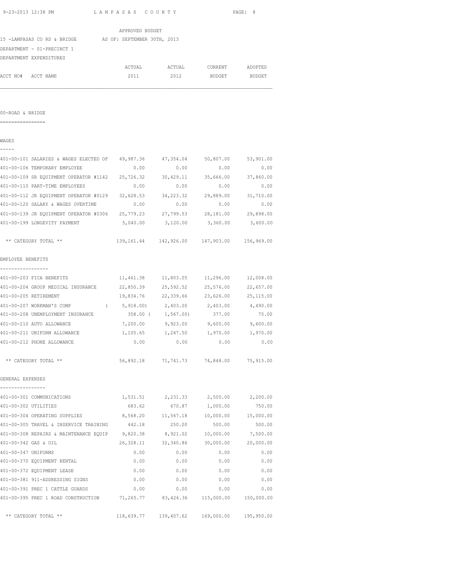|                      | 9-23-2013 12:38 PM                                                             | LAMPASAS COUNTY                                 |                    |                                         | PAGE: 8    |
|----------------------|--------------------------------------------------------------------------------|-------------------------------------------------|--------------------|-----------------------------------------|------------|
|                      |                                                                                | APPROVED BUDGET                                 |                    |                                         |            |
|                      | 15 -LAMPASAS CO RD & BRIDGE AS OF: SEPTEMBER 30TH, 2013                        |                                                 |                    |                                         |            |
|                      | DEPARTMENT - 01-PRECINCT 1                                                     |                                                 |                    |                                         |            |
|                      | DEPARTMENT EXPENDITURES                                                        |                                                 |                    |                                         |            |
|                      |                                                                                |                                                 |                    | ACTUAL ACTUAL CURRENT ADOPTED           |            |
|                      | ACCT NO# ACCT NAME                                                             | 2011                                            | 2012               | <b>BUDGET</b>                           | BUDGET     |
|                      |                                                                                |                                                 |                    |                                         |            |
| 00-ROAD & BRIDGE     |                                                                                |                                                 |                    |                                         |            |
|                      |                                                                                |                                                 |                    |                                         |            |
| WAGES                |                                                                                |                                                 |                    |                                         |            |
|                      | 401-00-101 SALARIES & WAGES ELECTED OF 49,987.36 47,354.04 50,807.00 53,901.00 |                                                 |                    |                                         |            |
|                      | 401-00-106 TEMPORARY EMPLOYEE                                                  | 0.00                                            | 0.00               | 0.00                                    | 0.00       |
|                      | 401-00-109 SR EQUIPMENT OPERATOR #1142 25,726.32                               |                                                 |                    | 30,429.11 35,666.00 37,860.00           |            |
|                      | 401-00-110 PART-TIME EMPLOYEES                                                 | 0.00                                            | 0.00               | 0.00                                    | 0.00       |
|                      | 401-00-112 JR EQUIPMENT OPERATOR #0129 32,628.53                               |                                                 | 34,223.32          | 29,889.00                               | 31,710.00  |
|                      | 401-00-120 SALARY & WAGES OVERTIME                                             | 0.00                                            | 0.00               | 0.00                                    | 0.00       |
|                      | 401-00-139 JR EQUIPMENT OPERATOR #0306 25,779.23                               |                                                 |                    | 27,799.53 28,181.00 29,898.00           |            |
|                      | 401-00-199 LONGEVITY PAYMENT                                                   | 5,040.00                                        | 3,120.00           | 3,360.00                                | 3,600.00   |
|                      | ** CATEGORY TOTAL **                                                           | 139,161.44  142,926.00  147,903.00  156,969.00  |                    |                                         |            |
| EMPLOYEE BENEFITS    |                                                                                |                                                 |                    |                                         |            |
|                      | ------------                                                                   |                                                 |                    |                                         |            |
|                      | 401-00-203 FICA BENEFITS                                                       | $11,461.38$ $11,803.05$ $11,296.00$ $12,008.00$ |                    |                                         |            |
|                      | 401-00-204 GROUP MEDICAL INSURANCE 22,850.39 25,592.52 25,576.00 22,657.00     |                                                 |                    |                                         |            |
|                      | 401-00-205 RETIREMENT                                                          | 19,834.76 22,339.66 23,626.00 25,115.00         |                    |                                         |            |
|                      | 401-00-207 WORKMAN'S COMP                                                      |                                                 | 5,918.00) 2,403.00 | 2,403.00                                | 4,490.00   |
|                      | 401-00-208 UNEMPLOYMENT INSURANCE                                              | 358.00 (                                        | 1,567.00)          | 377.00                                  | 75.00      |
|                      | 401-00-210 AUTO ALLOWANCE                                                      | 7,200.00                                        | 9,923.00           | 9,600.00                                | 9,600.00   |
|                      | 401-00-211 UNIFORM ALLOWANCE                                                   | 1,105.65                                        | 1,247.50           | 1,970.00                                | 1,970.00   |
|                      | 401-00-212 PHONE ALLOWANCE                                                     | 0.00                                            | 0.00               | 0.00                                    | 0.00       |
|                      | ** CATEGORY TOTAL **                                                           |                                                 |                    | 56,892.18 71,741.73 74,848.00 75,915.00 |            |
| GENERAL EXPENSES     |                                                                                |                                                 |                    |                                         |            |
|                      | 401-00-301 COMMUNICATIONS                                                      |                                                 | 1,531.51 2,231.33  | 2,500.00                                | 2,200.00   |
| 401-00-302 UTILITIES |                                                                                | 683.62                                          | 670.87             | 1,000.00                                | 750.00     |
|                      | 401-00-304 OPERATING SUPPLIES                                                  | 8,568.20                                        | 11,567.18          | 10,000.00                               | 15,000.00  |
|                      | 401-00-305 TRAVEL & INSERVICE TRAINING                                         | 442.18                                          | 250.00             | 500.00                                  | 500.00     |
|                      | 401-00-308 REPAIRS & MAINTENANCE EQUIP                                         | 9,820.38                                        | 8,921.02           | 10,000.00                               | 7,500.00   |
|                      | 401-00-342 GAS & OIL                                                           | 26,328.11                                       | 32,340.86          | 30,000.00                               | 20,000.00  |
| 401-00-347 UNIFORMS  |                                                                                | 0.00                                            | 0.00               | 0.00                                    | 0.00       |
|                      | 401-00-370 EQUIPMENT RENTAL                                                    | 0.00                                            | 0.00               | 0.00                                    | 0.00       |
|                      | 401-00-372 EQUIPMENT LEASE                                                     | 0.00                                            | 0.00               | 0.00                                    | 0.00       |
|                      | 401-00-381 911-ADDRESSING SIGNS                                                | 0.00                                            | 0.00               | 0.00                                    | 0.00       |
|                      | 401-00-391 PREC 1 CATTLE GUARDS                                                | 0.00                                            | 0.00               | 0.00                                    | 0.00       |
|                      | 401-00-395 PREC 1 ROAD CONSTRUCTION 71,265.77                                  |                                                 |                    | 83,426.36 115,000.00                    | 150,000.00 |

\*\* CATEGORY TOTAL \*\* 118,639.77 139,407.62 169,000.00 195,950.00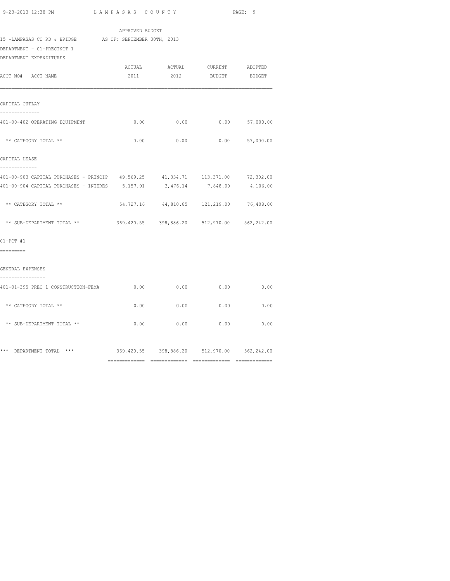|                                                                                       | APPROVED BUDGET                             |                                          |      |
|---------------------------------------------------------------------------------------|---------------------------------------------|------------------------------------------|------|
| 15 -LAMPASAS CO RD & BRIDGE AS OF: SEPTEMBER 30TH, 2013<br>DEPARTMENT - 01-PRECINCT 1 |                                             |                                          |      |
| DEPARTMENT EXPENDITURES                                                               |                                             |                                          |      |
|                                                                                       |                                             | ACTUAL ACTUAL CURRENT ADOPTED            |      |
| ACCT NO# ACCT NAME                                                                    |                                             | 2011 2012 BUDGET BUDGET                  |      |
| CAPITAL OUTLAY                                                                        |                                             |                                          |      |
| --------------<br>401-00-402 OPERATING EQUIPMENT                                      |                                             | $0.00$ 0.00 0.00 57,000.00               |      |
| ** CATEGORY TOTAL **                                                                  |                                             | $0.00$ 0.00 0.00 57,000.00               |      |
| CAPITAL LEASE<br>-------------                                                        |                                             |                                          |      |
| 401-00-903 CAPITAL PURCHASES - PRINCIP 49,569.25 41,334.71 113,371.00 72,302.00       |                                             |                                          |      |
| 401-00-904 CAPITAL PURCHASES - INTERES 5,157.91 3,476.14 7,848.00 4,106.00            |                                             |                                          |      |
| ** CATEGORY TOTAL **                                                                  |                                             | 54,727.16 44,810.85 121,219.00 76,408.00 |      |
| ** SUB-DEPARTMENT TOTAL ** 369,420.55 398,886.20 512,970.00 562,242.00                |                                             |                                          |      |
| $01-PCT$ #1                                                                           |                                             |                                          |      |
| =========                                                                             |                                             |                                          |      |
| GENERAL EXPENSES<br>----------------                                                  |                                             |                                          |      |
| 401-01-395 PREC 1 CONSTRUCTION-FEMA                                                   |                                             | $0.00$ 0.00 0.00 0.00                    |      |
| ** CATEGORY TOTAL **                                                                  |                                             | $0.00$ 0.00 0.00                         | 0.00 |
| ** SUB-DEPARTMENT TOTAL **                                                            |                                             | $0.00$ 0.00 0.00 0.00 0.00               |      |
| *** DEPARTMENT TOTAL ***                                                              | 369,420.55 398,886.20 512,970.00 562,242.00 |                                          |      |
|                                                                                       |                                             |                                          |      |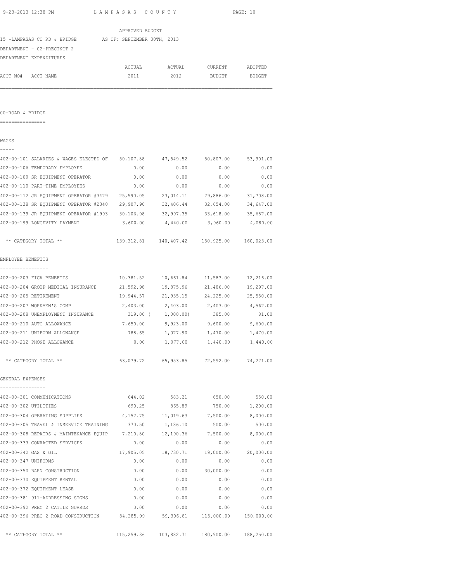| 9-23-2013 12:38 PM  |                                                  | LAMPASAS COUNTY             |                                                    |                            | PAGE: 10  |
|---------------------|--------------------------------------------------|-----------------------------|----------------------------------------------------|----------------------------|-----------|
|                     |                                                  | APPROVED BUDGET             |                                                    |                            |           |
|                     | 15 -LAMPASAS CO RD & BRIDGE                      | AS OF: SEPTEMBER 30TH, 2013 |                                                    |                            |           |
|                     | DEPARTMENT - 02-PRECINCT 2                       |                             |                                                    |                            |           |
|                     | DEPARTMENT EXPENDITURES                          |                             |                                                    |                            |           |
|                     |                                                  | ACTUAL                      | ACTUAL                                             | CURRENT                    | ADOPTED   |
| ACCT NO#            | ACCT NAME                                        | 2011                        | 2012                                               | BUDGET                     | BUDGET    |
| 00-ROAD & BRIDGE    |                                                  |                             |                                                    |                            |           |
|                     |                                                  |                             |                                                    |                            |           |
| WAGES               |                                                  |                             |                                                    |                            |           |
|                     | 402-00-101 SALARIES & WAGES ELECTED OF 50,107.88 |                             | 47,549.52                                          | 50,807.00                  | 53,901.00 |
|                     | 402-00-106 TEMPORARY EMPLOYEE                    | 0.00                        | 0.00                                               | 0.00                       | 0.00      |
|                     | 402-00-109 SR EQUIPMENT OPERATOR                 | 0.00                        | 0.00                                               | 0.00                       | 0.00      |
|                     | 402-00-110 PART-TIME EMPLOYEES                   | 0.00                        | 0.00                                               | 0.00                       | 0.00      |
|                     | 402-00-112 JR EQUIPMENT OPERATOR #3479 25,590.05 |                             | 23,014.11                                          | 29,886.00                  | 31,708.00 |
|                     | 402-00-138 SR EQUIPMENT OPERATOR #2340 29,907.90 |                             |                                                    | 32,406.44 32,654.00        | 34,647.00 |
|                     | 402-00-139 JR EQUIPMENT OPERATOR #1993 30,106.98 |                             |                                                    | 32,997.35 33,618.00        | 35,687.00 |
|                     | 402-00-199 LONGEVITY PAYMENT                     |                             | 3,600.00 4,440.00 3,960.00 4,080.00                |                            |           |
|                     | ** CATEGORY TOTAL **                             |                             | 139, 312.81  140, 407.42  150, 925.00  160, 023.00 |                            |           |
| EMPLOYEE BENEFITS   |                                                  |                             |                                                    |                            |           |
| ---------------     | 402-00-203 FICA BENEFITS                         | 10,381.52                   |                                                    | 10,661.84 11,583.00        | 12,216.00 |
|                     | 402-00-204 GROUP MEDICAL INSURANCE               | 21,592.98                   | 19,875.96                                          | 21,486.00                  | 19,297.00 |
|                     | 402-00-205 RETIREMENT                            | 19,944.57                   | 21,935.15                                          | 24,225.00                  | 25,550.00 |
|                     | 402-00-207 WORKMEN'S COMP                        | 2,403.00                    | 2,403.00                                           | 2,403.00                   | 4,567.00  |
|                     | 402-00-208 UNEMPLOYMENT INSURANCE                |                             | 319.00 ( 1,000.00)                                 | 385.00                     | 81.00     |
|                     | 402-00-210 AUTO ALLOWANCE                        | 7,650.00                    | $9,923.00$ $9,600.00$                              |                            | 9,600.00  |
|                     | 402-00-211 UNIFORM ALLOWANCE                     | 788.65                      | 1,077.90                                           | 1,470.00                   | 1,470.00  |
|                     | 402-00-212 PHONE ALLOWANCE                       | 0.00                        |                                                    | 1,077.00 1,440.00 1,440.00 |           |
|                     | ** CATEGORY TOTAL **                             |                             | 63,079.72 65,953.85 72,592.00                      |                            | 74,221.00 |
| GENERAL EXPENSES    |                                                  |                             |                                                    |                            |           |
|                     | 402-00-301 COMMUNICATIONS                        | 644.02                      | 583.21                                             | 650.00                     | 550.00    |
|                     | 402-00-302 UTILITIES                             | 690.25                      | 865.89                                             | 750.00                     | 1,200.00  |
|                     | 402-00-304 OPERATING SUPPLIES                    | 4,152.75                    | 11,019.63                                          | 7,500.00                   | 8,000.00  |
|                     | 402-00-305 TRAVEL & INSERVICE TRAINING           | 370.50                      | 1,186.10                                           | 500.00                     | 500.00    |
|                     | 402-00-308 REPAIRS & MAINTENANCE EQUIP 7,210.80  |                             | 12,190.36                                          | 7,500.00                   | 8,000.00  |
|                     | 402-00-333 CONRACTED SERVICES                    | 0.00                        | 0.00                                               | 0.00                       | 0.00      |
|                     | 402-00-342 GAS & OIL                             | 17,905.05                   | 18,730.71                                          | 19,000.00                  | 20,000.00 |
| 402-00-347 UNIFORMS |                                                  | 0.00                        | 0.00                                               | 0.00                       | 0.00      |
|                     | 402-00-350 BARN CONSTRUCTION                     | 0.00                        | 0.00                                               | 30,000.00                  | 0.00      |
|                     | 402-00-370 EQUIPMENT RENTAL                      | 0.00                        | 0.00                                               | 0.00                       | 0.00      |
|                     | 402-00-372 EQUIPMENT LEASE                       | 0.00                        | 0.00                                               | 0.00                       | 0.00      |
|                     | 402-00-381 911-ADDRESSING SIGNS                  | 0.00                        | 0.00                                               | 0.00                       | 0.00      |
|                     | 402-00-392 PREC 2 CATTLE GUARDS                  | 0.00                        | 0.00                                               | 0.00                       | 0.00      |

402-00-396 PREC 2 ROAD CONSTRUCTION 84,285.99 59,306.81 115,000.00 150,000.00

\*\* CATEGORY TOTAL \*\* 115,259.36 103,882.71 180,900.00 188,250.00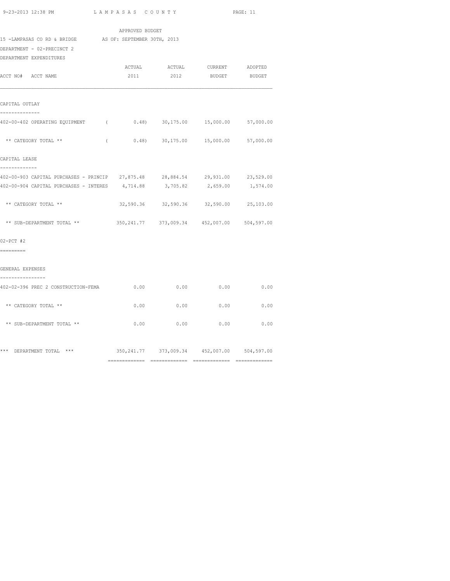|                                                                                                                                                              |            | APPROVED BUDGET |                |                                                 |           |
|--------------------------------------------------------------------------------------------------------------------------------------------------------------|------------|-----------------|----------------|-------------------------------------------------|-----------|
| 15 -LAMPASAS CO RD & BRIDGE AS OF: SEPTEMBER 30TH, 2013<br>DEPARTMENT - 02-PRECINCT 2<br>DEPARTMENT EXPENDITURES                                             |            |                 |                |                                                 |           |
| ACCT NO# ACCT NAME                                                                                                                                           |            | ACTUAL<br>2011  | ACTUAL<br>2012 | CURRENT ADOPTED<br><b>BUDGET</b>                | BUDGET    |
| CAPITAL OUTLAY<br>_____________                                                                                                                              |            |                 |                |                                                 |           |
| 402-00-402 OPERATING EQUIPMENT (0.48) 30,175.00 15,000.00 57,000.00                                                                                          |            |                 |                |                                                 |           |
| ** CATEGORY TOTAL **                                                                                                                                         | $\sqrt{2}$ |                 |                | $0.48$ $30,175.00$ $15,000.00$                  | 57,000.00 |
| CAPITAL LEASE<br>-------------                                                                                                                               |            |                 |                |                                                 |           |
| 402-00-903 CAPITAL PURCHASES - PRINCIP 27,875.48 28,884.54 29,931.00 23,529.00<br>402-00-904 CAPITAL PURCHASES - INTERES 4,714.88 3,705.82 2,659.00 1,574.00 |            |                 |                |                                                 |           |
| ** CATEGORY TOTAL **                                                                                                                                         |            |                 |                | 32,590.36 32,590.36 32,590.00 25,103.00         |           |
| ** SUB-DEPARTMENT TOTAL **                                                                                                                                   |            |                 |                | 350, 241.77 373, 009.34 452, 007.00 504, 597.00 |           |
| $02-PCT$ #2<br>=========                                                                                                                                     |            |                 |                |                                                 |           |
| GENERAL EXPENSES                                                                                                                                             |            |                 |                |                                                 |           |
| ----------------                                                                                                                                             |            |                 |                |                                                 | 0.00      |
| ** CATEGORY TOTAL **                                                                                                                                         |            | 0.00            | 0.00           | 0.00                                            | 0.00      |
| ** SUB-DEPARTMENT TOTAL **                                                                                                                                   |            | 0.00            | 0.00           | 0.00                                            | 0.00      |
|                                                                                                                                                              |            |                 |                |                                                 |           |

\*\*\* DEPARTMENT TOTAL \*\*\* 350,241.77 373,009.34 452,007.00 504,597.00

============= ============= ============= =============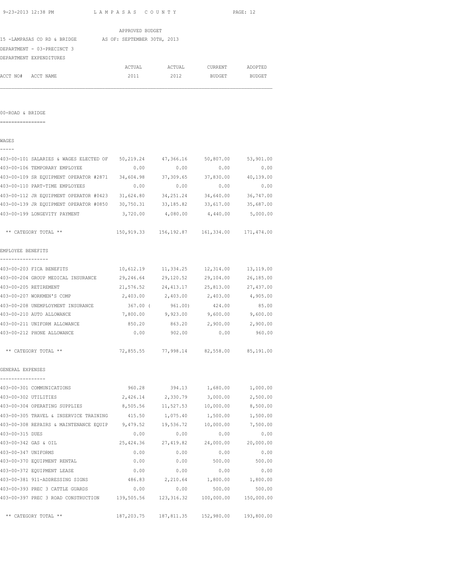| 9-23-2013 12:38 PM                                                   | LAMPASAS COUNTY             |                                                |                       | PAGE: 12           |
|----------------------------------------------------------------------|-----------------------------|------------------------------------------------|-----------------------|--------------------|
|                                                                      | APPROVED BUDGET             |                                                |                       |                    |
| 15 -LAMPASAS CO RD & BRIDGE                                          | AS OF: SEPTEMBER 30TH, 2013 |                                                |                       |                    |
| DEPARTMENT - 03-PRECINCT 3                                           |                             |                                                |                       |                    |
| DEPARTMENT EXPENDITURES                                              |                             |                                                |                       |                    |
|                                                                      | ACTUAL                      | ACTUAL                                         | CURRENT               | ADOPTED            |
| ACCT NO# ACCT NAME                                                   | 2011                        | 2012                                           | BUDGET                | BUDGET             |
|                                                                      |                             |                                                |                       |                    |
| 00-ROAD & BRIDGE                                                     |                             |                                                |                       |                    |
| =================                                                    |                             |                                                |                       |                    |
| WAGES                                                                |                             |                                                |                       |                    |
| 403-00-101 SALARIES & WAGES ELECTED OF 50,219.24                     |                             | 47,366.16                                      | 50,807.00             | 53,901.00          |
| 403-00-106 TEMPORARY EMPLOYEE                                        | 0.00                        | 0.00                                           | 0.00                  | 0.00               |
| 403-00-109 SR EQUIPMENT OPERATOR #2871 34,604.98                     |                             | 37,309.65                                      | 37,830.00             | 40,139.00          |
| 403-00-110 PART-TIME EMPLOYEES                                       | 0.00                        | 0.00                                           | 0.00                  | 0.00               |
| 403-00-112 JR EQUIPMENT OPERATOR #0423 31,624.80                     |                             | 34, 251, 24                                    | 34,640.00             | 36,747.00          |
| 403-00-139 JR EQUIPMENT OPERATOR #0850 30,750.31 33,185.82 33,617.00 |                             |                                                |                       | 35,687.00          |
| 403-00-199 LONGEVITY PAYMENT                                         |                             | 3,720.00 4,080.00 4,440.00 5,000.00            |                       |                    |
| ** CATEGORY TOTAL **                                                 |                             | 150,919.33  156,192.87  161,334.00  171,474.00 |                       |                    |
| EMPLOYEE BENEFITS                                                    |                             |                                                |                       |                    |
| --------------<br>403-00-203 FICA BENEFITS                           | 10,612.19                   | 11,334.25                                      | 12,314.00             | 13,119.00          |
| 403-00-204 GROUP MEDICAL INSURANCE                                   | 29,246.64                   | 29,120.52                                      | 29,104.00             | 26,185.00          |
| 403-00-205 RETIREMENT                                                | 21,576.52                   | 24, 413.17                                     | 25,813.00             | 27,437.00          |
| 403-00-207 WORKMEN'S COMP                                            |                             | 2,403.00 2,403.00                              | 2,403.00              | 4,905.00           |
| 403-00-208 UNEMPLOYMENT INSURANCE                                    | 367.00 (                    | 961.00)                                        | 424.00                | 85.00              |
| 403-00-210 AUTO ALLOWANCE                                            |                             | 7,800.00 9,923.00 9,600.00                     |                       | 9,600.00           |
| 403-00-211 UNIFORM ALLOWANCE                                         | 850.20                      | 863.20                                         | 2,900.00              | 2,900.00           |
| 403-00-212 PHONE ALLOWANCE                                           | 0.00                        | 902.00                                         | 0.00                  | 960.00             |
| ** CATEGORY TOTAL **                                                 |                             | 72,855.55 77,998.14 82,558.00                  |                       | 85,191.00          |
| GENERAL EXPENSES                                                     |                             |                                                |                       |                    |
| 403-00-301 COMMUNICATIONS                                            | 960.28                      | 394.13                                         | 1,680.00              | 1,000.00           |
| 403-00-302 UTILITIES                                                 | 2,426.14                    | 2,330.79                                       | 3,000.00              | 2,500.00           |
| 403-00-304 OPERATING SUPPLIES                                        | 8,505.56                    | 11,527.53                                      | 10,000.00             | 8,500.00           |
| 403-00-305 TRAVEL & INSERVICE TRAINING                               | 415.50                      | 1,075.40                                       | 1,500.00              | 1,500.00           |
| 403-00-308 REPAIRS & MAINTENANCE EQUIP 9,479.52                      |                             | 19,536.72                                      |                       | 10,000.00 7,500.00 |
| 403-00-315 DUES                                                      | 0.00                        | 0.00                                           | 0.00                  | 0.00               |
| 403-00-342 GAS & OIL                                                 | 25,424.36                   | 27,419.82                                      | 24,000.00             | 20,000.00          |
| 403-00-347 UNIFORMS                                                  | 0.00                        | 0.00                                           | 0.00                  | 0.00               |
| 403-00-370 EQUIPMENT RENTAL                                          | 0.00                        | 0.00                                           | 500.00                | 500.00             |
| 403-00-372 EQUIPMENT LEASE                                           | 0.00                        | 0.00                                           | 0.00                  | 0.00               |
| 403-00-381 911-ADDRESSING SIGNS                                      | 486.83                      | 2,210.64                                       | 1,800.00              | 1,800.00           |
| 403-00-393 PREC 3 CATTLE GUARDS                                      | 0.00                        | 0.00                                           | 500.00                | 500.00             |
| 403-00-397 PREC 3 ROAD CONSTRUCTION 139,505.56                       |                             |                                                | 123,316.32 100,000.00 | 150,000.00         |

\*\* CATEGORY TOTAL \*\* 187,203.75 187,811.35 152,980.00 193,800.00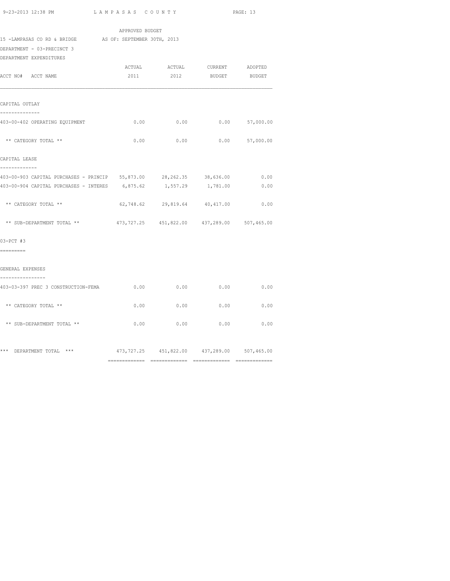|                                                                                            | APPROVED BUDGET |          |                                                |                  |
|--------------------------------------------------------------------------------------------|-----------------|----------|------------------------------------------------|------------------|
| 15 -LAMPASAS CO RD & BRIDGE AS OF: SEPTEMBER 30TH, 2013<br>DEPARTMENT - 03-PRECINCT 3      |                 |          |                                                |                  |
| DEPARTMENT EXPENDITURES<br>ACCT NO# ACCT NAME                                              | 2011            | 2012     | ACTUAL ACTUAL CURRENT ADOPTED<br><b>BUDGET</b> | BUDGET           |
| CAPITAL OUTLAY                                                                             |                 |          |                                                |                  |
| 403-00-402 OPERATING EQUIPMENT                                                             | 0.00            | 0.00     |                                                | $0.00$ 57,000.00 |
| ** CATEGORY TOTAL **                                                                       | 0.00            | 0.00     |                                                | $0.00$ 57,000.00 |
| CAPITAL LEASE<br>-------------                                                             |                 |          |                                                |                  |
| 403-00-903 CAPITAL PURCHASES - PRINCIP 55,873.00<br>403-00-904 CAPITAL PURCHASES - INTERES | 6,875.62        | 1,557.29 | 28, 262. 35 38, 636.00<br>1,781.00             | 0.00<br>0.00     |
| ** CATEGORY TOTAL **                                                                       | 62,748.62       |          | 29,819.64 40,417.00                            | 0.00             |
| ** SUB-DEPARTMENT TOTAL **                                                                 |                 |          | 473,727.25 451,822.00 437,289.00 507,465.00    |                  |
| $03-PCT$ #3<br>=========                                                                   |                 |          |                                                |                  |
| GENERAL EXPENSES<br>----------------                                                       |                 |          |                                                |                  |
| 403-03-397 PREC 3 CONSTRUCTION-FEMA                                                        | 0.00            | 0.00     | 0.00                                           | 0.00             |
| ** CATEGORY TOTAL **                                                                       | 0.00            | 0.00     | 0.00                                           | 0.00             |
| ** SUB-DEPARTMENT TOTAL **                                                                 | 0.00            | 0.00     | 0.00                                           | 0.00             |
| *** DEPARTMENT TOTAL ***                                                                   |                 |          | 473,727.25 451,822.00 437,289.00 507,465.00    |                  |

============= ============= ============= =============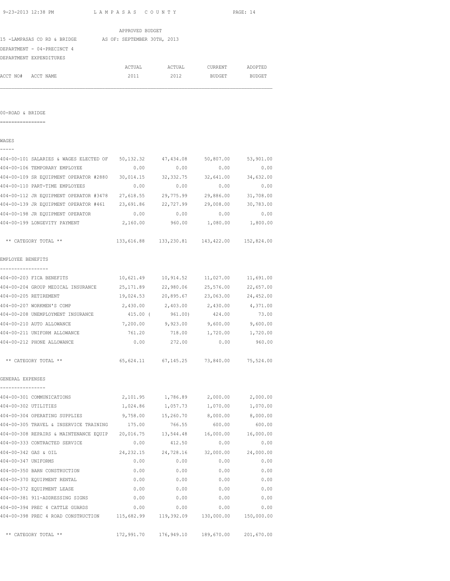| 9-23-2013 12:38 PM  |                                                                      | LAMPASAS COUNTY |                       |                                             | PAGE: 14  |
|---------------------|----------------------------------------------------------------------|-----------------|-----------------------|---------------------------------------------|-----------|
|                     |                                                                      | APPROVED BUDGET |                       |                                             |           |
|                     | 15 -LAMPASAS CO RD & BRIDGE AS OF: SEPTEMBER 30TH, 2013              |                 |                       |                                             |           |
|                     | DEPARTMENT - 04-PRECINCT 4                                           |                 |                       |                                             |           |
|                     | DEPARTMENT EXPENDITURES                                              |                 |                       |                                             |           |
|                     |                                                                      | ACTUAL          | ACTUAL                | CURRENT                                     | ADOPTED   |
|                     | ACCT NO# ACCT NAME                                                   | 2011            | 2012                  | BUDGET                                      | BUDGET    |
|                     |                                                                      |                 |                       |                                             |           |
| 00-ROAD & BRIDGE    |                                                                      |                 |                       |                                             |           |
|                     |                                                                      |                 |                       |                                             |           |
| WAGES               |                                                                      |                 |                       |                                             |           |
|                     |                                                                      |                 |                       |                                             |           |
|                     | 404-00-101 SALARIES & WAGES ELECTED OF 50,132.32 47,434.08 50,807.00 |                 |                       |                                             | 53,901.00 |
|                     | 404-00-106 TEMPORARY EMPLOYEE                                        | 0.00            | 0.00                  | 0.00                                        | 0.00      |
|                     | 404-00-109 SR EOUIPMENT OPERATOR #2880                               | 30,014.15       | 32, 332.75            | 32,641.00                                   | 34,632.00 |
|                     | 404-00-110 PART-TIME EMPLOYEES                                       | 0.00            | 0.00                  | 0.00                                        | 0.00      |
|                     | 404-00-112 JR EQUIPMENT OPERATOR #3478                               | 27,618.55       | 29,775.99             | 29,886.00                                   | 31,708.00 |
|                     | 404-00-139 JR EQUIPMENT OPERATOR #461 23,691.86                      |                 | 22,727.99             | 29,008.00                                   | 30,783.00 |
|                     | 404-00-198 JR EQUIPMENT OPERATOR                                     | 0.00            | 0.00                  | 0.00                                        | 0.00      |
|                     | 404-00-199 LONGEVITY PAYMENT                                         | 2,160.00        | 960.00                | 1,080.00 1,800.00                           |           |
|                     | ** CATEGORY TOTAL **                                                 |                 |                       | 133,616.88 133,230.81 143,422.00 152,824.00 |           |
| EMPLOYEE BENEFITS   |                                                                      |                 |                       |                                             |           |
|                     | ------------<br>404-00-203 FICA BENEFITS                             |                 |                       | 10,621.49    10,914.52    11,027.00         | 11,691.00 |
|                     | 404-00-204 GROUP MEDICAL INSURANCE                                   | 25,171.89       | 22,980.06             | 25,576.00                                   | 22,657.00 |
|                     | 404-00-205 RETIREMENT                                                | 19,024.53       | 20,895.67             | 23,063.00                                   | 24,452.00 |
|                     | 404-00-207 WORKMEN'S COMP                                            | 2,430.00        | 2,403.00              | 2,430.00                                    | 4,371.00  |
|                     | 404-00-208 UNEMPLOYMENT INSURANCE                                    | 415.00 (        | 961.00)               | 424.00                                      | 73.00     |
|                     | 404-00-210 AUTO ALLOWANCE                                            |                 | 7,200.00 9,923.00     | 9,600.00                                    | 9,600.00  |
|                     | 404-00-211 UNIFORM ALLOWANCE                                         | 761.20          | 718.00                | 1,720.00                                    | 1,720.00  |
|                     | 404-00-212 PHONE ALLOWANCE                                           | 0.00            | 272.00                | 0.00                                        | 960.00    |
|                     | ** CATEGORY TOTAL **                                                 |                 | 65, 624.11 67, 145.25 | 73,840.00                                   | 75,524.00 |
| GENERAL EXPENSES    |                                                                      |                 |                       |                                             |           |
|                     | 404-00-301 COMMUNICATIONS                                            | 2,101.95        | 1,786.89              | 2,000.00                                    | 2,000.00  |
|                     | 404-00-302 UTILITIES                                                 | 1,024.86        | 1,057.73              | 1,070.00                                    | 1,070.00  |
|                     | 404-00-304 OPERATING SUPPLIES                                        | 9,758.00        | 15,260.70             | 8,000.00                                    | 8,000.00  |
|                     | 404-00-305 TRAVEL & INSERVICE TRAINING                               | 175.00          | 766.55                | 600.00                                      | 600.00    |
|                     | 404-00-308 REPAIRS & MAINTENANCE EQUIP 20,016.75                     |                 | 13,544.48             | 16,000.00                                   | 16,000.00 |
|                     | 404-00-333 CONTRACTED SERVICE                                        | 0.00            | 412.50                | 0.00                                        | 0.00      |
|                     | 404-00-342 GAS & OIL                                                 | 24, 232.15      | 24,728.16             | 32,000.00                                   | 24,000.00 |
| 404-00-347 UNIFORMS |                                                                      | 0.00            | 0.00                  | 0.00                                        | 0.00      |
|                     | 404-00-350 BARN CONSTRUCTION                                         | 0.00            | 0.00                  | 0.00                                        | 0.00      |
|                     | 404-00-370 EQUIPMENT RENTAL                                          | 0.00            | 0.00                  | 0.00                                        | 0.00      |
|                     | 404-00-372 EQUIPMENT LEASE                                           | 0.00            | 0.00                  | 0.00                                        | 0.00      |
|                     | 404-00-381 911-ADDRESSING SIGNS                                      | 0.00            | 0.00                  | 0.00                                        | 0.00      |
|                     | 404-00-394 PREC 4 CATTLE GUARDS                                      | 0.00            | 0.00                  | 0.00                                        | 0.00      |
|                     |                                                                      |                 |                       |                                             |           |

\*\* CATEGORY TOTAL \*\* 172,991.70 176,949.10 189,670.00 201,670.00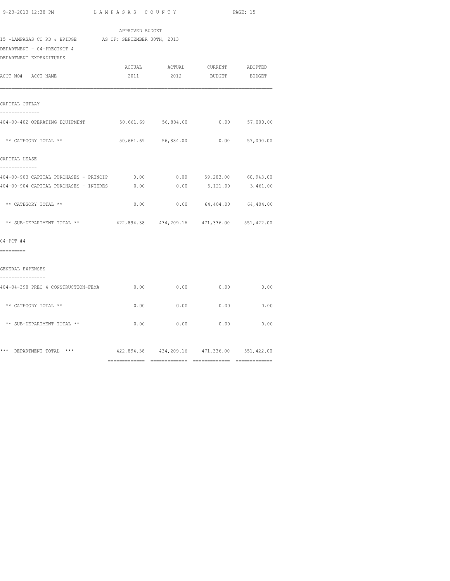============= ============= ============= =============

| 2011 | 2012                                                                                       | <b>BUDGET</b>                                                                              | BUDGET                                                                                                                                                                                                                                                                                             |
|------|--------------------------------------------------------------------------------------------|--------------------------------------------------------------------------------------------|----------------------------------------------------------------------------------------------------------------------------------------------------------------------------------------------------------------------------------------------------------------------------------------------------|
|      |                                                                                            |                                                                                            |                                                                                                                                                                                                                                                                                                    |
|      |                                                                                            |                                                                                            |                                                                                                                                                                                                                                                                                                    |
|      |                                                                                            |                                                                                            |                                                                                                                                                                                                                                                                                                    |
|      |                                                                                            |                                                                                            |                                                                                                                                                                                                                                                                                                    |
|      |                                                                                            |                                                                                            |                                                                                                                                                                                                                                                                                                    |
|      |                                                                                            |                                                                                            |                                                                                                                                                                                                                                                                                                    |
| 0.00 |                                                                                            | 59,283.00 60,943.00                                                                        |                                                                                                                                                                                                                                                                                                    |
| 0.00 | 0.00                                                                                       | 5,121.00                                                                                   | 3,461.00                                                                                                                                                                                                                                                                                           |
|      |                                                                                            |                                                                                            |                                                                                                                                                                                                                                                                                                    |
|      |                                                                                            |                                                                                            |                                                                                                                                                                                                                                                                                                    |
|      |                                                                                            |                                                                                            |                                                                                                                                                                                                                                                                                                    |
|      |                                                                                            |                                                                                            |                                                                                                                                                                                                                                                                                                    |
|      |                                                                                            |                                                                                            |                                                                                                                                                                                                                                                                                                    |
|      | 0.00                                                                                       | 0.00                                                                                       | 0.00                                                                                                                                                                                                                                                                                               |
|      | 0.00                                                                                       | 0.00                                                                                       | 0.00                                                                                                                                                                                                                                                                                               |
|      |                                                                                            | 0.00                                                                                       | 0.00                                                                                                                                                                                                                                                                                               |
|      |                                                                                            |                                                                                            |                                                                                                                                                                                                                                                                                                    |
|      | ACTUAL<br>404-00-903 CAPITAL PURCHASES - PRINCIP<br>404-00-904 CAPITAL PURCHASES - INTERES | APPROVED BUDGET<br>15 -LAMPASAS CO RD & BRIDGE AS OF: SEPTEMBER 30TH, 2013<br>0.00<br>0.00 | ACTUAL CURRENT ADOPTED<br>404-00-402 OPERATING EQUIPMENT 50,661.69 56,884.00 0.00 57,000.00<br>50,661.69 56,884.00 0.00 57,000.00<br>0.00<br>$0.00$ $0.00$ $64,404.00$ $64,404.00$<br>422,894.38  434,209.16  471,336.00  551,422.00<br>$0.00$ 0.00<br>422,894.38 434,209.16 471,336.00 551,422.00 |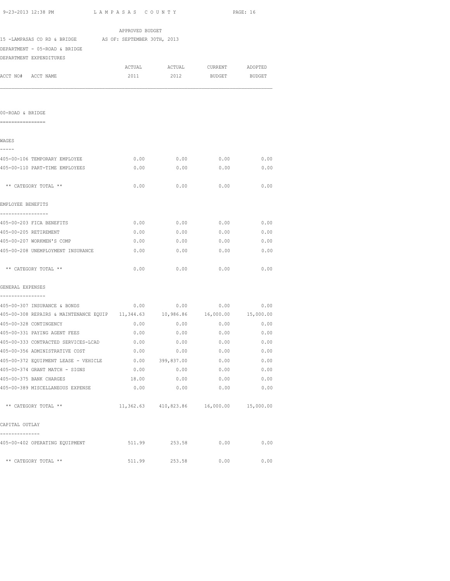| 9-23-2013 12:38 PM            | LAMPASAS COUNTY             | PAGE: 16 |
|-------------------------------|-----------------------------|----------|
|                               | APPROVED BUDGET             |          |
| 15 -LAMPASAS CO RD & BRIDGE   | AS OF: SEPTEMBER 30TH, 2013 |          |
| DEPARTMENT - 05-ROAD & BRIDGE |                             |          |

DEPARTMENT EXPENDITURES

|                    | DEL ARITERINI – EAL ENDI I VINEO |        |        |         |               |
|--------------------|----------------------------------|--------|--------|---------|---------------|
|                    |                                  | ACTUAL | ACTUAL | CURRENT | ADOPTED       |
| ACCT NO# ACCT NAME |                                  | 2011   | 2012   | BUDGET  | <b>BUDGET</b> |
|                    |                                  |        |        |         |               |

00-ROAD & BRIDGE ================ WAGES -----<br>405-00-106 TEMPORARY EMPLOYEE  $0.00$  0.00 0.00 0.00 405-00-110 PART-TIME EMPLOYEES 0.00 0.00 0.00 0.00 \*\* CATEGORY TOTAL \*\* 0.00 0.00 0.00 0.00 EMPLOYEE BENEFITS ----------------- 405-00-203 FICA BENEFITS 0.00 0.00 0.00 0.00 405-00-205 RETIREMENT 0.00 0.00 0.00 0.00 405-00-207 WORKMEN'S COMP 0.00 0.00 0.00 0.00 405-00-208 UNEMPLOYMENT INSURANCE 0.00 0.00 0.00 0.00 \*\* CATEGORY TOTAL \*\* 0.00 0.00 0.00 0.00 GENERAL EXPENSES ---------------- 405-00-307 INSURANCE & BONDS 0.00 0.00 0.00 0.00 405-00-308 REPAIRS & MAINTENANCE EQUIP 11,344.63 10,986.86 16,000.00 15,000.00 405-00-328 CONTINGENCY 0.00 0.00 0.00 0.00 405-00-331 PAYING AGENT FEES 0.00 0.00 0.00 0.00 405-00-333 CONTRACTED SERVICES-LCAD 0.00 0.00 0.00 0.00 405-00-356 ADMINISTRATIVE COST 0.00 0.00 0.00 0.00 405-00-372 EQUIPMENT LEASE - VEHICLE 0.00 399,837.00 0.00 0.00

405-00-374 GRANT MATCH - SIGNS 0.00 0.00 0.00 0.00 405-00-375 BANK CHARGES 18.00 0.00 0.00 0.00 405-00-389 MISCELLANEOUS EXPENSE 0.00 0.00 0.00 0.00 \*\* CATEGORY TOTAL \*\* 11,362.63 410,823.86 16,000.00 15,000.00 CAPITAL OUTLAY -------------- 405-00-402 OPERATING EQUIPMENT 511.99 253.58 0.00 0.00

\*\* CATEGORY TOTAL \*\* 511.99 253.58 0.00 0.00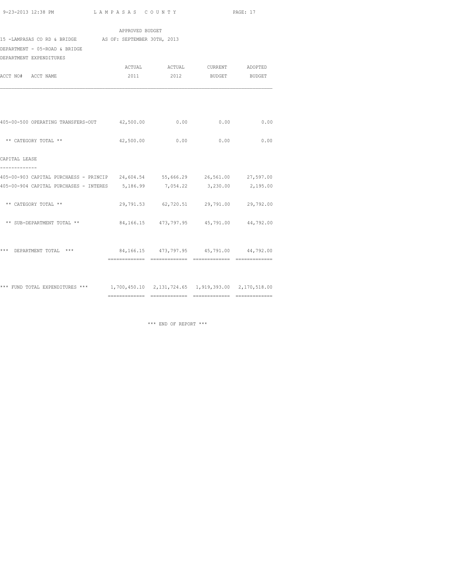|                                                                                                 | APPROVED BUDGET |                                                  |      |
|-------------------------------------------------------------------------------------------------|-----------------|--------------------------------------------------|------|
| 15 -LAMPASAS CO RD & BRIDGE AS OF: SEPTEMBER 30TH, 2013                                         |                 |                                                  |      |
| DEPARTMENT - 05-ROAD & BRIDGE                                                                   |                 |                                                  |      |
| DEPARTMENT EXPENDITURES                                                                         |                 |                                                  |      |
|                                                                                                 |                 | ACTUAL ACTUAL CURRENT ADOPTED                    |      |
| ACCT NO# ACCT NAME                                                                              |                 | 2011 2012 BUDGET BUDGET                          |      |
|                                                                                                 |                 |                                                  |      |
| 405-00-500 OPERATING TRANSFERS-OUT 42,500.00 0.00 0.00 0.00                                     |                 |                                                  | 0.00 |
| ** CATEGORY TOTAL **                                                                            |                 | 42,500.00 0.00 0.00                              | 0.00 |
| CAPITAL LEASE                                                                                   |                 |                                                  |      |
| -------------<br>405-00-903 CAPITAL PURCHAESS - PRINCIP 24,604.54 55,666.29 26,561.00 27,597.00 |                 |                                                  |      |
| 405-00-904 CAPITAL PURCHASES - INTERES 5,186.99 7,054.22 3,230.00 2,195.00                      |                 |                                                  |      |
| ** CATEGORY TOTAL **                                                                            |                 | 29,791.53 62,720.51 29,791.00 29,792.00          |      |
| ** SUB-DEPARTMENT TOTAL **                                                                      |                 | 84, 166. 15 473, 797. 95 45, 791. 00 44, 792. 00 |      |
| *** DEPARTMENT TOTAL ***                                                                        |                 | 84,166.15 473,797.95 45,791.00 44,792.00         |      |

\*\*\* FUND TOTAL EXPENDITURES \*\*\* 1,700,450.10 2,131,724.65 1,919,393.00 2,170,518.00 ============= ============= ============= =============

\*\*\* END OF REPORT \*\*\*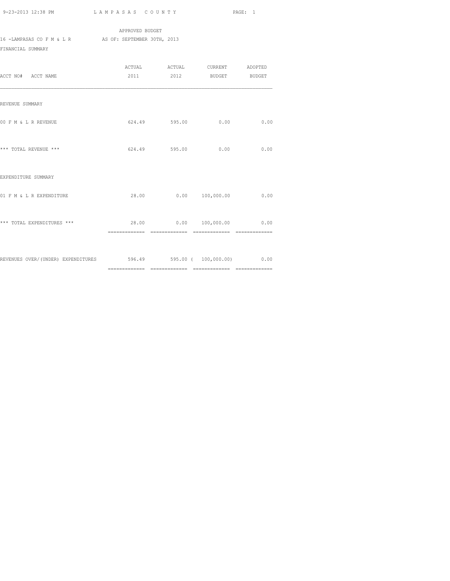APPROVED BUDGET 16 -LAMPASAS CO F M & L R AS OF: SEPTEMBER 30TH, 2013 FINANCIAL SUMMARY

| ACCT NO# ACCT NAME                                                  |               | ACTUAL ACTUAL CURRENT ADOPTED<br>2011 2012 BUDGET BUDGET |      |
|---------------------------------------------------------------------|---------------|----------------------------------------------------------|------|
| REVENUE SUMMARY                                                     |               |                                                          |      |
| 00 F M & L R REVENUE                                                | 624.49 595.00 | 0.00                                                     | 0.00 |
| *** TOTAL REVENUE ***                                               |               | 624.49 595.00 0.00                                       | 0.00 |
| EXPENDITURE SUMMARY                                                 |               |                                                          |      |
| 01 F M & L R EXPENDITURE                                            |               | 28.00   0.00   100,000.00                                | 0.00 |
| *** TOTAL EXPENDITURES ***                                          |               | 28.00   0.00   100,000.00   0.00                         |      |
| REVENUES OVER/(UNDER) EXPENDITURES 596.49 595.00 ( 100,000.00) 0.00 |               |                                                          |      |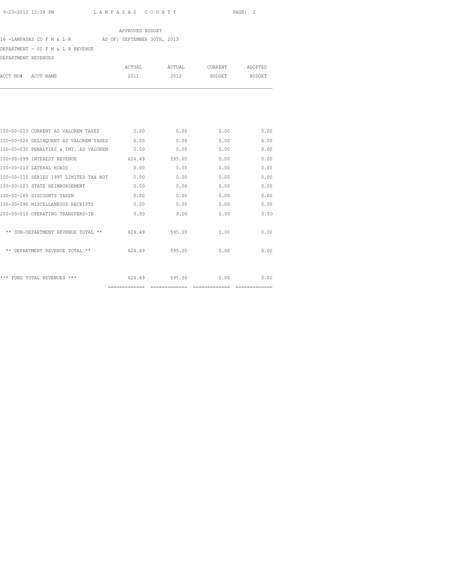## APPROVED BUDGET

# 16 -LAMPASAS CO F M & L R AS OF: SEPTEMBER 30TH, 2013

DEPARTMENT - 00 F M & L R REVENUE

DEPARTMENT REVENUES

|          |           | ACTUAL | ACTUAL | CURRENT | ADOPTED |
|----------|-----------|--------|--------|---------|---------|
| ACCT NO# | ACCT NAME | 2011   | 2012   | BUDGET  | BUDGET  |
|          |           |        |        |         |         |
|          |           |        |        |         |         |

|                                        | ============= | ============= |      |      |
|----------------------------------------|---------------|---------------|------|------|
| *** FUND TOTAL REVENUES ***            | 624.49        | 595.00        | 0.00 | 0.00 |
| ** DEPARTMENT REVENUE TOTAL **         | 624.49        | 595.00        | 0.00 | 0.00 |
| ** SUB-DEPARTMENT REVENUE TOTAL **     | 624.49        | 595.00        | 0.00 | 0.00 |
| 200-00-010 OPERATING TRANSFERS-IN      | 0.00          | 0.00          | 0.00 | 0.00 |
| 100-00-190 MISCELLANEOUS RECEIPTS      | 0.00          | 0.00          | 0.00 | 0.00 |
| 100-00-189 DISCOUNTS TAKEN             | 0.00          | 0.00          | 0.00 | 0.00 |
| 100-00-123 STATE REIMBURSEMENT         | 0.00          | 0.00          | 0.00 | 0.00 |
| 100-00-115 SERIES 1997 LIMITED TAX NOT | 0.00          | 0.00          | 0.00 | 0.00 |
| 100-00-110 LATERAL ROADS               | 0.00          | 0.00          | 0.00 | 0.00 |
| 100-00-099 INTEREST REVENUE            | 624.49        | 595.00        | 0.00 | 0.00 |
| 100-00-030 PENALTIES & INT. AD VALOREM | 0.00          | 0.00          | 0.00 | 0.00 |
| 100-00-020 DELINQUENT AD VALOREM TAXES | 0.00          | 0.00          | 0.00 | 0.00 |
| 100-00-010 CURRENT AD VALOREM TAXES    | 0.00          | 0.00          | 0.00 | 0.00 |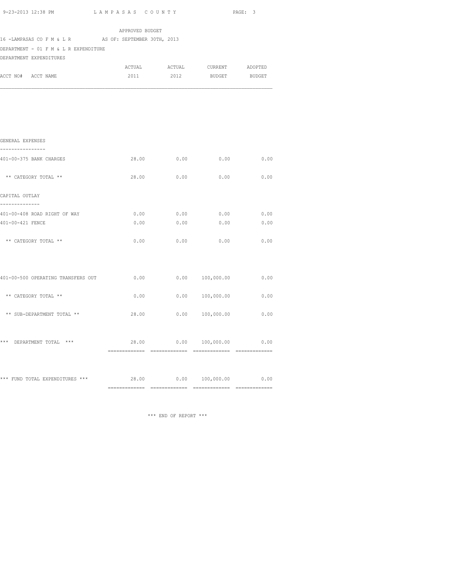| 9-23-2013 12:38 PM                                               | LAMPASAS COUNTY |              |                                      | PAGE: 3 |
|------------------------------------------------------------------|-----------------|--------------|--------------------------------------|---------|
| 16 - LAMPASAS CO F M & L R AS OF: SEPTEMBER 30TH, 2013           | APPROVED BUDGET |              |                                      |         |
| DEPARTMENT - 01 F M & L R EXPENDITURE<br>DEPARTMENT EXPENDITURES |                 |              |                                      |         |
|                                                                  |                 |              | ACTUAL ACTUAL CURRENT ADOPTED        |         |
| ACCT NO# ACCT NAME                                               |                 |              | 2011 2012 BUDGET BUDGET              |         |
|                                                                  |                 |              |                                      |         |
|                                                                  |                 |              |                                      |         |
| GENERAL EXPENSES<br>----------------                             |                 |              |                                      |         |
| 401-00-375 BANK CHARGES                                          |                 |              | 28.00 0.00 0.00 0.00                 |         |
| ** CATEGORY TOTAL **                                             | 28.00           | 0.00         | 0.00                                 | 0.00    |
| CAPITAL OUTLAY<br>--------------                                 |                 |              |                                      |         |
| 401-00-408 ROAD RIGHT OF WAY                                     |                 |              | $0.00$ $0.00$ $0.00$ $0.00$ $0.00$   |         |
| 401-00-421 FENCE                                                 |                 | 0.00<br>0.00 | 0.00                                 | 0.00    |
| ** CATEGORY TOTAL **                                             | 0.00            | 0.00         | 0.00                                 | 0.00    |
|                                                                  |                 |              |                                      |         |
| 401-00-500 OPERATING TRANSFERS OUT                               | 0.00            |              | $0.00 \qquad 100,000.00 \qquad 0.00$ |         |
| ** CATEGORY TOTAL **                                             | 0.00            |              | 0.00 100,000.00                      | 0.00    |
| ** SUB-DEPARTMENT TOTAL **                                       | 28.00           |              | $0.00$ $100,000.00$                  | 0.00    |
|                                                                  |                 | 28.00        | $0.00$ $100,000.00$                  | 0.00    |

\*\*\* FUND TOTAL EXPENDITURES \*\*\*  $28.00$  0.00  $100,000.00$  0.00 ============= ============= ============= =============

\*\*\* END OF REPORT \*\*\*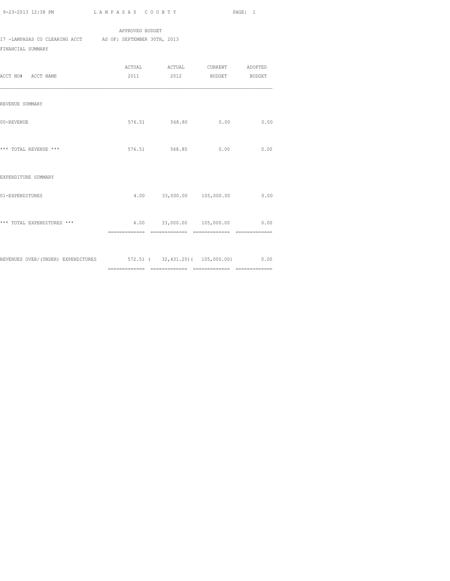============= ============= ============= =============

## APPROVED BUDGET 17 -LAMPASAS CO CLEARING ACCT AS OF: SEPTEMBER 30TH, 2013

FINANCIAL SUMMARY

|                                                                         |                |                           | ACTUAL ACTUAL CURRENT ADOPTED  |      |
|-------------------------------------------------------------------------|----------------|---------------------------|--------------------------------|------|
| ACCT NO# ACCT NAME                                                      |                |                           | 2011 2012 BUDGET BUDGET        |      |
|                                                                         |                |                           |                                |      |
| REVENUE SUMMARY                                                         |                |                           |                                |      |
|                                                                         |                |                           |                                |      |
| 00-REVENUE                                                              |                |                           | 576.51 568.80 0.00             | 0.00 |
|                                                                         |                |                           |                                |      |
|                                                                         |                |                           |                                |      |
| *** TOTAL REVENUE ***                                                   |                | 576.51 568.80             | 0.00                           | 0.00 |
|                                                                         |                |                           |                                |      |
| EXPENDITURE SUMMARY                                                     |                |                           |                                |      |
|                                                                         |                |                           |                                |      |
| 01-EXPENDITURES                                                         |                | 4.00 33,000.00 105,000.00 |                                | 0.00 |
|                                                                         |                |                           |                                |      |
| *** TOTAL EXPENDITURES ***                                              |                |                           | 4.00 33,000.00 105,000.00 0.00 |      |
|                                                                         | ============== | =============             | --------------                 |      |
|                                                                         |                |                           |                                |      |
|                                                                         |                |                           |                                |      |
| REVENUES OVER/(UNDER) EXPENDITURES 572.51 (32,431.20) (105,000.00) 0.00 |                |                           |                                |      |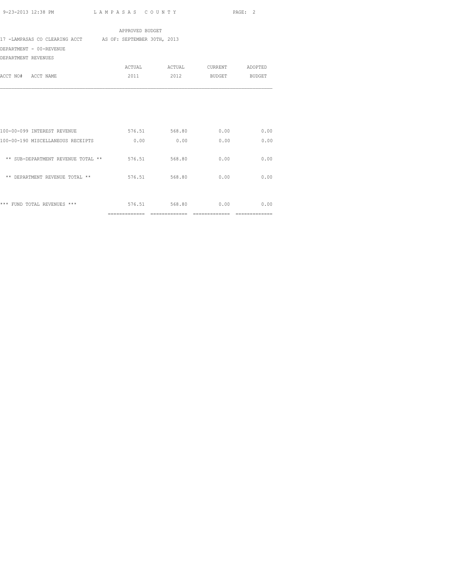| 2011 | 2012           |                                                                                      | BUDGET BUDGET                                                                                               |
|------|----------------|--------------------------------------------------------------------------------------|-------------------------------------------------------------------------------------------------------------|
|      |                |                                                                                      |                                                                                                             |
|      |                | 0.00                                                                                 | 0.00                                                                                                        |
|      |                | 0.00                                                                                 | 0.00                                                                                                        |
|      |                | 0.00                                                                                 | 0.00                                                                                                        |
|      |                | 0.00                                                                                 | 0.00                                                                                                        |
|      |                | 0.00                                                                                 | 0.00                                                                                                        |
|      | ============== | APPROVED BUDGET<br>17 -LAMPASAS CO CLEARING ACCT AS OF: SEPTEMBER 30TH, 2013<br>0.00 | 576.51 568.80<br>0.00<br>** SUB-DEPARTMENT REVENUE TOTAL ** 576.51 568.80<br>576.51 568.80<br>576.51 568.80 |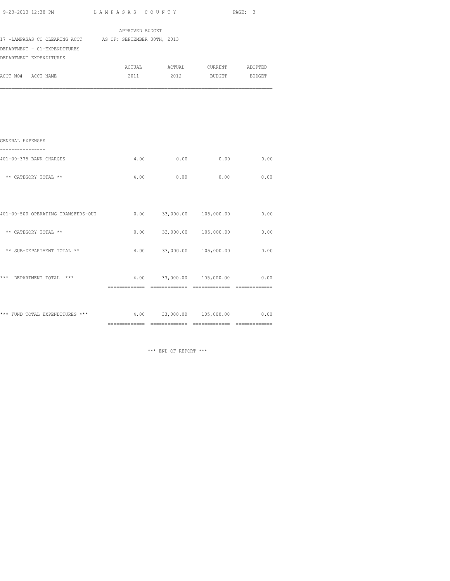| 9-23-2013 12:38 PM | LAMPASAS COUNTY                           | PAGE:    |
|--------------------|-------------------------------------------|----------|
|                    | $\sim$ $\sim$ $\sim$ $\sim$ $\sim$ $\sim$ | <u>.</u> |

|                                                           | APPROVED BUDGET |                                 |                    |      |
|-----------------------------------------------------------|-----------------|---------------------------------|--------------------|------|
| 17 -LAMPASAS CO CLEARING ACCT AS OF: SEPTEMBER 30TH, 2013 |                 |                                 |                    |      |
| DEPARTMENT - 01-EXPENDITURES                              |                 |                                 |                    |      |
| DEPARTMENT EXPENDITURES                                   |                 |                                 |                    |      |
|                                                           |                 | ACTUAL ACTUAL CURRENT ADOPTED   |                    |      |
| ACCT NO# ACCT NAME                                        | 2011            |                                 | 2012 BUDGET BUDGET |      |
| GENERAL EXPENSES                                          |                 |                                 |                    |      |
| 401-00-375 BANK CHARGES                                   |                 | $4.00$ 0.00 0.00                |                    | 0.00 |
| ** CATEGORY TOTAL **                                      |                 | $4.00$ 0.00                     | 0.00               | 0.00 |
| 401-00-500 OPERATING TRANSFERS-OUT                        |                 | $0.00$ $33,000.00$ $105,000.00$ |                    | 0.00 |

| *** FUND TOTAL EXPENDITURES<br>$***$ | 4.00 | 33,000.00 | 105,000.00    | 0.00 |
|--------------------------------------|------|-----------|---------------|------|
| ***<br>DEPARTMENT TOTAL<br>***       | 4.00 | 33,000.00 | 105,000.00    | 0.00 |
| ** SUB-DEPARTMENT TOTAL **           | 4.00 | 33,000.00 | 105,000.00    | 0.00 |
| CATEGORY TOTAL **<br>$* *$           | 0.00 | 33,000.00 | 105,000.00    | 0.00 |
| 401-00-300 OPERAIING IRANSPERS-001   | U.UU | 33,000.00 | TAD, AND "CAT | U.UU |

\*\*\* END OF REPORT \*\*\*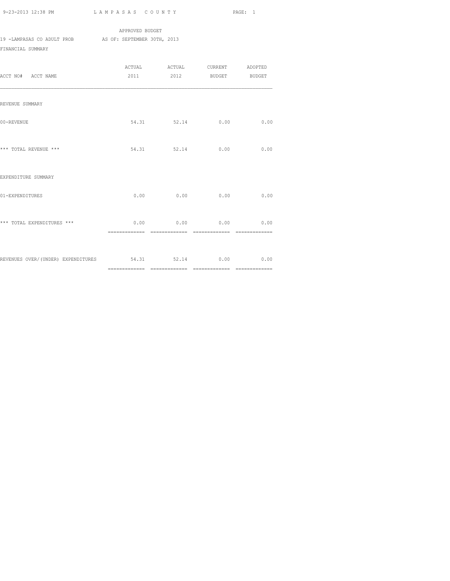APPROVED BUDGET 19 -LAMPASAS CO ADULT PROB AS OF: SEPTEMBER 30TH, 2013 FINANCIAL SUMMARY

| ACCT NO# ACCT NAME                                        | ACTUAL ACTUAL CURRENT ADOPTED<br>2011 2012 BUDGET BUDGET |      |      |
|-----------------------------------------------------------|----------------------------------------------------------|------|------|
| REVENUE SUMMARY                                           |                                                          |      |      |
| 00-REVENUE                                                | 54.31 52.14 0.00                                         |      | 0.00 |
| *** TOTAL REVENUE ***                                     | 54.31 52.14                                              | 0.00 | 0.00 |
| EXPENDITURE SUMMARY                                       |                                                          |      |      |
| 01-EXPENDITURES                                           | $0.00$ 0.00                                              | 0.00 | 0.00 |
| *** TOTAL EXPENDITURES ***                                | $0.00$ $0.00$ $0.00$ $0.00$                              |      | 0.00 |
| REVENUES OVER/(UNDER) EXPENDITURES 54.31 52.14 0.00 00 00 |                                                          |      |      |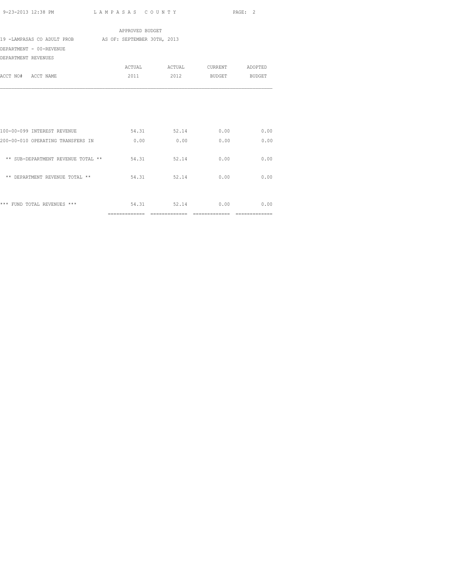|                                                        | APPROVED BUDGET |                             |                               |                |
|--------------------------------------------------------|-----------------|-----------------------------|-------------------------------|----------------|
| 19 -LAMPASAS CO ADULT PROB AS OF: SEPTEMBER 30TH, 2013 |                 |                             |                               |                |
| DEPARTMENT - 00-REVENUE                                |                 |                             |                               |                |
| DEPARTMENT REVENUES                                    |                 |                             |                               |                |
|                                                        |                 |                             | ACTUAL ACTUAL CURRENT ADOPTED |                |
| ACCT NO# ACCT NAME                                     | 2011            |                             | 2012 BUDGET BUDGET            |                |
|                                                        |                 |                             |                               |                |
| 100-00-099 INTEREST REVENUE                            |                 | 54.31 52.14                 | 0.00                          | 0.00           |
| 200-00-010 OPERATING TRANSFERS IN                      | 0.00            | 0.00                        | 0.00                          | 0.00           |
| ** SUB-DEPARTMENT REVENUE TOTAL **                     |                 | 54.31 52.14                 | 0.00                          | 0.00           |
| ** DEPARTMENT REVENUE TOTAL **                         |                 | 54.31 52.14                 | 0.00                          | 0.00           |
| *** FUND TOTAL REVENUES ***                            |                 | 54.31 52.14                 | 0.00                          | 0.00           |
|                                                        |                 | ============= ============= |                               | ============== |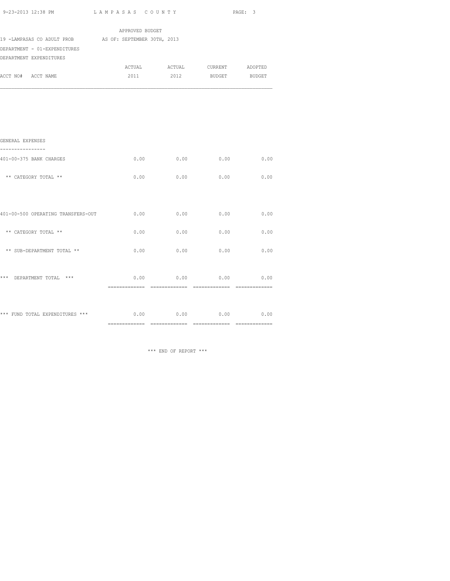| 9-23-2013 12:38 PM                                                                      | LAMPASAS COUNTY |                               |              | PAGE: 3       |
|-----------------------------------------------------------------------------------------|-----------------|-------------------------------|--------------|---------------|
|                                                                                         | APPROVED BUDGET |                               |              |               |
| 19 -LAMPASAS CO ADULT PROB AS OF: SEPTEMBER 30TH, 2013                                  |                 |                               |              |               |
| DEPARTMENT - 01-EXPENDITURES                                                            |                 |                               |              |               |
| DEPARTMENT EXPENDITURES                                                                 |                 |                               |              |               |
|                                                                                         |                 | ACTUAL ACTUAL CURRENT ADOPTED |              |               |
| ACCT NO# ACCT NAME                                                                      | 2011            | 2012                          |              | BUDGET BUDGET |
| GENERAL EXPENSES<br>----------------<br>401-00-375 BANK CHARGES<br>** CATEGORY TOTAL ** | 0.00            | 0.00<br>0.00<br>0.00          | 0.00<br>0.00 | 0.00<br>0.00  |
| 401-00-500 OPERATING TRANSFERS-OUT                                                      | 0.00            | 0.00                          | 0.00         | 0.00          |
| ** CATEGORY TOTAL **                                                                    | 0.00            | 0.00                          | 0.00         | 0.00          |
| ** SUB-DEPARTMENT TOTAL **                                                              | 0.00            | 0.00                          | 0.00         | 0.00          |

\*\*\* DEPARTMENT TOTAL \*\*\* 0.00 0.00 0.00 0.00 0.00 0.00

\*\*\* FUND TOTAL EXPENDITURES \*\*\* 0.00 0.00 0.00 0.00 0.00 0.00

\*\*\* END OF REPORT \*\*\*

============= ============= ============= =============

============= ============= ============= =============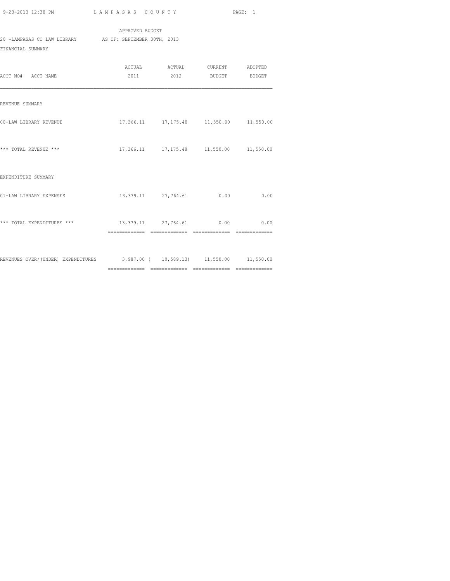APPROVED BUDGET 20 -LAMPASAS CO LAW LIBRARY AS OF: SEPTEMBER 30TH, 2013 FINANCIAL SUMMARY

| ACCT NO# ACCT NAME                                                           |                               | ACTUAL ACTUAL CURRENT ADOPTED<br>2011 2012 BUDGET BUDGET |      |
|------------------------------------------------------------------------------|-------------------------------|----------------------------------------------------------|------|
| REVENUE SUMMARY                                                              |                               |                                                          |      |
| 00-LAW LIBRARY REVENUE                                                       |                               | 17,366.11 17,175.48 11,550.00 11,550.00                  |      |
| *** TOTAL REVENUE ***                                                        |                               | 17,366.11 17,175.48 11,550.00 11,550.00                  |      |
| EXPENDITURE SUMMARY                                                          |                               |                                                          |      |
| 01-LAW LIBRARY EXPENSES                                                      |                               | 13, 379.11 27, 764.61 0.00                               | 0.00 |
| *** TOTAL EXPENDITURES ***                                                   | 13,379.11 27,764.61 0.00 0.00 |                                                          |      |
| REVENUES OVER/(UNDER) EXPENDITURES 3,987.00 ( 10,589.13) 11,550.00 11,550.00 |                               |                                                          |      |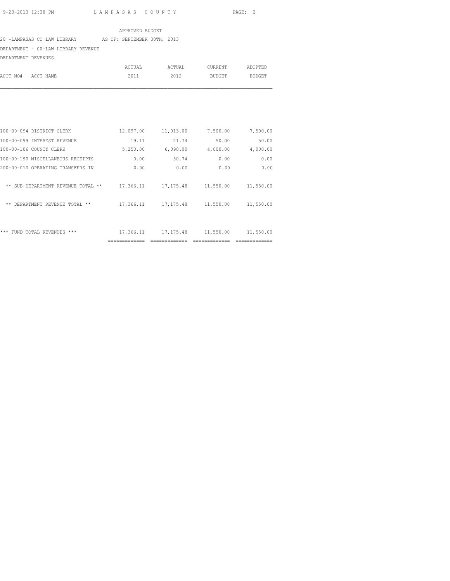#### APPROVED BUDGET

### 20 -LAMPASAS CO LAW LIBRARY AS OF: SEPTEMBER 30TH, 2013

## DEPARTMENT - 00-LAW LIBRARY REVENUE

DEPARTMENT REVENUES

|                    | ACTUAL | ACTUAL | CURRENT | ADOPTED |
|--------------------|--------|--------|---------|---------|
| ACCT NO# ACCT NAME | 2011   | 2012   | BUDGET  | BUDGET  |

| ***<br>REVENUES<br>***<br><b>FUND</b><br>TOTAL. | 17,366.11 | 17, 175.48 | 11,550.00 | 11,550.00 |
|-------------------------------------------------|-----------|------------|-----------|-----------|
| DEPARTMENT REVENUE TOTAL **<br>$* *$            | 17,366.11 | 17, 175.48 | 11,550.00 | 11,550.00 |
| SUB-DEPARTMENT REVENUE TOTAL<br>$* *$<br>$* *$  | 17,366.11 | 17, 175.48 | 11,550.00 | 11,550.00 |
| 200-00-010 OPERATING TRANSFERS IN               | 0.00      | 0.00       | 0.00      | 0.00      |
| 100-00-190 MISCELLANEOUS RECEIPTS               | 0.00      | 50.74      | 0.00      | 0.00      |
| 100-00-106 COUNTY CLERK                         | 5,250.00  | 6,090.00   | 4,000.00  | 4,000.00  |
| 100-00-099 INTEREST REVENUE                     | 19.11     | 21.74      | 50.00     | 50.00     |
| 100-00-094 DISTRICT CLERK                       | 12,097.00 | 11,013.00  | 7,500.00  | 7,500.00  |
|                                                 |           |            |           |           |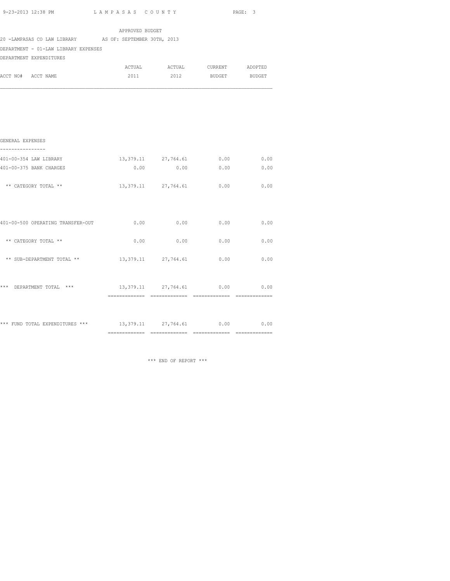| 9-23-2013 12:38 PM |  |
|--------------------|--|
|                    |  |

L A M P A S A S C O U N T Y PAGE: 3

|                                                         | APPROVED BUDGET               |                                    |      |      |
|---------------------------------------------------------|-------------------------------|------------------------------------|------|------|
| 20 -LAMPASAS CO LAW LIBRARY AS OF: SEPTEMBER 30TH, 2013 |                               |                                    |      |      |
| DEPARTMENT - 01-LAW LIBRARY EXPENSES                    |                               |                                    |      |      |
| DEPARTMENT EXPENDITURES                                 |                               |                                    |      |      |
|                                                         |                               |                                    |      |      |
| ACCT NO# ACCT NAME                                      |                               | 2011 2012 BUDGET BUDGET            |      |      |
|                                                         |                               |                                    |      |      |
| GENERAL EXPENSES<br>---------------                     |                               |                                    |      |      |
| 401-00-354 LAW LIBRARY                                  |                               | 13,379.11 27,764.61 0.00 0.00      |      |      |
| 401-00-375 BANK CHARGES                                 |                               | $0.00$ 0.00 0.00 0.00              |      |      |
| ** CATEGORY TOTAL **                                    |                               | 13, 379.11 27, 764.61              | 0.00 | 0.00 |
| 401-00-500 OPERATING TRANSFER-OUT                       |                               | $0.00$ $0.00$ $0.00$ $0.00$ $0.00$ |      |      |
| ** CATEGORY TOTAL **                                    | 0.00                          | 0.00                               | 0.00 | 0.00 |
| ** SUB-DEPARTMENT TOTAL **                              |                               | 13,379.11 27,764.61                | 0.00 | 0.00 |
| *** DEPARTMENT TOTAL ***                                | 13,379.11 27,764.61 0.00 0.00 |                                    |      |      |
|                                                         |                               |                                    |      |      |

\*\*\* FUND TOTAL EXPENDITURES \*\*\*  $13,379.11$   $27,764.61$  0.00 0.00 ============= ============= ============= =============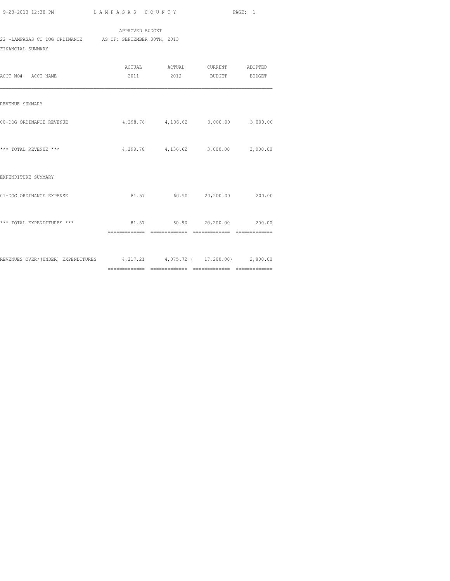APPROVED BUDGET 22 -LAMPASAS CO DOG ORDINANCE AS OF: SEPTEMBER 30TH, 2013 FINANCIAL SUMMARY

| ACCT NO# ACCT NAME                                                         | ACTUAL ACTUAL CURRENT ADOPTED<br>2011 2012 BUDGET BUDGET |  |
|----------------------------------------------------------------------------|----------------------------------------------------------|--|
| REVENUE SUMMARY                                                            |                                                          |  |
| 00-DOG ORDINANCE REVENUE                                                   | $4,298.78$ $4,136.62$ $3,000.00$ $3,000.00$              |  |
| *** TOTAL REVENUE ***                                                      | 4,298.78 4,136.62 3,000.00 3,000.00                      |  |
| EXPENDITURE SUMMARY                                                        |                                                          |  |
| 01-DOG ORDINANCE EXPENSE                                                   | 81.57 60.90 20,200.00 200.00                             |  |
| *** TOTAL EXPENDITURES ***                                                 | 81.57 60.90 20,200.00 200.00                             |  |
| REVENUES OVER/(UNDER) EXPENDITURES 4,217.21 4,075.72 ( 17,200.00) 2,800.00 |                                                          |  |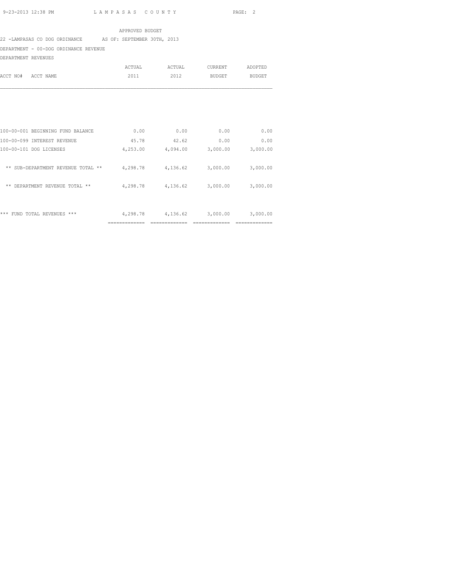#### APPROVED BUDGET

### 22 -LAMPASAS CO DOG ORDINANCE AS OF: SEPTEMBER 30TH, 2013

DEPARTMENT - 00-DOG ORDINANCE REVENUE

DEPARTMENT REVENUES

|                    | ACTUAL | ACTUAL | CURRENT | ADOPTED |
|--------------------|--------|--------|---------|---------|
| ACCT NO# ACCT NAME | 2011   | 2012   | BUDGET  | BUDGET  |
|                    |        |        |         |         |

|                                                        | ----------- |          |          | ----------- |
|--------------------------------------------------------|-------------|----------|----------|-------------|
| ***<br>***<br><b>REVENUES</b><br><b>FUND</b><br>TOTAL. | 4,298.78    | 4,136.62 | 3,000.00 | 3,000.00    |
| **<br><b>DEPARTMENT</b><br>REVENUE<br>**<br>TOTAL      | 4,298.78    | 4,136.62 | 3,000.00 | 3,000.00    |
| $***$<br>SUB-DEPARTMENT REVENUE TOTAL<br>**            | 4,298.78    | 4,136.62 | 3,000.00 | 3,000.00    |
| 100-00-101 DOG LICENSES                                | 4,253.00    | 4,094.00 | 3,000.00 | 3,000.00    |
| 100-00-099 INTEREST REVENUE                            | 45.78       | 42.62    | 0.00     | 0.00        |
| 100-00-001 BEGINNING FUND BALANCE                      | 0.00        | 0.00     | 0.00     | 0.00        |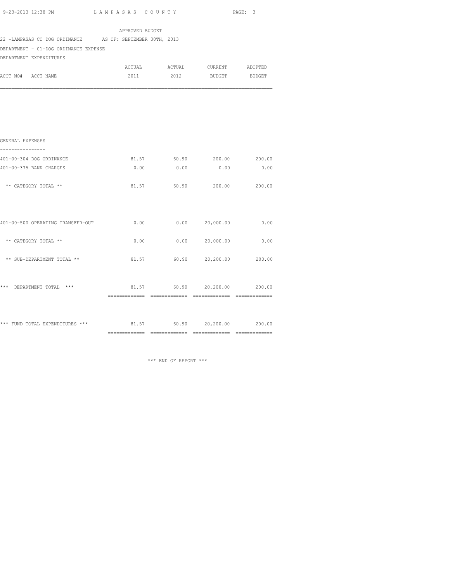| 9-23-2013 12:38 PM |  |
|--------------------|--|
|                    |  |

| 9-23-2013 12:38 PM                                        | LAMPASAS COUNTY |       |                               | PAGE: 3 |
|-----------------------------------------------------------|-----------------|-------|-------------------------------|---------|
|                                                           | APPROVED BUDGET |       |                               |         |
| 22 -LAMPASAS CO DOG ORDINANCE AS OF: SEPTEMBER 30TH, 2013 |                 |       |                               |         |
| DEPARTMENT - 01-DOG ORDINANCE EXPENSE                     |                 |       |                               |         |
| DEPARTMENT EXPENDITURES                                   |                 |       |                               |         |
|                                                           |                 |       | ACTUAL ACTUAL CURRENT ADOPTED |         |
| ACCT NO# ACCT NAME                                        |                 |       | 2011 2012 BUDGET BUDGET       |         |
|                                                           |                 |       |                               |         |
|                                                           |                 |       |                               |         |
|                                                           |                 |       |                               |         |
| GENERAL EXPENSES<br>-----------                           |                 |       |                               |         |
| 401-00-304 DOG ORDINANCE                                  |                 |       | 81.57 60.90 200.00 200.00     |         |
| 401-00-375 BANK CHARGES                                   | 0.00            | 0.00  | 0.00                          | 0.00    |
| ** CATEGORY TOTAL **                                      | 81.57           | 60.90 | 200.00 200.00                 |         |
| 401-00-500 OPERATING TRANSFER-OUT                         | 0.00            |       | 0.00000000000                 | 0.00    |
|                                                           |                 |       |                               |         |
| ** CATEGORY TOTAL **                                      | 0.00            |       | $0.00$ 20,000.00              | 0.00    |
| ** SUB-DEPARTMENT TOTAL **                                |                 |       | 81.57 60.90 20,200.00 200.00  |         |
| *** DEPARTMENT TOTAL ***                                  |                 |       | 81.57 60.90 20,200.00 200.00  |         |
|                                                           |                 |       |                               |         |
| *** FUND TOTAL EXPENDITURES ***                           | 81.57           |       | 60.90 20,200.00               | 200.00  |

============= ============= ============= =============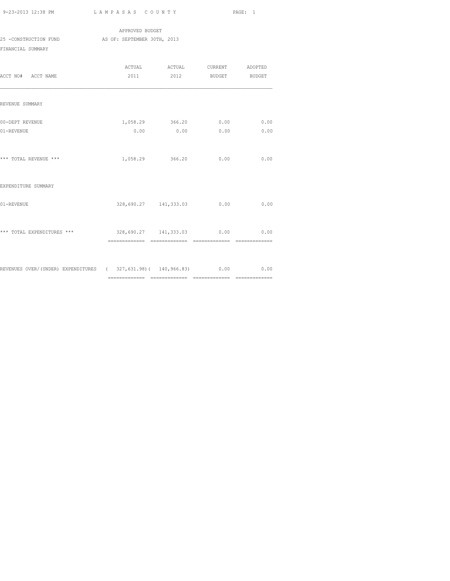APPROVED BUDGET 25 -CONSTRUCTION FUND AS OF: SEPTEMBER 30TH, 2013 FINANCIAL SUMMARY

| ACCT NO# ACCT NAME                                                             | 2011                            | ACTUAL ACTUAL CURRENT ADOPTED | 2012 BUDGET BUDGET |              |
|--------------------------------------------------------------------------------|---------------------------------|-------------------------------|--------------------|--------------|
| REVENUE SUMMARY                                                                |                                 |                               |                    |              |
| 00-DEPT REVENUE<br>01-REVENUE                                                  | 0.00                            | 1,058.29 366.20<br>0.00       | 0.00<br>0.00       | 0.00<br>0.00 |
| *** TOTAL REVENUE ***                                                          |                                 | 1,058.29 366.20               | 0.00               | 0.00         |
| EXPENDITURE SUMMARY                                                            |                                 |                               |                    |              |
| 01-REVENUE                                                                     |                                 | 328,690.27 141,333.03         | 0.00               | 0.00         |
| *** TOTAL EXPENDITURES ***                                                     | 328,690.27 141,333.03 0.00 0.00 |                               |                    |              |
| REVENUES OVER/(UNDER) EXPENDITURES (327,631.98) (140,966.83) (0.00 (0.00 (0.00 |                                 |                               |                    |              |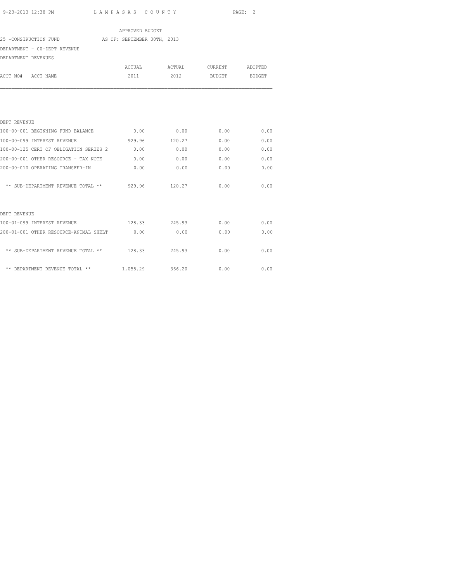|                     |                                                   | APPROVED BUDGET |               |         |               |
|---------------------|---------------------------------------------------|-----------------|---------------|---------|---------------|
|                     | 25 -CONSTRUCTION FUND AS OF: SEPTEMBER 30TH, 2013 |                 |               |         |               |
|                     | DEPARTMENT - 00-DEPT REVENUE                      |                 |               |         |               |
| DEPARTMENT REVENUES |                                                   |                 |               |         |               |
|                     |                                                   | ACTUAL          | ACTUAL        | CURRENT | ADOPTED       |
| ACCT NO# ACCT NAME  |                                                   | 2011            | 2012          | BUDGET  | <b>BUDGET</b> |
|                     |                                                   |                 |               |         |               |
| DEPT REVENUE        |                                                   |                 |               |         |               |
|                     | 100-00-001 BEGINNING FUND BALANCE                 | 0.00            | 0.00          | 0.00    | 0.00          |
|                     | 100-00-099 INTEREST REVENUE                       | 929.96          | 120.27        | 0.00    | 0.00          |
|                     | 100-00-125 CERT OF OBLIGATION SERIES 2 0.00       |                 | 0.00          | 0.00    | 0.00          |
|                     | 200-00-001 OTHER RESOURCE - TAX NOTE              | 0.00            | 0.00          | 0.00    | 0.00          |
|                     | 200-00-010 OPERATING TRANSFER-IN                  | 0.00            | 0.00          | 0.00    | 0.00          |
|                     | ** SUB-DEPARTMENT REVENUE TOTAL **                | 929.96          | 120.27        | 0.00    | 0.00          |
| DEPT REVENUE        |                                                   |                 |               |         |               |
|                     | 100-01-099 INTEREST REVENUE                       |                 | 128.33 245.93 | 0.00    | 0.00          |
|                     | 200-01-001 OTHER RESOURCE-ANIMAL SHELT 0.00       |                 | 0.00          | 0.00    | 0.00          |
|                     | ** SUB-DEPARTMENT REVENUE TOTAL **                | 128.33          | 245.93        | 0.00    | 0.00          |

\*\* DEPARTMENT REVENUE TOTAL \*\* 1,058.29 366.20 0.00 0.00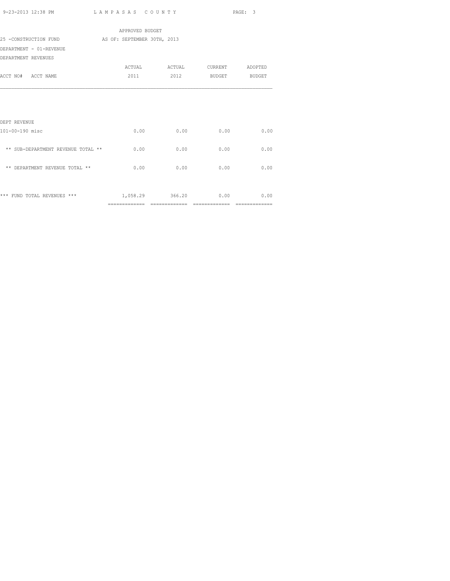| 9-23-2013 12:38 PM | LAMPASAS COUNTY | PAGE: |  |
|--------------------|-----------------|-------|--|
|                    |                 |       |  |

|                                    | APPROVED BUDGET             |                 |                 |               |
|------------------------------------|-----------------------------|-----------------|-----------------|---------------|
| 25 -CONSTRUCTION FUND              | AS OF: SEPTEMBER 30TH, 2013 |                 |                 |               |
| DEPARTMENT - 01-REVENUE            |                             |                 |                 |               |
| DEPARTMENT REVENUES                |                             |                 |                 |               |
|                                    |                             | ACTUAL ACTUAL   | CURRENT ADOPTED |               |
| ACCT NO# ACCT NAME                 | 2011                        | 2012            | BUDGET          | BUDGET        |
|                                    |                             |                 |                 |               |
| DEPT REVENUE                       |                             |                 |                 |               |
| 101-00-190 misc                    | 0.00                        | 0.00            | 0.00            | 0.00          |
| ** SUB-DEPARTMENT REVENUE TOTAL ** | 0.00                        | 0.00            | 0.00            | 0.00          |
| ** DEPARTMENT REVENUE TOTAL **     | 0.00                        | 0.00            | 0.00            | 0.00          |
|                                    |                             |                 |                 |               |
| *** FUND TOTAL REVENUES ***        |                             | 1,058.29 366.20 | 0.00            | 0.00          |
|                                    | =============               | --------------  | ==============  | ============= |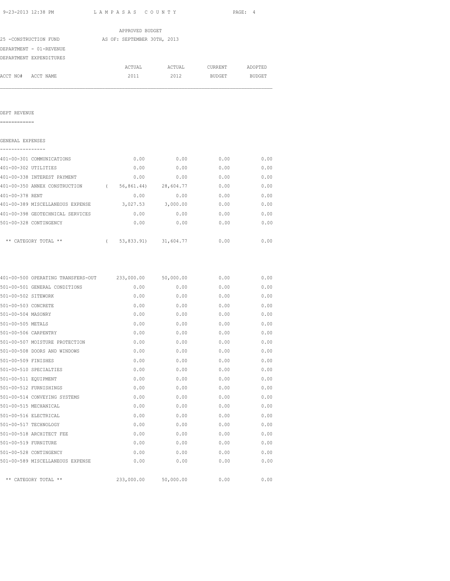|                     |                                                                |  | APPROVED BUDGET |                               |               |               |
|---------------------|----------------------------------------------------------------|--|-----------------|-------------------------------|---------------|---------------|
|                     | 25 -CONSTRUCTION FUND AS OF: SEPTEMBER 30TH, 2013              |  |                 |                               |               |               |
|                     | DEPARTMENT - 01-REVENUE                                        |  |                 |                               |               |               |
|                     | DEPARTMENT EXPENDITURES                                        |  |                 |                               |               |               |
|                     |                                                                |  |                 | ACTUAL ACTUAL CURRENT ADOPTED |               |               |
|                     | ACCT NO# ACCT NAME                                             |  | 2011            | 2012                          | <b>BUDGET</b> | <b>BUDGET</b> |
|                     |                                                                |  |                 |                               |               |               |
| DEPT REVENUE        |                                                                |  |                 |                               |               |               |
| ============        |                                                                |  |                 |                               |               |               |
| GENERAL EXPENSES    |                                                                |  |                 |                               |               |               |
|                     | 401-00-301 COMMUNICATIONS                                      |  |                 | $0.00$ 0.00                   | 0.00          | 0.00          |
|                     | 401-00-302 UTILITIES                                           |  | 0.00            | 0.00                          | 0.00          | 0.00          |
|                     | 401-00-338 INTEREST PAYMENT                                    |  | 0.00            | 0.00                          | 0.00          | 0.00          |
|                     | 401-00-350 ANNEX CONSTRUCTION (56,861.44) 28,604.77            |  |                 |                               | 0.00          | 0.00          |
| 401-00-378 RENT     |                                                                |  | 0.00            | 0.00                          | 0.00          | 0.00          |
|                     | 401-00-389 MISCELLANEOUS EXPENSE 3,027.53 3,000.00             |  |                 |                               | 0.00          | 0.00          |
|                     | 401-00-398 GEOTECHNICAL SERVICES $0.00$ 0.00 0.00 0.00 0.00    |  |                 |                               |               |               |
|                     | 501-00-328 CONTINGENCY                                         |  |                 | $0.00$ 0.00                   | 0.00          | 0.00          |
|                     | ** CATEGORY TOTAL ** $(53, 833.91)$ 31,604.77 $0.00$ 0.00 0.00 |  |                 |                               |               |               |
|                     |                                                                |  |                 |                               |               |               |
|                     | 401-00-500 OPERATING TRANSFERS-OUT 233,000.00 50,000.00        |  |                 |                               | 0.00          | 0.00          |
| 501-00-502 SITEWORK | 501-00-501 GENERAL CONDITIONS                                  |  | 0.00<br>0.00    | 0.00<br>0.00                  | 0.00<br>0.00  | 0.00<br>0.00  |
| 501-00-503 CONCRETE |                                                                |  |                 | 0.00                          | 0.00          | 0.00          |
| 501-00-504 MASONRY  |                                                                |  | 0.00<br>0.00    | 0.00                          | 0.00          | 0.00          |
| 501-00-505 METALS   |                                                                |  | 0.00            | 0.00                          | 0.00          | 0.00          |
|                     | 501-00-506 CARPENTRY                                           |  | 0.00            | 0.00                          | 0.00          | 0.00          |
|                     | 501-00-507 MOISTURE PROTECTION                                 |  | 0.00            | 0.00                          | 0.00          | 0.00          |
|                     | 501-00-508 DOORS AND WINDOWS                                   |  | 0.00            | 0.00                          | 0.00          | 0.00          |
| 501-00-509 FINISHES |                                                                |  | 0.00            | 0.00                          | 0.00          | 0.00          |
|                     | 501-00-510 SPECIALTIES                                         |  | 0.00            | 0.00                          | 0.00          | 0.00          |
|                     | 501-00-511 EQUIPMENT                                           |  | 0.00            | 0.00                          | 0.00          | 0.00          |
|                     | 501-00-512 FURNISHINGS                                         |  | 0.00            | 0.00                          | 0.00          | 0.00          |
|                     | 501-00-514 CONVEYING SYSTEMS                                   |  | 0.00            | 0.00                          | 0.00          | 0.00          |
|                     | 501-00-515 MECHANICAL                                          |  | 0.00            | 0.00                          | 0.00          | 0.00          |
|                     | 501-00-516 ELECTRICAL                                          |  | 0.00            | 0.00                          | 0.00          | 0.00          |
|                     | 501-00-517 TECHNOLOGY                                          |  | 0.00            | 0.00                          | 0.00          | 0.00          |
|                     | 501-00-518 ARCHITECT FEE                                       |  | 0.00            | 0.00                          | 0.00          | 0.00          |
|                     | 501-00-519 FURNITURE                                           |  | 0.00            | 0.00                          | 0.00          | 0.00          |
|                     |                                                                |  |                 |                               |               |               |
|                     | 501-00-528 CONTINGENCY                                         |  | 0.00            | 0.00                          | 0.00          | 0.00          |
|                     | 501-00-589 MISCELLANEOUS EXPENSE                               |  | 0.00            | 0.00                          | 0.00          | 0.00          |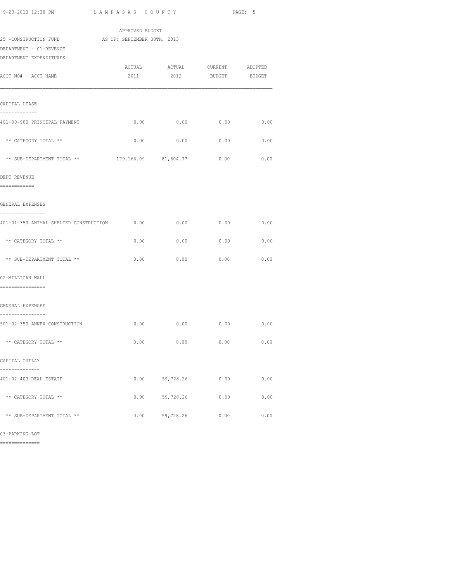| 9-23-2013 12:38 PM                                | LAMPASAS COUNTY      |                                       |               | PAGE: 5       |  |  |
|---------------------------------------------------|----------------------|---------------------------------------|---------------|---------------|--|--|
|                                                   | APPROVED BUDGET      |                                       |               |               |  |  |
| 25 -CONSTRUCTION FUND AS OF: SEPTEMBER 30TH, 2013 |                      |                                       |               |               |  |  |
| DEPARTMENT - 01-REVENUE                           |                      |                                       |               |               |  |  |
| DEPARTMENT EXPENDITURES                           |                      |                                       |               |               |  |  |
| ACCT NO# ACCT NAME                                | 2011                 | ACTUAL ACTUAL CURRENT ADOPTED<br>2012 | <b>BUDGET</b> | <b>BUDGET</b> |  |  |
| CAPITAL LEASE                                     |                      |                                       |               |               |  |  |
| -------------<br>401-00-900 PRINCIPAL PAYMENT     |                      | $0.00$ 0.00 0.00 0.00                 |               |               |  |  |
| ** CATEGORY TOTAL **                              | 0.00                 | 0.00                                  | 0.00          | 0.00          |  |  |
| ** SUB-DEPARTMENT TOTAL **                        | 179,166.09 81,604.77 |                                       | 0.00          | 0.00          |  |  |
| DEPT REVENUE<br>============                      |                      |                                       |               |               |  |  |
| GENERAL EXPENSES<br>----------------              |                      |                                       |               |               |  |  |
| 401-01-350 ANIMAL SHELTER CONSTRUCTION 0.00       |                      | 0.00                                  | 0.00          | 0.00          |  |  |
| ** CATEGORY TOTAL **                              | 0.00                 | 0.00                                  | 0.00          | 0.00          |  |  |
| ** SUB-DEPARTMENT TOTAL **                        | 0.00                 | 0.00                                  | 0.00          | 0.00          |  |  |
| 02-MILLICAN WALL                                  |                      |                                       |               |               |  |  |
| ================                                  |                      |                                       |               |               |  |  |
| GENERAL EXPENSES<br>----------------              |                      |                                       |               |               |  |  |
| 501-02-350 ANNEX CONSTRUCTION                     |                      | $0.00$ 0.00 0.00 0.00                 |               |               |  |  |
| ** CATEGORY TOTAL **                              |                      | 0.00<br>0.00                          | 0.00          | 0.00          |  |  |
| CAPITAL OUTLAY                                    |                      |                                       |               |               |  |  |
| ---------<br>401-02-403 REAL ESTATE               | 0.00                 | 59,728.26                             | 0.00          | 0.00          |  |  |
|                                                   |                      |                                       |               |               |  |  |
| ** CATEGORY TOTAL **                              | 0.00                 | 59,728.26                             | 0.00          | 0.00          |  |  |
| ** SUB-DEPARTMENT TOTAL **                        | 0.00                 | 59,728.26                             | 0.00          | 0.00          |  |  |

03-PARKING LOT

==============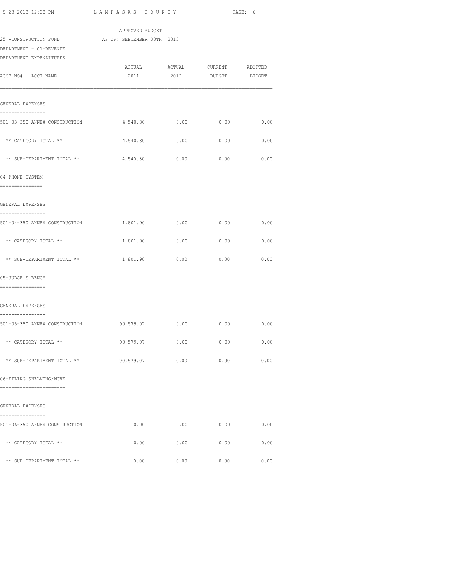| 9-23-2013 12:38 PM                                 | LAMPASAS COUNTY                         |                               |                | PAGE: 6 |
|----------------------------------------------------|-----------------------------------------|-------------------------------|----------------|---------|
|                                                    | APPROVED BUDGET                         |                               |                |         |
| 25 -CONSTRUCTION FUND AS OF: SEPTEMBER 30TH, 2013  |                                         |                               |                |         |
| DEPARTMENT - 01-REVENUE<br>DEPARTMENT EXPENDITURES |                                         |                               |                |         |
|                                                    | ACTUAL                                  |                               | ACTUAL CURRENT | ADOPTED |
| ACCT NO# ACCT NAME                                 | 2011                                    | 2012                          | <b>BUDGET</b>  | BUDGET  |
|                                                    |                                         |                               |                |         |
| GENERAL EXPENSES                                   |                                         |                               |                |         |
| ------------                                       |                                         |                               |                |         |
| 501-03-350 ANNEX CONSTRUCTION                      | 4,540.30 0.00                           |                               | $0.00$ 0.00    |         |
| ** CATEGORY TOTAL **                               | 4,540.30                                | 0.00                          | 0.00           | 0.00    |
|                                                    |                                         |                               |                |         |
| ** SUB-DEPARTMENT TOTAL **                         | 4,540.30                                | 0.00                          | 0.00           | 0.00    |
| 04-PHONE SYSTEM                                    |                                         |                               |                |         |
| ===============                                    |                                         |                               |                |         |
| GENERAL EXPENSES                                   |                                         |                               |                |         |
| ----------------<br>501-04-350 ANNEX CONSTRUCTION  |                                         |                               |                |         |
|                                                    |                                         |                               |                |         |
| ** CATEGORY TOTAL **                               |                                         | 1,801.90   0.00   0.00   0.00 |                |         |
| ** SUB-DEPARTMENT TOTAL **                         | 1,801.90                                | 0.00                          | 0.00           | 0.00    |
|                                                    |                                         |                               |                |         |
| 05-JUDGE'S BENCH<br>================               |                                         |                               |                |         |
|                                                    |                                         |                               |                |         |
| GENERAL EXPENSES                                   |                                         |                               |                |         |
| ----------------<br>501-05-350 ANNEX CONSTRUCTION  | $90,579.07$ $0.00$ $0.00$ $0.00$ $0.00$ |                               |                |         |
|                                                    |                                         |                               |                |         |
| ** CATEGORY TOTAL **                               | 90,579.07                               | 0.00                          | 0.00           | 0.00    |
| ** SUB-DEPARTMENT TOTAL **                         | 90,579.07                               | 0.00                          | 0.00           | 0.00    |
|                                                    |                                         |                               |                |         |
| 06-FILING SHELVING/MOVE                            |                                         |                               |                |         |
| -------------------------                          |                                         |                               |                |         |
| GENERAL EXPENSES                                   |                                         |                               |                |         |
| ------------<br>501-06-350 ANNEX CONSTRUCTION      | 0.00                                    | 0.00                          | 0.00           | 0.00    |
|                                                    |                                         |                               |                |         |
| ** CATEGORY TOTAL **                               | 0.00                                    | 0.00                          | 0.00           | 0.00    |
| ** SUB-DEPARTMENT TOTAL **                         | 0.00                                    | 0.00                          | 0.00           | 0.00    |
|                                                    |                                         |                               |                |         |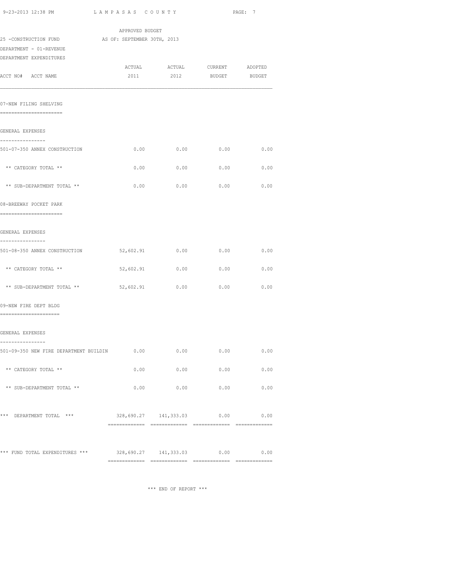| 9-23-2013 12:38 PM                                         |                            | LAMPASAS COUNTY       |               |               |  |  |
|------------------------------------------------------------|----------------------------|-----------------------|---------------|---------------|--|--|
| 25 -CONSTRUCTION FUND AS OF: SEPTEMBER 30TH, 2013          | APPROVED BUDGET            |                       |               |               |  |  |
| DEPARTMENT - 01-REVENUE                                    |                            |                       |               |               |  |  |
| DEPARTMENT EXPENDITURES                                    |                            | ACTUAL ACTUAL CURRENT |               | ADOPTED       |  |  |
| ACCT NO# ACCT NAME                                         | 2011                       | 2012                  | <b>BUDGET</b> | <b>BUDGET</b> |  |  |
| 07-NEW FILING SHELVING                                     |                            |                       |               |               |  |  |
| =======================                                    |                            |                       |               |               |  |  |
| GENERAL EXPENSES                                           |                            |                       |               |               |  |  |
| ----------------<br>501-07-350 ANNEX CONSTRUCTION          | 0.00                       | 0.00                  | 0.00          | 0.00          |  |  |
| ** CATEGORY TOTAL **                                       | 0.00                       | 0.00                  | 0.00          | 0.00          |  |  |
| ** SUB-DEPARTMENT TOTAL **                                 | 0.00                       | 0.00                  | 0.00          | 0.00          |  |  |
| 08-BREEWAY POCKET PARK<br>========================         |                            |                       |               |               |  |  |
| GENERAL EXPENSES                                           |                            |                       |               |               |  |  |
| ----------------                                           |                            |                       |               |               |  |  |
| 501-08-350 ANNEX CONSTRUCTION                              | 52,602.91                  | 0.00                  | 0.00          | 0.00          |  |  |
| ** CATEGORY TOTAL **                                       | 52,602.91                  | 0.00                  | 0.00          | 0.00          |  |  |
| ** SUB-DEPARTMENT TOTAL **                                 | 52,602.91                  | 0.00                  | 0.00          | 0.00          |  |  |
| 09-NEW FIRE DEPT BLDG<br>======================            |                            |                       |               |               |  |  |
| GENERAL EXPENSES                                           |                            |                       |               |               |  |  |
| ----------------<br>501-09-350 NEW FIRE DEPARTMENT BUILDIN | 0.00                       | 0.00                  | 0.00          | 0.00          |  |  |
| ** CATEGORY TOTAL **                                       | 0.00                       | 0.00                  | 0.00          | 0.00          |  |  |
| ** SUB-DEPARTMENT TOTAL **                                 | 0.00                       | 0.00                  | 0.00          | 0.00          |  |  |
| *** DEPARTMENT TOTAL ***                                   | 328,690.27 141,333.03 0.00 |                       |               | 0.00          |  |  |
|                                                            |                            |                       |               |               |  |  |
| *** FUND TOTAL EXPENDITURES *** 328,690.27 141,333.03 0.00 |                            |                       |               | 0.00          |  |  |

============= ============= ============= =============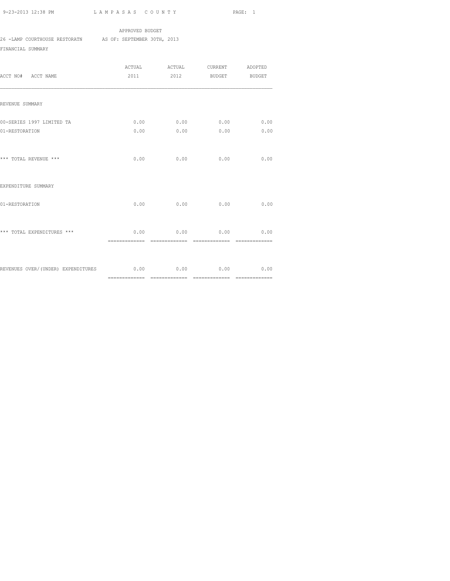# APPROVED BUDGET

26 -LAMP COURTHOUSE RESTORATN AS OF: SEPTEMBER 30TH, 2013

FINANCIAL SUMMARY

| ACCT NO# ACCT NAME                                                    | ACTUAL<br>2011         |                        | ACTUAL CURRENT ADOPTED<br>2012 BUDGET BUDGET |      |
|-----------------------------------------------------------------------|------------------------|------------------------|----------------------------------------------|------|
| REVENUE SUMMARY                                                       |                        |                        |                                              |      |
| 00-SERIES 1997 LIMITED TA                                             |                        | $0.00$ 0.00 0.00 0.00  |                                              |      |
| 01-RESTORATION                                                        |                        | $0.00$ 0.00 0.00       |                                              | 0.00 |
| *** TOTAL REVENUE ***                                                 | 0.00                   | 0.00                   | 0.00                                         | 0.00 |
| EXPENDITURE SUMMARY                                                   |                        |                        |                                              |      |
| 01-RESTORATION                                                        | 0.00                   | 0.00                   | 0.00                                         | 0.00 |
| *** TOTAL EXPENDITURES ***                                            | 0.00<br>-------------- | 0.00<br>============== | 0.00<br>---------------                      | 0.00 |
| REVENUES OVER/(UNDER) EXPENDITURES $0.00$ $0.00$ $0.00$ $0.00$ $0.00$ |                        |                        |                                              |      |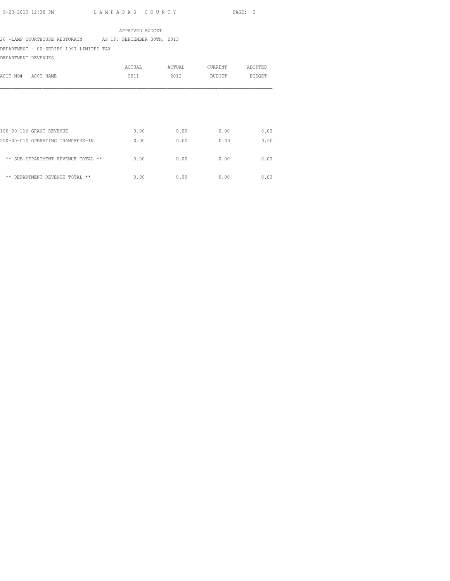APPROVED BUDGET

26 -LAMP COURTHOUSE RESTORATN AS OF: SEPTEMBER 30TH, 2013

DEPARTMENT - 00-SERIES 1997 LIMITED TAX

DEPARTMENT REVENUES

| ACCT NO#<br>ACCT NAME                                         | ACTUAL<br>2011 | ACTUAL<br>2012 | <b>CURRENT</b><br>BUDGET | ADOPTED<br><b>BUDGET</b> |
|---------------------------------------------------------------|----------------|----------------|--------------------------|--------------------------|
|                                                               |                |                |                          |                          |
| 100-00-116 GRANT REVENUE<br>200-00-010 OPERATING TRANSFERS-IN | 0.00<br>0.00   | 0.00<br>0.00   | 0.00<br>0.00             | 0.00<br>0.00             |
| ** SUB-DEPARTMENT REVENUE TOTAL **                            | 0.00           | 0.00           | 0.00                     | 0.00                     |
| ** DEPARTMENT REVENUE TOTAL **                                | 0.00           | 0.00           | 0.00                     | 0.00                     |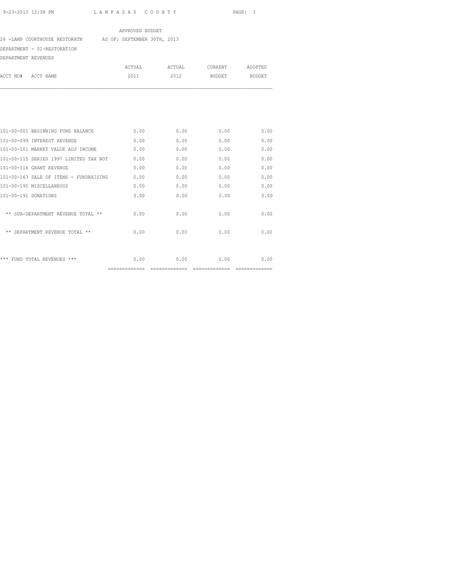# APPROVED BUDGET

26 -LAMP COURTHOUSE RESTORATN AS OF: SEPTEMBER 30TH, 2013

## DEPARTMENT - 01-RESTORATION

DEPARTMENT REVENUES

| CURRENT<br>ACTUAL<br>ACTUAL                            | ADOPTED       |
|--------------------------------------------------------|---------------|
| ACCT NO#<br>2011<br>2012<br>ACCT NAME<br><b>BUDGET</b> | <b>BUDGET</b> |
|                                                        |               |
|                                                        |               |
|                                                        |               |
|                                                        |               |

|                                        | ============= | ========== |      |      |
|----------------------------------------|---------------|------------|------|------|
| *** FUND TOTAL REVENUES ***            | 0.00          | 0.00       | 0.00 | 0.00 |
| ** DEPARTMENT REVENUE TOTAL **         | 0.00          | 0.00       | 0.00 | 0.00 |
| ** SUB-DEPARTMENT REVENUE TOTAL **     | 0.00          | 0.00       | 0.00 | 0.00 |
| 101-00-191 DONATIONS                   | 0.00          | 0.00       | 0.00 | 0.00 |
| 101-00-190 MISCELLANEOUS               | 0.00          | 0.00       | 0.00 | 0.00 |
| 101-00-163 SALE OF ITEMS - FUNDRAISING | 0.00          | 0.00       | 0.00 | 0.00 |
| 101-00-116 GRANT REVENUE               | 0.00          | 0.00       | 0.00 | 0.00 |
| 101-00-115 SERIES 1997 LIMITED TAX NOT | 0.00          | 0.00       | 0.00 | 0.00 |
| 101-00-101 MARKET VALUE ADJ INCOME     | 0.00          | 0.00       | 0.00 | 0.00 |
| 101-00-099 INTEREST REVENUE            | 0.00          | 0.00       | 0.00 | 0.00 |
| 101-00-001 BEGINNING FUND BALANCE      | 0.00          | 0.00       | 0.00 | 0.00 |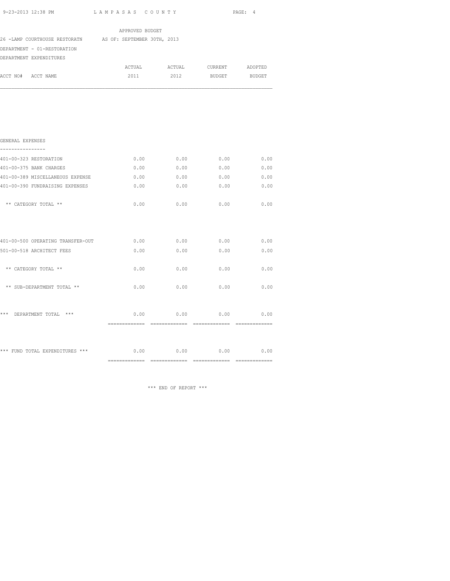| 9-23-2013 12:38 PM                                        | LAMPASAS COUNTY |                               | PAGE: 4       |        |  |
|-----------------------------------------------------------|-----------------|-------------------------------|---------------|--------|--|
|                                                           | APPROVED BUDGET |                               |               |        |  |
| 26 -LAMP COURTHOUSE RESTORATN AS OF: SEPTEMBER 30TH, 2013 |                 |                               |               |        |  |
| DEPARTMENT - 01-RESTORATION                               |                 |                               |               |        |  |
| DEPARTMENT EXPENDITURES                                   |                 |                               |               |        |  |
|                                                           |                 | ACTUAL ACTUAL CURRENT ADOPTED |               |        |  |
| ACCT NO# ACCT NAME                                        | 2011            | 2012                          | <b>BUDGET</b> | BUDGET |  |
|                                                           |                 |                               |               |        |  |
| GENERAL EXPENSES<br>---------------                       |                 |                               |               |        |  |
| 401-00-323 RESTORATION                                    | 0.00            | 0.00                          | 0.00          | 0.00   |  |
| 401-00-375 BANK CHARGES                                   | 0.00            | 0.00                          | 0.00          | 0.00   |  |
| 401-00-389 MISCELLANEOUS EXPENSE                          | 0.00            | 0.00                          | 0.00          | 0.00   |  |
| 401-00-390 FUNDRAISING EXPENSES                           | 0.00            | 0.00                          | 0.00          | 0.00   |  |
| ** CATEGORY TOTAL **                                      | 0.00            | 0.00                          | 0.00          | 0.00   |  |
|                                                           |                 | $0.00$ $0.00$                 |               |        |  |
| 401-00-500 OPERATING TRANSFER-OUT                         |                 |                               | 0.00          | 0.00   |  |
| 501-00-518 ARCHITECT FEES                                 | 0.00            | 0.00                          | 0.00          | 0.00   |  |
| ** CATEGORY TOTAL **                                      | 0.00            | 0.00                          | 0.00          | 0.00   |  |
| ** SUB-DEPARTMENT TOTAL **                                | 0.00            | 0.00                          | 0.00          | 0.00   |  |
| *** DEPARTMENT TOTAL ***                                  | 0.00            | 0.00                          | 0.00          | 0.00   |  |

\*\*\* FUND TOTAL EXPENDITURES \*\*\* 0.00 0.00 0.00 0.00 ============= ============= ============= =============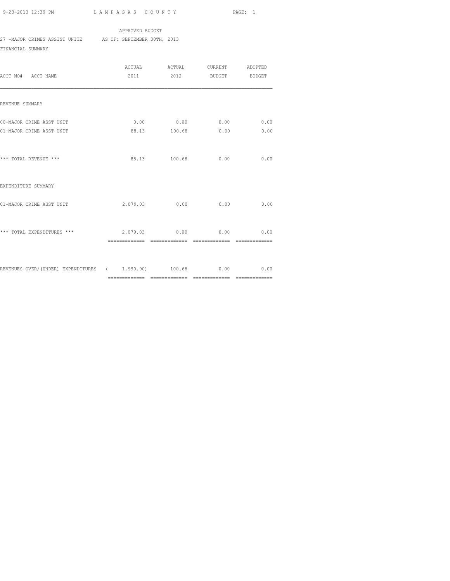APPROVED BUDGET 27 -MAJOR CRIMES ASSIST UNITE AS OF: SEPTEMBER 30TH, 2013 FINANCIAL SUMMARY

| ACCT NO# ACCT NAME                                                   | 2011           |                | ACTUAL ACTUAL CURRENT ADOPTED<br>2012 BUDGET BUDGET |      |
|----------------------------------------------------------------------|----------------|----------------|-----------------------------------------------------|------|
| REVENUE SUMMARY                                                      |                |                |                                                     |      |
| 00-MAJOR CRIME ASST UNIT<br>01-MAJOR CRIME ASST UNIT                 |                |                | $0.00$ 0.00 0.00 0.00<br>88.13 100.68 0.00          | 0.00 |
| *** TOTAL REVENUE ***                                                |                | 88.13 100.68   | 0.00                                                | 0.00 |
| EXPENDITURE SUMMARY                                                  |                |                |                                                     |      |
| 01-MAJOR CRIME ASST UNIT                                             |                |                | 2,079.03 0.00 0.00                                  | 0.00 |
| *** TOTAL EXPENDITURES ***                                           | ============== | ============== | 2,079.03 0.00 0.00 0.00<br>--------------           |      |
| REVENUES OVER/(UNDER) EXPENDITURES ( 1,990.90) 100.68 0.00 0.00 0.00 |                |                |                                                     |      |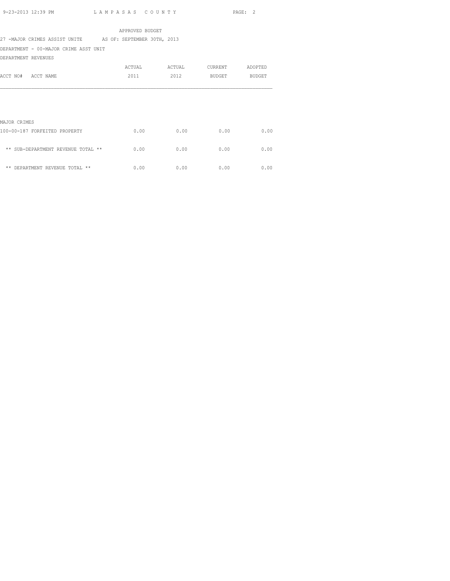|                                                           |  |  | APPROVED BUDGET |        |         |         |      |
|-----------------------------------------------------------|--|--|-----------------|--------|---------|---------|------|
| 27 -MAJOR CRIMES ASSIST UNITE AS OF: SEPTEMBER 30TH, 2013 |  |  |                 |        |         |         |      |
| DEPARTMENT - 00-MAJOR CRIME ASST UNIT                     |  |  |                 |        |         |         |      |
| DEPARTMENT REVENUES                                       |  |  |                 |        |         |         |      |
|                                                           |  |  | ACTUAL          | ACTUAL | CURRENT | ADOPTED |      |
| ACCT NO# ACCT NAME                                        |  |  | 2011            | 2012   | BUDGET  | BUDGET  |      |
|                                                           |  |  |                 |        |         |         |      |
|                                                           |  |  |                 |        |         |         |      |
|                                                           |  |  |                 |        |         |         |      |
|                                                           |  |  |                 |        |         |         |      |
| MAJOR CRIMES                                              |  |  |                 |        |         |         |      |
| 100-00-187 FORFEITED PROPERTY                             |  |  | 0.00            | 0.00   | 0.00    |         | 0.00 |

| ** SUB-DEPARTMENT REVENUE TOTAL ** | 0.00   | 0.00   | 0.00   | 0.00 |
|------------------------------------|--------|--------|--------|------|
| ** DEPARTMENT REVENUE TOTAL **     | 0. Q.O | 0. Q.O | 0. Q.O | 0.00 |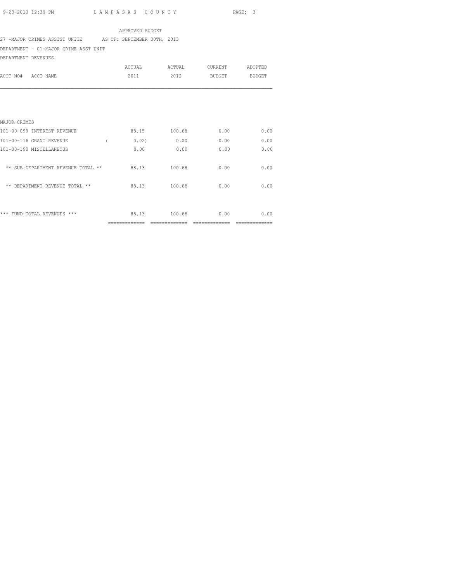#### APPROVED BUDGET

### 27 -MAJOR CRIMES ASSIST UNITE AS OF: SEPTEMBER 30TH, 2013

DEPARTMENT - 01-MAJOR CRIME ASST UNIT

DEPARTMENT REVENUES

| טם סאם אנטים באז באת זכם           |                |               |                |               |
|------------------------------------|----------------|---------------|----------------|---------------|
|                                    | <b>ACTUAL</b>  | ACTUAL        | CURRENT        | ADOPTED       |
| ACCT NAME<br>ACCT NO#              | 2011           | 2012          | <b>BUDGET</b>  | <b>BUDGET</b> |
|                                    |                |               |                |               |
|                                    |                |               |                |               |
|                                    |                |               |                |               |
| MAJOR CRIMES                       |                |               |                |               |
| 101-00-099 INTEREST REVENUE        | 88.15          | 100.68        | 0.00           | 0.00          |
| 101-00-116 GRANT REVENUE           | 0.02)          | 0.00          | 0.00           | 0.00          |
| 101-00-190 MISCELLANEOUS           | 0.00           | 0.00          | 0.00           | 0.00          |
| ** SUB-DEPARTMENT REVENUE TOTAL ** | 88.13          | 100.68        | 0.00           | 0.00          |
| ** DEPARTMENT REVENUE TOTAL **     | 88.13          | 100.68        | 0.00           | 0.00          |
|                                    |                |               |                |               |
| *** FUND TOTAL REVENUES ***        | 88.13          | 100.68        | 0.00           | 0.00          |
|                                    | ============== | ============= | -------------- |               |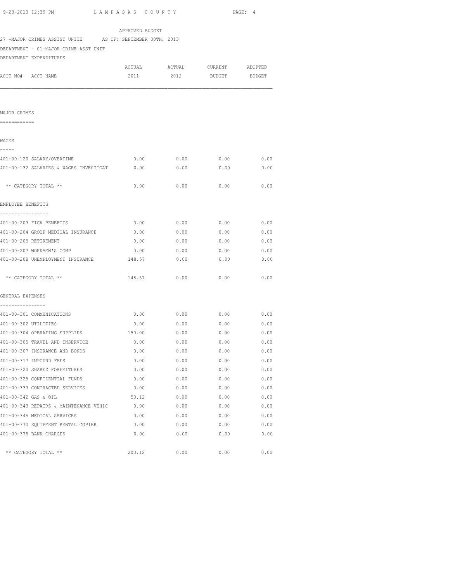|                                                           | APPROVED BUDGET |                               |               |      |
|-----------------------------------------------------------|-----------------|-------------------------------|---------------|------|
| 27 -MAJOR CRIMES ASSIST UNITE AS OF: SEPTEMBER 30TH, 2013 |                 |                               |               |      |
| DEPARTMENT - 01-MAJOR CRIME ASST UNIT                     |                 |                               |               |      |
| DEPARTMENT EXPENDITURES                                   |                 |                               |               |      |
|                                                           |                 | ACTUAL ACTUAL CURRENT ADOPTED |               |      |
| ACCT NO# ACCT NAME                                        | 2011            | 2012                          | BUDGET BUDGET |      |
|                                                           |                 |                               |               |      |
| MAJOR CRIMES                                              |                 |                               |               |      |
| ============                                              |                 |                               |               |      |
| WAGES                                                     |                 |                               |               |      |
| -----<br>401-00-120 SALARY/OVERTIME                       | 0.00            | $0.00$ 0.00                   |               | 0.00 |
| 401-00-132 SALARIES & WAGES INVESTIGAT 0.00               |                 | 0.00                          | 0.00          | 0.00 |
| ** CATEGORY TOTAL **                                      | 0.00            | 0.00                          | 0.00          | 0.00 |
| EMPLOYEE BENEFITS                                         |                 |                               |               |      |
| 401-00-203 FICA BENEFITS                                  | 0.00            | 0.00                          | 0.00          | 0.00 |
| 401-00-204 GROUP MEDICAL INSURANCE                        | 0.00            | 0.00                          | 0.00          | 0.00 |
| 401-00-205 RETIREMENT                                     | 0.00            | 0.00                          | 0.00          | 0.00 |
| 401-00-207 WORKMEN'S COMP                                 | 0.00            | 0.00                          | 0.00          | 0.00 |
| 401-00-208 UNEMPLOYMENT INSURANCE                         | 148.57          | 0.00                          | 0.00          | 0.00 |
| ** CATEGORY TOTAL **                                      | 148.57          | 0.00                          | 0.00          | 0.00 |
| GENERAL EXPENSES                                          |                 |                               |               |      |
| .                                                         |                 |                               |               |      |
| 401-00-301 COMMUNICATIONS                                 | 0.00            | 0.00                          | 0.00          | 0.00 |
| 401-00-302 UTILITIES                                      | 0.00            | 0.00                          | 0.00          | 0.00 |
| 401-00-304 OPERATING SUPPLIES                             | 150.00          | 0.00                          | 0.00          | 0.00 |
| 401-00-305 TRAVEL AND INSERVICE                           | 0.00            | 0.00                          | 0.00          | 0.00 |
| 401-00-307 INSURANCE AND BONDS                            | 0.00            | 0.00                          | 0.00          | 0.00 |
| 401-00-317 IMPOUND FEES                                   | 0.00            | 0.00                          | 0.00          | 0.00 |
| 401-00-320 SHARED FORFEITURES                             | 0.00            | 0.00                          | 0.00          | 0.00 |
| 401-00-325 CONFIDENTIAL FUNDS                             | 0.00            | 0.00                          | 0.00          | 0.00 |
| 401-00-333 CONTRACTED SERVICES                            | 0.00            |                               | $0.00$ $0.00$ | 0.00 |
| 401-00-342 GAS & OIL                                      | 50.12           |                               | $0.00$ $0.00$ | 0.00 |
| 401-00-343 REPAIRS & MAINTENANCE VEHIC 0.00               |                 | 0.00                          | 0.00          | 0.00 |
| 401-00-345 MEDICAL SERVICES                               | 0.00            | 0.00                          | 0.00          | 0.00 |
| 401-00-370 EQUIPMENT RENTAL COPIER                        | 0.00            | 0.00                          | 0.00          | 0.00 |
| 401-00-375 BANK CHARGES                                   | 0.00            | 0.00                          | 0.00          | 0.00 |
| ** CATEGORY TOTAL **                                      | 200.12          | 0.00                          | 0.00          | 0.00 |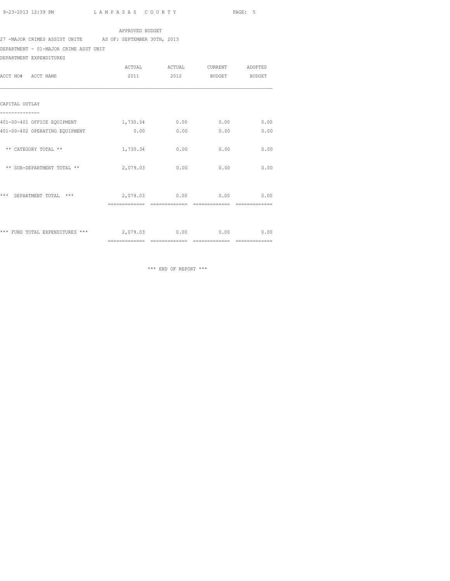APPROVED BUDGET

27 -MAJOR CRIMES ASSIST UNITE AS OF: SEPTEMBER 30TH, 2013

DEPARTMENT - 01-MAJOR CRIME ASST UNIT

DEPARTMENT EXPENDITURES

|                                    | <b>ACTUAL</b> | ACTUAL | <b>CURRENT</b> | ADOPTED       |
|------------------------------------|---------------|--------|----------------|---------------|
| ACCT NAME<br>ACCT NO#              | 2011          | 2012   | <b>BUDGET</b>  | <b>BUDGET</b> |
|                                    |               |        |                |               |
| CAPITAL OUTLAY                     |               |        |                |               |
| 401-00-401 OFFICE EQUIPMENT        | 1,730.34      | 0.00   | 0.00           | 0.00          |
| 401-00-402 OPERATING EQUIPMENT     | 0.00          | 0.00   | 0.00           | 0.00          |
| ** CATEGORY TOTAL **               | 1,730.34      | 0.00   | 0.00           | 0.00          |
| ** SUB-DEPARTMENT TOTAL **         | 2,079.03      | 0.00   | 0.00           | 0.00          |
|                                    |               |        |                |               |
| $***$<br>DEPARTMENT TOTAL<br>$***$ | 2,079.03      | 0.00   | 0.00           | 0.00          |
|                                    |               |        |                |               |
| *** FUND TOTAL EXPENDITURES ***    | 2,079.03      | 0.00   | 0.00           | 0.00          |

\*\*\* END OF REPORT \*\*\*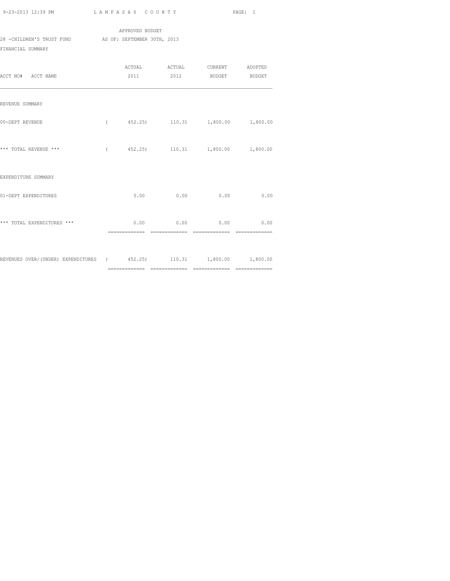APPROVED BUDGET 28 -CHILDREN'S TRUST FUND AS OF: SEPTEMBER 30TH, 2013 FINANCIAL SUMMARY

| ACCT NO# ACCT NAME                                                    |      |      | ACTUAL ACTUAL CURRENT ADOPTED<br>2011 2012 BUDGET BUDGET |      |
|-----------------------------------------------------------------------|------|------|----------------------------------------------------------|------|
|                                                                       |      |      |                                                          |      |
| REVENUE SUMMARY                                                       |      |      |                                                          |      |
| 00-DEPT REVENUE                                                       |      |      | $($ 452.25) 110.31 1,800.00 1,800.00                     |      |
| *** TOTAL REVENUE ***                                                 |      |      | $($ 452.25) 110.31 1,800.00 1,800.00                     |      |
| EXPENDITURE SUMMARY                                                   |      |      |                                                          |      |
| 01-DEPT EXPENDITURES                                                  | 0.00 | 0.00 | 0.00                                                     | 0.00 |
| *** TOTAL EXPENDITURES ***                                            |      |      | $0.00$ 0.00 0.00 0.00                                    |      |
| REVENUES OVER/(UNDER) EXPENDITURES ( 452.25) 110.31 1,800.00 1,800.00 |      |      |                                                          |      |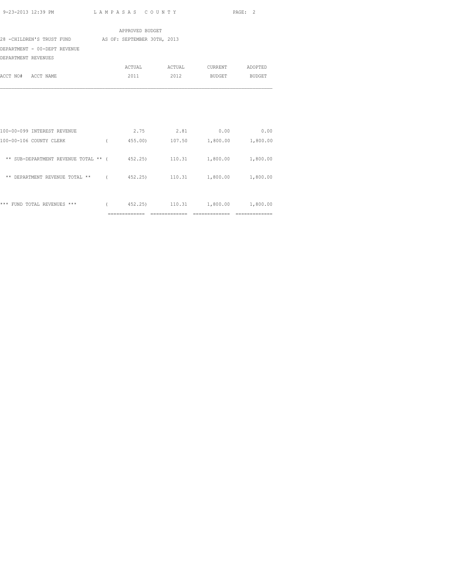|                                                                       | APPROVED BUDGET |                               |  |
|-----------------------------------------------------------------------|-----------------|-------------------------------|--|
| 28 -CHILDREN'S TRUST FUND AS OF: SEPTEMBER 30TH, 2013                 |                 |                               |  |
| DEPARTMENT - 00-DEPT REVENUE                                          |                 |                               |  |
| DEPARTMENT REVENUES                                                   |                 |                               |  |
|                                                                       |                 | ACTUAL ACTUAL CURRENT ADOPTED |  |
| ACCT NO# ACCT NAME                                                    |                 | 2011 2012 BUDGET BUDGET       |  |
|                                                                       |                 |                               |  |
|                                                                       |                 |                               |  |
|                                                                       |                 |                               |  |
|                                                                       |                 |                               |  |
|                                                                       |                 |                               |  |
| 100-00-099 INTEREST REVENUE                                           |                 | $2.75$ $2.81$ $0.00$ $0.00$   |  |
| 100-00-106 COUNTY CLERK (455.00) 107.50 1,800.00 1,800.00             |                 |                               |  |
|                                                                       |                 |                               |  |
| ** SUB-DEPARTMENT REVENUE TOTAL ** ( 452.25) 110.31 1,800.00 1,800.00 |                 |                               |  |
|                                                                       |                 |                               |  |
| ** DEPARTMENT REVENUE TOTAL ** (452.25) 110.31 1,800.00 1,800.00      |                 |                               |  |
|                                                                       |                 |                               |  |
|                                                                       |                 |                               |  |
| *** FUND TOTAL REVENUES *** (452.25) 110.31 1,800.00 1,800.00         |                 |                               |  |
|                                                                       |                 |                               |  |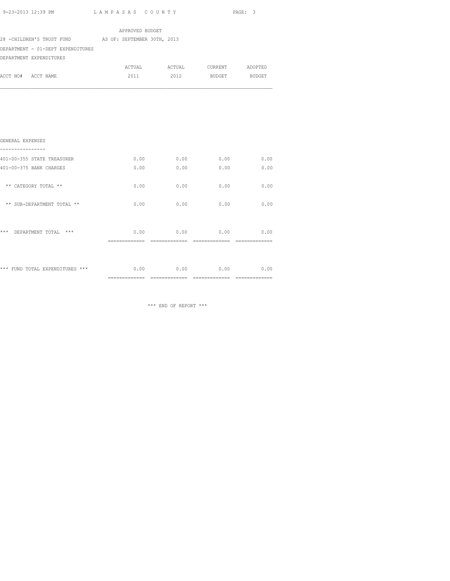| 9-23-2013 12:39 PM                                     | LAMPASAS COUNTY |                    |      | PAGE: 3 |
|--------------------------------------------------------|-----------------|--------------------|------|---------|
|                                                        | APPROVED BUDGET |                    |      |         |
| 28 - CHILDREN'S TRUST FUND AS OF: SEPTEMBER 30TH, 2013 |                 |                    |      |         |
| DEPARTMENT - 01-DEPT EXPENDITURES                      |                 |                    |      |         |
| DEPARTMENT EXPENDITURES                                |                 |                    |      |         |
|                                                        |                 |                    |      |         |
| ACCT NO# ACCT NAME                                     | 2011            | 2012 BUDGET BUDGET |      |         |
| GENERAL EXPENSES                                       |                 |                    |      |         |
| 401-00-355 STATE TREASURER                             | 0.00            | 0.00               | 0.00 | 0.00    |
| 401-00-375 BANK CHARGES                                | 0.00            | 0.00               | 0.00 | 0.00    |
| ** CATEGORY TOTAL **                                   | 0.00            | 0.00               | 0.00 | 0.00    |
| ** SUB-DEPARTMENT TOTAL **                             | 0.00            | 0.00               | 0.00 | 0.00    |
| *** DEPARTMENT TOTAL ***                               |                 | $0.00$ 0.00        | 0.00 | 0.00    |

 ============= ============= ============= ============= \*\*\* FUND TOTAL EXPENDITURES \*\*\* 0.00 0.00 0.00 0.00 0.00 0.00 ============= ============= ============= =============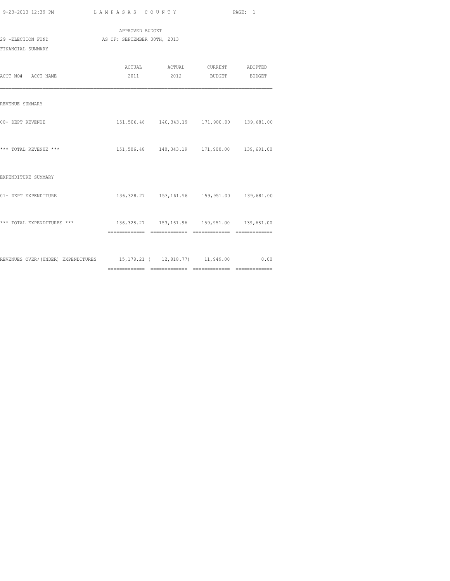| 9-23-2013 12:39 PM |  |
|--------------------|--|

| 9-23-2013 12:39 PM                                                      | LAMPASAS COUNTY             |                                                    | PAGE: 1 |
|-------------------------------------------------------------------------|-----------------------------|----------------------------------------------------|---------|
|                                                                         | APPROVED BUDGET             |                                                    |         |
| 29 -ELECTION FUND                                                       | AS OF: SEPTEMBER 30TH, 2013 |                                                    |         |
| FINANCIAL SUMMARY                                                       |                             |                                                    |         |
|                                                                         |                             | ACTUAL ACTUAL CURRENT ADOPTED                      |         |
| ACCT NO# ACCT NAME                                                      |                             | 2011 2012 BUDGET BUDGET                            |         |
| REVENUE SUMMARY                                                         |                             |                                                    |         |
| 00- DEPT REVENUE                                                        |                             | 151,506.48  140,343.19  171,900.00  139,681.00     |         |
| *** TOTAL REVENUE ***                                                   |                             | 151,506.48 140,343.19 171,900.00 139,681.00        |         |
| EXPENDITURE SUMMARY                                                     |                             |                                                    |         |
| 01- DEPT EXPENDITURE                                                    |                             | 136, 328.27  153, 161.96  159, 951.00  139, 681.00 |         |
| *** TOTAL EXPENDITURES ***                                              |                             | 136, 328.27  153, 161.96  159, 951.00  139, 681.00 |         |
|                                                                         |                             |                                                    |         |
| REVENUES OVER/(UNDER) EXPENDITURES 15,178.21 (12,818.77) 11,949.00 0.00 |                             |                                                    |         |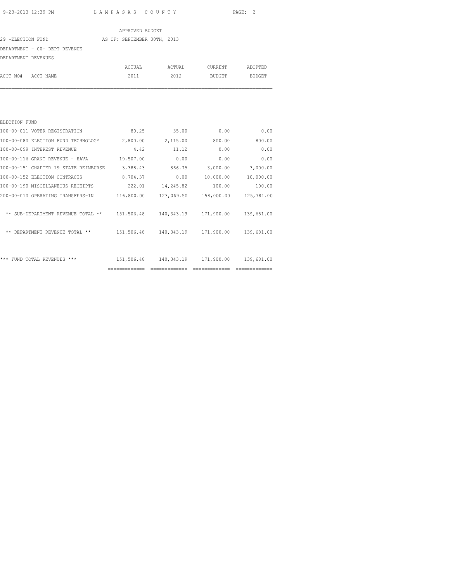|                               | APPROVED BUDGET             |        |         |               |
|-------------------------------|-----------------------------|--------|---------|---------------|
| 29 -ELECTION FUND             | AS OF: SEPTEMBER 30TH, 2013 |        |         |               |
| DEPARTMENT - 00- DEPT REVENUE |                             |        |         |               |
| DEPARTMENT REVENUES           |                             |        |         |               |
|                               | ACTUAL                      | ACTUAL | CURRENT | ADOPTED       |
| ACCT NO# ACCT NAME            | 2011                        | 2012   | BUDGET  | <b>BUDGET</b> |
|                               |                             |        |         |               |
|                               |                             |        |         |               |
|                               |                             |        |         |               |
| ELECTION FUND                 |                             |        |         |               |
|                               |                             |        |         |               |

|                                       | ============= | ============= | ============== | ============= |
|---------------------------------------|---------------|---------------|----------------|---------------|
| ***<br>FUND TOTAL REVENUES ***        | 151,506.48    | 140,343.19    | 171,900.00     | 139,681.00    |
| DEPARTMENT REVENUE TOTAL **<br>$***$  | 151,506.48    | 140,343.19    | 171,900.00     | 139,681.00    |
| ** SUB-DEPARTMENT REVENUE TOTAL **    | 151,506.48    | 140,343.19    | 171,900.00     | 139,681.00    |
| 200-00-010 OPERATING TRANSFERS-IN     | 116,800.00    | 123,069.50    | 158,000.00     | 125,781.00    |
| 100-00-190 MISCELLANEOUS RECEIPTS     | 222.01        | 14,245.82     | 100.00         | 100.00        |
| 100-00-152 ELECTION CONTRACTS         | 8,704.37      | 0.00          | 10,000.00      | 10,000.00     |
| 100-00-151 CHAPTER 19 STATE REIMBURSE | 3,388.43      | 866.75        | 3,000.00       | 3,000.00      |
| 100-00-116 GRANT REVENUE - HAVA       | 19,507.00     | 0.00          | 0.00           | 0.00          |
| 100-00-099 INTEREST REVENUE           | 4.42          | 11.12         | 0.00           | 0.00          |
| 100-00-080 ELECTION FUND TECHNOLOGY   | 2,800.00      | 2,115.00      | 800.00         | 800.00        |
| 100-00-011 VOTER REGISTRATION         | 80.25         | 35.00         | 0.00           | 0.00          |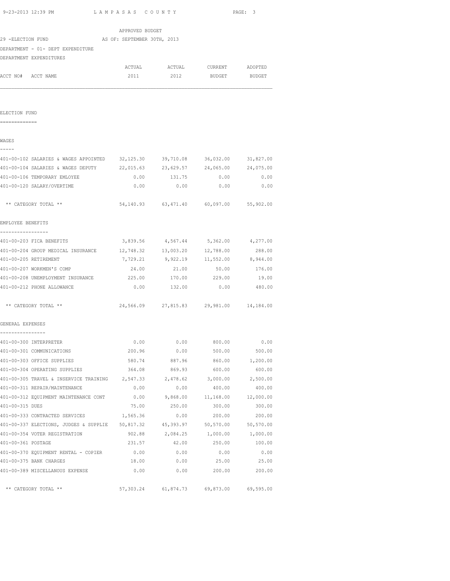| 9-23-2013 12:39 PM |  |
|--------------------|--|
|                    |  |

| 9-23-2013 12:39 PM LAMPASAS COUNTY                               |                 |                                         |                             | PAGE: 3   |
|------------------------------------------------------------------|-----------------|-----------------------------------------|-----------------------------|-----------|
|                                                                  | APPROVED BUDGET |                                         |                             |           |
| 29 -ELECTION FUND AS OF: SEPTEMBER 30TH, 2013                    |                 |                                         |                             |           |
| DEPARTMENT - 01- DEPT EXPENDITURE                                |                 |                                         |                             |           |
| DEPARTMENT EXPENDITURES                                          |                 |                                         |                             |           |
|                                                                  |                 | ACTUAL ACTUAL CURRENT ADOPTED           |                             |           |
| ACCT NO# ACCT NAME                                               | 2011            | 2012                                    | BUDGET                      | BUDGET    |
|                                                                  |                 |                                         |                             |           |
| ELECTION FUND                                                    |                 |                                         |                             |           |
| ==============                                                   |                 |                                         |                             |           |
| WAGES                                                            |                 |                                         |                             |           |
| 401-00-102 SALARIES & WAGES APPOINTED                            | 32,125.30       | 39,710.08                               | 36,032.00                   | 31,827.00 |
| 401-00-104 SALARIES & WAGES DEPUTY                               | 22,015.63       | 23,629.57                               | 24,065.00                   | 24,075.00 |
| 401-00-106 TEMPORARY EMLOYEE                                     | 0.00            | 131.75                                  | 0.00                        | 0.00      |
| 401-00-120 SALARY/OVERTIME                                       | 0.00            | 0.00                                    | 0.00                        | 0.00      |
| ** CATEGORY TOTAL **                                             |                 | 54,140.93 63,471.40 60,097.00 55,902.00 |                             |           |
| EMPLOYEE BENEFITS                                                |                 |                                         |                             |           |
| -------------<br>401-00-203 FICA BENEFITS                        |                 | 3,839.56 4,567.44 5,362.00 4,277.00     |                             |           |
| 401-00-204 GROUP MEDICAL INSURANCE 12,748.32 13,003.20 12,788.00 |                 |                                         |                             | 288.00    |
| 401-00-205 RETIREMENT                                            | 7,729.21        |                                         | 9,922.19 11,552.00 8,944.00 |           |
| 401-00-207 WORKMEN'S COMP                                        | 24.00           | 21.00                                   | 50.00                       | 176.00    |
| 401-00-208 UNEMPLOYMENT INSURANCE                                | 225.00          | 170.00                                  | 229.00                      | 19.00     |
| 401-00-212 PHONE ALLOWANCE                                       | 0.00            | 132.00                                  | 0.00                        | 480.00    |
| ** CATEGORY TOTAL **                                             |                 | 24,566.09 27,815.83 29,981.00 14,184.00 |                             |           |
| GENERAL EXPENSES                                                 |                 |                                         |                             |           |
| 401-00-300 INTERPRETER                                           | 0.00            | 0.00                                    | 800.00                      | 0.00      |
| 401-00-301 COMMUNICATIONS                                        | 200.96          | 0.00                                    | 500.00                      | 500.00    |
| 401-00-303 OFFICE SUPPLIES                                       | 580.74          | 887.96                                  | 860.00                      | 1,200.00  |
| 401-00-304 OPERATING SUPPLIES                                    | 364.08          | 869.93                                  | 600.00                      | 600.00    |
| 401-00-305 TRAVEL & INSERVICE TRAINING                           | 2,547.33        | 2,478.62                                | 3,000.00                    | 2,500.00  |
| 401-00-311 REPAIR/MAINTENANCE                                    | 0.00            | 0.00                                    | 400.00                      | 400.00    |
| 401-00-312 EQUIPMENT MAINTENANCE CONT                            | 0.00            | 9,868.00                                | 11,168.00                   | 12,000.00 |
| 401-00-315 DUES                                                  | 75.00           | 250.00                                  | 300.00                      | 300.00    |
| 401-00-333 CONTRACTED SERVICES                                   | 1,565.36        | 0.00                                    | 200.00                      | 200.00    |
| 401-00-337 ELECTIONS, JUDGES & SUPPLIE 50,817.32                 |                 | 45,393.97                               | 50,570.00                   | 50,570.00 |
| 401-00-354 VOTER REGISTRATION                                    | 902.88          | 2,084.25                                | 1,000.00                    | 1,000.00  |
| 401-00-361 POSTAGE                                               | 231.57          | 42.00                                   | 250.00                      | 100.00    |
| 401-00-370 EQUIPMENT RENTAL - COPIER                             | 0.00            | 0.00                                    | 0.00                        | 0.00      |
| 401-00-375 BANK CHARGES                                          | 18.00           | 0.00                                    | 25.00                       | 25.00     |
| 401-00-389 MISCELLANOUS EXPENSE                                  | 0.00            | 0.00                                    | 200.00                      | 200.00    |
| ** CATEGORY TOTAL **                                             | 57,303.24       | 61,874.73                               | 69,873.00                   | 69,595.00 |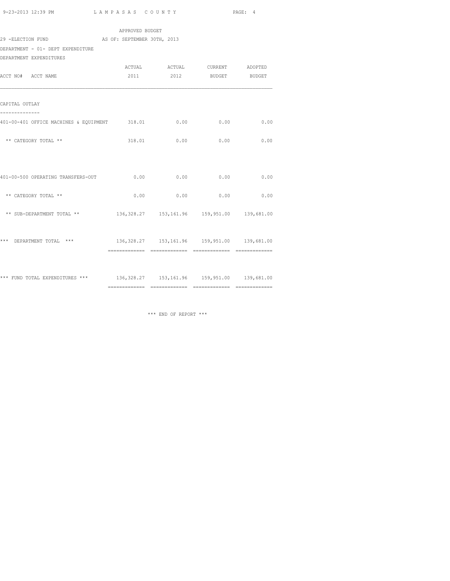|  |                                                                  | 0.00                                                                                                                                                                                                                                                                                                                                                                                                                               |
|--|------------------------------------------------------------------|------------------------------------------------------------------------------------------------------------------------------------------------------------------------------------------------------------------------------------------------------------------------------------------------------------------------------------------------------------------------------------------------------------------------------------|
|  |                                                                  |                                                                                                                                                                                                                                                                                                                                                                                                                                    |
|  |                                                                  |                                                                                                                                                                                                                                                                                                                                                                                                                                    |
|  |                                                                  |                                                                                                                                                                                                                                                                                                                                                                                                                                    |
|  |                                                                  |                                                                                                                                                                                                                                                                                                                                                                                                                                    |
|  |                                                                  |                                                                                                                                                                                                                                                                                                                                                                                                                                    |
|  | APPROVED BUDGET<br>29 -ELECTION FUND AS OF: SEPTEMBER 30TH, 2013 | ACTUAL ACTUAL CURRENT ADOPTED<br>2011 2012 BUDGET BUDGET<br>401-00-401 OFFICE MACHINES & EQUIPMENT 318.01 0.00 0.00 0.00 0.00<br>318.01 0.00 0.00<br>$0.00$ $0.00$ $0.00$ $0.00$ $0.00$<br>$0.00$ 0.00 0.00 0.00 0.00<br>136, 328.27  153, 161.96  159, 951.00  139, 681.00<br>*** DEPARTMENT TOTAL *** 136,328.27 153,161.96 159,951.00 139,681.00<br>*** FUND TOTAL EXPENDITURES *** 136,328.27 153,161.96 159,951.00 139,681.00 |

\*\*\* END OF REPORT \*\*\*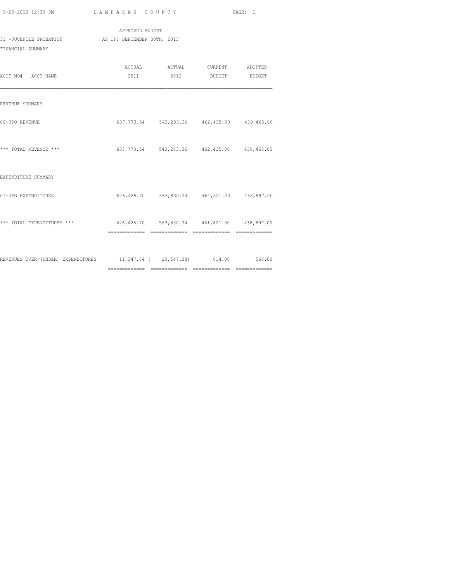| 9-23-2013 12:39 PM |  |
|--------------------|--|

L A M P A S A S C O U N T Y PAGE: 1

| 31 -JUVENILE PROBATION AS OF: SEPTEMBER 30TH, 2013<br>FINANCIAL SUMMARY | APPROVED BUDGET |                                                          |  |
|-------------------------------------------------------------------------|-----------------|----------------------------------------------------------|--|
| ACCT NO# ACCT NAME                                                      |                 | ACTUAL ACTUAL CURRENT ADOPTED<br>2011 2012 BUDGET BUDGET |  |
| REVENUE SUMMARY                                                         |                 |                                                          |  |
| 00-JPO REVENUE                                                          |                 | 637, 773.54 543, 283.36 462, 435.00 439, 465.00          |  |
| *** TOTAL REVENUE ***                                                   |                 | 637, 773.54 543, 283.36 462, 435.00 439, 465.00          |  |
| EXPENDITURE SUMMARY                                                     |                 |                                                          |  |
| 01-JPO EXPENDITURES                                                     |                 | 626,425.70 563,830.74 461,821.00 438,897.00              |  |
| *** TOTAL EXPENDITURES ***                                              |                 | 626,425.70 563,830.74 461,821.00 438,897.00              |  |
| REVENUES OVER/(UNDER) EXPENDITURES 11,347.84 (20,547.38) 614.00 568.00  |                 |                                                          |  |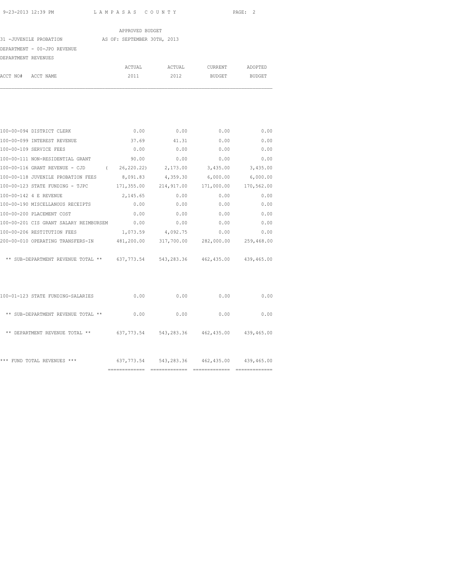|                             | APPROVED BUDGET             |        |         |               |
|-----------------------------|-----------------------------|--------|---------|---------------|
| 31 -JUVENILE PROBATION      | AS OF: SEPTEMBER 30TH, 2013 |        |         |               |
| DEPARTMENT - 00-JPO REVENUE |                             |        |         |               |
| DEPARTMENT REVENUES         |                             |        |         |               |
|                             | ACTUAL                      | ACTUAL | CURRENT | ADOPTED       |
| ACCT NO#<br>ACCT NAME       | 2011                        | 2012   | BUDGET  | <b>BUDGET</b> |
|                             |                             |        |         |               |
|                             |                             |        |         |               |

| 100-00-094 DISTRICT CLERK                    | 0.00        | 0.00       | 0.00                                | 0.00       |
|----------------------------------------------|-------------|------------|-------------------------------------|------------|
| 100-00-099 INTEREST REVENUE                  | 37.69       | 41.31      | 0.00                                | 0.00       |
| 100-00-109 SERVICE FEES                      | 0.00        | 0.00       | 0.00                                | 0.00       |
| 100-00-111 NON-RESIDENTIAL GRANT             | 90.00       | 0.00       | 0.00                                | 0.00       |
| 100-00-116 GRANT REVENUE - CJD<br>$\left($   | 26, 220.22) | 2,173.00   | 3,435.00                            | 3,435.00   |
| 100-00-118 JUVENILE PROBATION FEES           | 8,091.83    | 4,359.30   | 6,000.00                            | 6,000.00   |
| 100-00-123 STATE FUNDING - TJPC              | 171,355.00  | 214,917.00 | 171,000.00                          | 170,562.00 |
| 100-00-142 4 E REVENUE                       | 2,145.65    | 0.00       | 0.00                                | 0.00       |
| 100-00-190 MISCELLANOUS RECEIPTS             | 0.00        | 0.00       | 0.00                                | 0.00       |
| 100-00-200 PLACEMENT COST                    | 0.00        | 0.00       | 0.00                                | 0.00       |
| 100-00-201 CIS GRANT SALARY REIMBURSEM       | 0.00        | 0.00       | 0.00                                | 0.00       |
| 100-00-206 RESTITUTION FEES                  | 1,073.59    | 4,092.75   | 0.00                                | 0.00       |
| 200-00-010 OPERATING TRANSFERS-IN 481,200.00 |             | 317,700.00 | 282,000.00                          | 259,468.00 |
|                                              |             |            |                                     |            |
| ** SUB-DEPARTMENT REVENUE TOTAL **           | 637, 773.54 |            | 543, 283.36 462, 435.00 439, 465.00 |            |
|                                              |             |            |                                     |            |

| ***<br>FUND TOTAL REVENUES ***     | 637,773.54 | 543,283.36 | 462,435.00 | 439,465.00 |
|------------------------------------|------------|------------|------------|------------|
| DEPARTMENT REVENUE TOTAL **<br>**  | 637,773.54 | 543,283.36 | 462,435.00 | 439,465.00 |
| ** SUB-DEPARTMENT REVENUE TOTAL ** | 0.00       | 0.00       | 0.00       | 0.00       |
| 100-01-123 STATE FUNDING-SALARIES  | 0.00       | 0.00       | 0.00       | 0.00       |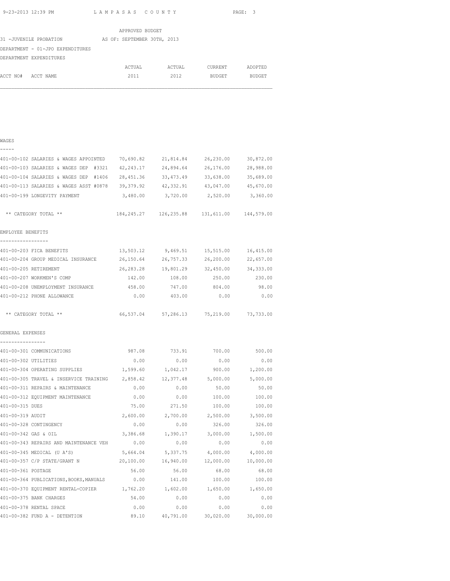|                                  | APPROVED BUDGET             |        |               |               |
|----------------------------------|-----------------------------|--------|---------------|---------------|
| 31 - JUVENILE PROBATION          | AS OF: SEPTEMBER 30TH, 2013 |        |               |               |
| DEPARTMENT - 01-JPO EXPENDITURES |                             |        |               |               |
| DEPARTMENT EXPENDITURES          |                             |        |               |               |
|                                  | ACTUAL                      | ACTUAL | CURRENT       | ADOPTED       |
| ACCT NO#<br>ACCT NAME            | 2011                        | 2012   | <b>BUDGET</b> | <b>BUDGET</b> |

## WAGES

| -<br>_ |  |
|--------|--|
|        |  |

|                                               | 401-00-102 SALARIES & WAGES APPOINTED 70,690.82                                |           | 21,814.84  | 26,230.00                                                 | 30,872.00           |
|-----------------------------------------------|--------------------------------------------------------------------------------|-----------|------------|-----------------------------------------------------------|---------------------|
|                                               | 401-00-103 SALARIES & WAGES DEP #3321                                          | 42,243.17 | 24,894.64  | 26,176.00                                                 | 28,988.00           |
|                                               | 401-00-104 SALARIES & WAGES DEP #1406                                          | 28,451.36 | 33, 473.49 | 33,638.00                                                 | 35,689.00           |
|                                               | 401-00-113 SALARIES & WAGES ASST #0878 39,379.92 42,332.91                     |           |            |                                                           | 43,047.00 45,670.00 |
|                                               | 401-00-199 LONGEVITY PAYMENT                                                   |           |            | 3,480.00 3,720.00 2,520.00                                | 3,360.00            |
| ** CATEGORY TOTAL **                          |                                                                                |           |            | 184, 245. 27   126, 235. 88   131, 611. 00   144, 579. 00 |                     |
| EMPLOYEE BENEFITS                             |                                                                                |           |            |                                                           |                     |
| -----------------                             |                                                                                |           |            |                                                           |                     |
| 401-00-203 FICA BENEFITS                      |                                                                                | 13,503.12 | 9,469.51   | 15,515.00                                                 | 16,415.00           |
|                                               | 401-00-204 GROUP MEDICAL INSURANCE                                             | 26,150.64 | 26,757.33  | 26,200.00                                                 | 22,657.00           |
| 401-00-205 RETIREMENT                         |                                                                                | 26,283.28 |            | 19,801.29 32,450.00 34,333.00                             |                     |
| 401-00-207 WORKMEN'S COMP                     |                                                                                | 142.00    | 108.00     | 250.00                                                    | 230.00              |
|                                               | 401-00-208 UNEMPLOYMENT INSURANCE                                              | 458.00    | 747.00     | 804.00                                                    | 98.00               |
| 401-00-212 PHONE ALLOWANCE                    |                                                                                | 0.00      | 403.00     | 0.00                                                      | 0.00                |
| ** CATEGORY TOTAL **                          |                                                                                |           |            | 66,537.04 57,286.13 75,219.00 73,733.00                   |                     |
| GENERAL EXPENSES                              |                                                                                |           |            |                                                           |                     |
| ----------------<br>401-00-301 COMMUNICATIONS |                                                                                | 987.08    | 733.91     | 700.00                                                    | 500.00              |
| 401-00-302 UTILITIES                          |                                                                                | 0.00      | 0.00       | 0.00                                                      | 0.00                |
|                                               | 401-00-304 OPERATING SUPPLIES                                                  | 1,599.60  | 1,042.17   | 900.00                                                    | 1,200.00            |
|                                               | 401-00-305 TRAVEL & INSERVICE TRAINING                                         | 2,858.42  | 12,377.48  | 5,000.00                                                  | 5,000.00            |
|                                               | 401-00-311 REPAIRS & MAINTENANCE                                               | 0.00      | 0.00       | 50.00                                                     | 50.00               |
|                                               | 401-00-312 EQUIPMENT MAINTENANCE                                               | 0.00      | 0.00       | 100.00                                                    | 100.00              |
| 401-00-315 DUES                               |                                                                                | 75.00     | 271.50     | 100.00                                                    | 100.00              |
| 401-00-319 AUDIT                              |                                                                                | 2,600.00  | 2,700.00   | 2,500.00                                                  | 3,500.00            |
| 401-00-328 CONTINGENCY                        |                                                                                | 0.00      | 0.00       | 326.00                                                    | 326.00              |
| 401-00-342 GAS & OIL                          |                                                                                | 3,386.68  | 1,390.17   | 3,000.00                                                  | 1,500.00            |
|                                               | 401-00-343 REPAIRS AND MAINTENANCE VEH                                         | 0.00      | 0.00       | 0.00                                                      | 0.00                |
|                                               | 401-00-345 MEDICAL (U A'S)                                                     | 5,664.04  | 5,337.75   | 4,000.00                                                  | 4,000.00            |
|                                               | 401-00-357 C/P STATE/GRANT N                                                   | 20,100.00 | 16,940.00  | 12,000.00                                                 | 10,000.00           |
| 401-00-361 POSTAGE                            |                                                                                | 56.00     | 56.00      | 68.00                                                     | 68.00               |
|                                               | 401-00-364 PUBLICATIONS, BOOKS, MANUALS                                        | 0.00      | 141.00     | 100.00                                                    | 100.00              |
|                                               | 401-00-370 EQUIPMENT RENTAL-COPIER $1,762.20$ $1,602.00$ $1,650.00$ $1,650.00$ |           |            |                                                           |                     |
| 401-00-375 BANK CHARGES                       |                                                                                | 54.00     | 0.00       | 0.00                                                      | 0.00                |
| 401-00-378 RENTAL SPACE                       |                                                                                | 0.00      | 0.00       | 0.00                                                      | 0.00                |
|                                               | 401-00-382 FUND A - DETENTION                                                  | 89.10     | 40,791.00  | 30,020.00                                                 | 30,000.00           |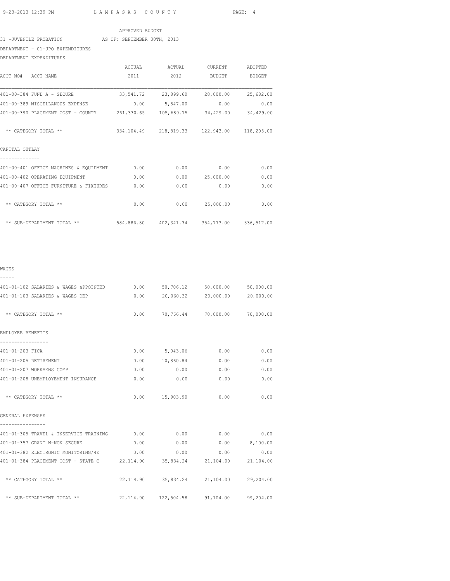#### APPROVED BUDGET

#### 31 -JUVENILE PROBATION AS OF: SEPTEMBER 30TH, 2013

# DEPARTMENT - 01-JPO EXPENDITURES

DEPARTMENT EXPENDITURES

|                                        | ACTUAL     | ACTUAL     | <b>CURRENT</b>                                  | ADOPTED       |
|----------------------------------------|------------|------------|-------------------------------------------------|---------------|
| ACCT NO#<br>ACCT NAME                  | 2011       | 2012       | <b>BUDGET</b>                                   | <b>BUDGET</b> |
| 401-00-384 FUND A - SECURE             | 33,541.72  | 23,899.60  | 28,000.00                                       | 25,682.00     |
| 401-00-389 MISCELLANOUS EXPENSE        | 0.00       | 5,847.00   | 0.00                                            | 0.00          |
| 401-00-390 PLACEMENT COST - COUNTY     | 261,330.65 | 105,689.75 | 34,429.00                                       | 34,429.00     |
| ** CATEGORY TOTAL **                   |            |            | 334, 104.49 218, 819.33 122, 943.00 118, 205.00 |               |
| CAPITAL OUTLAY                         |            |            |                                                 |               |
| 401-00-401 OFFICE MACHINES & EQUIPMENT | 0.00       | 0.00       | 0.00                                            | 0.00          |
| 401-00-402 OPERATING EQUIPMENT         | 0.00       | 0.00       | 25,000.00                                       | 0.00          |
| 401-00-407 OFFICE FURNITURE & FIXTURES | 0.00       | 0.00       | 0.00                                            | 0.00          |
| ** CATEGORY TOTAL **                   | 0.00       | 0.00       | 25,000.00                                       | 0.00          |
| ** SUB-DEPARTMENT TOTAL **             | 584,886.80 | 402,341.34 | 354,773.00                                      | 336,517.00    |

## WAGES

| -----                                                                           |                                                 |      |      |
|---------------------------------------------------------------------------------|-------------------------------------------------|------|------|
| 401-01-102 SALARIES & WAGES aPPOINTED                                           | $0.00$ 50,706.12 50,000.00 50,000.00            |      |      |
| 401-01-103 SALARIES & WAGES DEP                                                 | $0.00$ 20,060.32 20,000.00 20,000.00            |      |      |
| ** CATEGORY TOTAL **                                                            | $0.00$ 70,766.44 70,000.00 70,000.00            |      |      |
| EMPLOYEE BENEFITS                                                               |                                                 |      |      |
| 401-01-203 FICA                                                                 | $0.00$ 5,043.06 0.00                            |      | 0.00 |
| 401-01-205 RETIREMENT                                                           | $0.00$ 10,860.84 0.00                           |      | 0.00 |
| 401-01-207 WORKMENS COMP                                                        | $0.00$ $0.00$                                   | 0.00 | 0.00 |
| 401-01-208 UNEMPLOYEMENT INSURANCE                                              | $0.00$ $0.00$                                   | 0.00 | 0.00 |
| ** CATEGORY TOTAL **                                                            | $0.00$ 15,903.90 0.00                           |      | 0.00 |
| GENERAL EXPENSES                                                                |                                                 |      |      |
| 401-01-305 TRAVEL & INSERVICE TRAINING $0.00$ 0.00 0.00 0.00 0.00 0.00          |                                                 |      |      |
| 401-01-357 GRANT N-NON SECURE                                                   | $0.00$ $0.00$ $0.00$ $0.100.00$                 |      |      |
| 401-01-382 ELECTRONIC MONITORING/4E                                             | $0.00$ 0.00 0.00                                |      | 0.00 |
| 401-01-384 PLACEMENT COST - STATE C 22, 114.90 35, 834.24 21, 104.00 21, 104.00 |                                                 |      |      |
| ** CATEGORY TOTAL **                                                            | 22, 114.90 35, 834.24 21, 104.00 29, 204.00     |      |      |
| ** SUB-DEPARTMENT TOTAL **                                                      | 22, 114.90  122, 504.58  91, 104.00  99, 204.00 |      |      |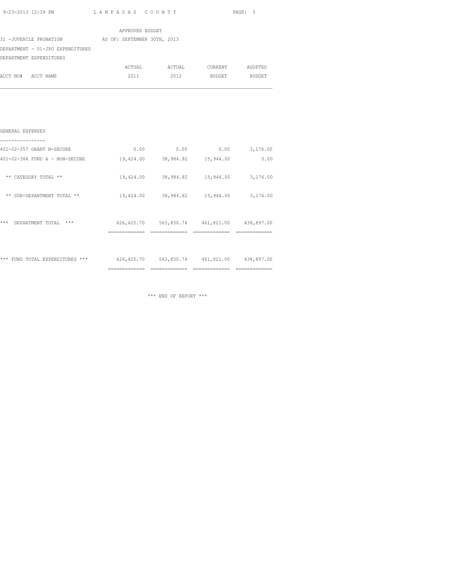|  | 9-23-2013 12:39 PM |  |
|--|--------------------|--|

| 9-23-2013 12:39 PM                                 | LAMPASAS COUNTY          |                                        | PAGE: 5 |
|----------------------------------------------------|--------------------------|----------------------------------------|---------|
|                                                    |                          |                                        |         |
|                                                    | APPROVED BUDGET          |                                        |         |
| 31 -JUVENILE PROBATION AS OF: SEPTEMBER 30TH, 2013 |                          |                                        |         |
| DEPARTMENT - 01-JPO EXPENDITURES                   |                          |                                        |         |
| DEPARTMENT EXPENDITURES                            |                          |                                        |         |
|                                                    |                          | ACTUAL ACTUAL CURRENT ADOPTED          |         |
| ACCT NO# ACCT NAME                                 | 2011 - 2011 - 2012 12:20 | 2012 BUDGET BUDGET                     |         |
|                                                    |                          |                                        |         |
|                                                    |                          |                                        |         |
|                                                    |                          |                                        |         |
|                                                    |                          |                                        |         |
|                                                    |                          |                                        |         |
| GENERAL EXPENSES                                   |                          |                                        |         |
| 401-02-357 GRANT N-SECURE                          |                          | $0.00$ 0.00 0.00 3,176.00              |         |
| 401-02-384 FUND A - NON-SECURE                     |                          | 19,424.00 38,984.82 15,944.00          | 0.00    |
|                                                    |                          |                                        |         |
| ** CATEGORY TOTAL **                               |                          | 19,424.00 38,984.82 15,944.00 3,176.00 |         |

|       |                                    | -----------<br>---------      | --------------               |                              | ____________<br>---------    |
|-------|------------------------------------|-------------------------------|------------------------------|------------------------------|------------------------------|
|       | *** FUND TOTAL EXPENDITURES<br>*** | 626, 425.70                   | 563,830.74                   | 461,821.00                   | 438,897.00                   |
| ***   | DEPARTMENT TOTAL<br>***            | 626, 425.70<br>-------------- | 563,830.74<br>-------------- | 461,821.00<br>-------------- | 438,897.00<br>============== |
| $***$ | SUB-DEPARTMENT TOTAL **            | 19,424.00                     | 38,984.82                    | 15,944.00                    | 3,176.00                     |
| $* *$ | CATEGORY TOTAL **                  | 19,424.00                     | 38,984.82                    | 15,944.00                    | 3,176.00                     |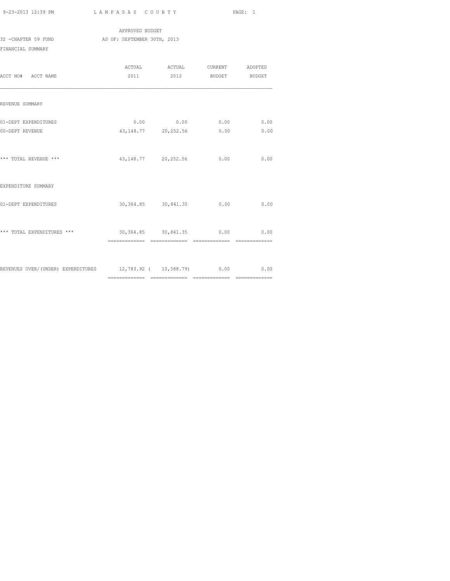|                     | APPROVED BUDGET             |  |  |  |
|---------------------|-----------------------------|--|--|--|
| 32 -CHAPTER 59 FUND | AS OF: SEPTEMBER 30TH, 2013 |  |  |  |
| FINANCIAL SUMMARY   |                             |  |  |  |

| ACCT NO# ACCT NAME                                                       |  | 2011 2012 BUDGET BUDGET                          |              |
|--------------------------------------------------------------------------|--|--------------------------------------------------|--------------|
| REVENUE SUMMARY                                                          |  |                                                  |              |
| 01-DEPT EXPENDITURES<br>00-DEPT REVENUE                                  |  | $0.00$ 0.00 0.00<br>43, 148, 77 20, 252, 56 0.00 | 0.00<br>0.00 |
| *** TOTAL REVENUE ***                                                    |  | 43, 148, 77 20, 252, 56 0.00                     | 0.00         |
| EXPENDITURE SUMMARY                                                      |  |                                                  |              |
| 01-DEPT EXPENDITURES                                                     |  | 30,364.85 30,841.35 0.00                         | 0.00         |
| *** TOTAL EXPENDITURES ***                                               |  | 30,364.85 30,841.35 0.00 0.00                    |              |
| REVENUES OVER/(UNDER) EXPENDITURES 12,783.92 ( 10,588.79) 0.00 0.00 0.00 |  |                                                  |              |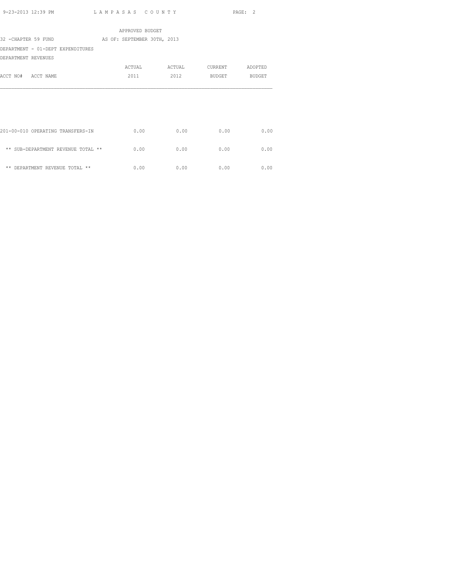|                                    | APPROVED BUDGET             |        |         |         |
|------------------------------------|-----------------------------|--------|---------|---------|
| 32 - CHAPTER 59 FUND               | AS OF: SEPTEMBER 30TH, 2013 |        |         |         |
| DEPARTMENT - 01-DEPT EXPENDITURES  |                             |        |         |         |
| DEPARTMENT REVENUES                |                             |        |         |         |
|                                    | ACTUAL                      | ACTUAL | CURRENT | ADOPTED |
| ACCT NO# ACCT NAME                 | 2011                        | 2012   | BUDGET  | BUDGET  |
|                                    |                             |        |         |         |
|                                    |                             |        |         |         |
| 201-00-010 OPERATING TRANSFERS-IN  | 0.00                        | 0.00   | 0.00    | 0.00    |
| ** SUB-DEPARTMENT REVENUE TOTAL ** | 0.00                        | 0.00   | 0.00    | 0.00    |
| ** DEPARTMENT REVENUE TOTAL **     | 0.00                        | 0.00   | 0.00    | 0.00    |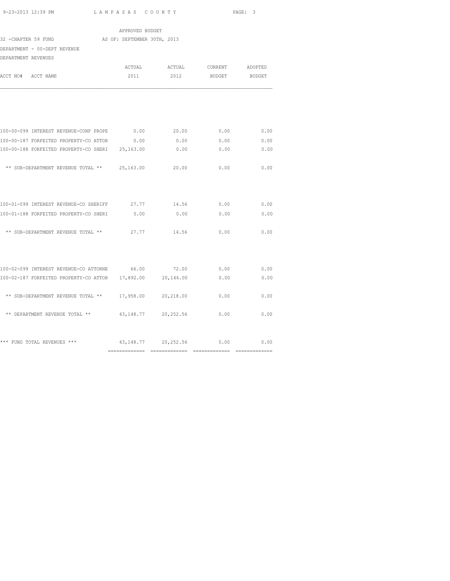|                                                             | APPROVED BUDGET |                         |                          |                |
|-------------------------------------------------------------|-----------------|-------------------------|--------------------------|----------------|
| AS OF: SEPTEMBER 30TH, 2013<br>32 - CHAPTER 59 FUND         |                 |                         |                          |                |
| DEPARTMENT - 00-DEPT REVENUE                                |                 |                         |                          |                |
| DEPARTMENT REVENUES                                         |                 |                         |                          |                |
|                                                             | ACTUAL          |                         | ACTUAL CURRENT ADOPTED   |                |
| ACCT NO# ACCT NAME                                          | 2011            | 2012                    | BUDGET                   | <b>BUDGET</b>  |
|                                                             |                 |                         |                          |                |
| 100-00-099 INTEREST REVENUE-CONF PROPE 0.00 20.00 0.00 0.00 |                 |                         |                          | 0.00           |
| 100-00-187 FORFEITED PROPERTY-CO ATTOR 0.00                 |                 |                         | $0.00$ 0.00              | 0.00           |
| 100-00-188 FORFEITED PROPERTY-CO SHERI 25,163.00            |                 | 0.00                    | 0.00                     | 0.00           |
| ** SUB-DEPARTMENT REVENUE TOTAL ** 25,163.00                |                 | 20.00                   | 0.00                     | 0.00           |
| 100-01-099 INTEREST REVENUE-CO SHERIFF 27.77                |                 | 14.56                   | 0.00                     | 0.00           |
| 100-01-188 FORFEITED PROPERTY-CO SHERI                      | 0.00            | 0.00                    | 0.00                     | 0.00           |
| ** SUB-DEPARTMENT REVENUE TOTAL **                          |                 | 27.77 14.56             | 0.00                     | 0.00           |
| 100-02-099 INTEREST REVENUE-CO ATTORNE 66.00 72.00 0.00     |                 |                         |                          | 0.00           |
| 100-02-187 FORFEITED PROPERTY-CO ATTOR 17,892.00 20,146.00  |                 |                         | 0.00                     | 0.00           |
| ** SUB-DEPARTMENT REVENUE TOTAL **                          | 17,958.00       | 20,218.00               | 0.00                     | 0.00           |
| ** DEPARTMENT REVENUE TOTAL **                              |                 | 43, 148. 77 20, 252. 56 | 0.00                     | 0.00           |
| *** FUND TOTAL REVENUES ***                                 |                 |                         | 43,148.77 20,252.56 0.00 | 0.00           |
|                                                             |                 |                         |                          | ============== |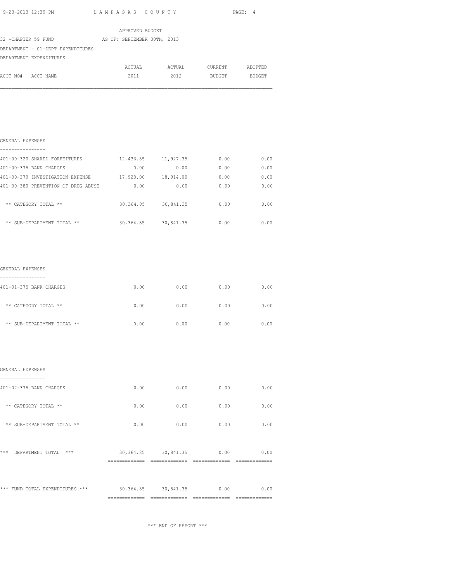| 9-23-2013 12:39 PM LAMPASAS COUNTY                                                                                                                               |                       |                                    |      | PAGE: 4      |
|------------------------------------------------------------------------------------------------------------------------------------------------------------------|-----------------------|------------------------------------|------|--------------|
|                                                                                                                                                                  |                       |                                    |      |              |
|                                                                                                                                                                  | APPROVED BUDGET       |                                    |      |              |
| 32 -CHAPTER 59 FUND AS OF: SEPTEMBER 30TH, 2013                                                                                                                  |                       |                                    |      |              |
| DEPARTMENT - 01-DEPT EXPENDITURES                                                                                                                                |                       |                                    |      |              |
| DEPARTMENT EXPENDITURES                                                                                                                                          |                       |                                    |      |              |
|                                                                                                                                                                  |                       | ACTUAL ACTUAL CURRENT ADOPTED      |      |              |
| ACCT NO# ACCT NAME                                                                                                                                               |                       | 2011 2012 BUDGET BUDGET            |      |              |
| GENERAL EXPENSES<br>----------------                                                                                                                             |                       |                                    |      |              |
|                                                                                                                                                                  |                       |                                    | 0.00 |              |
| 401-00-320 SHARED FORFEITURES 12,436.85 11,927.35<br>401-00-375 BANK CHARGES                                                                                     |                       | $0.00$ $0.00$ $0.00$ $0.00$ $0.00$ |      |              |
|                                                                                                                                                                  | 0.00                  | 0.00                               | 0.00 | 0.00<br>0.00 |
| ** CATEGORY TOTAL **                                                                                                                                             | 30, 364.85 30, 841.35 |                                    |      | $0.00$ 0.00  |
| 401-00-379 INVESTIGATION EXPENSE $17,928.00$ 18,914.00 0.00 0.00 0.00<br>401-00-380 PREVENTION OF DRUG ABUSE<br>** SUB-DEPARTMENT TOTAL ** $30,364.85$ 30,841.35 |                       |                                    |      | $0.00$ 0.00  |

| 401-01-375 BANK CHARGES    | 0.00 | 0.00 | 0.00 | 0.00 |
|----------------------------|------|------|------|------|
| ** CATEGORY TOTAL **       | 0.00 | 0.00 | 0.00 | 0.00 |
| ** SUB-DEPARTMENT TOTAL ** | 0.00 | 0.00 | 0.00 | 0.00 |

|                                  | ============== | ==============        |      | ============ |
|----------------------------------|----------------|-----------------------|------|--------------|
| *** FUND TOTAL EXPENDITURES ***  |                | 30, 364.85 30, 841.35 | 0.00 | 0.00         |
|                                  |                |                       |      |              |
| ***<br>DEPARTMENT TOTAL<br>$***$ |                | 30, 364.85 30, 841.35 | 0.00 | 0.00         |
| ** SUB-DEPARTMENT TOTAL **       | 0.00           | 0.00                  | 0.00 | 0.00         |
| ** CATEGORY TOTAL **             | 0.00           | 0.00                  | 0.00 | 0.00         |
| 401-02-375 BANK CHARGES          | 0.00           | 0.00                  | 0.00 | 0.00         |
| GENERAL EXPENSES                 |                |                       |      |              |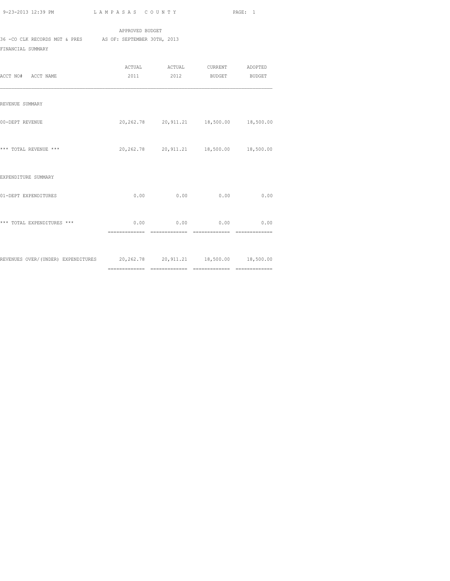APPROVED BUDGET 36 -CO CLK RECORDS MGT & PRES AS OF: SEPTEMBER 30TH, 2013

FINANCIAL SUMMARY

| ACCT NO# ACCT NAME                                                         |                | ACTUAL ACTUAL CURRENT ADOPTED<br>2011 2012 BUDGET BUDGET |                                 |      |
|----------------------------------------------------------------------------|----------------|----------------------------------------------------------|---------------------------------|------|
| REVENUE SUMMARY                                                            |                |                                                          |                                 |      |
| 00-DEPT REVENUE                                                            |                | 20,262.78 20,911.21 18,500.00 18,500.00                  |                                 |      |
| *** TOTAL REVENUE ***                                                      |                | 20, 262, 78    20, 911, 21    18, 500, 00    18, 500, 00 |                                 |      |
| EXPENDITURE SUMMARY                                                        |                |                                                          |                                 |      |
| 01-DEPT EXPENDITURES                                                       |                | $0.00$ 0.00                                              | 0.00                            | 0.00 |
| *** TOTAL EXPENDITURES ***                                                 | ============== | $0.00$ 0.00 0.00 0.00<br>==============                  | $=$ = = = = = = = = = = = = = = |      |
| REVENUES OVER/(UNDER) EXPENDITURES 20,262.78 20,911.21 18,500.00 18,500.00 |                |                                                          |                                 |      |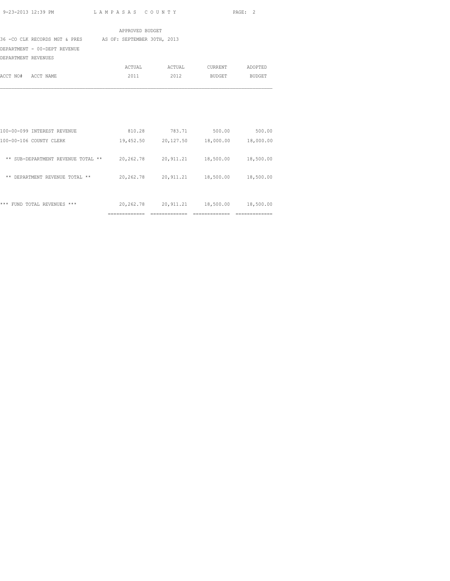|                                                           | APPROVED BUDGET |                                         |                               |        |
|-----------------------------------------------------------|-----------------|-----------------------------------------|-------------------------------|--------|
| 36 -CO CLK RECORDS MGT & PRES AS OF: SEPTEMBER 30TH, 2013 |                 |                                         |                               |        |
| DEPARTMENT - 00-DEPT REVENUE                              |                 |                                         |                               |        |
| DEPARTMENT REVENUES                                       |                 |                                         |                               |        |
|                                                           |                 | ACTUAL ACTUAL                           | CURRENT ADOPTED               |        |
| ACCT NO# ACCT NAME                                        | 2011            | 2012                                    | <b>BUDGET</b>                 | BUDGET |
|                                                           |                 |                                         |                               |        |
|                                                           |                 |                                         |                               |        |
| 100-00-099 INTEREST REVENUE                               | 810.28          | 783.71                                  | 500.00                        | 500.00 |
| 100-00-106 COUNTY CLERK                                   |                 | 19,452.50 20,127.50 18,000.00 18,000.00 |                               |        |
| ** SUB-DEPARTMENT REVENUE TOTAL ** 20,262.78              |                 |                                         | 20,911.21 18,500.00 18,500.00 |        |
| ** DEPARTMENT REVENUE TOTAL **                            |                 | 20,262.78 20,911.21 18,500.00 18,500.00 |                               |        |
|                                                           |                 |                                         |                               |        |
|                                                           |                 |                                         |                               |        |

|  |                             |           | __________ |           |           |
|--|-----------------------------|-----------|------------|-----------|-----------|
|  | *** FUND TOTAL REVENUES *** | 20,262.78 | 20,911.21  | 18,500.00 | 18,500.00 |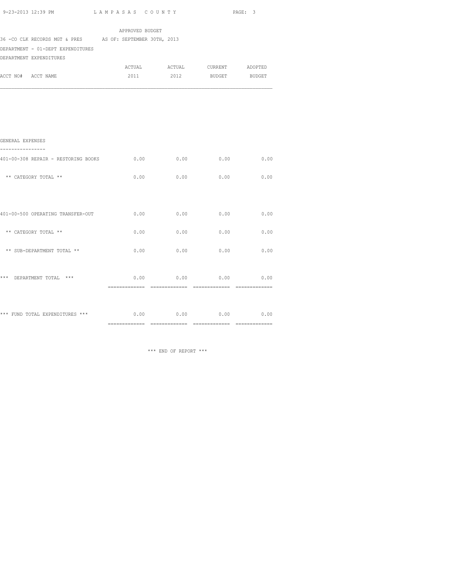| 9-23-2013 12:39 PM                                                                                                         | LAMPASAS COUNTY                           |                                       |      | PAGE: 3       |
|----------------------------------------------------------------------------------------------------------------------------|-------------------------------------------|---------------------------------------|------|---------------|
|                                                                                                                            | APPROVED BUDGET                           |                                       |      |               |
| 36 - CO CLK RECORDS MGT & PRES AS OF: SEPTEMBER 30TH, 2013<br>DEPARTMENT - 01-DEPT EXPENDITURES<br>DEPARTMENT EXPENDITURES |                                           |                                       |      |               |
| ACCT NO# ACCT NAME                                                                                                         | 2011                                      | ACTUAL ACTUAL CURRENT ADOPTED<br>2012 |      | BUDGET BUDGET |
|                                                                                                                            |                                           |                                       |      |               |
|                                                                                                                            |                                           |                                       |      |               |
| GENERAL EXPENSES                                                                                                           |                                           |                                       |      |               |
| ----------------<br>401-00-308 REPAIR - RESTORING BOOKS                                                                    | 0.00                                      | 0.00                                  | 0.00 | 0.00          |
| ** CATEGORY TOTAL **                                                                                                       | 0.00                                      | 0.00                                  | 0.00 | 0.00          |
|                                                                                                                            |                                           |                                       |      |               |
| 401-00-500 OPERATING TRANSFER-OUT                                                                                          | 0.00                                      | 0.00                                  | 0.00 | 0.00          |
| ** CATEGORY TOTAL **                                                                                                       | 0.00                                      | 0.00                                  | 0.00 | 0.00          |
| ** SUB-DEPARTMENT TOTAL **                                                                                                 | 0.00                                      | 0.00                                  | 0.00 | 0.00          |
| *** DEPARTMENT TOTAL ***                                                                                                   | 0.00                                      | 0.00                                  | 0.00 | 0.00          |
|                                                                                                                            |                                           |                                       |      |               |
| *** FUND TOTAL EXPENDITURES ***                                                                                            | $0.00$ $0.00$ $0.00$ $0.00$ $0.00$ $0.00$ |                                       |      |               |

============= ============= ============= =============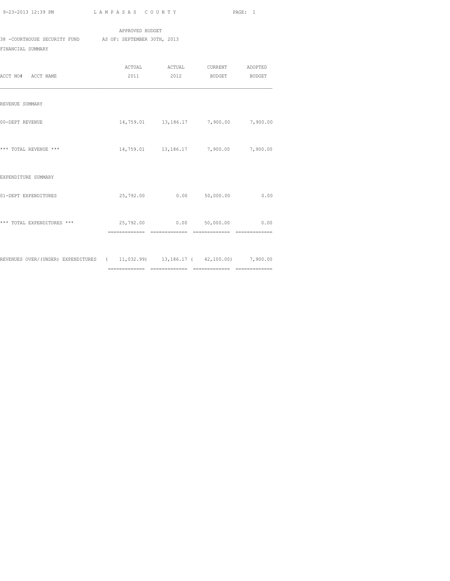|                              | APPROVED BUDGET             |
|------------------------------|-----------------------------|
| 38 -COURTHOUSE SECURITY FUND | AS OF: SEPTEMBER 30TH, 2013 |
| FINANCIAL SUMMARY            |                             |

| ACCT NO# ACCT NAME                                                            |  | 2011 2012 BUDGET                      | <b>BUDGET</b> |
|-------------------------------------------------------------------------------|--|---------------------------------------|---------------|
| REVENUE SUMMARY                                                               |  |                                       |               |
| 00-DEPT REVENUE                                                               |  | 14,759.01 13,186.17 7,900.00 7,900.00 |               |
| *** TOTAL REVENUE ***                                                         |  | 14,759.01 13,186.17 7,900.00 7,900.00 |               |
| EXPENDITURE SUMMARY                                                           |  |                                       |               |
| 01-DEPT EXPENDITURES                                                          |  | 25,792.00   0.00   50,000.00          | 0.00          |
| *** TOTAL EXPENDITURES ***                                                    |  |                                       |               |
| REVENUES OVER/(UNDER) EXPENDITURES (11,032.99) 13,186.17 (42,100.00) 7,900.00 |  |                                       |               |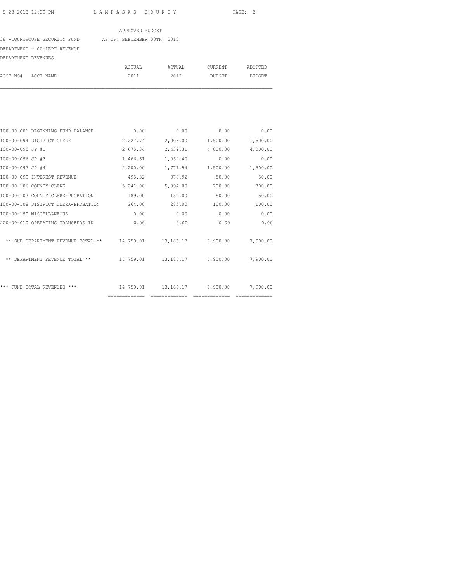38 -COURTHOUSE SECURITY FUND AS OF: SEPTEMBER 30TH, 2013

### DEPARTMENT - 00-DEPT REVENUE

|                    | ACTUAL | ACTUAL | CURRENT | ADOPTED |
|--------------------|--------|--------|---------|---------|
| ACCT NO# ACCT NAME | 2011   | 2012   | BUDGET  | BUDGET  |

| 100-00-001 BEGINNING FUND BALANCE   | 0.00          | 0.00           | 0.00               | 0.00     |
|-------------------------------------|---------------|----------------|--------------------|----------|
| 100-00-094 DISTRICT CLERK           | 2,227.74      | 2,006.00       | 1,500.00           | 1,500.00 |
| 100-00-095 JP #1                    | 2,675.34      | 2,439.31       | 4,000.00           | 4,000.00 |
| 100-00-096 JP #3                    | 1,466.61      | 1,059.40       | 0.00               | 0.00     |
| 100-00-097 JP #4                    | 2,200.00      | 1,771.54       | 1,500.00           | 1,500.00 |
| 100-00-099 INTEREST REVENUE         | 495.32        | 378.92         | 50.00              | 50.00    |
| 100-00-106 COUNTY CLERK             | 5,241.00      | 5,094.00       | 700.00             | 700.00   |
| 100-00-107 COUNTY CLERK-PROBATION   | 189.00        | 152.00         | 50.00              | 50.00    |
| 100-00-108 DISTRICT CLERK-PROBATION | 264.00        | 285.00         | 100.00             | 100.00   |
| 100-00-190 MISCELLANEOUS            | 0.00          | 0.00           | 0.00               | 0.00     |
| 200-00-010 OPERATING TRANSFERS IN   | 0.00          | 0.00           | 0.00               | 0.00     |
| ** SUB-DEPARTMENT REVENUE TOTAL **  | 14,759.01     |                | 13,186.17 7,900.00 | 7,900.00 |
| ** DEPARTMENT REVENUE TOTAL **      | 14,759.01     |                | 13,186.17 7,900.00 | 7,900.00 |
|                                     |               |                |                    |          |
| *** FUND TOTAL REVENUES ***         | 14,759.01     |                | 13,186.17 7,900.00 | 7,900.00 |
|                                     | ============= | -------------- | ==============     |          |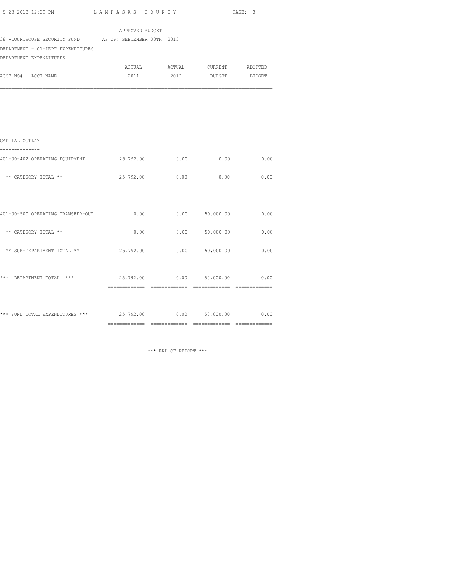| 9-23-2013 12:39 PM |  |  |
|--------------------|--|--|
|                    |  |  |

L A M P A S A S C O U N T Y PAGE: 3

|                                                                      | APPROVED BUDGET                 |                               |                  |               |
|----------------------------------------------------------------------|---------------------------------|-------------------------------|------------------|---------------|
| 38 - COURTHOUSE SECURITY FUND AS OF: SEPTEMBER 30TH, 2013            |                                 |                               |                  |               |
| DEPARTMENT - 01-DEPT EXPENDITURES                                    |                                 |                               |                  |               |
| DEPARTMENT EXPENDITURES                                              |                                 |                               |                  |               |
|                                                                      |                                 | ACTUAL ACTUAL CURRENT ADOPTED |                  |               |
| ACCT NO# ACCT NAME                                                   | 2011                            | 2012                          |                  | BUDGET BUDGET |
|                                                                      |                                 |                               |                  |               |
| CAPITAL OUTLAY                                                       |                                 |                               |                  |               |
|                                                                      |                                 |                               |                  |               |
| 401-00-402 OPERATING EQUIPMENT                                       | $25,792.00$ 0.00 0.00 0.00 0.00 |                               |                  |               |
| ** CATEGORY TOTAL **                                                 | 25,792.00                       | 0.00                          | 0.00             | 0.00          |
|                                                                      |                                 |                               |                  |               |
| 401-00-500 OPERATING TRANSFER-OUT                                    | 0.00                            |                               | $0.00$ 50,000.00 | 0.00          |
| ** CATEGORY TOTAL **                                                 | 0.00                            |                               | $0.00$ 50,000.00 | 0.00          |
| ** SUB-DEPARTMENT TOTAL **                                           | 25,792.00                       |                               | $0.00$ 50,000.00 | 0.00          |
| *** DEPARTMENT TOTAL ***                                             | 25,792.00                       |                               | $0.00$ 50,000.00 | 0.00          |
|                                                                      |                                 |                               |                  |               |
| *** FUND TOTAL EXPENDITURES *** $25,792.00$ 0.00 0.00 50,000.00 0.00 |                                 |                               |                  |               |

============= ============= ============= =============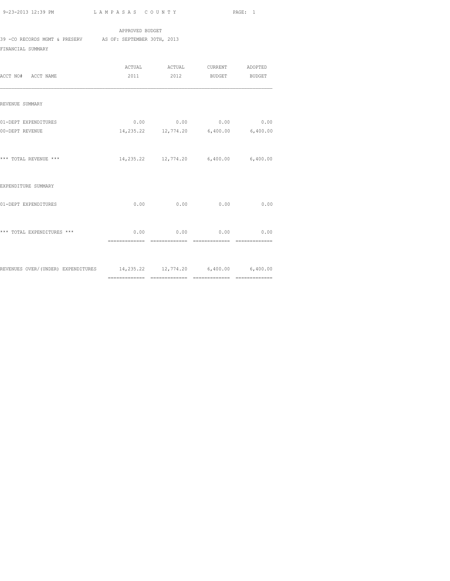39 -CO RECORDS MGMT & PRESERV AS OF: SEPTEMBER 30TH, 2013

APPROVED BUDGET

FINANCIAL SUMMARY

| ACCT NO# ACCT NAME                                                       |                              | ACTUAL ACTUAL CURRENT ADOPTED<br>2011 2012 BUDGET BUDGET           |  |
|--------------------------------------------------------------------------|------------------------------|--------------------------------------------------------------------|--|
| REVENUE SUMMARY                                                          |                              |                                                                    |  |
| 01-DEPT EXPENDITURES<br>00-DEPT REVENUE                                  |                              | $0.00$ 0.00 0.00 0.00<br>14, 235.22 12, 774.20 6, 400.00 6, 400.00 |  |
| *** TOTAL REVENUE ***                                                    |                              | 14,235.22 12,774.20 6,400.00 6,400.00                              |  |
| EXPENDITURE SUMMARY                                                      |                              |                                                                    |  |
| 01-DEPT EXPENDITURES                                                     |                              | $0.00$ 0.00 0.00 0.00 0.00                                         |  |
| *** TOTAL EXPENDITURES ***                                               | ============================ | $0.00$ 0.00 0.00 0.00<br>$=$ = = = = = = = = = = = = =             |  |
| REVENUES OVER/(UNDER) EXPENDITURES 14,235.22 12,774.20 6,400.00 6,400.00 |                              |                                                                    |  |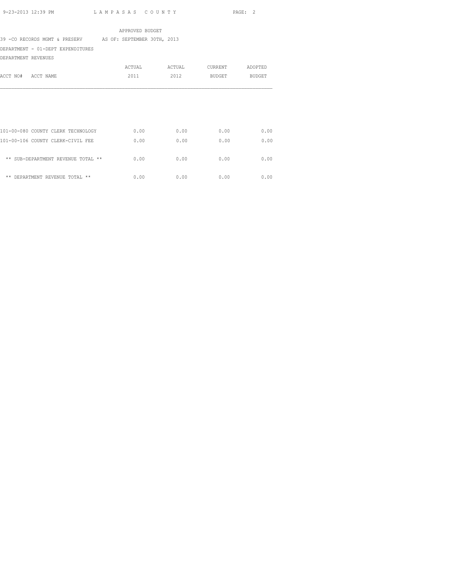39 -CO RECORDS MGMT & PRESERV AS OF: SEPTEMBER 30TH, 2013

DEPARTMENT - 01-DEPT EXPENDITURES

DEPARTMENT REVENUES

|          |                                    | ACTUAL | ACTUAL | CURRENT       | ADOPTED |
|----------|------------------------------------|--------|--------|---------------|---------|
| ACCT NO# | ACCT NAME                          | 2011   | 2012   | <b>BUDGET</b> | BUDGET  |
|          |                                    |        |        |               |         |
|          |                                    |        |        |               |         |
|          |                                    |        |        |               |         |
|          | 101-00-080 COUNTY CLERK TECHNOLOGY | 0.00   | 0.00   | 0.00          | 0.00    |
|          | 101-00-106 COUNTY CLERK-CIVIL FEE  | 0.00   | 0.00   | 0.00          | 0.00    |
|          | ** SUB-DEPARTMENT REVENUE TOTAL ** | 0.00   | 0.00   | 0.00          | 0.00    |
| **       | DEPARTMENT REVENUE TOTAL **        | 0.00   | 0.00   | 0.00          | 0.00    |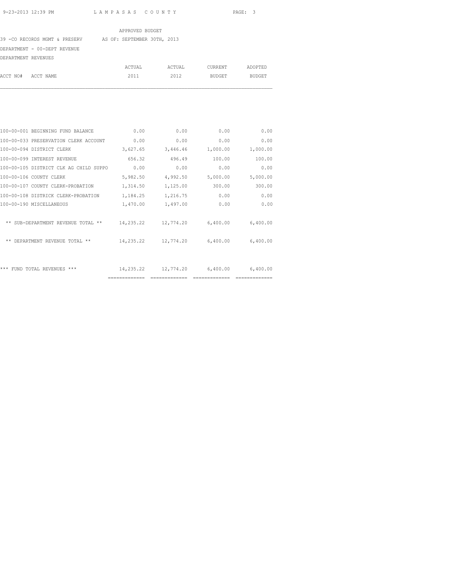39 -CO RECORDS MGMT & PRESERV AS OF: SEPTEMBER 30TH, 2013

DEPARTMENT - 00-DEPT REVENUE

| DEPARTMENT REVENUES |        |              |         |               |
|---------------------|--------|--------------|---------|---------------|
|                     | ACTUAL | ACTUAL       | CURRENT | ADOPTED       |
| ACCT NO# ACCT NAME  |        | 2011<br>2012 | BUDGET  | <b>BUDGET</b> |
|                     |        |              |         |               |

| 100-00-001 BEGINNING FUND BALANCE      | 0.00      | 0.00      | 0.00               | 0.00     |
|----------------------------------------|-----------|-----------|--------------------|----------|
| 100-00-033 PRESERVATION CLERK ACCOUNT  | 0.00      | 0.00      | 0.00               | 0.00     |
| 100-00-094 DISTRICT CLERK              | 3,627.65  | 3,446.46  | 1,000.00           | 1,000.00 |
| 100-00-099 INTEREST REVENUE            | 656.32    | 496.49    | 100.00             | 100.00   |
| 100-00-105 DISTRICT CLK AG CHILD SUPPO | 0.00      | 0.00      | 0.00               | 0.00     |
| 100-00-106 COUNTY CLERK                | 5,982.50  | 4,992.50  | 5,000.00           | 5,000.00 |
| 100-00-107 COUNTY CLERK-PROBATION      | 1,314.50  | 1,125.00  | 300.00             | 300.00   |
| 100-00-108 DISTRICK CLERK-PROBATION    | 1,184.25  | 1,216.75  | 0.00               | 0.00     |
| 100-00-190 MISCELLANEOUS               | 1,470.00  | 1,497.00  | 0.00               | 0.00     |
| ** SUB-DEPARTMENT REVENUE TOTAL **     | 14,235.22 | 12,774.20 | 6,400.00           | 6,400.00 |
| ** DEPARTMENT REVENUE TOTAL **         | 14,235.22 |           | 12,774.20 6,400.00 | 6,400.00 |
|                                        |           |           |                    |          |
| *** FUND TOTAL REVENUES ***            | 14,235.22 |           | 12,774.20 6,400.00 | 6,400.00 |
|                                        |           |           |                    |          |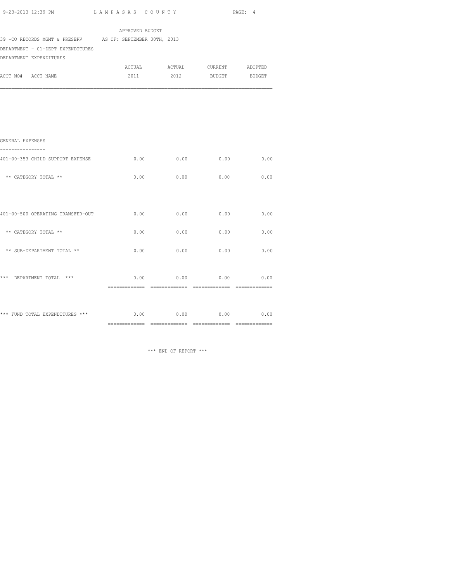|                                                           | APPROVED BUDGET |      |                               |               |
|-----------------------------------------------------------|-----------------|------|-------------------------------|---------------|
| 39 -CO RECORDS MGMT & PRESERV AS OF: SEPTEMBER 30TH, 2013 |                 |      |                               |               |
| DEPARTMENT - 01-DEPT EXPENDITURES                         |                 |      |                               |               |
| DEPARTMENT EXPENDITURES                                   |                 |      | ACTUAL ACTUAL CURRENT ADOPTED |               |
| ACCT NO# ACCT NAME                                        | 2011            | 2012 | <b>BUDGET</b>                 | <b>BUDGET</b> |
|                                                           |                 |      |                               |               |
|                                                           |                 |      |                               |               |
|                                                           |                 |      |                               |               |
|                                                           |                 |      |                               |               |
|                                                           |                 |      |                               |               |
|                                                           |                 |      |                               |               |
| GENERAL EXPENSES                                          |                 |      |                               |               |
| 401-00-353 CHILD SUPPORT EXPENSE                          | 0.00            | 0.00 | 0.00                          | 0.00          |
|                                                           |                 |      |                               |               |
| ** CATEGORY TOTAL **                                      | 0.00            | 0.00 | 0.00                          | 0.00          |
|                                                           |                 |      |                               |               |
|                                                           |                 |      |                               |               |
| 401-00-500 OPERATING TRANSFER-OUT                         | 0.00            | 0.00 | 0.00                          | 0.00          |
|                                                           |                 |      |                               |               |
| ** CATEGORY TOTAL **                                      | 0.00            | 0.00 | 0.00                          | 0.00          |
|                                                           |                 |      |                               |               |
| ** SUB-DEPARTMENT TOTAL **                                | 0.00            | 0.00 | 0.00                          | 0.00          |
|                                                           |                 |      |                               |               |
| *** DEPARTMENT TOTAL ***                                  | 0.00            | 0.00 | 0.00                          | 0.00          |
|                                                           |                 |      |                               |               |
|                                                           |                 |      |                               |               |
|                                                           |                 |      |                               |               |
| *** FUND TOTAL EXPENDITURES ***                           |                 |      | $0.00$ 0.00 0.00 0.00         |               |

============= ============= ============= =============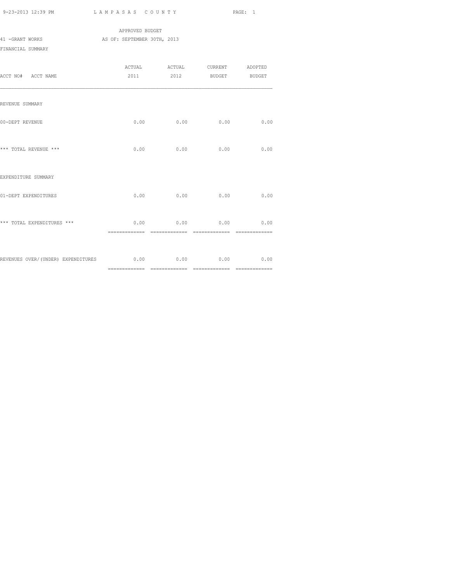|                   |  | APPROVED BUDGET             |        |         |         |
|-------------------|--|-----------------------------|--------|---------|---------|
| 41 -GRANT WORKS   |  | AS OF: SEPTEMBER 30TH, 2013 |        |         |         |
| FINANCIAL SUMMARY |  |                             |        |         |         |
|                   |  |                             |        |         |         |
|                   |  | ACTUAL                      | ACTUAL | CURRENT | ADOPTED |

|                                                          |                       |             |      | 2011 2012 BUDGET BUDGET |
|----------------------------------------------------------|-----------------------|-------------|------|-------------------------|
| REVENUE SUMMARY                                          |                       |             |      |                         |
| 00-DEPT REVENUE                                          | 0.00                  | 0.00        | 0.00 | 0.00                    |
| *** TOTAL REVENUE ***                                    |                       | $0.00$ 0.00 | 0.00 | 0.00                    |
| EXPENDITURE SUMMARY                                      |                       |             |      |                         |
| 01-DEPT EXPENDITURES                                     | 0.00                  | 0.00        | 0.00 | 0.00                    |
| *** TOTAL EXPENDITURES ***                               | 0.00<br>============= | 0.00        | 0.00 | 0.00                    |
| REVENUES OVER/(UNDER) EXPENDITURES 6 0.00 0.00 0.00 0.00 |                       |             |      | 0.00                    |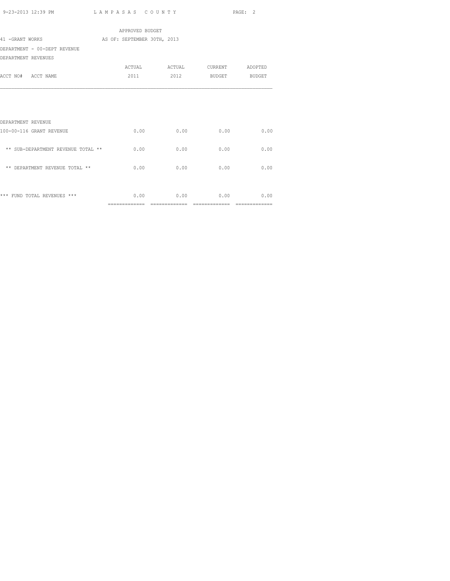| 9-23-2013 12:39 PM<br>. | LAMPASAS COUNTY<br>$\sim$ $\sim$ $\sim$ $\sim$ $\sim$ $\sim$ | PAGE: |
|-------------------------|--------------------------------------------------------------|-------|
|                         |                                                              |       |

 APPROVED BUDGET 41 -GRANT WORKS AS OF: SEPTEMBER 30TH, 2013 DEPARTMENT - 00-DEPT REVENUE DEPARTMENT REVENUES ACTUAL ACTUAL CURRENT ADOPTED ACCT NO# ACCT NAME 2011 2012 BUDGET BUDGET DEPARTMENT REVENUE 100-00-116 GRANT REVENUE 0.00 0.00 0.00 0.00  $^{\star\star}$  SUB-DEPARTMENT REVENUE TOTAL  $^{\star\star}$   $\hfill 0.00$   $\hfill 0.00$   $\hfill 0.00$  $\star\star$  DEPARTMENT REVENUE TOTAL  $\star\star$  0.00 0.00 0.00 0.00 0.00

\*\*\* FUND TOTAL REVENUES \*\*\* 0.00 0.00 0.00 0.00

============= ============= ============= =============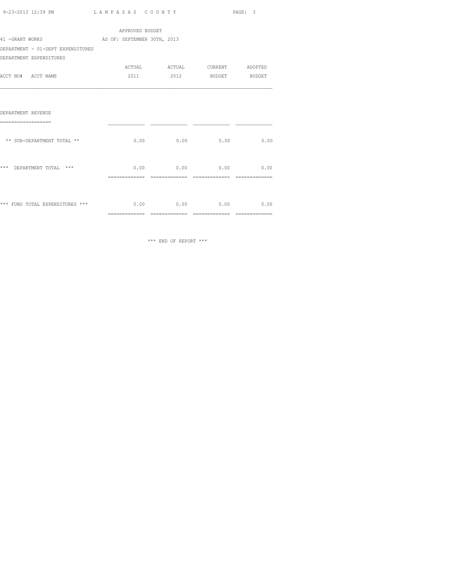| 9-23-2013 12:39 PM | LAMPASAS COUNTY | PAGE: |
|--------------------|-----------------|-------|
|                    |                 |       |

|                                   | APPROVED BUDGET                 |                               |                    |                |
|-----------------------------------|---------------------------------|-------------------------------|--------------------|----------------|
| 41 -GRANT WORKS                   | AS OF: SEPTEMBER 30TH, 2013     |                               |                    |                |
| DEPARTMENT - 01-DEPT EXPENDITURES |                                 |                               |                    |                |
| DEPARTMENT EXPENDITURES           |                                 |                               |                    |                |
|                                   |                                 | ACTUAL ACTUAL CURRENT ADOPTED |                    |                |
| ACCT NO# ACCT NAME                | 2011                            |                               | 2012 BUDGET BUDGET |                |
|                                   |                                 |                               |                    |                |
| DEPARTMENT REVENUE                |                                 |                               |                    |                |
| -------------------               |                                 |                               |                    |                |
| ** SUB-DEPARTMENT TOTAL **        |                                 | $0.00$ 0.00 0.00              |                    | 0.00           |
| ***<br>DEPARTMENT TOTAL ***       |                                 | $0.00$ 0.00 0.00 0.00 0.00    |                    |                |
|                                   | ==============                  |                               |                    |                |
| *** FUND TOTAL EXPENDITURES ***   |                                 | $0.00$ $0.00$ $0.00$          |                    | 0.00           |
|                                   | $=$ = = = = = = = = = = = = = = | $=$ ==============            | ==============     | -------------- |
|                                   |                                 |                               |                    |                |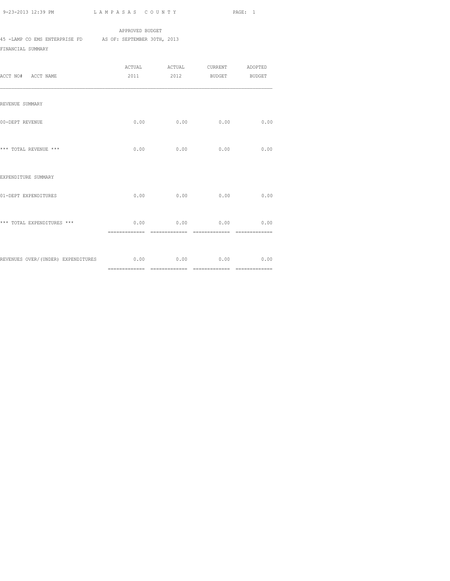APPROVED BUDGET

45 -LAMP CO EMS ENTERPRISE FD AS OF: SEPTEMBER 30TH, 2013

FINANCIAL SUMMARY

| ACCT NO# ACCT NAME                      | 2011                  | ACTUAL ACTUAL CURRENT ADOPTED<br>2012 | BUDGET BUDGET |                        |
|-----------------------------------------|-----------------------|---------------------------------------|---------------|------------------------|
| REVENUE SUMMARY                         |                       |                                       |               |                        |
| 00-DEPT REVENUE                         |                       | $0.00$ 0.00                           | 0.00          | 0.00                   |
| *** TOTAL REVENUE ***                   | 0.00                  | 0.00                                  | 0.00          | 0.00                   |
| EXPENDITURE SUMMARY                     |                       |                                       |               |                        |
| 01-DEPT EXPENDITURES                    | 0.00                  | 0.00                                  | 0.00          | 0.00                   |
| *** TOTAL EXPENDITURES ***              | 0.00<br>============= | 0.00<br>--------------                | 0.00          | 0.00<br>-------------- |
| REVENUES OVER/(UNDER) EXPENDITURES 0.00 |                       |                                       | $0.00$ 0.00   | 0.00                   |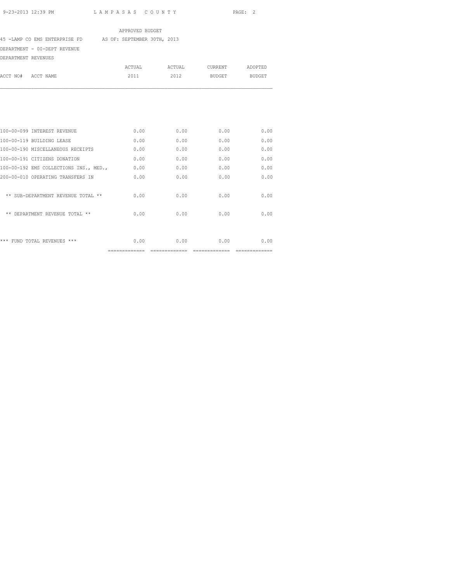45 -LAMP CO EMS ENTERPRISE FD AS OF: SEPTEMBER 30TH, 2013

DEPARTMENT - 00-DEPT REVENUE

| DEPARTMENT REVENUES |                                        |        |        |               |               |
|---------------------|----------------------------------------|--------|--------|---------------|---------------|
|                     |                                        | ACTUAL | ACTUAL | CURRENT       | ADOPTED       |
| ACCT NO#            | ACCT NAME                              | 2011   | 2012   | <b>BUDGET</b> | <b>BUDGET</b> |
|                     |                                        |        |        |               |               |
|                     | 100-00-099 INTEREST REVENUE            | 0.00   | 0.00   | 0.00          | 0.00          |
|                     |                                        |        |        |               |               |
|                     | 100-00-119 BUILDING LEASE              | 0.00   | 0.00   | 0.00          | 0.00          |
|                     | 100-00-190 MISCELLANEOUS RECEIPTS      | 0.00   | 0.00   | 0.00          | 0.00          |
|                     | 100-00-191 CITIZENS DONATION           | 0.00   | 0.00   | 0.00          | 0.00          |
|                     | 100-00-192 EMS COLLECTIONS INS., MED., | 0.00   | 0.00   | 0.00          | 0.00          |
|                     | 200-00-010 OPERATING TRANSFERS IN      | 0.00   | 0.00   | 0.00          | 0.00          |
|                     | ** SUB-DEPARTMENT REVENUE TOTAL **     | 0.00   | 0.00   | 0.00          | 0.00          |
|                     | ** DEPARTMENT REVENUE TOTAL **         | 0.00   | 0.00   | 0.00          | 0.00          |
|                     | *** FUND TOTAL REVENUES ***            | 0.00   | 0.00   | 0.00          | 0.00          |

============= ============= ============= =============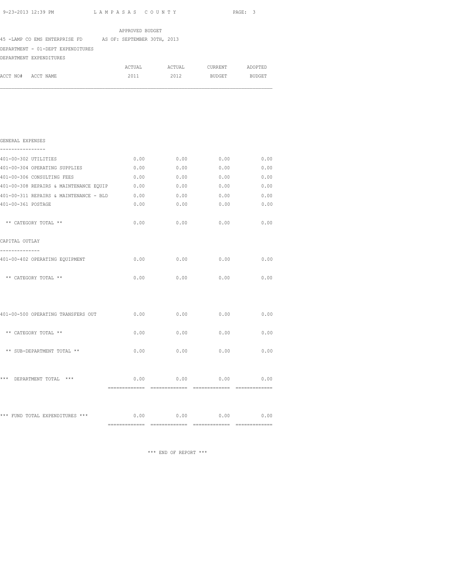| 9-23-2013 12:39 PM<br>LAMPASAS COUNTY                           |                 |                         |                             | PAGE: 3     |
|-----------------------------------------------------------------|-----------------|-------------------------|-----------------------------|-------------|
|                                                                 | APPROVED BUDGET |                         |                             |             |
| 45 -LAMP CO EMS ENTERPRISE FD AS OF: SEPTEMBER 30TH, 2013       |                 |                         |                             |             |
| DEPARTMENT - 01-DEPT EXPENDITURES                               |                 |                         |                             |             |
| DEPARTMENT EXPENDITURES                                         |                 |                         |                             |             |
|                                                                 |                 |                         |                             |             |
| ACCT NO# ACCT NAME                                              |                 | 2011 2012 BUDGET BUDGET |                             |             |
|                                                                 |                 |                         |                             |             |
| GENERAL EXPENSES                                                |                 |                         |                             |             |
| 401-00-302 UTILITIES                                            |                 | $0.00$ 0.00             |                             | $0.00$ 0.00 |
| 401-00-304 OPERATING SUPPLIES                                   | 0.00            | 0.00                    | 0.00                        | 0.00        |
| 401-00-306 CONSULTING FEES                                      | 0.00            | 0.00                    | 0.00                        | 0.00        |
|                                                                 |                 |                         |                             |             |
| 401-00-311 REPAIRS & MAINTENANCE - BLD 0.00 0.00 0.00 0.00 0.00 |                 |                         |                             |             |
| 401-00-361 POSTAGE                                              | 0.00            | 0.00                    | 0.00                        | 0.00        |
| ** CATEGORY TOTAL **                                            | 0.00            | 0.00                    | 0.00                        | 0.00        |
| CAPITAL OUTLAY                                                  |                 |                         |                             |             |
| ---------<br>401-00-402 OPERATING EQUIPMENT                     | 0.00            | 0.00                    | 0.00                        | 0.00        |
| ** CATEGORY TOTAL **                                            | 0.00            | 0.00                    | $0.00$ 0.00                 |             |
| 401-00-500 OPERATING TRANSFERS OUT 0.00 0.00 0.00 0.00          |                 |                         |                             | 0.00        |
| ** CATEGORY TOTAL **                                            | 0.00            | 0.00                    | 0.00                        | 0.00        |
| ** SUB-DEPARTMENT TOTAL **                                      | 0.00            | 0.00                    | 0.00                        | 0.00        |
| DEPARTMENT TOTAL ***<br>***                                     | 0.00            |                         | $0.00$ $0.00$ $0.00$ $0.00$ |             |

\*\*\* FUND TOTAL EXPENDITURES \*\*\* 0.00 0.00 0.00 0.00 0.00 0.00 ============= ============= ============= =============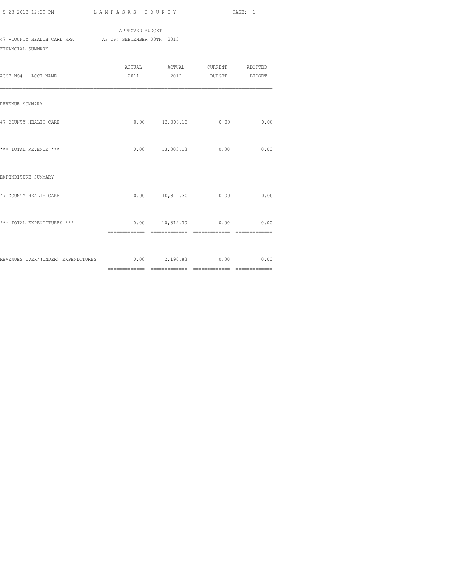APPROVED BUDGET 47 -COUNTY HEALTH CARE HRA AS OF: SEPTEMBER 30TH, 2013 FINANCIAL SUMMARY

| ACCT NO# ACCT NAME                                                   | 2011 2012 BUDGET      |      | BUDGET |
|----------------------------------------------------------------------|-----------------------|------|--------|
| REVENUE SUMMARY                                                      |                       |      |        |
| 47 COUNTY HEALTH CARE                                                | $0.00$ 13,003.13 0.00 |      | 0.00   |
| *** TOTAL REVENUE ***                                                | $0.00$ $13,003.13$    | 0.00 | 0.00   |
| EXPENDITURE SUMMARY                                                  |                       |      |        |
| 47 COUNTY HEALTH CARE                                                | $0.00$ 10,812.30 0.00 |      | 0.00   |
| *** TOTAL EXPENDITURES ***                                           | 0.00 10,812.30        | 0.00 | 0.00   |
| REVENUES OVER/(UNDER) EXPENDITURES 0.00 0.00 2,190.83 0.00 0.00 0.00 |                       |      |        |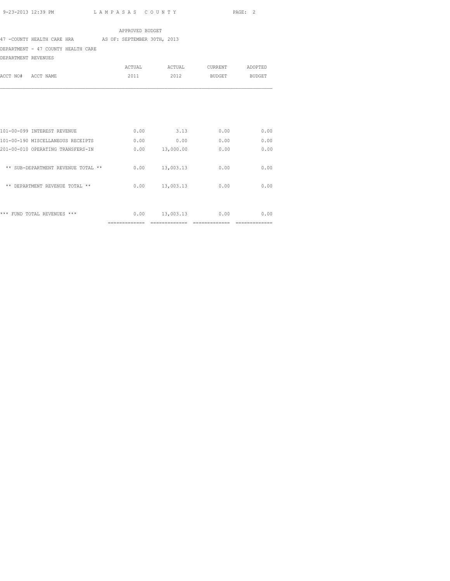## 47 -COUNTY HEALTH CARE HRA AS OF: SEPTEMBER 30TH, 2013

DEPARTMENT - 47 COUNTY HEALTH CARE

DEPARTMENT REVENUES

|                                    | <b>ACTUAL</b>  | ACTUAL    | CURRENT       | ADOPTED       |
|------------------------------------|----------------|-----------|---------------|---------------|
| ACCT NO#<br>ACCT NAME              | 2011           | 2012      | <b>BUDGET</b> | <b>BUDGET</b> |
|                                    |                |           |               |               |
| 101-00-099 INTEREST REVENUE        | 0.00           | 3.13      | 0.00          | 0.00          |
| 101-00-190 MISCELLANEOUS RECEIPTS  | 0.00           | 0.00      | 0.00          | 0.00          |
| 201-00-010 OPERATING TRANSFERS-IN  | 0.00           | 13,000.00 | 0.00          | 0.00          |
| ** SUB-DEPARTMENT REVENUE TOTAL ** | 0.00           | 13,003.13 | 0.00          | 0.00          |
| ** DEPARTMENT REVENUE TOTAL **     | 0.00           | 13,003.13 | 0.00          | 0.00          |
| *** FUND TOTAL REVENUES ***        | 0.00           | 13,003.13 | 0.00          | 0.00          |
|                                    | ============== |           |               |               |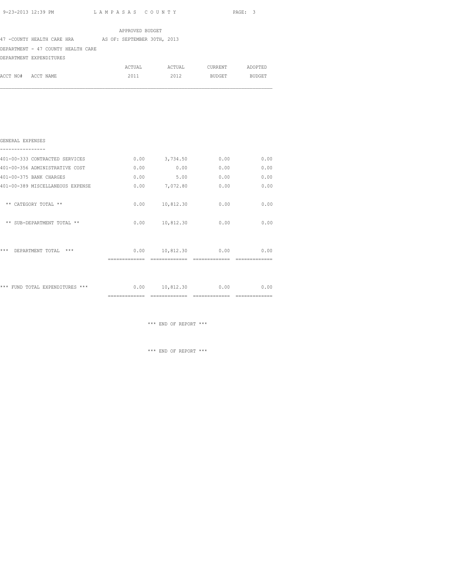|                    |                                                         | APPROVED BUDGET |        |                    |         |
|--------------------|---------------------------------------------------------|-----------------|--------|--------------------|---------|
|                    | 47 - COUNTY HEALTH CARE HRA AS OF: SEPTEMBER 30TH, 2013 |                 |        |                    |         |
|                    | DEPARTMENT - 47 COUNTY HEALTH CARE                      |                 |        |                    |         |
|                    | DEPARTMENT EXPENDITURES                                 |                 |        |                    |         |
|                    |                                                         | ACTUAL          | ACTUAL | CURRENT            | ADOPTED |
| ACCT NO# ACCT NAME |                                                         | 2011            |        | 2012 BUDGET BUDGET |         |
|                    |                                                         |                 |        |                    |         |
|                    |                                                         |                 |        |                    |         |
|                    |                                                         |                 |        |                    |         |
|                    |                                                         |                 |        |                    |         |
|                    |                                                         |                 |        |                    |         |
|                    |                                                         |                 |        |                    |         |
| GENERAL EXPENSES   |                                                         |                 |        |                    |         |

| 401-00-333 CONTRACTED SERVICES            | 0.00 | 3,734.50  | 0.00 | 0.00 |
|-------------------------------------------|------|-----------|------|------|
| 401-00-356 ADMINISTRATIVE COST            | 0.00 | 0.00      | 0.00 | 0.00 |
| 401-00-375 BANK CHARGES                   | 0.00 | 5.00      | 0.00 | 0.00 |
| 401-00-389 MISCELLANEOUS EXPENSE          | 0.00 | 7,072.80  | 0.00 | 0.00 |
| ** CATEGORY TOTAL **                      | 0.00 | 10,812.30 | 0.00 | 0.00 |
| ** SUB-DEPARTMENT TOTAL **                | 0.00 | 10,812.30 | 0.00 | 0.00 |
| ***<br>$***$<br>DEPARTMENT TOTAL          | 0.00 | 10,812.30 | 0.00 | 0.00 |
| FUND TOTAL EXPENDITURES<br>$***$<br>$***$ | 0.00 | 10,812.30 | 0.00 | 0.00 |

\*\*\* END OF REPORT \*\*\*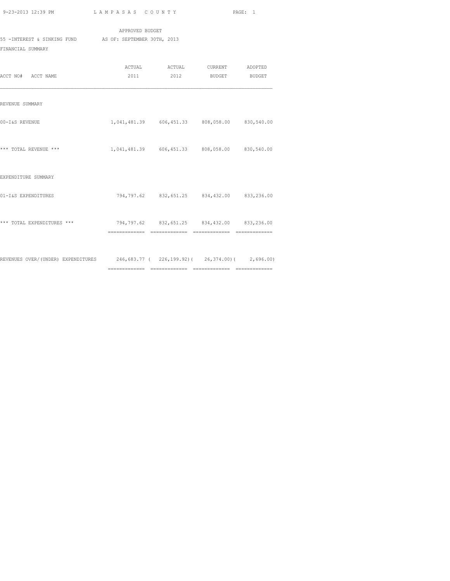| 9-23-2013 12:39 PM |  |  |  |
|--------------------|--|--|--|
|                    |  |  |  |

============= ============= ============= =============

|                             | APPROVED BUDGET                    |        |         |               |
|-----------------------------|------------------------------------|--------|---------|---------------|
| 55 -INTEREST & SINKING FUND | AS OF: SEPTEMBER 30TH, 2013        |        |         |               |
| FINANCIAL SUMMARY           |                                    |        |         |               |
|                             |                                    |        |         |               |
|                             | ACTUAL                             | ACTUAL | CURRENT | ADOPTED       |
| ACCT NO#<br>ACCT NAME       | 2011                               | 2012   | BUDGET  | <b>BUDGET</b> |
|                             |                                    |        |         |               |
| REVENUE SUMMARY             |                                    |        |         |               |
| 00-I&S REVENUE              | 1,041,481.39 606,451.33 808,058.00 |        |         | 830,540.00    |

| *** TOTAL REVENUE ***              | 1,041,481.39 606,451.33 |                            | 808,058.00        | 830,540.00 |
|------------------------------------|-------------------------|----------------------------|-------------------|------------|
| EXPENDITURE SUMMARY                |                         |                            |                   |            |
| 01-I&S EXPENDITURES                | 794,797.62              | 832,651.25                 | 834,432.00        | 833,236.00 |
| *** TOTAL EXPENDITURES ***         | 794,797.62              | 832,651.25                 | 834,432.00        | 833,236.00 |
| REVENUES OVER/(UNDER) EXPENDITURES |                         | 246,683.77 ( 226,199.92) ( | $26, 374, 00$ ) ( | 2,696.00   |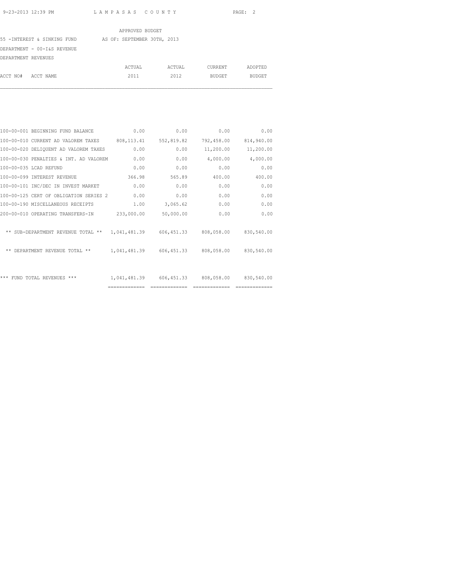55 -INTEREST & SINKING FUND AS OF: SEPTEMBER 30TH, 2013

DEPARTMENT - 00-I&S REVENUE

| DEPARTMENT REVENUES |        |        |         |         |
|---------------------|--------|--------|---------|---------|
|                     | ACTUAL | ACTUAL | CURRENT | ADOPTED |
| ACCT NO# ACCT NAME  | 2011   | 2012   | BUDGET  | BUDGET  |

| 0.00       | 0.00                  | 0.00           | 0.00           | 100-00-001 BEGINNING FUND BALANCE                                     |  |
|------------|-----------------------|----------------|----------------|-----------------------------------------------------------------------|--|
| 814,940.00 | 792,458.00            | 552,819.82     | 808, 113.41    | 100-00-010 CURRENT AD VALOREM TAXES                                   |  |
| 11,200.00  | 11,200.00             | 0.00           | 0.00           | 100-00-020 DELIQUENT AD VALOREM TAXES                                 |  |
| 4,000.00   | 4,000.00              | 0.00           | 0.00           | 100-00-030 PENALTIES & INT. AD VALOREM                                |  |
| 0.00       | 0.00                  | 0.00           | 0.00           | 100-00-035 LCAD REFUND                                                |  |
| 400.00     | 400.00                | 565.89         | 366.98         | 100-00-099 INTEREST REVENUE                                           |  |
| 0.00       | 0.00                  | 0.00           | 0.00           | 100-00-101 INC/DEC IN INVEST MARKET                                   |  |
| 0.00       | 0.00                  | 0.00           | 0.00           | 100-00-125 CERT OF OBLIGATION SERIES 2                                |  |
| 0.00       | 0.00                  | 3,065.62       | 1.00           | 100-00-190 MISCELLANEOUS RECEIPTS                                     |  |
| 0.00       | 0.00                  | 50,000.00      | 233,000.00     | 200-00-010 OPERATING TRANSFERS-IN                                     |  |
| 830,540.00 |                       |                |                | ** SUB-DEPARTMENT REVENUE TOTAL ** 1.041.481.39 606.451.33 808.058.00 |  |
| 830,540.00 | 606,451.33 808,058.00 |                | 1,041,481.39   | ** DEPARTMENT REVENUE TOTAL **                                        |  |
|            |                       |                |                |                                                                       |  |
| 830,540.00 | 808,058.00            | 606,451.33     | 1,041,481.39   | *** FUND TOTAL REVENUES ***                                           |  |
|            |                       | -------------- | ============== |                                                                       |  |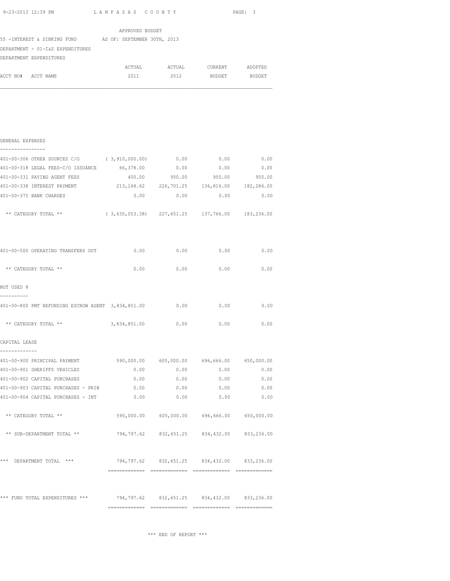|                                                          | APPROVED BUDGET |        |               |               |
|----------------------------------------------------------|-----------------|--------|---------------|---------------|
| 55 - INTEREST & SINKING FUND AS OF: SEPTEMBER 30TH, 2013 |                 |        |               |               |
| DEPARTMENT - 01-I&S EXPENDITURES                         |                 |        |               |               |
| DEPARTMENT EXPENDITURES                                  |                 |        |               |               |
|                                                          | ACTUAL          | ACTUAL | CURRENT       | ADOPTED       |
| ACCT NO#<br>ACCT NAME                                    | 2011            | 2012   | <b>BUDGET</b> | <b>BUDGET</b> |
|                                                          |                 |        |               |               |
|                                                          |                 |        |               |               |
|                                                          |                 |        |               |               |

| GENERAL EXPENSES<br>----------------                                        |                         |        |                                             |        |
|-----------------------------------------------------------------------------|-------------------------|--------|---------------------------------------------|--------|
| 401-00-306 OTHER SOURCES C/O (3,910,000.00) 0.00                            |                         |        | 0.00                                        | 0.00   |
| 401-00-318 LEGAL FEES-C/O ISSUANCE                                          | 66,378.00               | 0.00   | 0.00                                        | 0.00   |
| 401-00-331 PAYING AGENT FEES                                                | 400.00                  | 950.00 | 950.00                                      | 950.00 |
| 401-00-338 INTEREST PAYMENT                                                 | 213, 168.62 226, 701.25 |        | 136,816.00 182,286.00                       |        |
| 401-00-375 BANK CHARGES                                                     | 0.00                    | 0.00   | 0.00                                        | 0.00   |
| ** CATEGORY TOTAL ** (3,630,053.38) 227,651.25 137,766.00 183,236.00        |                         |        |                                             |        |
| 401-00-500 OPERATING TRANSFERS OUT                                          | 0.00                    | 0.00   | 0.00                                        | 0.00   |
| ** CATEGORY TOTAL **                                                        |                         |        | $0.00$ $0.00$ $0.00$ $0.00$                 | 0.00   |
| NOT USED 8<br>-----------                                                   |                         |        |                                             |        |
| 401-00-800 PMT REFUNDING ESCROW AGENT 3,834,851.00                          |                         | 0.00   | 0.00                                        | 0.00   |
| ** CATEGORY TOTAL ** 3,834,851.00 0.00                                      |                         |        | 0.00                                        | 0.00   |
| CAPITAL LEASE                                                               |                         |        |                                             |        |
| 401-00-900 PRINCIPAL PAYMENT                                                |                         |        | 590,000.00 605,000.00 696,666.00 650,000.00 |        |
| 401-00-901 SHERIFFS VEHICLES                                                | 0.00                    | 0.00   | 0.00                                        | 0.00   |
| 401-00-902 CAPITAL PURCHASES                                                | 0.00                    | 0.00   | 0.00                                        | 0.00   |
| 401-00-903 CAPITAL PURCHASES - PRIN 0.00                                    |                         |        | 0.00<br>0.00                                | 0.00   |
| 401-00-904 CAPITAL PURCHASES - INT $0.00$ 0.00 0.00 0.00 0.00 0.00          |                         |        |                                             |        |
| ** CATEGORY TOTAL **                                                        |                         |        | 590,000.00 605,000.00 696,666.00 650,000.00 |        |
| ** SUB-DEPARTMENT TOTAL **                                                  |                         |        | 794,797.62 832,651.25 834,432.00 833,236.00 |        |
| *** DEPARTMENT TOTAL ***                                                    |                         |        | 794,797.62 832,651.25 834,432.00 833,236.00 |        |
|                                                                             |                         |        |                                             |        |
| *** FUND TOTAL EXPENDITURES *** 794,797.62 832,651.25 834,432.00 833,236.00 |                         |        |                                             |        |
|                                                                             |                         |        |                                             |        |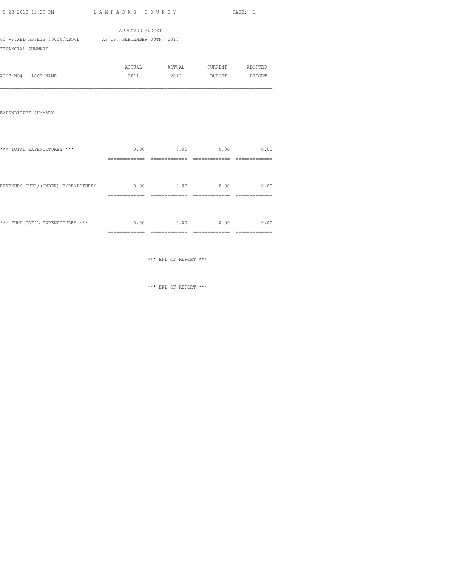|  |                                                                              | PAGE: 1                                                                                                                                                                                                                                                                                                                                                                                                                                                                                                                                                                                                               |
|--|------------------------------------------------------------------------------|-----------------------------------------------------------------------------------------------------------------------------------------------------------------------------------------------------------------------------------------------------------------------------------------------------------------------------------------------------------------------------------------------------------------------------------------------------------------------------------------------------------------------------------------------------------------------------------------------------------------------|
|  |                                                                              |                                                                                                                                                                                                                                                                                                                                                                                                                                                                                                                                                                                                                       |
|  |                                                                              |                                                                                                                                                                                                                                                                                                                                                                                                                                                                                                                                                                                                                       |
|  |                                                                              |                                                                                                                                                                                                                                                                                                                                                                                                                                                                                                                                                                                                                       |
|  |                                                                              |                                                                                                                                                                                                                                                                                                                                                                                                                                                                                                                                                                                                                       |
|  |                                                                              |                                                                                                                                                                                                                                                                                                                                                                                                                                                                                                                                                                                                                       |
|  |                                                                              |                                                                                                                                                                                                                                                                                                                                                                                                                                                                                                                                                                                                                       |
|  |                                                                              |                                                                                                                                                                                                                                                                                                                                                                                                                                                                                                                                                                                                                       |
|  |                                                                              |                                                                                                                                                                                                                                                                                                                                                                                                                                                                                                                                                                                                                       |
|  |                                                                              |                                                                                                                                                                                                                                                                                                                                                                                                                                                                                                                                                                                                                       |
|  |                                                                              |                                                                                                                                                                                                                                                                                                                                                                                                                                                                                                                                                                                                                       |
|  |                                                                              |                                                                                                                                                                                                                                                                                                                                                                                                                                                                                                                                                                                                                       |
|  |                                                                              |                                                                                                                                                                                                                                                                                                                                                                                                                                                                                                                                                                                                                       |
|  |                                                                              |                                                                                                                                                                                                                                                                                                                                                                                                                                                                                                                                                                                                                       |
|  |                                                                              |                                                                                                                                                                                                                                                                                                                                                                                                                                                                                                                                                                                                                       |
|  |                                                                              |                                                                                                                                                                                                                                                                                                                                                                                                                                                                                                                                                                                                                       |
|  | APPROVED BUDGET<br>60 -FIXED ASSETS \$5000/ABOVE AS OF: SEPTEMBER 30TH, 2013 | 9-23-2013 12:39 PM LAMPASAS COUNTY<br>ACTUAL ACTUAL CURRENT ADOPTED<br>2011 2012 BUDGET BUDGET<br>$0.00$ $0.00$ $0.00$ $0.00$ $0.00$<br>REVENUES OVER/(UNDER) EXPENDITURES $0.00$ 0.00 0.00 0.00 0.00<br>$***\text{ FUND TOTAL EXPENDITURES }***\textcolor{red}{*}{\color{blue}{*}}\textcolor{red}{*}>>\textcolor{red}{*}0.00\textcolor{red}{*}0.00\textcolor{red}{*}0.00\textcolor{red}{*}0.00\textcolor{red}{*}0.00\textcolor{red}{*}0.00\textcolor{red}{*}0.00\textcolor{red}{*}0.000\textcolor{red}{*}0.000\textcolor{red}{*}0.000\textcolor{red}{*}0.0000\textcolor{red}{*}0.0000000000000000000000000000000000$ |

\*\*\* END OF REPORT \*\*\*

============= ============= ============= =============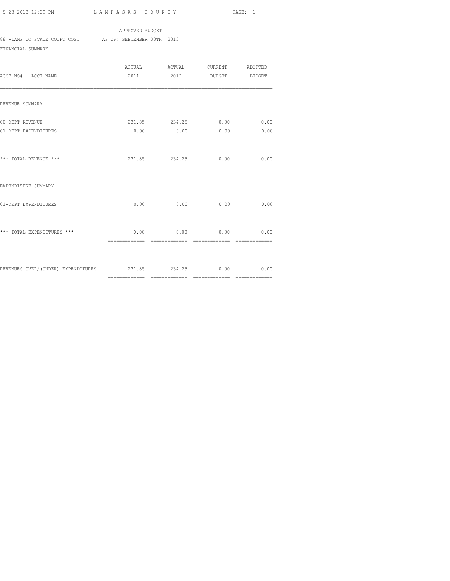APPROVED BUDGET 88 -LAMP CO STATE COURT COST AS OF: SEPTEMBER 30TH, 2013

FINANCIAL SUMMARY

| ACCT NO# ACCT NAME                                         |                | 2011 2012 BUDGET BUDGET       |                |                                 |
|------------------------------------------------------------|----------------|-------------------------------|----------------|---------------------------------|
| REVENUE SUMMARY                                            |                |                               |                |                                 |
| 00-DEPT REVENUE<br>01-DEPT EXPENDITURES                    | 0.00           | 231.85 234.25 0.00<br>0.00    | 0.00           | 0.00<br>0.00                    |
| *** TOTAL REVENUE ***                                      |                | 231.85 234.25                 | 0.00           | 0.00                            |
| EXPENDITURE SUMMARY                                        |                |                               |                |                                 |
| 01-DEPT EXPENDITURES                                       | 0.00           | 0.00                          | 0.00           | 0.00                            |
| *** TOTAL EXPENDITURES ***                                 | ============== | $0.00$ 0.00<br>============== | ============== | $0.00$ $0.00$<br>============== |
| REVENUES OVER/(UNDER) EXPENDITURES 231.85 234.25 0.00 0.00 |                |                               |                |                                 |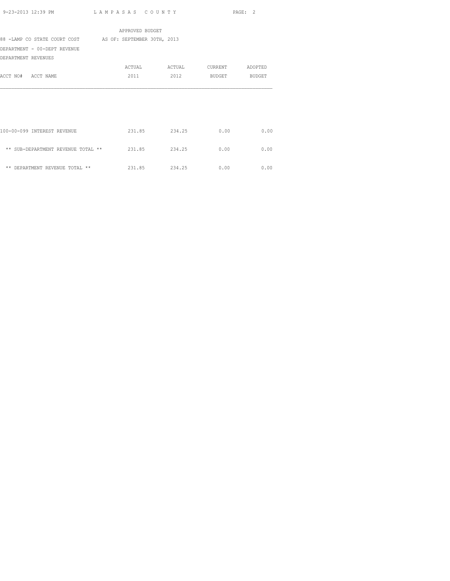|                                                          | APPROVED BUDGET |        |         |         |
|----------------------------------------------------------|-----------------|--------|---------|---------|
| 88 -LAMP CO STATE COURT COST AS OF: SEPTEMBER 30TH, 2013 |                 |        |         |         |
| DEPARTMENT - 00-DEPT REVENUE                             |                 |        |         |         |
| DEPARTMENT REVENUES                                      |                 |        |         |         |
|                                                          | ACTUAL          | ACTUAL | CURRENT | ADOPTED |
| ACCT NO# ACCT NAME                                       | 2011            | 2012   | BUDGET  | BUDGET  |
|                                                          |                 |        |         |         |
|                                                          |                 |        |         |         |
|                                                          |                 |        |         |         |
|                                                          |                 |        |         |         |
|                                                          |                 |        |         |         |
| 100-00-099 INTEREST REVENUE                              | 231.85          | 234.25 | 0.00    | 0.00    |
|                                                          |                 |        |         |         |
| ** SUB-DEPARTMENT REVENUE TOTAL **                       | 231.85          | 234.25 | 0.00    | 0.00    |
|                                                          |                 |        |         |         |
| ** DEPARTMENT REVENUE TOTAL **                           | 231.85          | 234.25 | 0.00    | 0.00    |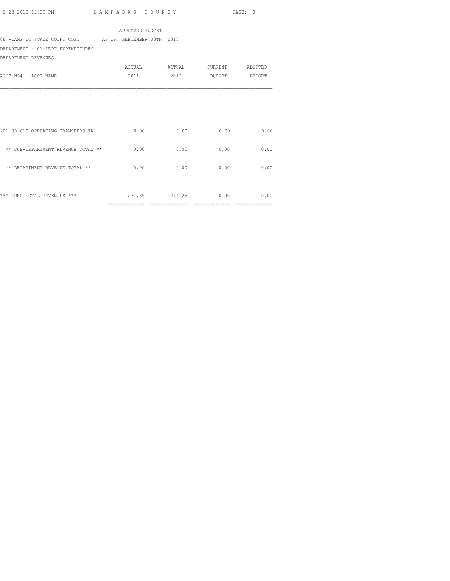|                                                          | APPROVED BUDGET |        |                 |        |
|----------------------------------------------------------|-----------------|--------|-----------------|--------|
| 88 -LAMP CO STATE COURT COST AS OF: SEPTEMBER 30TH, 2013 |                 |        |                 |        |
| DEPARTMENT - 01-DEPT EXPENDITURES                        |                 |        |                 |        |
| DEPARTMENT REVENUES                                      |                 |        |                 |        |
|                                                          | ACTUAL          | ACTUAL | CURRENT ADOPTED |        |
| ACCT NO# ACCT NAME                                       | 2011            | 2012   | BUDGET          | BUDGET |
|                                                          |                 |        |                 |        |
|                                                          |                 |        |                 |        |
|                                                          |                 |        |                 |        |
|                                                          |                 |        |                 |        |
|                                                          |                 |        |                 |        |
| 201-00-010 OPERATING TRANSFERS IN                        | 0.00            | 0.00   | 0.00            | 0.00   |
|                                                          |                 |        |                 |        |
| ** SUB-DEPARTMENT REVENUE TOTAL **                       | 0.00            | 0.00   | 0.00            | 0.00   |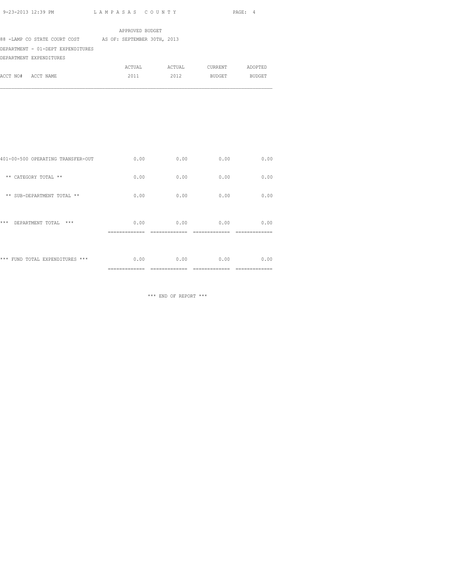|                                   | APPROVED BUDGET             |        |         |         |
|-----------------------------------|-----------------------------|--------|---------|---------|
| 88 -LAMP CO STATE COURT COST      | AS OF: SEPTEMBER 30TH, 2013 |        |         |         |
| DEPARTMENT - 01-DEPT EXPENDITURES |                             |        |         |         |
| DEPARTMENT EXPENDITURES           |                             |        |         |         |
|                                   | ACTUAL                      | ACTUAL | CURRENT | ADOPTED |
| ACCT NO# ACCT NAME                | 2011                        | 2012   | BUDGET  | BUDGET  |

| *** FUND TOTAL EXPENDITURES ***   | 0.00 | 0.00 | 0.00 | 0.00 |
|-----------------------------------|------|------|------|------|
| ***<br>$***$<br>DEPARTMENT TOTAL  | 0.00 | 0.00 | 0.00 | 0.00 |
| ** SUB-DEPARTMENT TOTAL **        | 0.00 | 0.00 | 0.00 | 0.00 |
| ** CATEGORY TOTAL **              | 0.00 | 0.00 | 0.00 | 0.00 |
| 401-00-500 OPERATING TRANSFER-OUT | 0.00 | 0.00 | 0.00 | 0.00 |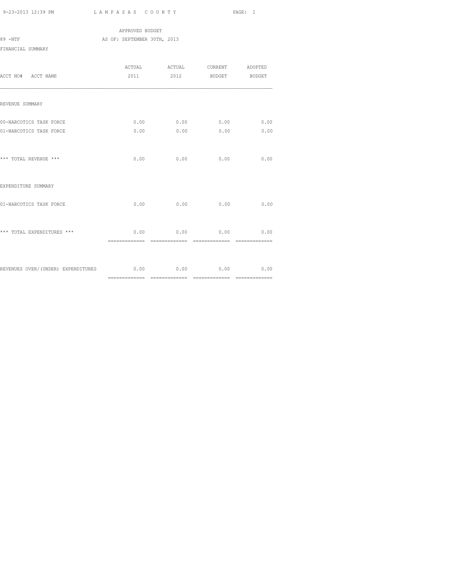|                   |  | APPROVED BUDGET             |  |  |
|-------------------|--|-----------------------------|--|--|
| 89 -NTF           |  | AS OF: SEPTEMBER 30TH, 2013 |  |  |
| FINANCIAL SUMMARY |  |                             |  |  |

| ACCT NO# ACCT NAME                                          |      | 2011 2012 BUDGET BUDGET                                  |                |              |
|-------------------------------------------------------------|------|----------------------------------------------------------|----------------|--------------|
| REVENUE SUMMARY                                             |      |                                                          |                |              |
| 00-NARCOTICS TASK FORCE<br>01-NARCOTICS TASK FORCE          | 0.00 | $0.00$ 0.00<br>0.00                                      | 0.00<br>0.00   | 0.00<br>0.00 |
| *** TOTAL REVENUE ***                                       |      | $0.00$ 0.00 0.00                                         |                | 0.00         |
| EXPENDITURE SUMMARY                                         |      |                                                          |                |              |
| 01-NARCOTICS TASK FORCE                                     | 0.00 | 0.00                                                     | 0.00           | 0.00         |
| *** TOTAL EXPENDITURES ***                                  |      | $0.00$ 0.00 0.00 0.00<br>=============================== | -------------- |              |
| REVENUES OVER/(UNDER) EXPENDITURES 6.00 0.00 0.00 0.00 0.00 |      |                                                          |                | 0.00         |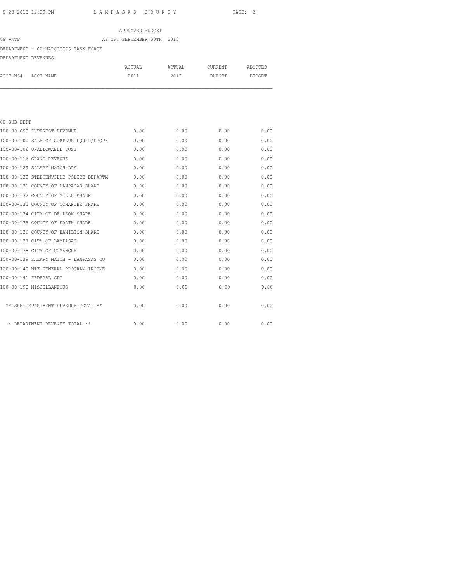# APPROVED BUDGET 89 -NTF AS OF: SEPTEMBER 30TH, 2013 DEPARTMENT - 00-NARCOTICS TASK FORCE DEPARTMENT REVENUES ACTUAL ACTUAL CURRENT ADOPTED

| 00-SUB DEPT                            |      |      |      |      |
|----------------------------------------|------|------|------|------|
| 100-00-099 INTEREST REVENUE            | 0.00 | 0.00 | 0.00 | 0.00 |
| 100-00-100 SALE OF SURPLUS EOUIP/PROPE | 0.00 | 0.00 | 0.00 | 0.00 |
| 100-00-106 UNALLOWABLE COST            | 0.00 | 0.00 | 0.00 | 0.00 |
| 100-00-116 GRANT REVENUE               | 0.00 | 0.00 | 0.00 | 0.00 |
| 100-00-129 SALARY MATCH-DPS            | 0.00 | 0.00 | 0.00 | 0.00 |
| 100-00-130 STEPHENVILLE POLICE DEPARTM | 0.00 | 0.00 | 0.00 | 0.00 |
| 100-00-131 COUNTY OF LAMPASAS SHARE    | 0.00 | 0.00 | 0.00 | 0.00 |
| 100-00-132 COUNTY OF MILLS SHARE       | 0.00 | 0.00 | 0.00 | 0.00 |
| 100-00-133 COUNTY OF COMANCHE SHARE    | 0.00 | 0.00 | 0.00 | 0.00 |
| 100-00-134 CITY OF DE LEON SHARE       | 0.00 | 0.00 | 0.00 | 0.00 |
| 100-00-135 COUNTY OF ERATH SHARE       | 0.00 | 0.00 | 0.00 | 0.00 |
| 100-00-136 COUNTY OF HAMILTON SHARE    | 0.00 | 0.00 | 0.00 | 0.00 |
| 100-00-137 CITY OF LAMPASAS            | 0.00 | 0.00 | 0.00 | 0.00 |

100-00-138 CITY OF COMANCHE 0.00 0.00 0.00 0.00 100-00-139 SALARY MATCH - LAMPASAS CO 0.00 0.00 0.00 0.00 100-00-140 NTF GENERAL PROGRAM INCOME 0.00 0.00 0.00 0.00 100-00-141 FEDERAL GPI 0.00 0.00 0.00 0.00 100-00-190 MISCELLANEOUS 0.00 0.00 0.00 0.00

 $**$  SUB-DEPARTMENT REVENUE TOTAL  $**$  0.00 0.00 0.00 0.00 0.00 0.00

 $**$  DEPARTMENT REVENUE TOTAL  $**$  0.00 0.00 0.00 0.00 0.00 0.00

ACCT NO# ACCT NAME 2011 2012 BUDGET BUDGET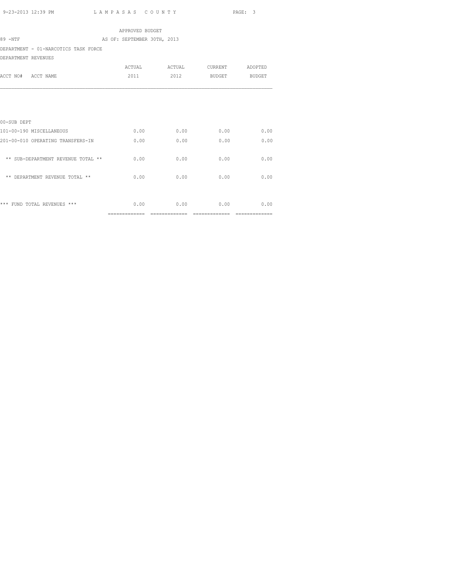|                                      | APPROVED BUDGET                 |                |                 |                |
|--------------------------------------|---------------------------------|----------------|-----------------|----------------|
| 89 -NTF                              | AS OF: SEPTEMBER 30TH, 2013     |                |                 |                |
| DEPARTMENT - 01-NARCOTICS TASK FORCE |                                 |                |                 |                |
| DEPARTMENT REVENUES                  |                                 |                |                 |                |
|                                      | ACTUAL                          | ACTUAL         | CURRENT ADOPTED |                |
| ACCT NO# ACCT NAME                   | 2011                            | 2012           | <b>BUDGET</b>   | BUDGET         |
|                                      |                                 |                |                 |                |
| 00-SUB DEPT                          |                                 |                |                 |                |
| 101-00-190 MISCELLANEOUS             | 0.00                            | 0.00           | 0.00            | 0.00           |
| 201-00-010 OPERATING TRANSFERS-IN    | 0.00                            | 0.00           | 0.00            | 0.00           |
| ** SUB-DEPARTMENT REVENUE TOTAL **   | 0.00                            | 0.00           | 0.00            | 0.00           |
| ** DEPARTMENT REVENUE TOTAL **       | 0.00                            | 0.00           | 0.00            | 0.00           |
| *** FUND TOTAL REVENUES ***          | 0.00                            | 0.00           | 0.00            | 0.00           |
|                                      | $=$ = = = = = = = = = = = = = = | ============== |                 | -------------- |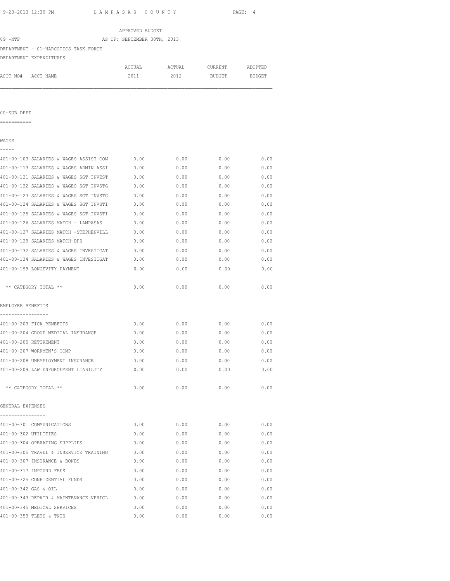| 9-23-2013 12:39 PM                          | LAMPASAS COUNTY             |      |                | PAGE: 4 |
|---------------------------------------------|-----------------------------|------|----------------|---------|
|                                             | APPROVED BUDGET             |      |                |         |
| 89 -NTF                                     | AS OF: SEPTEMBER 30TH, 2013 |      |                |         |
| DEPARTMENT - 01-NARCOTICS TASK FORCE        |                             |      |                |         |
| DEPARTMENT EXPENDITURES                     |                             |      |                |         |
|                                             | ACTUAL                      |      | ACTUAL CURRENT | ADOPTED |
| ACCT NO# ACCT NAME                          | 2011                        | 2012 | BUDGET BUDGET  |         |
|                                             |                             |      |                |         |
| 00-SUB DEPT                                 |                             |      |                |         |
| ===========                                 |                             |      |                |         |
| WAGES                                       |                             |      |                |         |
| 401-00-103 SALARIES & WAGES ASSIST COM      | 0.00                        | 0.00 | 0.00           | 0.00    |
| 401-00-113 SALARIES & WAGES ADMIN ASSI      | 0.00                        | 0.00 | 0.00           | 0.00    |
| 401-00-121 SALARIES & WAGES SGT INVEST      | 0.00                        | 0.00 | 0.00           | 0.00    |
| 401-00-122 SALARIES & WAGES SGT INVSTG      | 0.00                        | 0.00 | 0.00           | 0.00    |
| 401-00-123 SALARIES & WAGES SGT INVSTG      | 0.00                        | 0.00 | 0.00           | 0.00    |
| 401-00-124 SALARIES & WAGES SGT INVSTI      | 0.00                        | 0.00 | 0.00           | 0.00    |
| 401-00-125 SALARIES & WAGES SGT INVSTI      | 0.00                        | 0.00 | 0.00           | 0.00    |
| 401-00-126 SALARIES MATCH - LAMPASAS        | 0.00                        | 0.00 | 0.00           | 0.00    |
| 401-00-127 SALARIES MATCH -STEPHENVILL      | 0.00                        | 0.00 | 0.00           | 0.00    |
| 401-00-129 SALARIES MATCH-DPS               | 0.00                        | 0.00 | 0.00           | 0.00    |
| 401-00-132 SALARIES & WAGES INVESTIGAT      | 0.00                        | 0.00 | 0.00           | 0.00    |
| 401-00-134 SALARIES & WAGES INVESTIGAT      | 0.00                        | 0.00 | 0.00           | 0.00    |
| 401-00-199 LONGEVITY PAYMENT                | 0.00                        | 0.00 | 0.00           | 0.00    |
| ** CATEGORY TOTAL **                        | 0.00                        | 0.00 | 0.00           | 0.00    |
| EMPLOYEE BENEFITS                           |                             |      |                |         |
| 401-00-203 FICA BENEFITS                    | 0.00                        | 0.00 | 0.00           | 0.00    |
| 401-00-204 GROUP MEDICAL INSURANCE          | 0.00                        | 0.00 | 0.00           | 0.00    |
| 401-00-205 RETIREMENT                       | 0.00                        | 0.00 | 0.00           | 0.00    |
| 401-00-207 WORKMEN'S COMP                   | 0.00                        | 0.00 | 0.00           | 0.00    |
| 401-00-208 UNEMPLOYMENT INSURANCE           | 0.00                        | 0.00 | 0.00           | 0.00    |
| 401-00-209 LAW ENFORCEMENT LIABILITY        | 0.00                        | 0.00 | 0.00           | 0.00    |
| ** CATEGORY TOTAL **                        | 0.00                        | 0.00 | 0.00           | 0.00    |
| GENERAL EXPENSES                            |                             |      |                |         |
| ----------------                            |                             |      |                |         |
| 401-00-301 COMMUNICATIONS                   | 0.00                        | 0.00 | 0.00           | 0.00    |
| 401-00-302 UTILITIES                        | 0.00                        | 0.00 | 0.00           | 0.00    |
| 401-00-304 OPERATING SUPPLIES               | 0.00                        | 0.00 | 0.00           | 0.00    |
| 401-00-305 TRAVEL & INSERVICE TRAINING      | 0.00                        | 0.00 | 0.00           | 0.00    |
| 401-00-307 INSURANCE & BONDS                | 0.00                        | 0.00 | 0.00           | 0.00    |
| 401-00-317 IMPOUND FEES                     | 0.00                        | 0.00 | 0.00           | 0.00    |
| 401-00-325 CONFIDENTIAL FUNDS               | 0.00                        | 0.00 | 0.00           | 0.00    |
| 401-00-342 GAS & OIL                        | 0.00                        | 0.00 | 0.00           | 0.00    |
| 401-00-343 REPAIR & MAINTENANCE VEHICL 0.00 |                             | 0.00 | 0.00           | 0.00    |

401-00-345 MEDICAL SERVICES 0.00 0.00 0.00 0.00 401-00-359 TLETS & TNIS 0.00 0.00 0.00 0.00